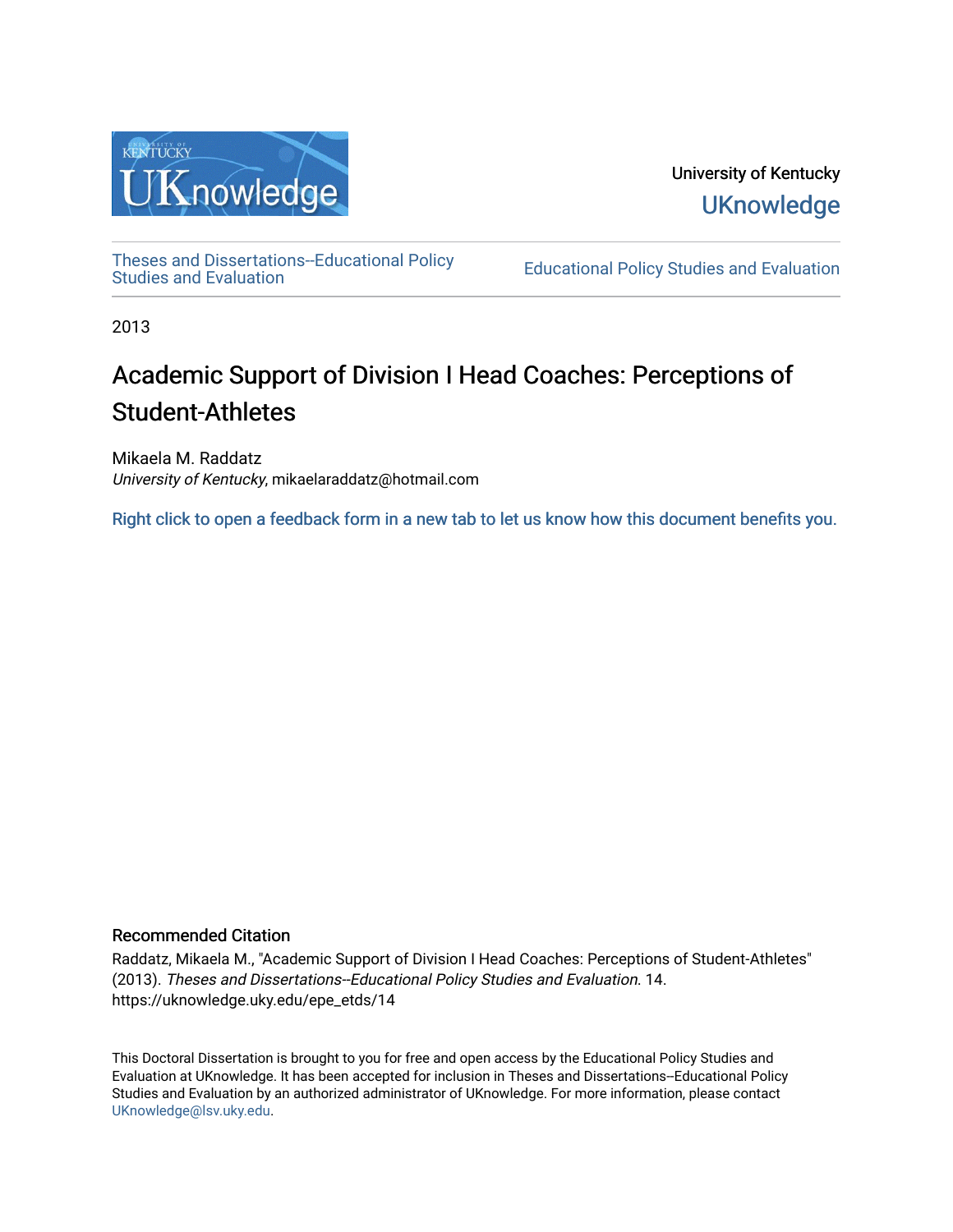

University of Kentucky **UKnowledge** 

[Theses and Dissertations--Educational Policy](https://uknowledge.uky.edu/epe_etds) 

**Educational Policy Studies and Evaluation** 

2013

# Academic Support of Division I Head Coaches: Perceptions of Student-Athletes

Mikaela M. Raddatz University of Kentucky, mikaelaraddatz@hotmail.com

[Right click to open a feedback form in a new tab to let us know how this document benefits you.](https://uky.az1.qualtrics.com/jfe/form/SV_9mq8fx2GnONRfz7)

## Recommended Citation

Raddatz, Mikaela M., "Academic Support of Division I Head Coaches: Perceptions of Student-Athletes" (2013). Theses and Dissertations--Educational Policy Studies and Evaluation. 14. https://uknowledge.uky.edu/epe\_etds/14

This Doctoral Dissertation is brought to you for free and open access by the Educational Policy Studies and Evaluation at UKnowledge. It has been accepted for inclusion in Theses and Dissertations--Educational Policy Studies and Evaluation by an authorized administrator of UKnowledge. For more information, please contact [UKnowledge@lsv.uky.edu.](mailto:UKnowledge@lsv.uky.edu)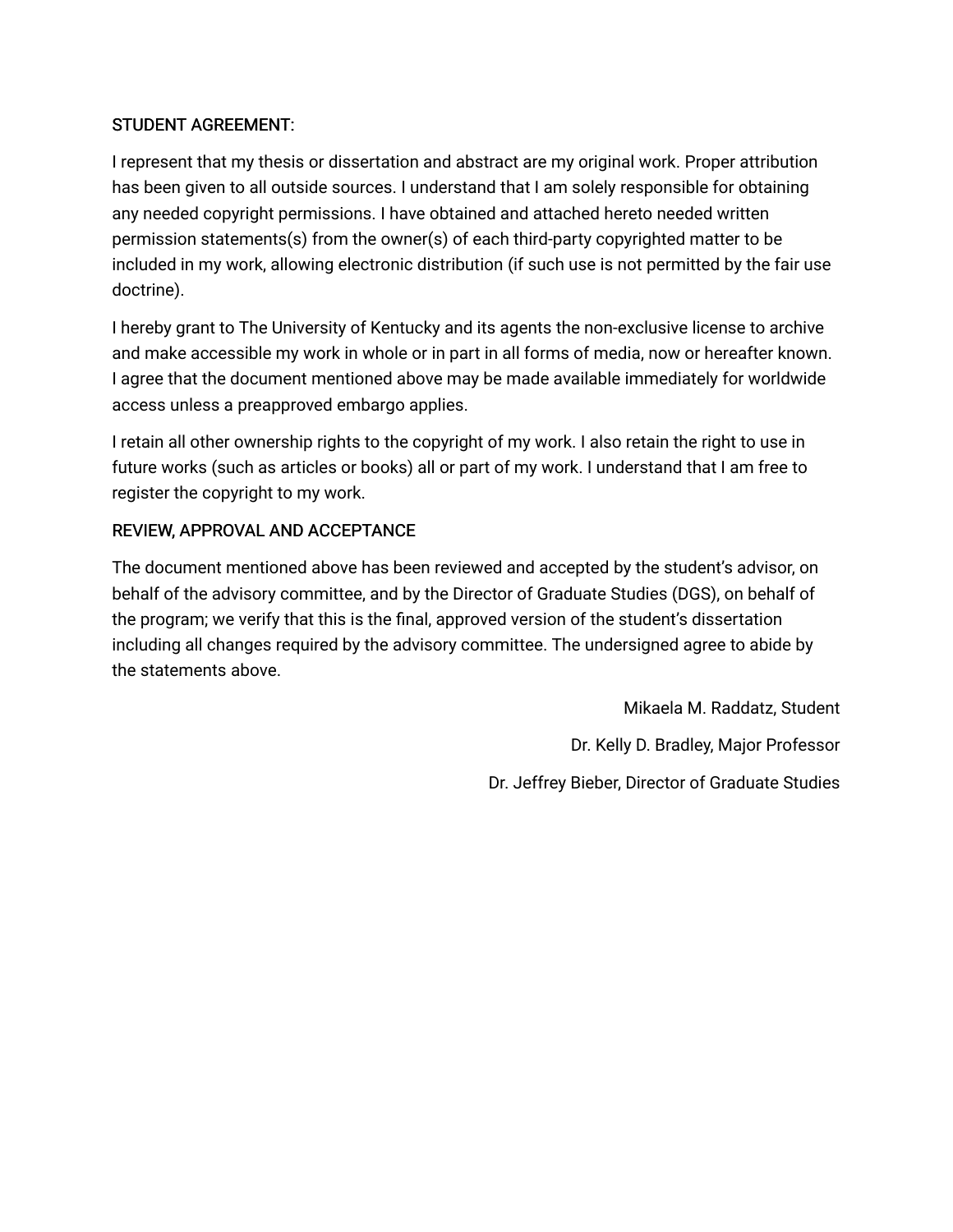# STUDENT AGREEMENT:

I represent that my thesis or dissertation and abstract are my original work. Proper attribution has been given to all outside sources. I understand that I am solely responsible for obtaining any needed copyright permissions. I have obtained and attached hereto needed written permission statements(s) from the owner(s) of each third-party copyrighted matter to be included in my work, allowing electronic distribution (if such use is not permitted by the fair use doctrine).

I hereby grant to The University of Kentucky and its agents the non-exclusive license to archive and make accessible my work in whole or in part in all forms of media, now or hereafter known. I agree that the document mentioned above may be made available immediately for worldwide access unless a preapproved embargo applies.

I retain all other ownership rights to the copyright of my work. I also retain the right to use in future works (such as articles or books) all or part of my work. I understand that I am free to register the copyright to my work.

# REVIEW, APPROVAL AND ACCEPTANCE

The document mentioned above has been reviewed and accepted by the student's advisor, on behalf of the advisory committee, and by the Director of Graduate Studies (DGS), on behalf of the program; we verify that this is the final, approved version of the student's dissertation including all changes required by the advisory committee. The undersigned agree to abide by the statements above.

> Mikaela M. Raddatz, Student Dr. Kelly D. Bradley, Major Professor Dr. Jeffrey Bieber, Director of Graduate Studies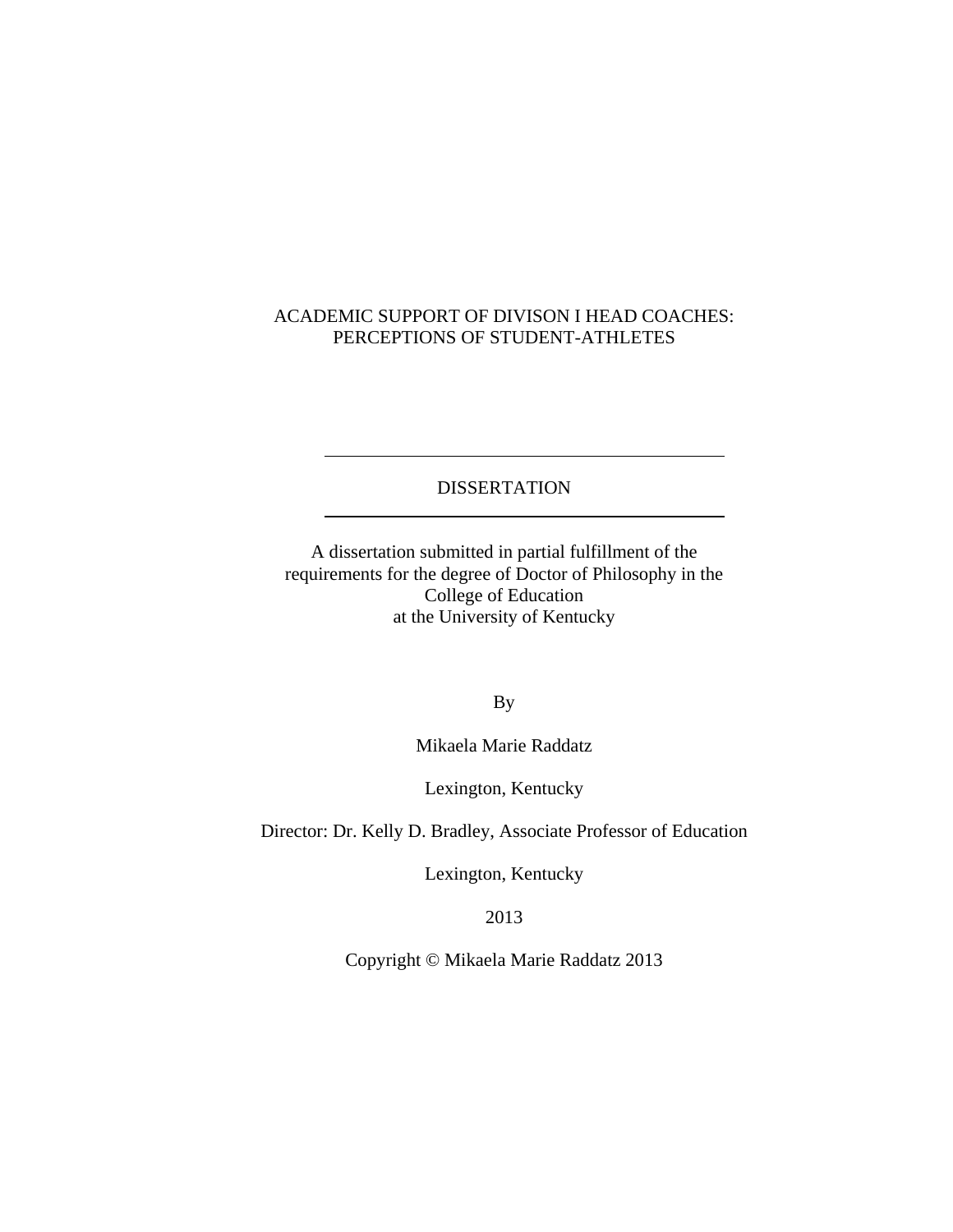# ACADEMIC SUPPORT OF DIVISON I HEAD COACHES: PERCEPTIONS OF STUDENT-ATHLETES

# **DISSERTATION**

A dissertation submitted in partial fulfillment of the requirements for the degree of Doctor of Philosophy in the College of Education at the University of Kentucky

By

Mikaela Marie Raddatz

Lexington, Kentucky

Director: Dr. Kelly D. Bradley, Associate Professor of Education

Lexington, Kentucky

2013

Copyright © Mikaela Marie Raddatz 2013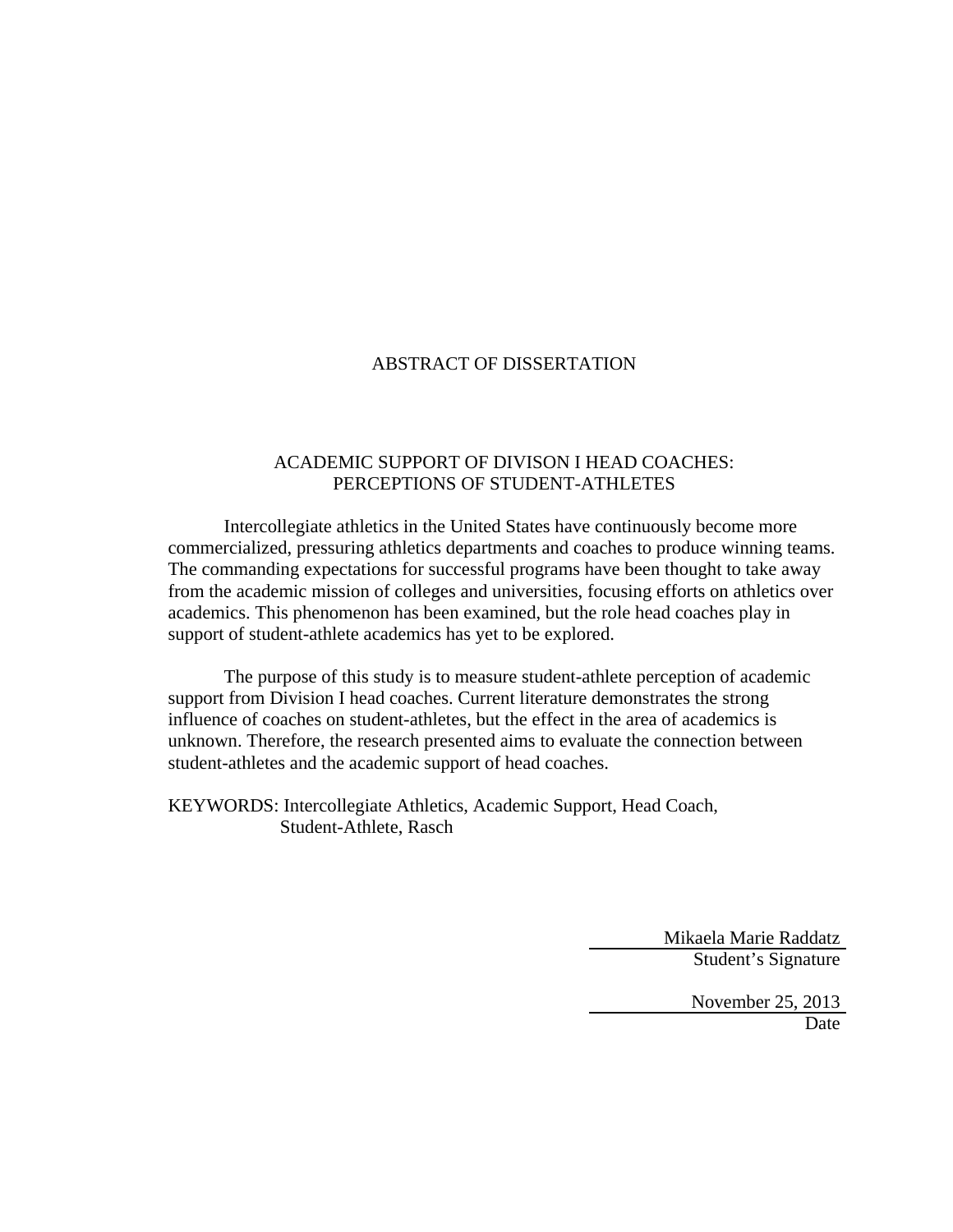## ABSTRACT OF DISSERTATION

# ACADEMIC SUPPORT OF DIVISON I HEAD COACHES: PERCEPTIONS OF STUDENT-ATHLETES

Intercollegiate athletics in the United States have continuously become more commercialized, pressuring athletics departments and coaches to produce winning teams. The commanding expectations for successful programs have been thought to take away from the academic mission of colleges and universities, focusing efforts on athletics over academics. This phenomenon has been examined, but the role head coaches play in support of student-athlete academics has yet to be explored.

The purpose of this study is to measure student-athlete perception of academic support from Division I head coaches. Current literature demonstrates the strong influence of coaches on student-athletes, but the effect in the area of academics is unknown. Therefore, the research presented aims to evaluate the connection between student-athletes and the academic support of head coaches.

KEYWORDS: Intercollegiate Athletics, Academic Support, Head Coach, Student-Athlete, Rasch

> Mikaela Marie Raddatz Student's Signature

November 25, 2013 Date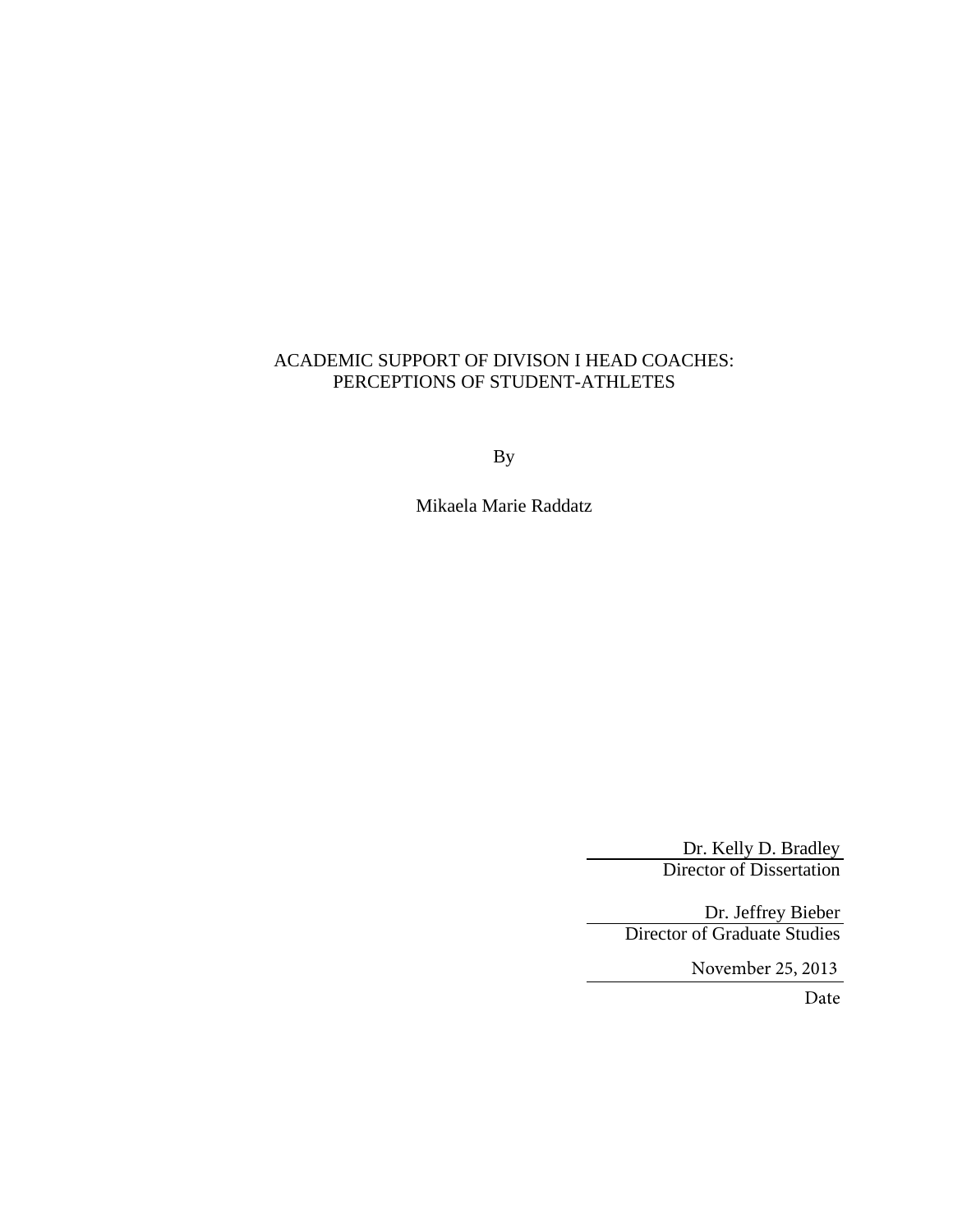# ACADEMIC SUPPORT OF DIVISON I HEAD COACHES: PERCEPTIONS OF STUDENT-ATHLETES

By

Mikaela Marie Raddatz

Dr. Kelly D. Bradley Director of Dissertation

Dr. Jeffrey Bieber Director of Graduate Studies

November 25, 2013

Date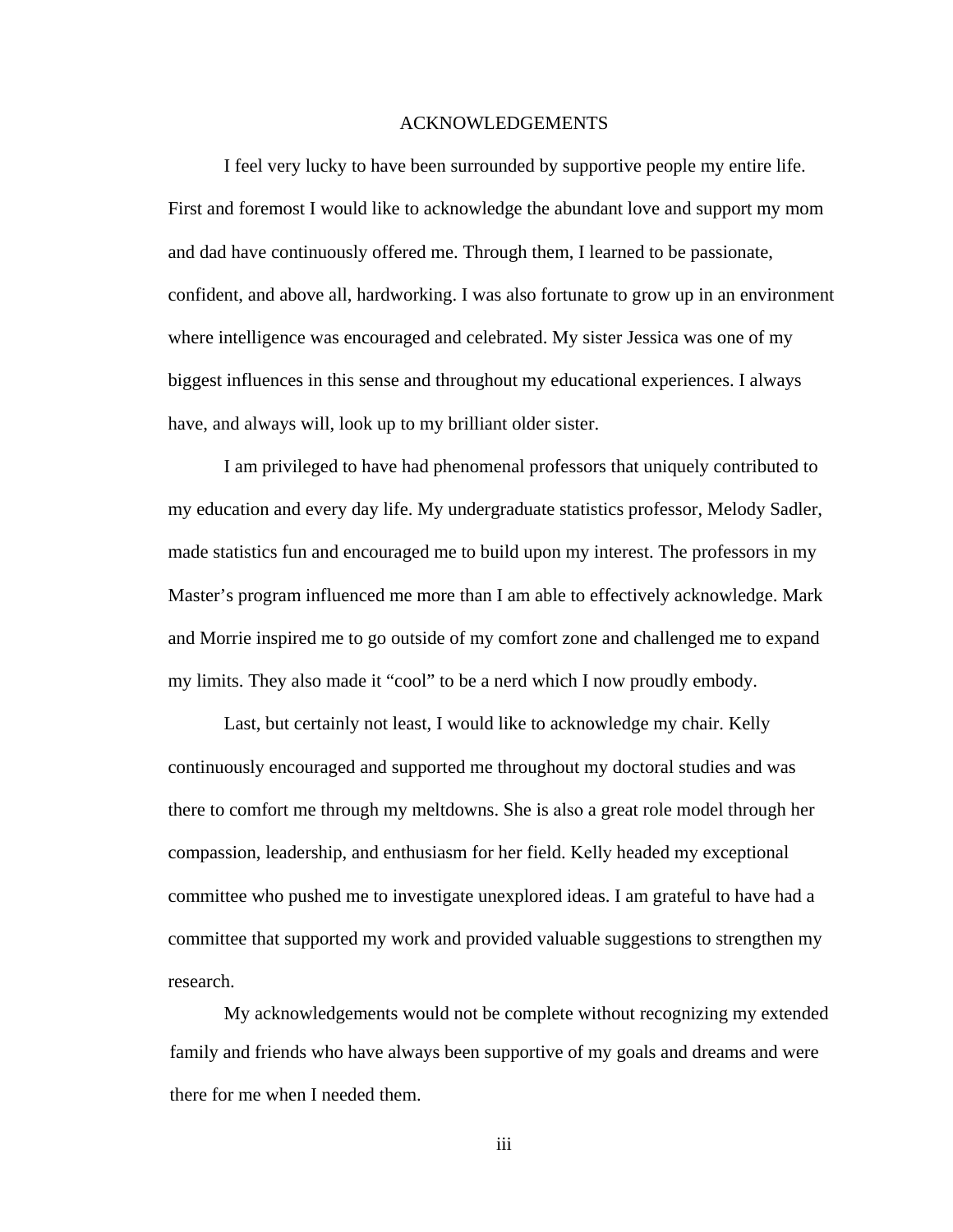#### ACKNOWLEDGEMENTS

I feel very lucky to have been surrounded by supportive people my entire life. First and foremost I would like to acknowledge the abundant love and support my mom and dad have continuously offered me. Through them, I learned to be passionate, confident, and above all, hardworking. I was also fortunate to grow up in an environment where intelligence was encouraged and celebrated. My sister Jessica was one of my biggest influences in this sense and throughout my educational experiences. I always have, and always will, look up to my brilliant older sister.

I am privileged to have had phenomenal professors that uniquely contributed to my education and every day life. My undergraduate statistics professor, Melody Sadler, made statistics fun and encouraged me to build upon my interest. The professors in my Master's program influenced me more than I am able to effectively acknowledge. Mark and Morrie inspired me to go outside of my comfort zone and challenged me to expand my limits. They also made it "cool" to be a nerd which I now proudly embody.

Last, but certainly not least, I would like to acknowledge my chair. Kelly continuously encouraged and supported me throughout my doctoral studies and was there to comfort me through my meltdowns. She is also a great role model through her compassion, leadership, and enthusiasm for her field. Kelly headed my exceptional committee who pushed me to investigate unexplored ideas. I am grateful to have had a committee that supported my work and provided valuable suggestions to strengthen my research.

My acknowledgements would not be complete without recognizing my extended family and friends who have always been supportive of my goals and dreams and were there for me when I needed them.

iii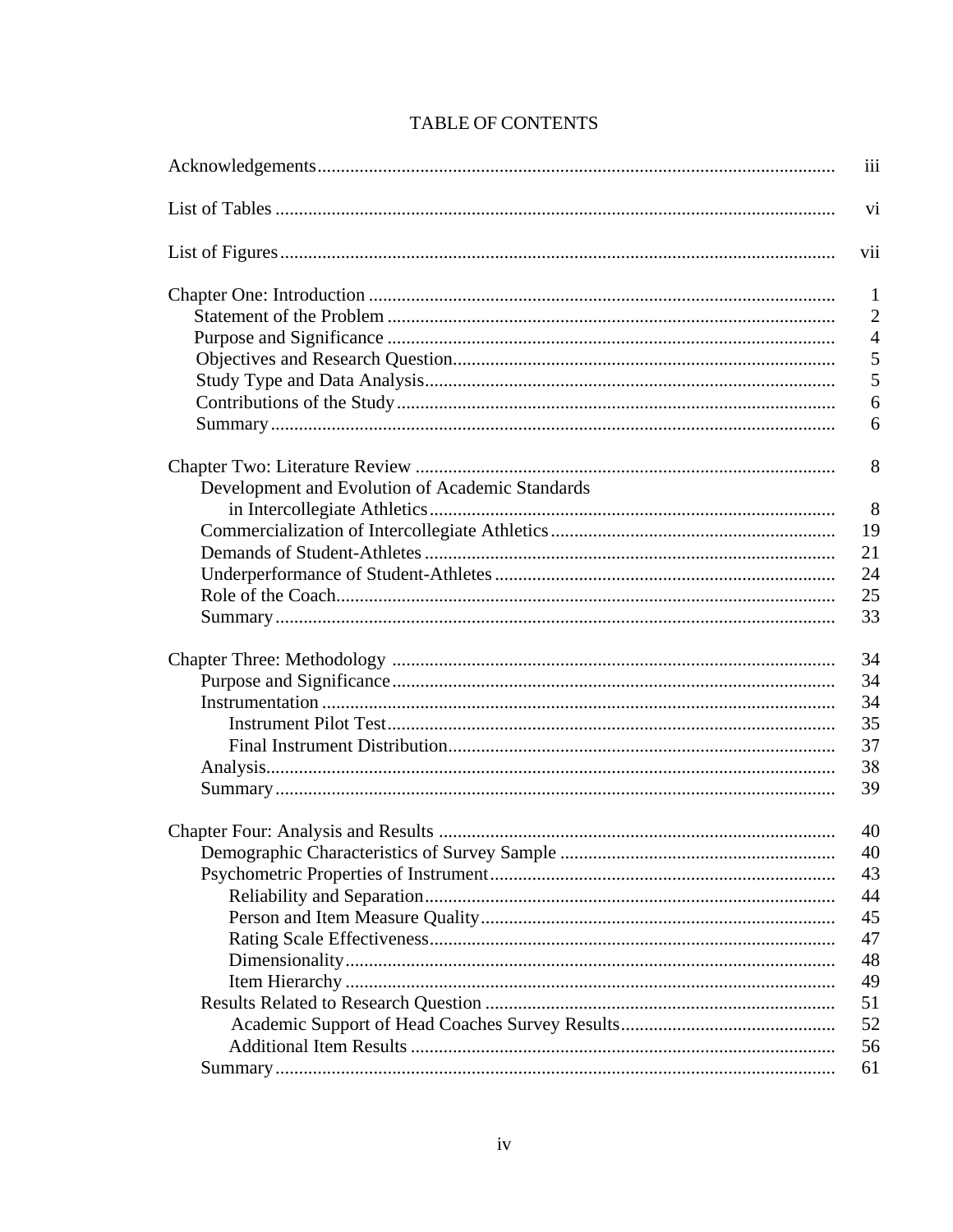| iii                                             |
|-------------------------------------------------|
| vi                                              |
| vii                                             |
| $\mathbf{1}$                                    |
| $\overline{c}$                                  |
| $\overline{4}$                                  |
| 5                                               |
| 5                                               |
| 6                                               |
| 6                                               |
|                                                 |
| 8                                               |
| Development and Evolution of Academic Standards |
| 8                                               |
| 19                                              |
| 21                                              |
| 24                                              |
| 25                                              |
| 33                                              |
|                                                 |
| 34                                              |
| 34                                              |
| 34                                              |
| 35                                              |
| 37                                              |
| 38                                              |
| 39                                              |
|                                                 |
| 40<br>40                                        |
|                                                 |
| 43                                              |
| 44                                              |
| 45                                              |
| 47                                              |
| 48                                              |
| 49                                              |
| 51                                              |
| 52                                              |
| 56                                              |
| 61                                              |

# TABLE OF CONTENTS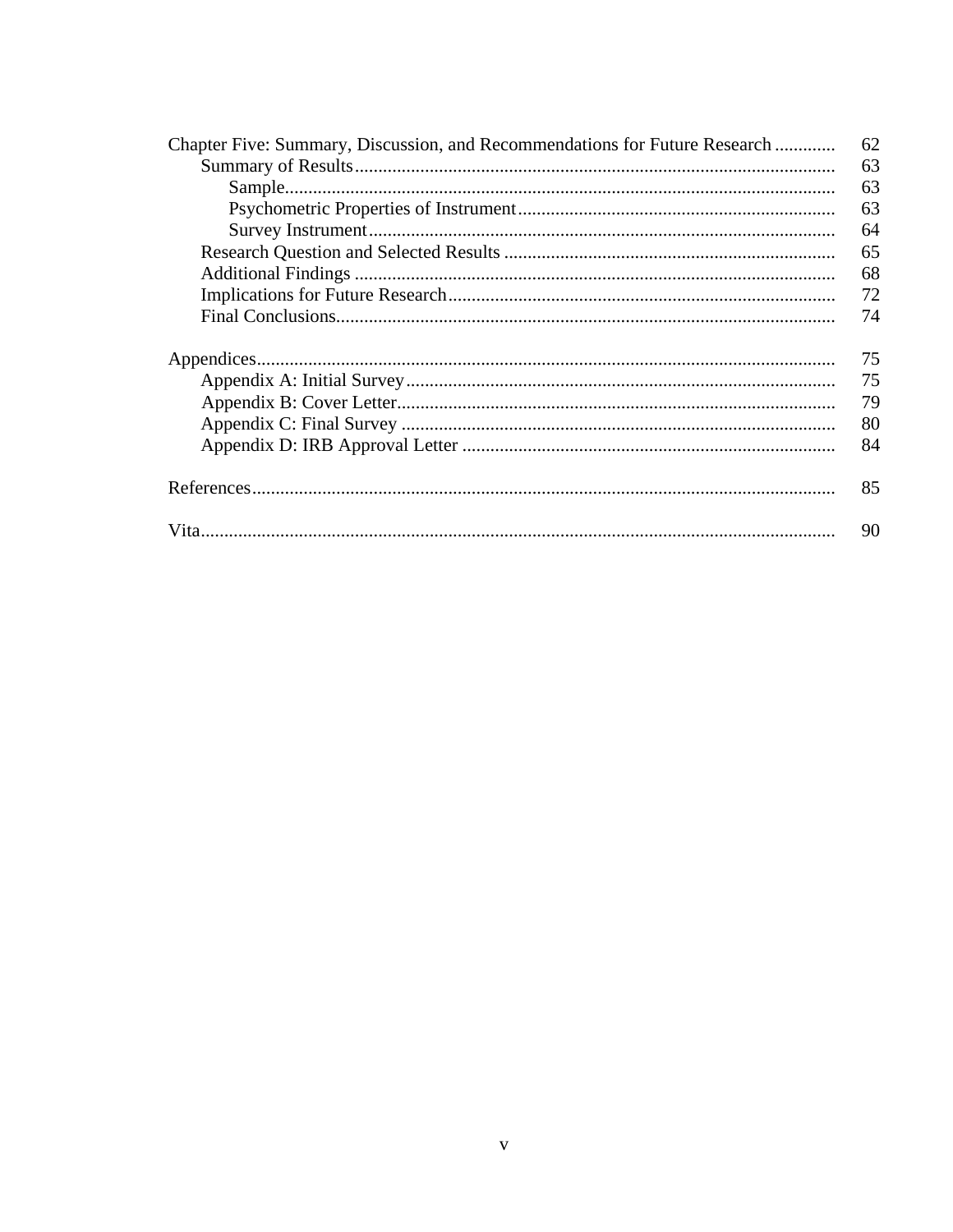| Chapter Five: Summary, Discussion, and Recommendations for Future Research | 62 |
|----------------------------------------------------------------------------|----|
|                                                                            | 63 |
|                                                                            | 63 |
|                                                                            | 63 |
|                                                                            | 64 |
|                                                                            | 65 |
|                                                                            | 68 |
|                                                                            | 72 |
|                                                                            | 74 |
|                                                                            | 75 |
|                                                                            | 75 |
|                                                                            | 79 |
|                                                                            | 80 |
|                                                                            | 84 |
|                                                                            | 85 |
|                                                                            | 90 |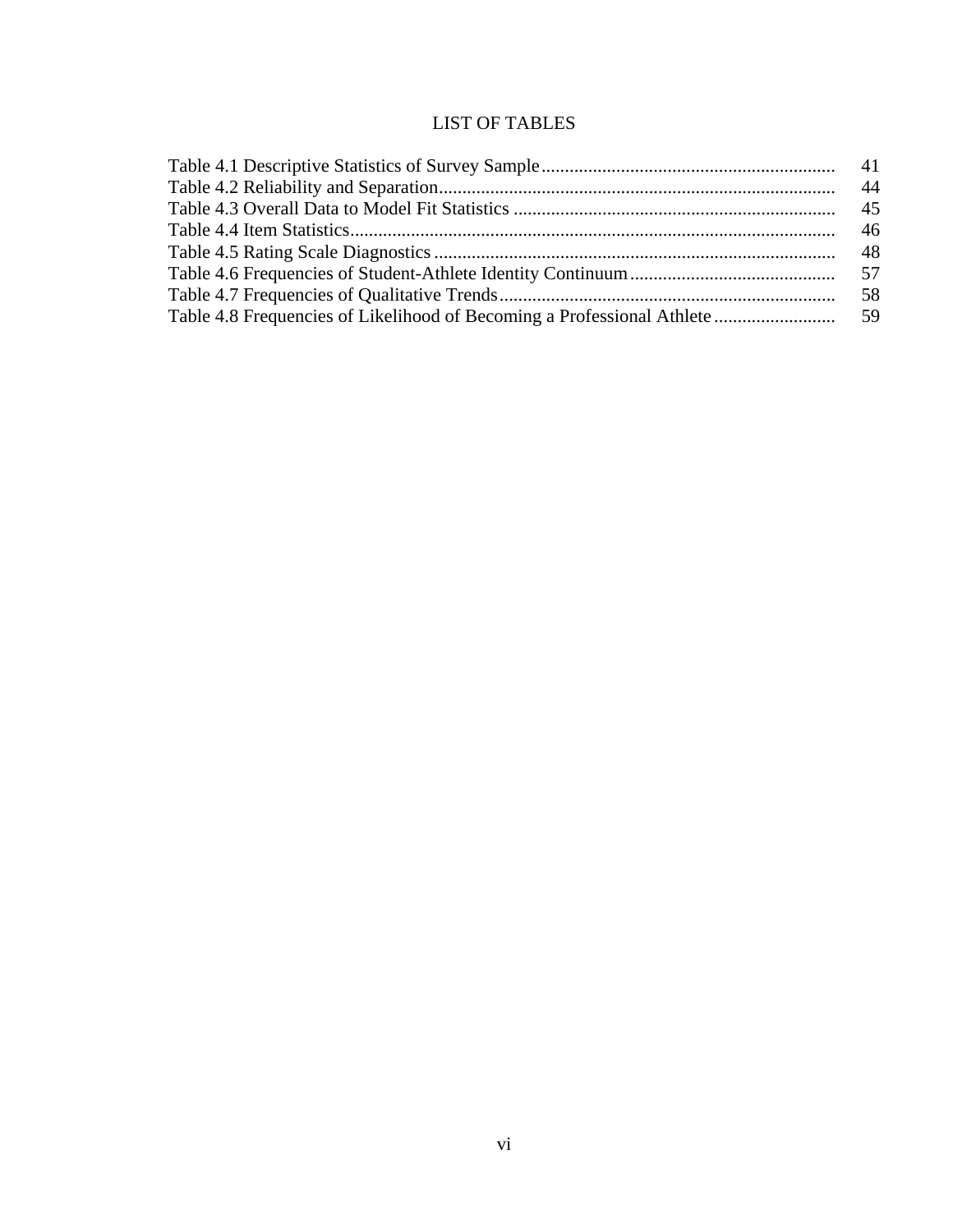# LIST OF TABLES

| 44 |
|----|
|    |
| 46 |
| 48 |
|    |
| 58 |
|    |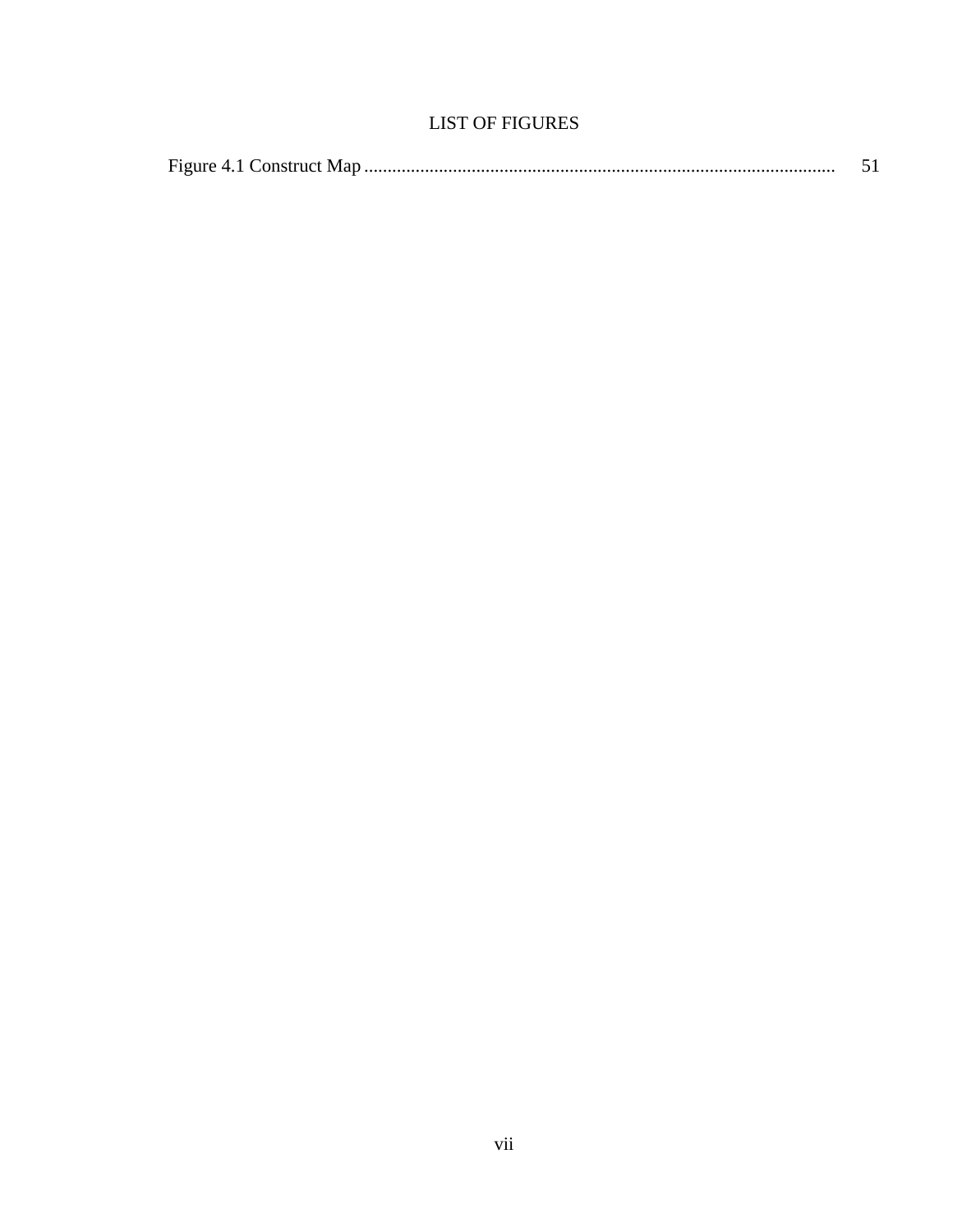# **LIST OF FIGURES**

|--|--|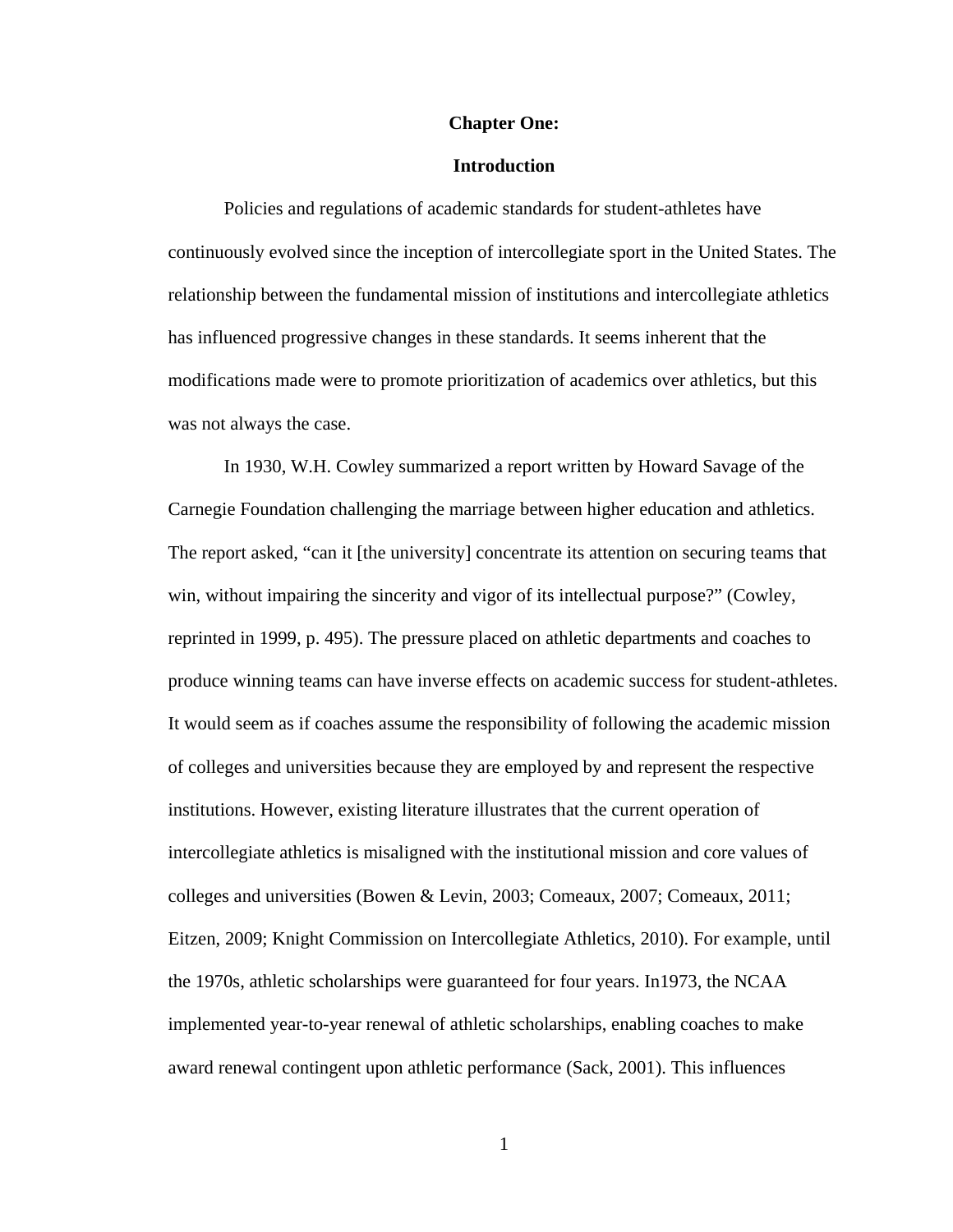#### **Chapter One:**

## **Introduction**

Policies and regulations of academic standards for student-athletes have continuously evolved since the inception of intercollegiate sport in the United States. The relationship between the fundamental mission of institutions and intercollegiate athletics has influenced progressive changes in these standards. It seems inherent that the modifications made were to promote prioritization of academics over athletics, but this was not always the case.

In 1930, W.H. Cowley summarized a report written by Howard Savage of the Carnegie Foundation challenging the marriage between higher education and athletics. The report asked, "can it [the university] concentrate its attention on securing teams that win, without impairing the sincerity and vigor of its intellectual purpose?" (Cowley, reprinted in 1999, p. 495). The pressure placed on athletic departments and coaches to produce winning teams can have inverse effects on academic success for student-athletes. It would seem as if coaches assume the responsibility of following the academic mission of colleges and universities because they are employed by and represent the respective institutions. However, existing literature illustrates that the current operation of intercollegiate athletics is misaligned with the institutional mission and core values of colleges and universities (Bowen & Levin, 2003; Comeaux, 2007; Comeaux, 2011; Eitzen, 2009; Knight Commission on Intercollegiate Athletics, 2010). For example, until the 1970s, athletic scholarships were guaranteed for four years. In1973, the NCAA implemented year-to-year renewal of athletic scholarships, enabling coaches to make award renewal contingent upon athletic performance (Sack, 2001). This influences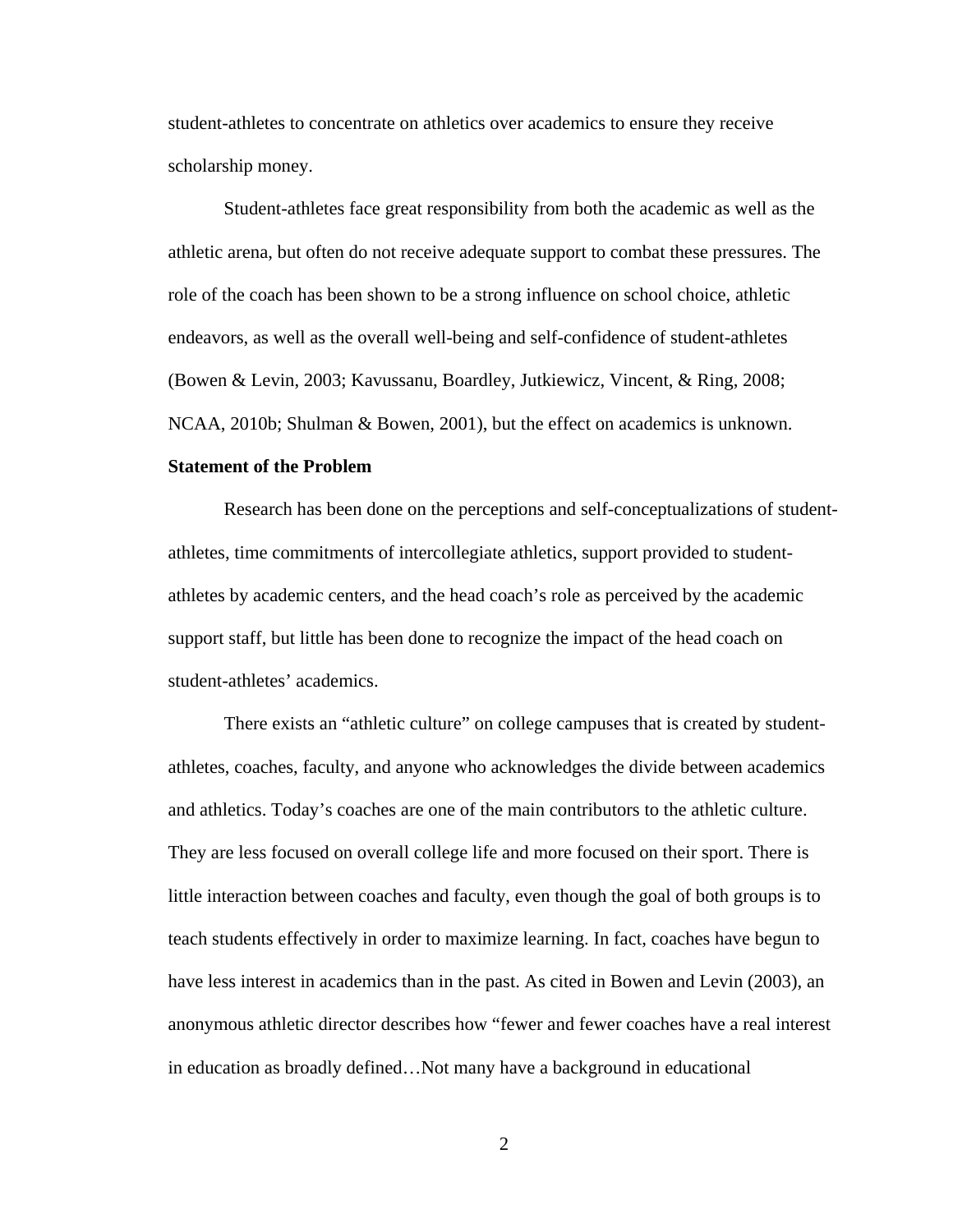student-athletes to concentrate on athletics over academics to ensure they receive scholarship money.

Student-athletes face great responsibility from both the academic as well as the athletic arena, but often do not receive adequate support to combat these pressures. The role of the coach has been shown to be a strong influence on school choice, athletic endeavors, as well as the overall well-being and self-confidence of student-athletes (Bowen & Levin, 2003; Kavussanu, Boardley, Jutkiewicz, Vincent, & Ring, 2008; NCAA, 2010b; Shulman & Bowen, 2001), but the effect on academics is unknown.

## **Statement of the Problem**

Research has been done on the perceptions and self-conceptualizations of studentathletes, time commitments of intercollegiate athletics, support provided to studentathletes by academic centers, and the head coach's role as perceived by the academic support staff, but little has been done to recognize the impact of the head coach on student-athletes' academics.

There exists an "athletic culture" on college campuses that is created by studentathletes, coaches, faculty, and anyone who acknowledges the divide between academics and athletics. Today's coaches are one of the main contributors to the athletic culture. They are less focused on overall college life and more focused on their sport. There is little interaction between coaches and faculty, even though the goal of both groups is to teach students effectively in order to maximize learning. In fact, coaches have begun to have less interest in academics than in the past. As cited in Bowen and Levin (2003), an anonymous athletic director describes how "fewer and fewer coaches have a real interest in education as broadly defined…Not many have a background in educational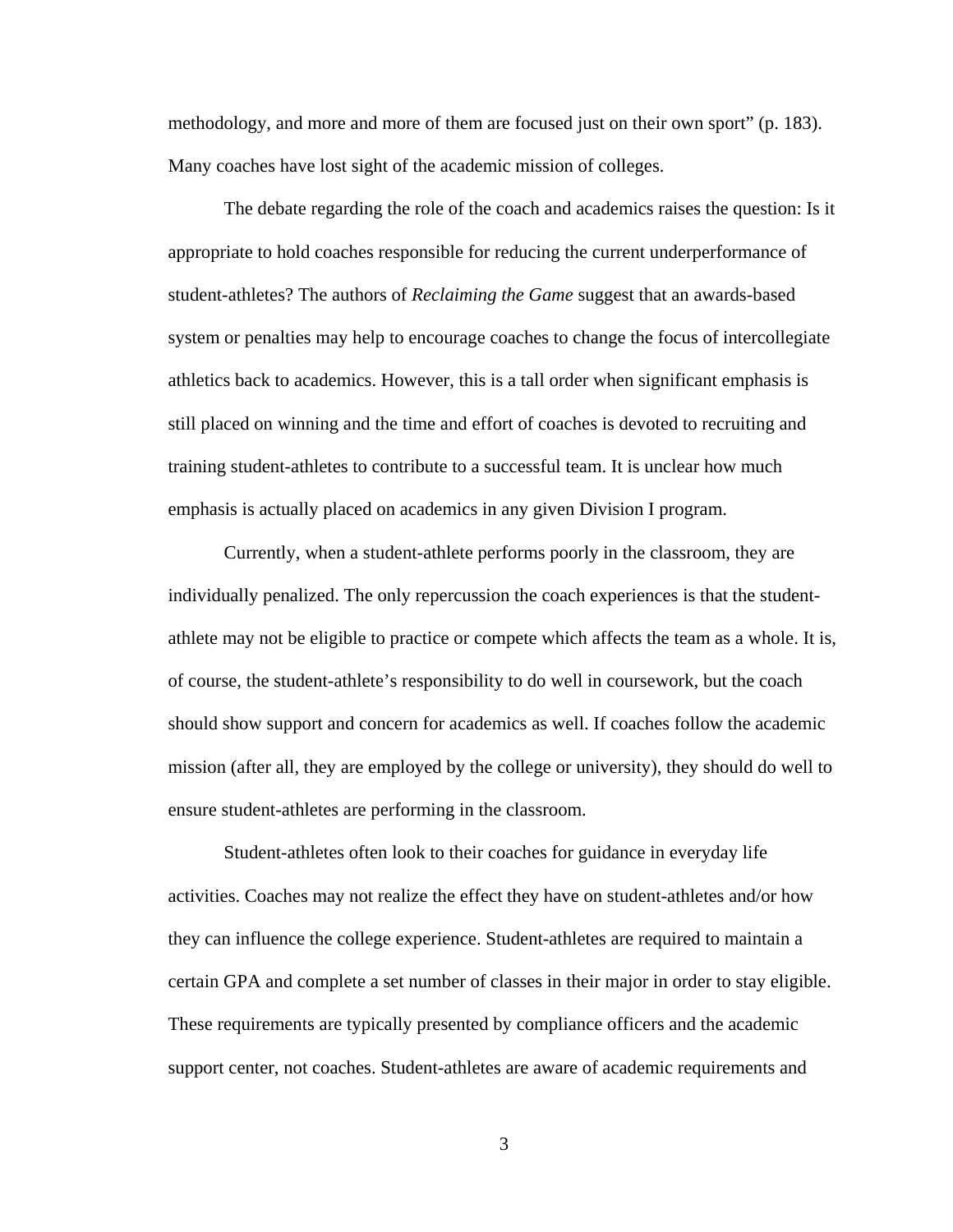methodology, and more and more of them are focused just on their own sport" (p. 183). Many coaches have lost sight of the academic mission of colleges.

The debate regarding the role of the coach and academics raises the question: Is it appropriate to hold coaches responsible for reducing the current underperformance of student-athletes? The authors of *Reclaiming the Game* suggest that an awards-based system or penalties may help to encourage coaches to change the focus of intercollegiate athletics back to academics. However, this is a tall order when significant emphasis is still placed on winning and the time and effort of coaches is devoted to recruiting and training student-athletes to contribute to a successful team. It is unclear how much emphasis is actually placed on academics in any given Division I program.

Currently, when a student-athlete performs poorly in the classroom, they are individually penalized. The only repercussion the coach experiences is that the studentathlete may not be eligible to practice or compete which affects the team as a whole. It is, of course, the student-athlete's responsibility to do well in coursework, but the coach should show support and concern for academics as well. If coaches follow the academic mission (after all, they are employed by the college or university), they should do well to ensure student-athletes are performing in the classroom.

Student-athletes often look to their coaches for guidance in everyday life activities. Coaches may not realize the effect they have on student-athletes and/or how they can influence the college experience. Student-athletes are required to maintain a certain GPA and complete a set number of classes in their major in order to stay eligible. These requirements are typically presented by compliance officers and the academic support center, not coaches. Student-athletes are aware of academic requirements and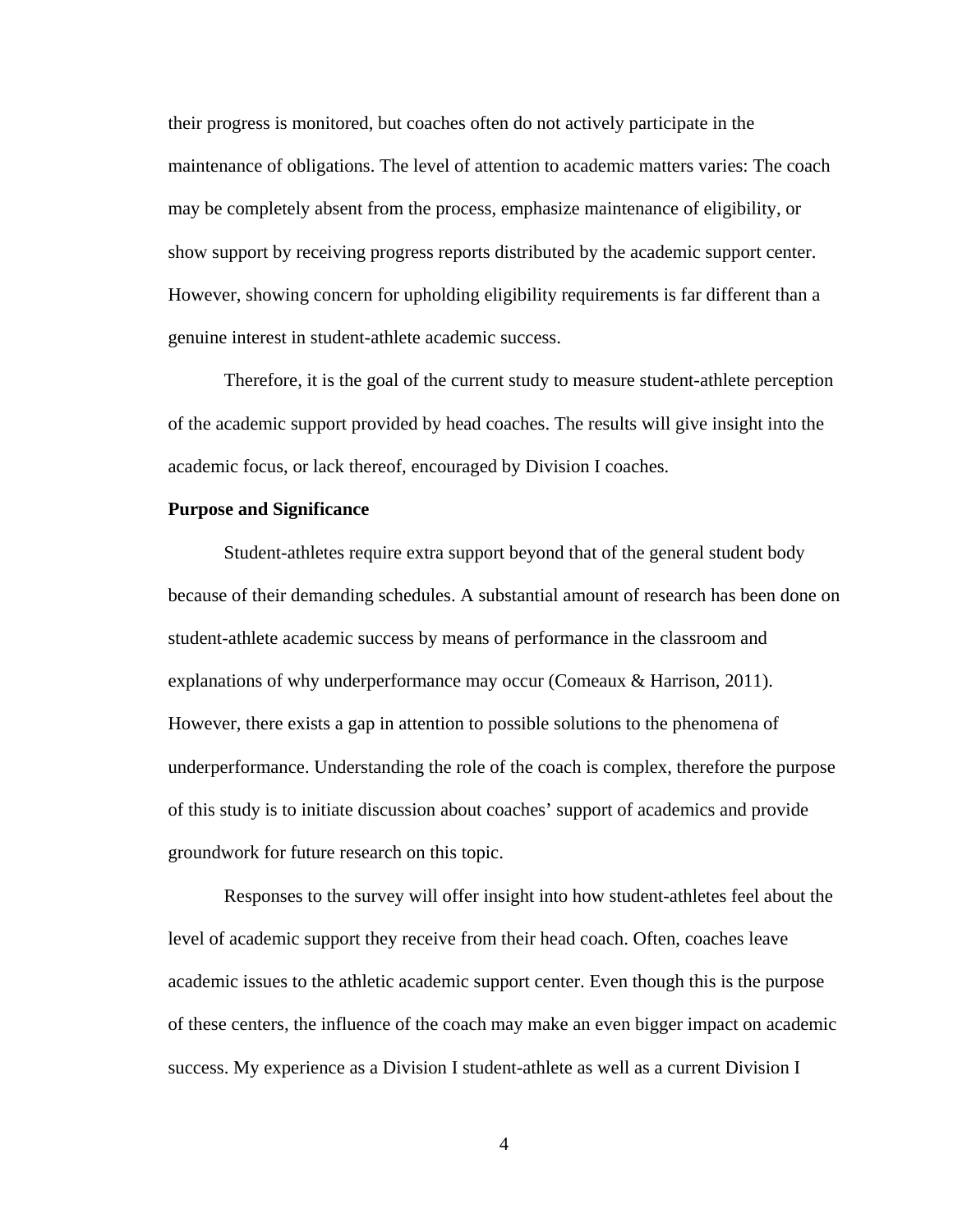their progress is monitored, but coaches often do not actively participate in the maintenance of obligations. The level of attention to academic matters varies: The coach may be completely absent from the process, emphasize maintenance of eligibility, or show support by receiving progress reports distributed by the academic support center. However, showing concern for upholding eligibility requirements is far different than a genuine interest in student-athlete academic success.

Therefore, it is the goal of the current study to measure student-athlete perception of the academic support provided by head coaches. The results will give insight into the academic focus, or lack thereof, encouraged by Division I coaches.

#### **Purpose and Significance**

Student-athletes require extra support beyond that of the general student body because of their demanding schedules. A substantial amount of research has been done on student-athlete academic success by means of performance in the classroom and explanations of why underperformance may occur (Comeaux & Harrison, 2011). However, there exists a gap in attention to possible solutions to the phenomena of underperformance. Understanding the role of the coach is complex, therefore the purpose of this study is to initiate discussion about coaches' support of academics and provide groundwork for future research on this topic.

Responses to the survey will offer insight into how student-athletes feel about the level of academic support they receive from their head coach. Often, coaches leave academic issues to the athletic academic support center. Even though this is the purpose of these centers, the influence of the coach may make an even bigger impact on academic success. My experience as a Division I student-athlete as well as a current Division I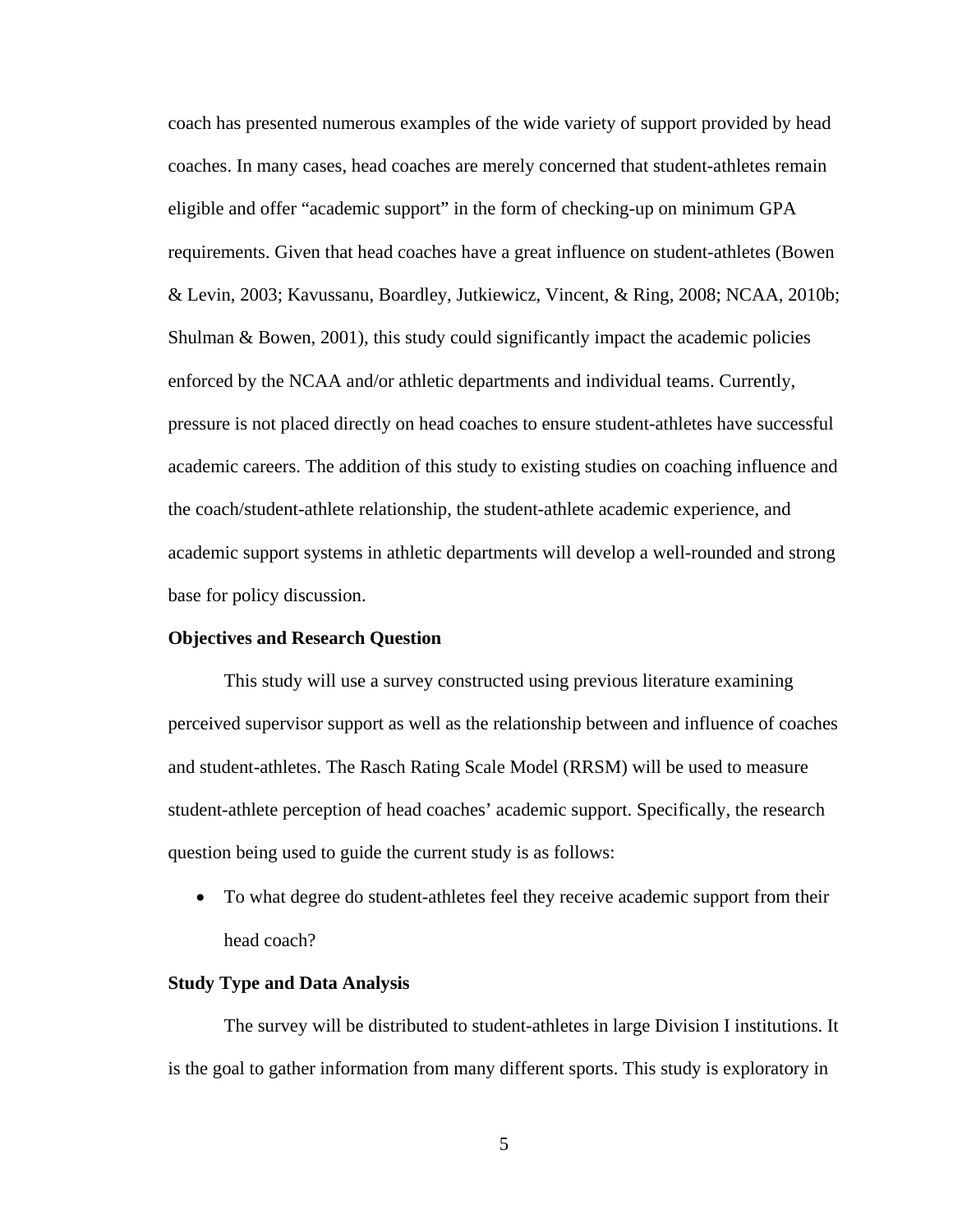coach has presented numerous examples of the wide variety of support provided by head coaches. In many cases, head coaches are merely concerned that student-athletes remain eligible and offer "academic support" in the form of checking-up on minimum GPA requirements. Given that head coaches have a great influence on student-athletes (Bowen & Levin, 2003; Kavussanu, Boardley, Jutkiewicz, Vincent, & Ring, 2008; NCAA, 2010b; Shulman & Bowen, 2001), this study could significantly impact the academic policies enforced by the NCAA and/or athletic departments and individual teams. Currently, pressure is not placed directly on head coaches to ensure student-athletes have successful academic careers. The addition of this study to existing studies on coaching influence and the coach/student-athlete relationship, the student-athlete academic experience, and academic support systems in athletic departments will develop a well-rounded and strong base for policy discussion.

## **Objectives and Research Question**

This study will use a survey constructed using previous literature examining perceived supervisor support as well as the relationship between and influence of coaches and student-athletes. The Rasch Rating Scale Model (RRSM) will be used to measure student-athlete perception of head coaches' academic support. Specifically, the research question being used to guide the current study is as follows:

• To what degree do student-athletes feel they receive academic support from their head coach?

## **Study Type and Data Analysis**

The survey will be distributed to student-athletes in large Division I institutions. It is the goal to gather information from many different sports. This study is exploratory in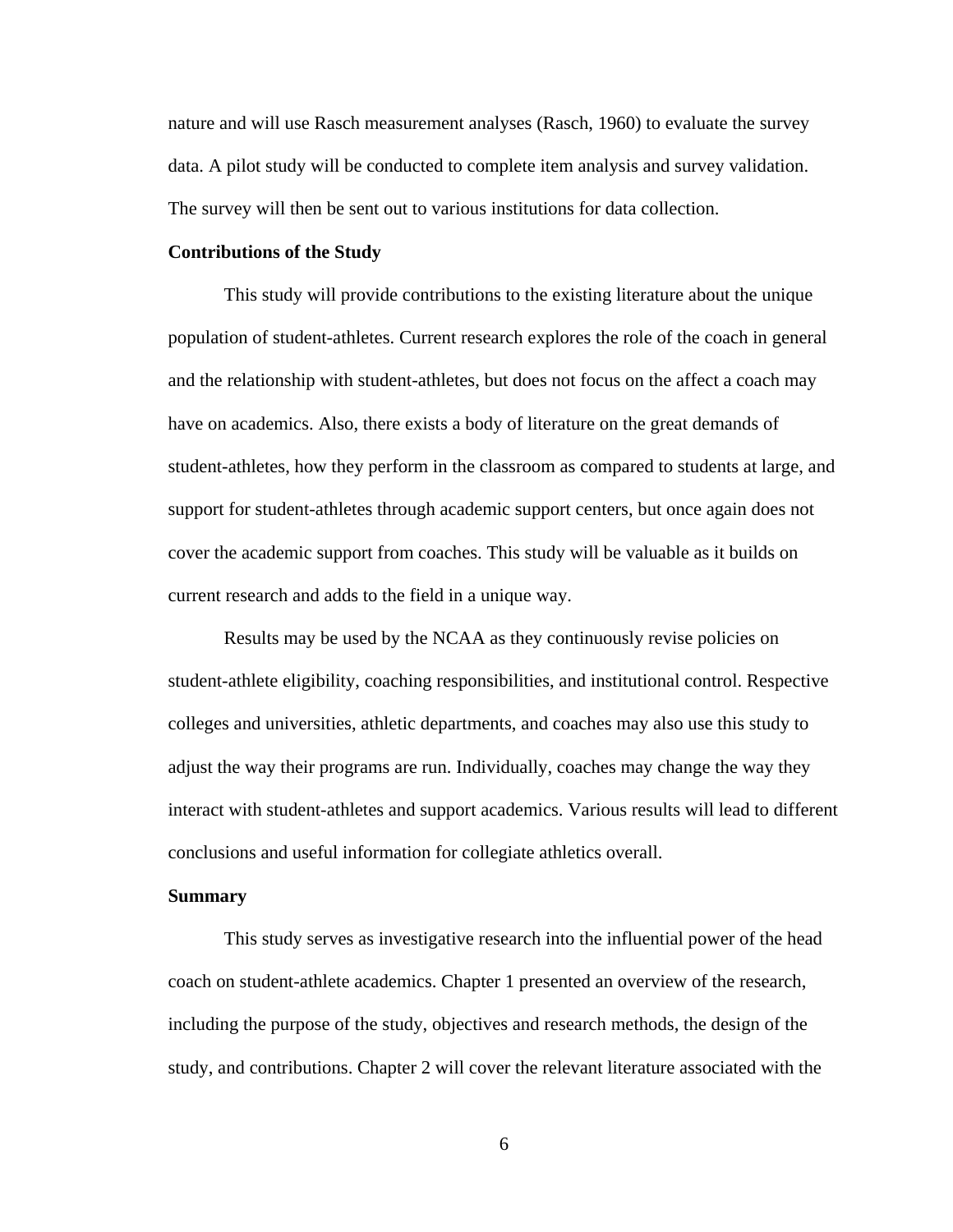nature and will use Rasch measurement analyses (Rasch, 1960) to evaluate the survey data. A pilot study will be conducted to complete item analysis and survey validation. The survey will then be sent out to various institutions for data collection.

## **Contributions of the Study**

This study will provide contributions to the existing literature about the unique population of student-athletes. Current research explores the role of the coach in general and the relationship with student-athletes, but does not focus on the affect a coach may have on academics. Also, there exists a body of literature on the great demands of student-athletes, how they perform in the classroom as compared to students at large, and support for student-athletes through academic support centers, but once again does not cover the academic support from coaches. This study will be valuable as it builds on current research and adds to the field in a unique way.

Results may be used by the NCAA as they continuously revise policies on student-athlete eligibility, coaching responsibilities, and institutional control. Respective colleges and universities, athletic departments, and coaches may also use this study to adjust the way their programs are run. Individually, coaches may change the way they interact with student-athletes and support academics. Various results will lead to different conclusions and useful information for collegiate athletics overall.

#### **Summary**

This study serves as investigative research into the influential power of the head coach on student-athlete academics. Chapter 1 presented an overview of the research, including the purpose of the study, objectives and research methods, the design of the study, and contributions. Chapter 2 will cover the relevant literature associated with the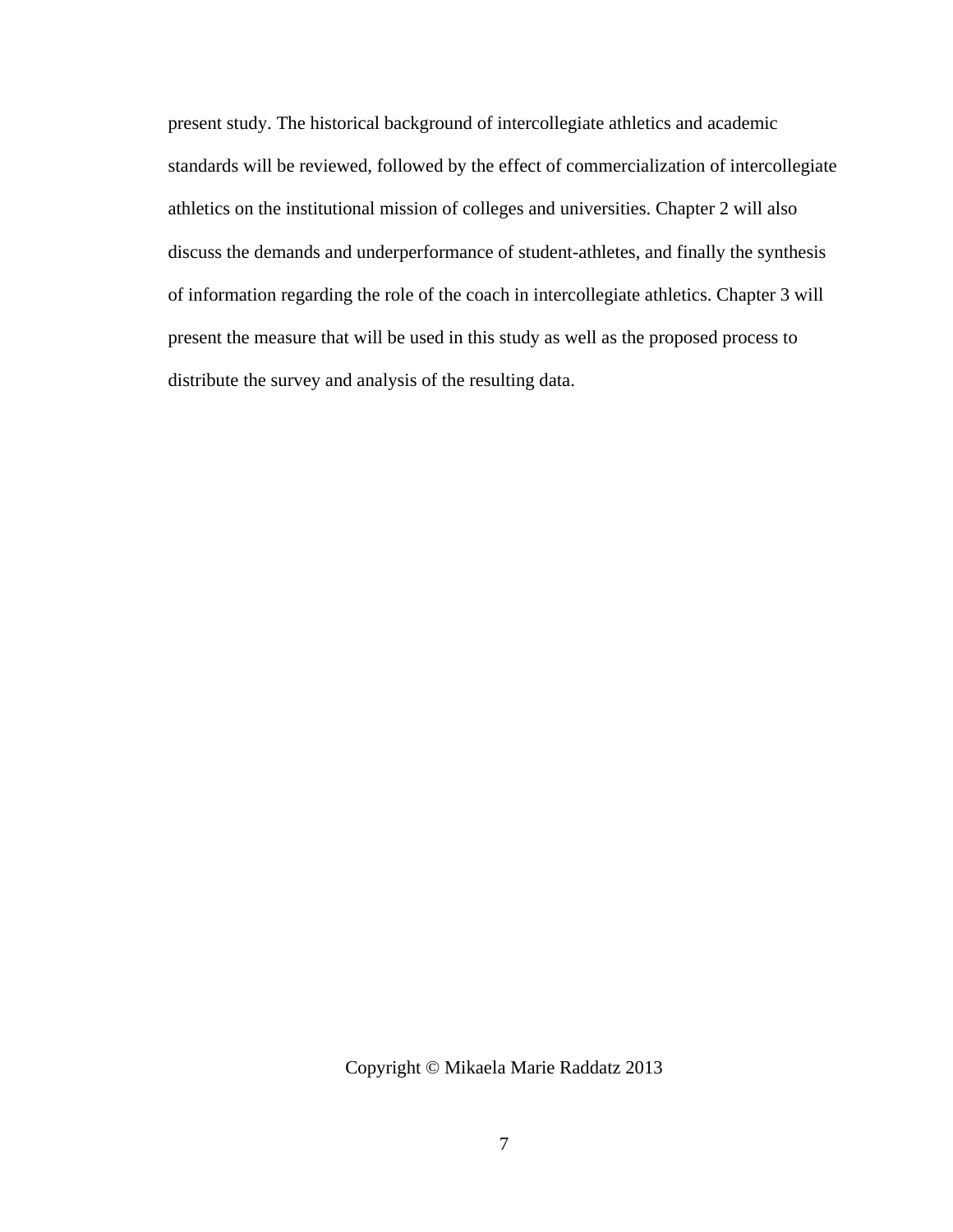present study. The historical background of intercollegiate athletics and academic standards will be reviewed, followed by the effect of commercialization of intercollegiate athletics on the institutional mission of colleges and universities. Chapter 2 will also discuss the demands and underperformance of student-athletes, and finally the synthesis of information regarding the role of the coach in intercollegiate athletics. Chapter 3 will present the measure that will be used in this study as well as the proposed process to distribute the survey and analysis of the resulting data.

Copyright © Mikaela Marie Raddatz 2013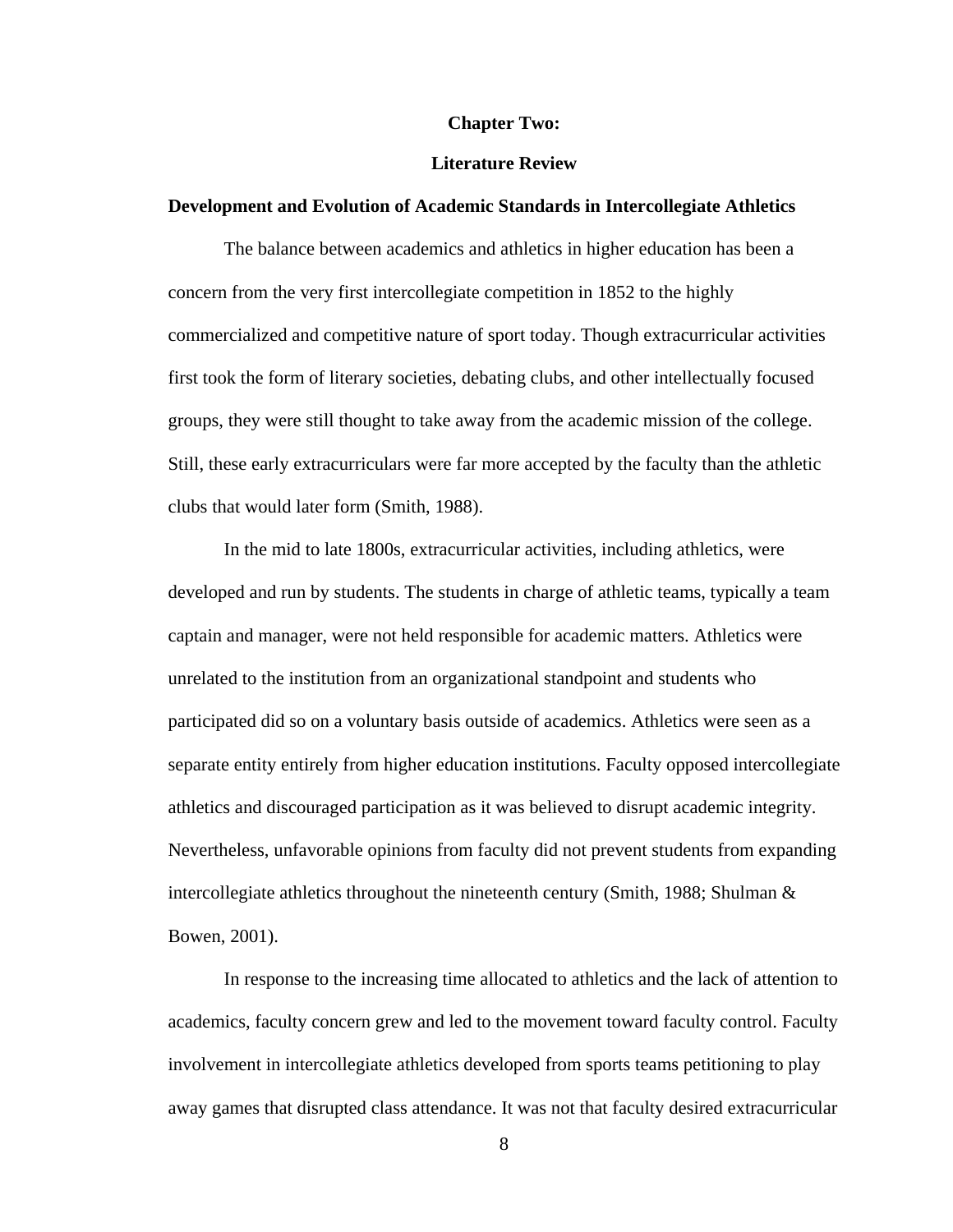#### **Chapter Two:**

#### **Literature Review**

#### **Development and Evolution of Academic Standards in Intercollegiate Athletics**

The balance between academics and athletics in higher education has been a concern from the very first intercollegiate competition in 1852 to the highly commercialized and competitive nature of sport today. Though extracurricular activities first took the form of literary societies, debating clubs, and other intellectually focused groups, they were still thought to take away from the academic mission of the college. Still, these early extracurriculars were far more accepted by the faculty than the athletic clubs that would later form (Smith, 1988).

In the mid to late 1800s, extracurricular activities, including athletics, were developed and run by students. The students in charge of athletic teams, typically a team captain and manager, were not held responsible for academic matters. Athletics were unrelated to the institution from an organizational standpoint and students who participated did so on a voluntary basis outside of academics. Athletics were seen as a separate entity entirely from higher education institutions. Faculty opposed intercollegiate athletics and discouraged participation as it was believed to disrupt academic integrity. Nevertheless, unfavorable opinions from faculty did not prevent students from expanding intercollegiate athletics throughout the nineteenth century (Smith, 1988; Shulman & Bowen, 2001).

In response to the increasing time allocated to athletics and the lack of attention to academics, faculty concern grew and led to the movement toward faculty control. Faculty involvement in intercollegiate athletics developed from sports teams petitioning to play away games that disrupted class attendance. It was not that faculty desired extracurricular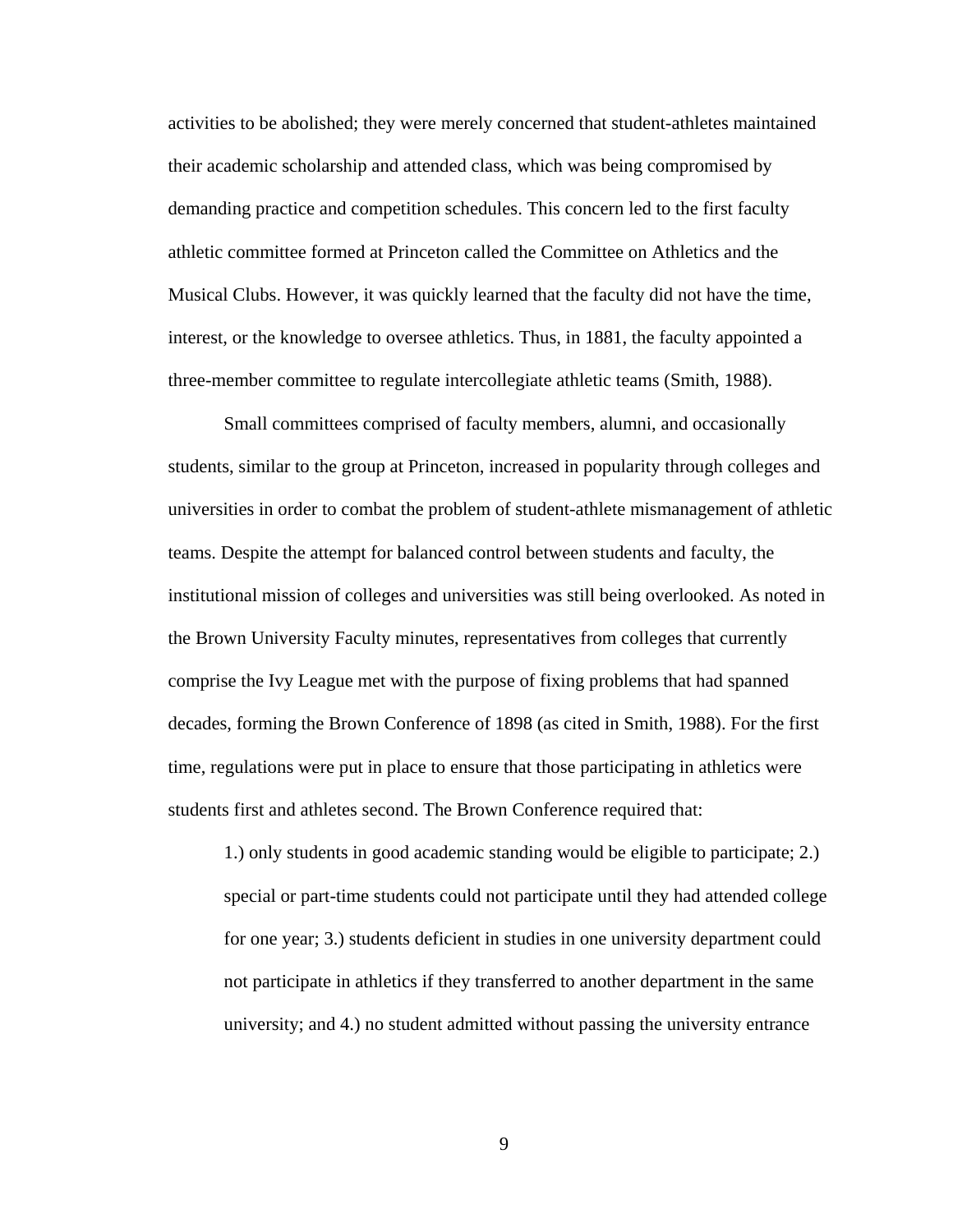activities to be abolished; they were merely concerned that student-athletes maintained their academic scholarship and attended class, which was being compromised by demanding practice and competition schedules. This concern led to the first faculty athletic committee formed at Princeton called the Committee on Athletics and the Musical Clubs. However, it was quickly learned that the faculty did not have the time, interest, or the knowledge to oversee athletics. Thus, in 1881, the faculty appointed a three-member committee to regulate intercollegiate athletic teams (Smith, 1988).

Small committees comprised of faculty members, alumni, and occasionally students, similar to the group at Princeton, increased in popularity through colleges and universities in order to combat the problem of student-athlete mismanagement of athletic teams. Despite the attempt for balanced control between students and faculty, the institutional mission of colleges and universities was still being overlooked. As noted in the Brown University Faculty minutes, representatives from colleges that currently comprise the Ivy League met with the purpose of fixing problems that had spanned decades, forming the Brown Conference of 1898 (as cited in Smith, 1988). For the first time, regulations were put in place to ensure that those participating in athletics were students first and athletes second. The Brown Conference required that:

1.) only students in good academic standing would be eligible to participate; 2.) special or part-time students could not participate until they had attended college for one year; 3.) students deficient in studies in one university department could not participate in athletics if they transferred to another department in the same university; and 4.) no student admitted without passing the university entrance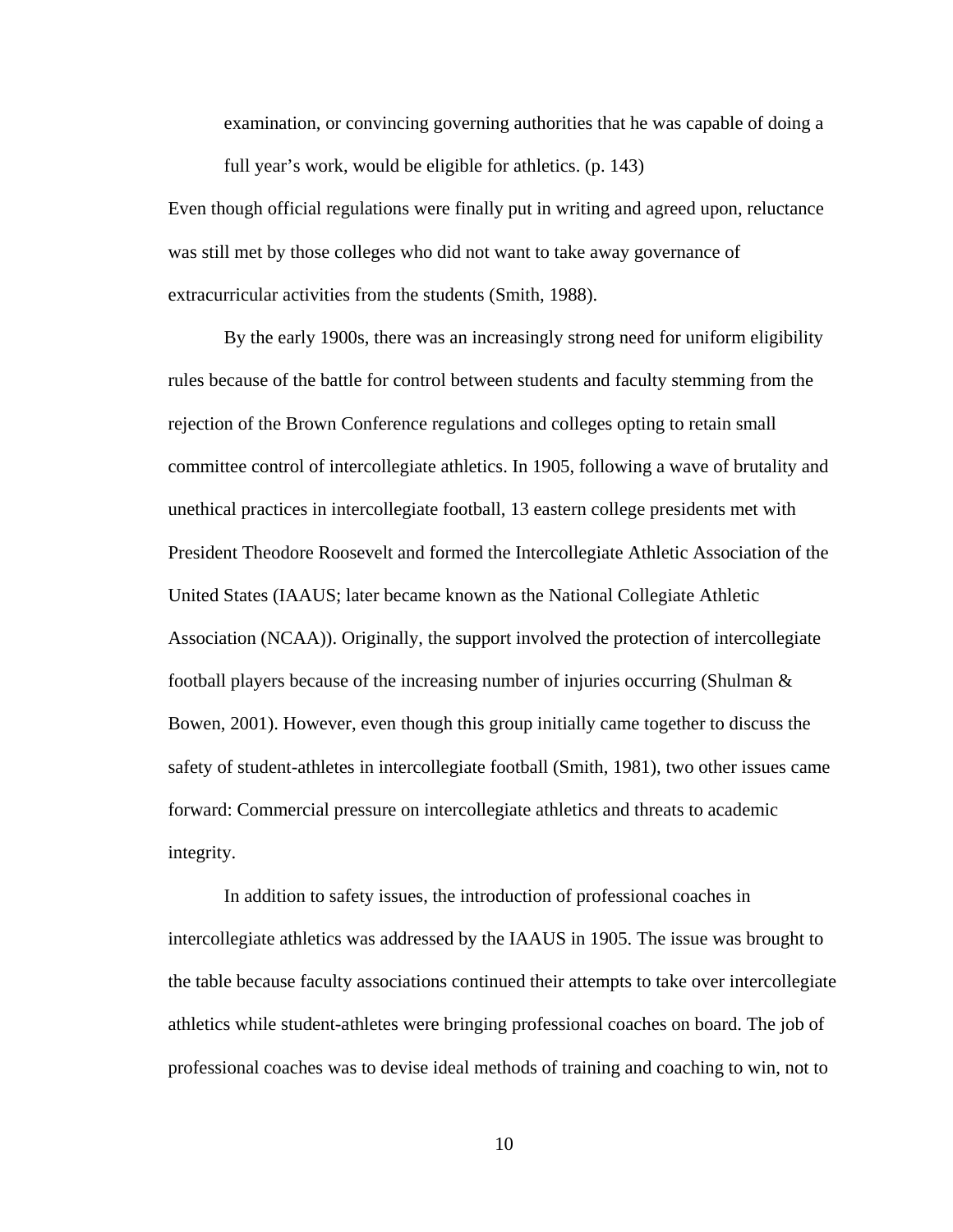examination, or convincing governing authorities that he was capable of doing a full year's work, would be eligible for athletics. (p. 143)

Even though official regulations were finally put in writing and agreed upon, reluctance was still met by those colleges who did not want to take away governance of extracurricular activities from the students (Smith, 1988).

By the early 1900s, there was an increasingly strong need for uniform eligibility rules because of the battle for control between students and faculty stemming from the rejection of the Brown Conference regulations and colleges opting to retain small committee control of intercollegiate athletics. In 1905, following a wave of brutality and unethical practices in intercollegiate football, 13 eastern college presidents met with President Theodore Roosevelt and formed the Intercollegiate Athletic Association of the United States (IAAUS; later became known as the National Collegiate Athletic Association (NCAA)). Originally, the support involved the protection of intercollegiate football players because of the increasing number of injuries occurring (Shulman & Bowen, 2001). However, even though this group initially came together to discuss the safety of student-athletes in intercollegiate football (Smith, 1981), two other issues came forward: Commercial pressure on intercollegiate athletics and threats to academic integrity.

In addition to safety issues, the introduction of professional coaches in intercollegiate athletics was addressed by the IAAUS in 1905. The issue was brought to the table because faculty associations continued their attempts to take over intercollegiate athletics while student-athletes were bringing professional coaches on board. The job of professional coaches was to devise ideal methods of training and coaching to win, not to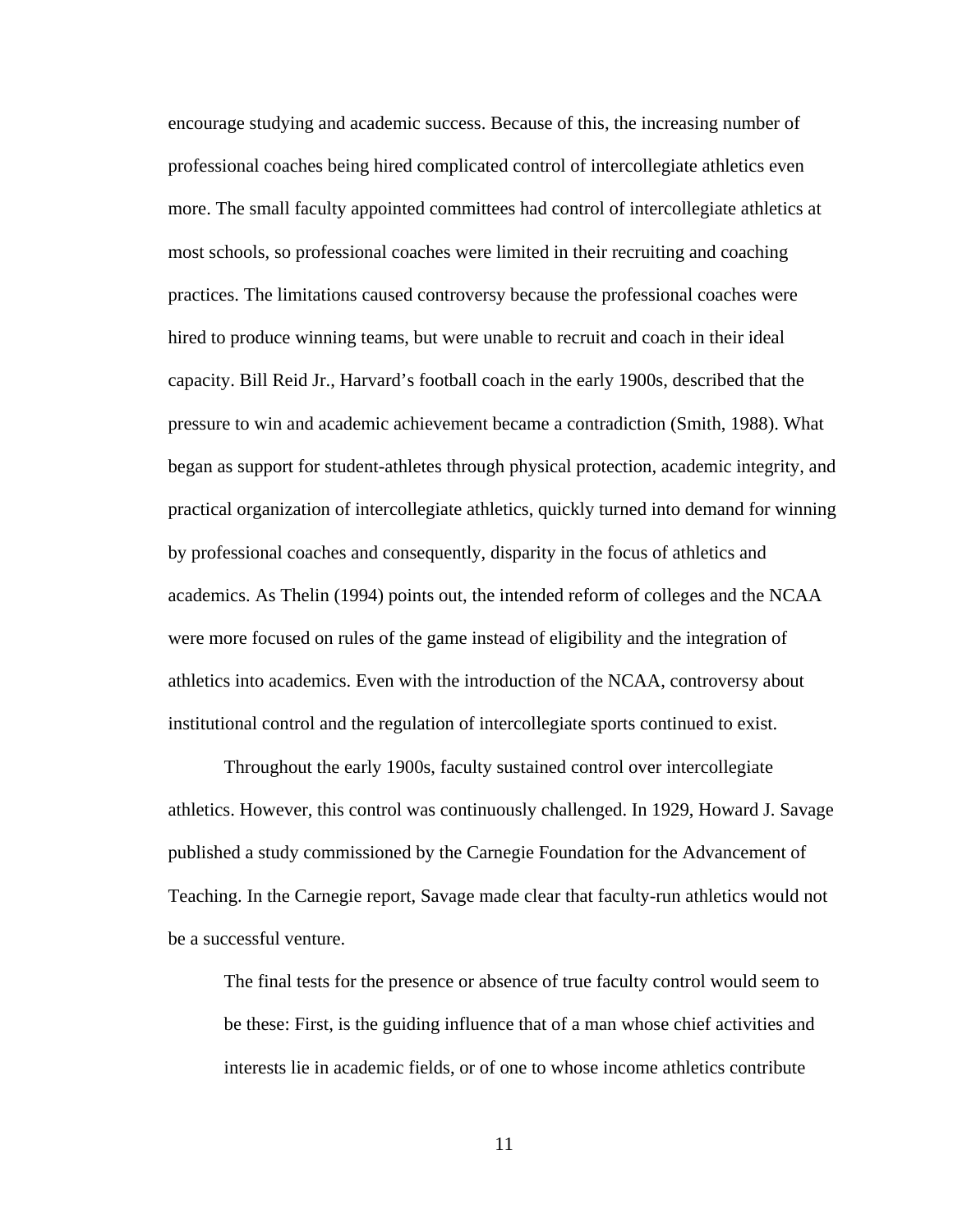encourage studying and academic success. Because of this, the increasing number of professional coaches being hired complicated control of intercollegiate athletics even more. The small faculty appointed committees had control of intercollegiate athletics at most schools, so professional coaches were limited in their recruiting and coaching practices. The limitations caused controversy because the professional coaches were hired to produce winning teams, but were unable to recruit and coach in their ideal capacity. Bill Reid Jr., Harvard's football coach in the early 1900s, described that the pressure to win and academic achievement became a contradiction (Smith, 1988). What began as support for student-athletes through physical protection, academic integrity, and practical organization of intercollegiate athletics, quickly turned into demand for winning by professional coaches and consequently, disparity in the focus of athletics and academics. As Thelin (1994) points out, the intended reform of colleges and the NCAA were more focused on rules of the game instead of eligibility and the integration of athletics into academics. Even with the introduction of the NCAA, controversy about institutional control and the regulation of intercollegiate sports continued to exist.

Throughout the early 1900s, faculty sustained control over intercollegiate athletics. However, this control was continuously challenged. In 1929, Howard J. Savage published a study commissioned by the Carnegie Foundation for the Advancement of Teaching. In the Carnegie report, Savage made clear that faculty-run athletics would not be a successful venture.

The final tests for the presence or absence of true faculty control would seem to be these: First, is the guiding influence that of a man whose chief activities and interests lie in academic fields, or of one to whose income athletics contribute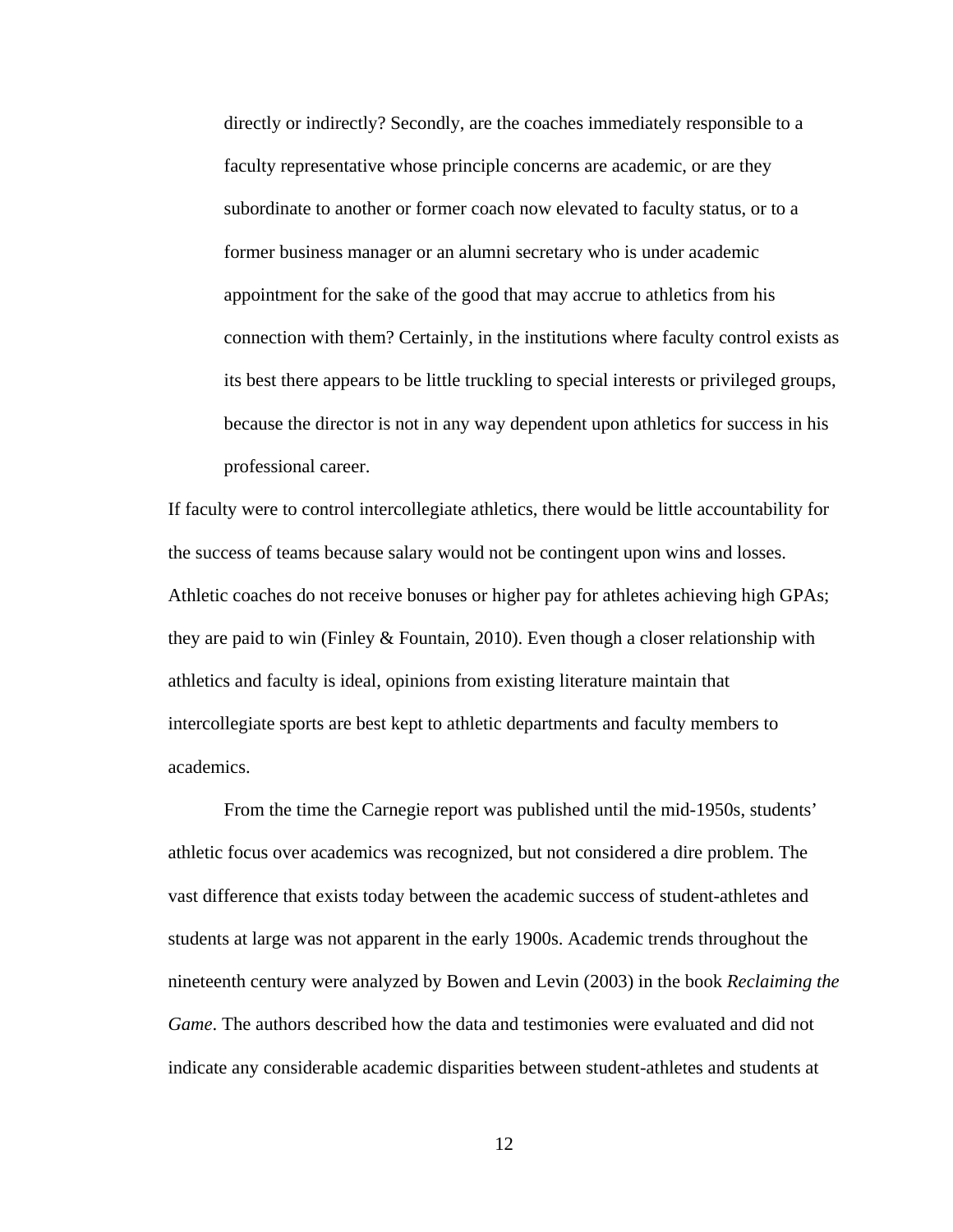directly or indirectly? Secondly, are the coaches immediately responsible to a faculty representative whose principle concerns are academic, or are they subordinate to another or former coach now elevated to faculty status, or to a former business manager or an alumni secretary who is under academic appointment for the sake of the good that may accrue to athletics from his connection with them? Certainly, in the institutions where faculty control exists as its best there appears to be little truckling to special interests or privileged groups, because the director is not in any way dependent upon athletics for success in his professional career.

If faculty were to control intercollegiate athletics, there would be little accountability for the success of teams because salary would not be contingent upon wins and losses. Athletic coaches do not receive bonuses or higher pay for athletes achieving high GPAs; they are paid to win (Finley & Fountain, 2010). Even though a closer relationship with athletics and faculty is ideal, opinions from existing literature maintain that intercollegiate sports are best kept to athletic departments and faculty members to academics.

From the time the Carnegie report was published until the mid-1950s, students' athletic focus over academics was recognized, but not considered a dire problem. The vast difference that exists today between the academic success of student-athletes and students at large was not apparent in the early 1900s. Academic trends throughout the nineteenth century were analyzed by Bowen and Levin (2003) in the book *Reclaiming the Game*. The authors described how the data and testimonies were evaluated and did not indicate any considerable academic disparities between student-athletes and students at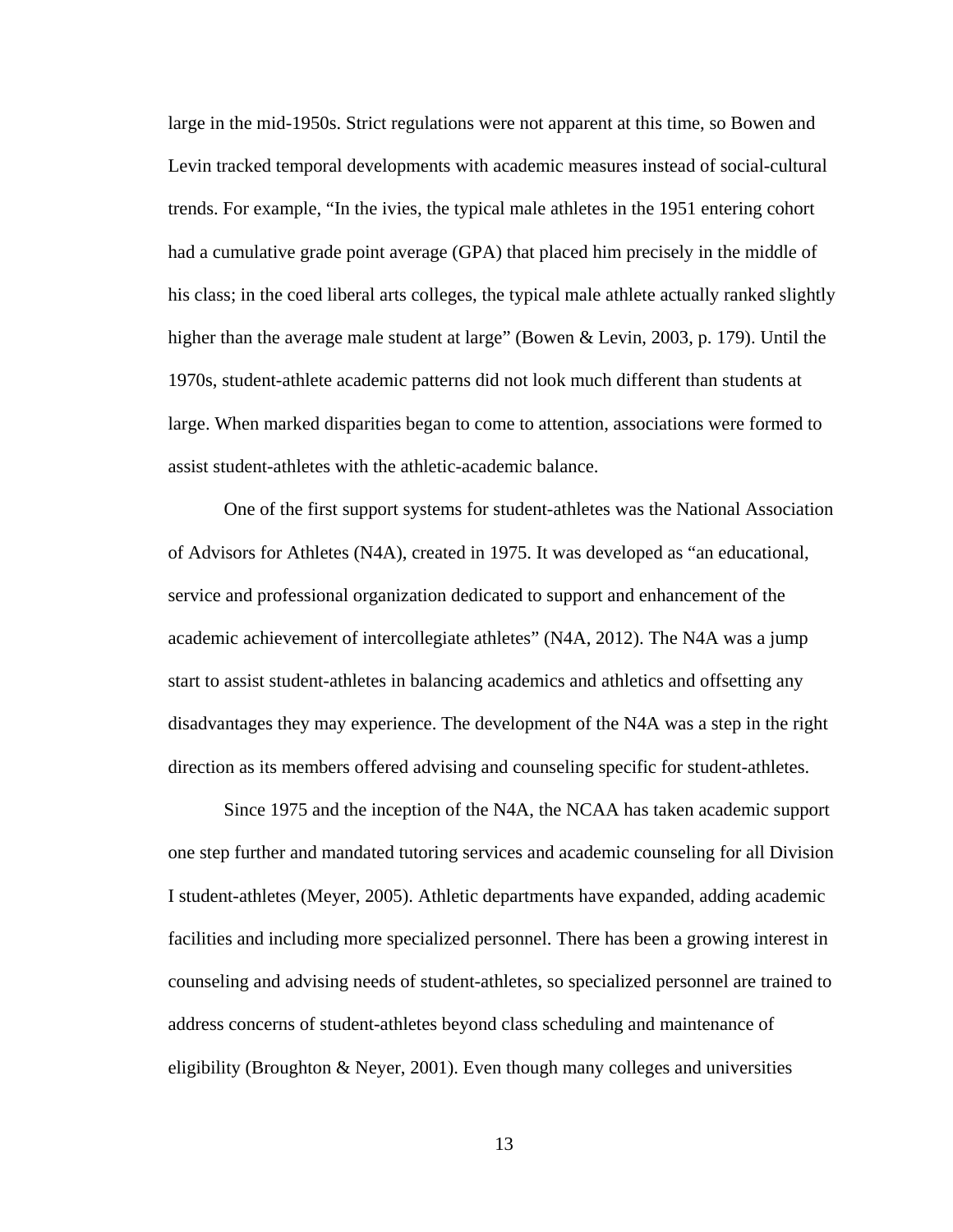large in the mid-1950s. Strict regulations were not apparent at this time, so Bowen and Levin tracked temporal developments with academic measures instead of social-cultural trends. For example, "In the ivies, the typical male athletes in the 1951 entering cohort had a cumulative grade point average (GPA) that placed him precisely in the middle of his class; in the coed liberal arts colleges, the typical male athlete actually ranked slightly higher than the average male student at large" (Bowen & Levin, 2003, p. 179). Until the 1970s, student-athlete academic patterns did not look much different than students at large. When marked disparities began to come to attention, associations were formed to assist student-athletes with the athletic-academic balance.

One of the first support systems for student-athletes was the National Association of Advisors for Athletes (N4A), created in 1975. It was developed as "an educational, service and professional organization dedicated to support and enhancement of the academic achievement of intercollegiate athletes" (N4A, 2012). The N4A was a jump start to assist student-athletes in balancing academics and athletics and offsetting any disadvantages they may experience. The development of the N4A was a step in the right direction as its members offered advising and counseling specific for student-athletes.

Since 1975 and the inception of the N4A, the NCAA has taken academic support one step further and mandated tutoring services and academic counseling for all Division I student-athletes (Meyer, 2005). Athletic departments have expanded, adding academic facilities and including more specialized personnel. There has been a growing interest in counseling and advising needs of student-athletes, so specialized personnel are trained to address concerns of student-athletes beyond class scheduling and maintenance of eligibility (Broughton & Neyer, 2001). Even though many colleges and universities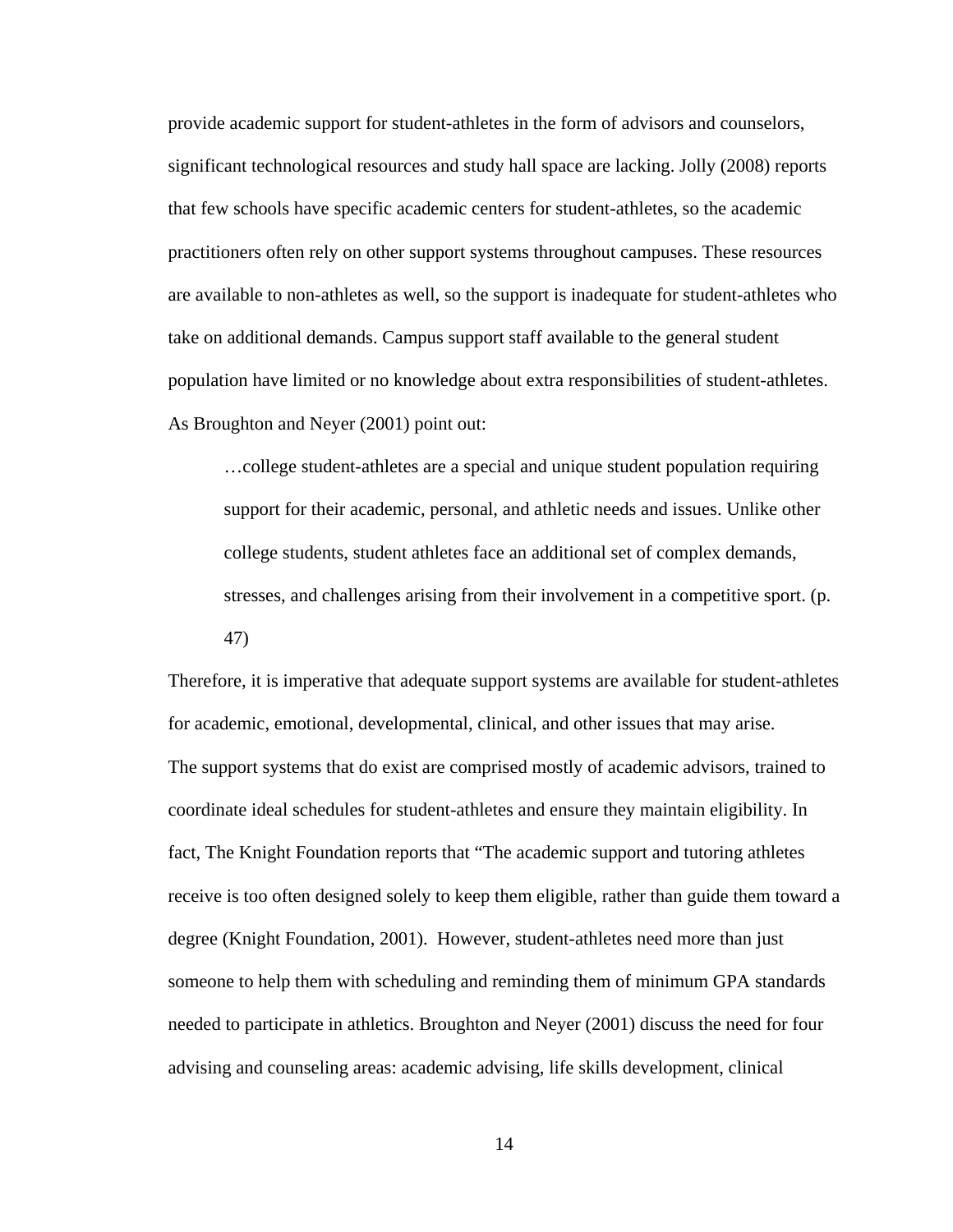provide academic support for student-athletes in the form of advisors and counselors, significant technological resources and study hall space are lacking. Jolly (2008) reports that few schools have specific academic centers for student-athletes, so the academic practitioners often rely on other support systems throughout campuses. These resources are available to non-athletes as well, so the support is inadequate for student-athletes who take on additional demands. Campus support staff available to the general student population have limited or no knowledge about extra responsibilities of student-athletes. As Broughton and Neyer (2001) point out:

…college student-athletes are a special and unique student population requiring support for their academic, personal, and athletic needs and issues. Unlike other college students, student athletes face an additional set of complex demands, stresses, and challenges arising from their involvement in a competitive sport. (p. 47)

Therefore, it is imperative that adequate support systems are available for student-athletes for academic, emotional, developmental, clinical, and other issues that may arise. The support systems that do exist are comprised mostly of academic advisors, trained to coordinate ideal schedules for student-athletes and ensure they maintain eligibility. In fact, The Knight Foundation reports that "The academic support and tutoring athletes receive is too often designed solely to keep them eligible, rather than guide them toward a degree (Knight Foundation, 2001). However, student-athletes need more than just someone to help them with scheduling and reminding them of minimum GPA standards needed to participate in athletics. Broughton and Neyer (2001) discuss the need for four advising and counseling areas: academic advising, life skills development, clinical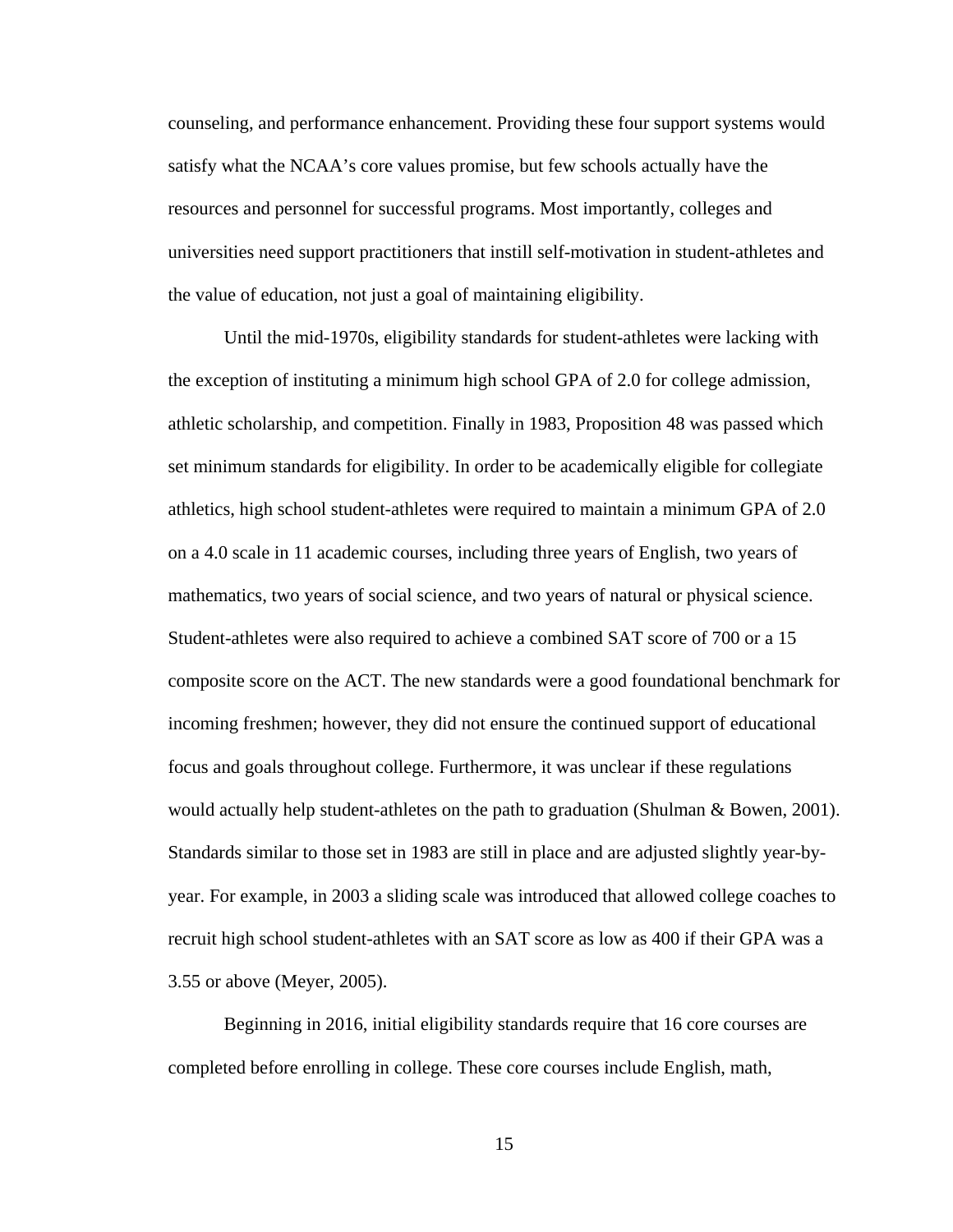counseling, and performance enhancement. Providing these four support systems would satisfy what the NCAA's core values promise, but few schools actually have the resources and personnel for successful programs. Most importantly, colleges and universities need support practitioners that instill self-motivation in student-athletes and the value of education, not just a goal of maintaining eligibility.

Until the mid-1970s, eligibility standards for student-athletes were lacking with the exception of instituting a minimum high school GPA of 2.0 for college admission, athletic scholarship, and competition. Finally in 1983, Proposition 48 was passed which set minimum standards for eligibility. In order to be academically eligible for collegiate athletics, high school student-athletes were required to maintain a minimum GPA of 2.0 on a 4.0 scale in 11 academic courses, including three years of English, two years of mathematics, two years of social science, and two years of natural or physical science. Student-athletes were also required to achieve a combined SAT score of 700 or a 15 composite score on the ACT. The new standards were a good foundational benchmark for incoming freshmen; however, they did not ensure the continued support of educational focus and goals throughout college. Furthermore, it was unclear if these regulations would actually help student-athletes on the path to graduation (Shulman & Bowen, 2001). Standards similar to those set in 1983 are still in place and are adjusted slightly year-byyear. For example, in 2003 a sliding scale was introduced that allowed college coaches to recruit high school student-athletes with an SAT score as low as 400 if their GPA was a 3.55 or above (Meyer, 2005).

Beginning in 2016, initial eligibility standards require that 16 core courses are completed before enrolling in college. These core courses include English, math,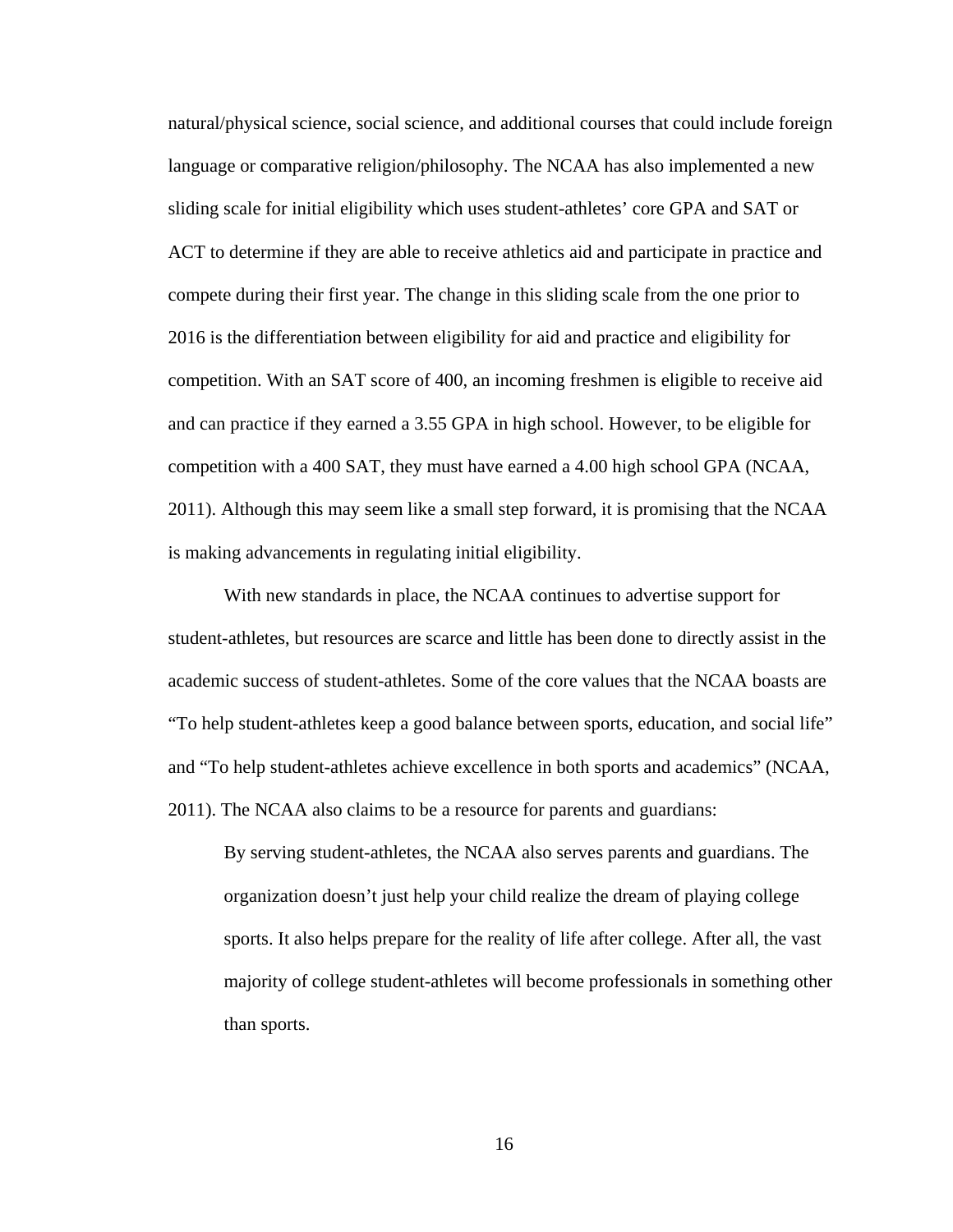natural/physical science, social science, and additional courses that could include foreign language or comparative religion/philosophy. The NCAA has also implemented a new sliding scale for initial eligibility which uses student-athletes' core GPA and SAT or ACT to determine if they are able to receive athletics aid and participate in practice and compete during their first year. The change in this sliding scale from the one prior to 2016 is the differentiation between eligibility for aid and practice and eligibility for competition. With an SAT score of 400, an incoming freshmen is eligible to receive aid and can practice if they earned a 3.55 GPA in high school. However, to be eligible for competition with a 400 SAT, they must have earned a 4.00 high school GPA (NCAA, 2011). Although this may seem like a small step forward, it is promising that the NCAA is making advancements in regulating initial eligibility.

With new standards in place, the NCAA continues to advertise support for student-athletes, but resources are scarce and little has been done to directly assist in the academic success of student-athletes. Some of the core values that the NCAA boasts are "To help student-athletes keep a good balance between sports, education, and social life" and "To help student-athletes achieve excellence in both sports and academics" (NCAA, 2011). The NCAA also claims to be a resource for parents and guardians:

By serving student-athletes, the NCAA also serves parents and guardians. The organization doesn't just help your child realize the dream of playing college sports. It also helps prepare for the reality of life after college. After all, the vast majority of college student-athletes will become professionals in something other than sports.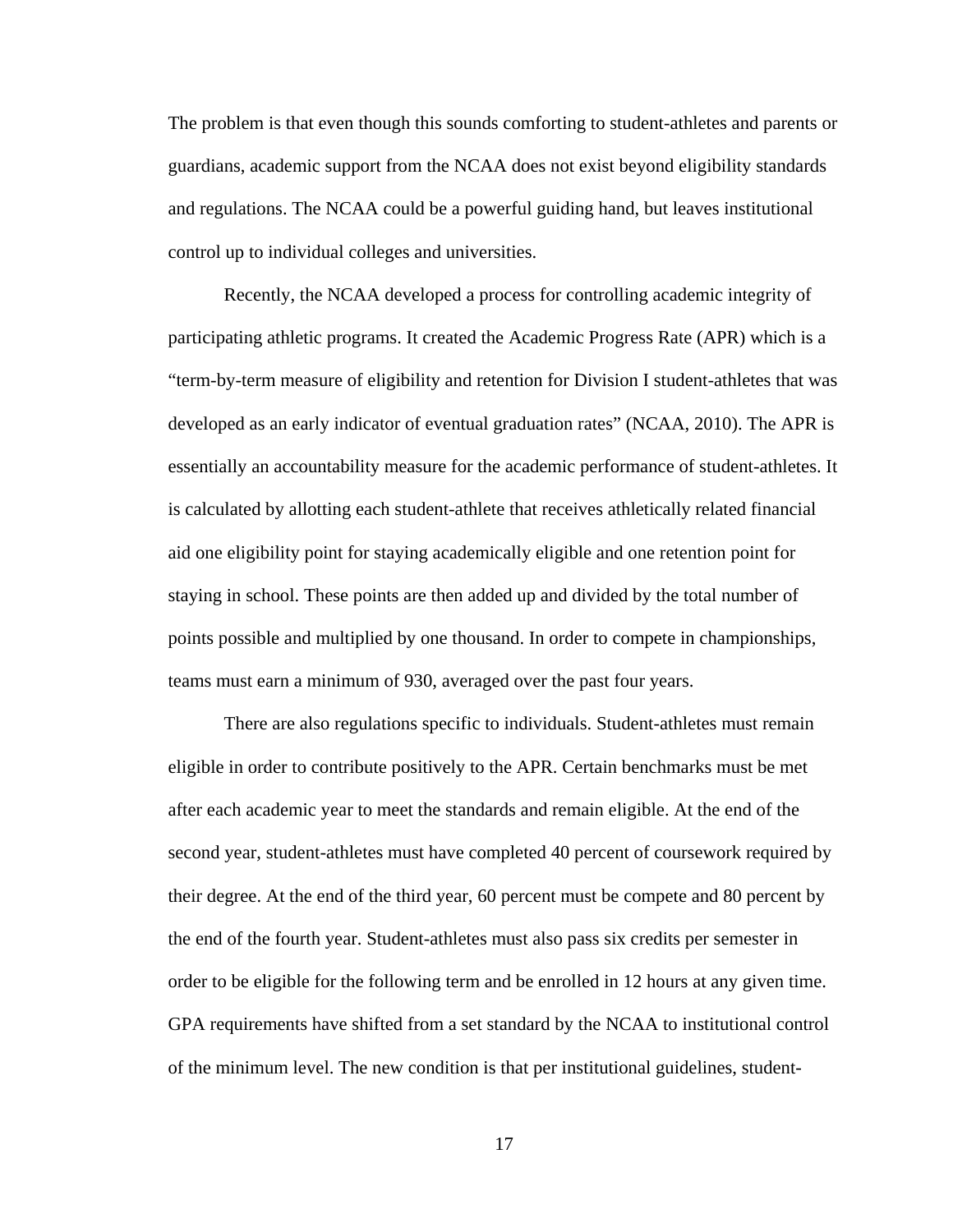The problem is that even though this sounds comforting to student-athletes and parents or guardians, academic support from the NCAA does not exist beyond eligibility standards and regulations. The NCAA could be a powerful guiding hand, but leaves institutional control up to individual colleges and universities.

Recently, the NCAA developed a process for controlling academic integrity of participating athletic programs. It created the Academic Progress Rate (APR) which is a "term-by-term measure of eligibility and retention for Division I student-athletes that was developed as an early indicator of eventual graduation rates" (NCAA, 2010). The APR is essentially an accountability measure for the academic performance of student-athletes. It is calculated by allotting each student-athlete that receives athletically related financial aid one eligibility point for staying academically eligible and one retention point for staying in school. These points are then added up and divided by the total number of points possible and multiplied by one thousand. In order to compete in championships, teams must earn a minimum of 930, averaged over the past four years.

There are also regulations specific to individuals. Student-athletes must remain eligible in order to contribute positively to the APR. Certain benchmarks must be met after each academic year to meet the standards and remain eligible. At the end of the second year, student-athletes must have completed 40 percent of coursework required by their degree. At the end of the third year, 60 percent must be compete and 80 percent by the end of the fourth year. Student-athletes must also pass six credits per semester in order to be eligible for the following term and be enrolled in 12 hours at any given time. GPA requirements have shifted from a set standard by the NCAA to institutional control of the minimum level. The new condition is that per institutional guidelines, student-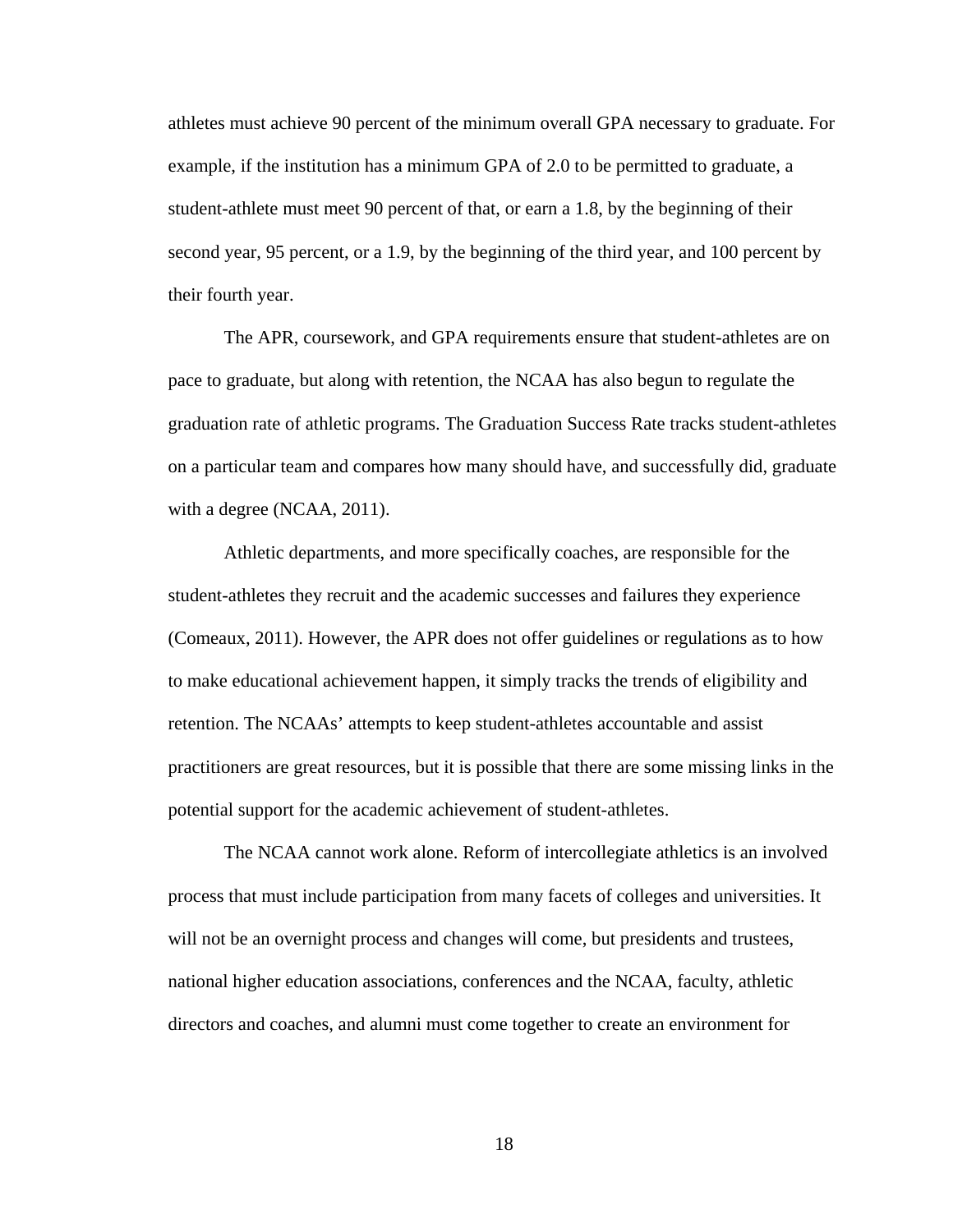athletes must achieve 90 percent of the minimum overall GPA necessary to graduate. For example, if the institution has a minimum GPA of 2.0 to be permitted to graduate, a student-athlete must meet 90 percent of that, or earn a 1.8, by the beginning of their second year, 95 percent, or a 1.9, by the beginning of the third year, and 100 percent by their fourth year.

The APR, coursework, and GPA requirements ensure that student-athletes are on pace to graduate, but along with retention, the NCAA has also begun to regulate the graduation rate of athletic programs. The Graduation Success Rate tracks student-athletes on a particular team and compares how many should have, and successfully did, graduate with a degree (NCAA, 2011).

Athletic departments, and more specifically coaches, are responsible for the student-athletes they recruit and the academic successes and failures they experience (Comeaux, 2011). However, the APR does not offer guidelines or regulations as to how to make educational achievement happen, it simply tracks the trends of eligibility and retention. The NCAAs' attempts to keep student-athletes accountable and assist practitioners are great resources, but it is possible that there are some missing links in the potential support for the academic achievement of student-athletes.

The NCAA cannot work alone. Reform of intercollegiate athletics is an involved process that must include participation from many facets of colleges and universities. It will not be an overnight process and changes will come, but presidents and trustees, national higher education associations, conferences and the NCAA, faculty, athletic directors and coaches, and alumni must come together to create an environment for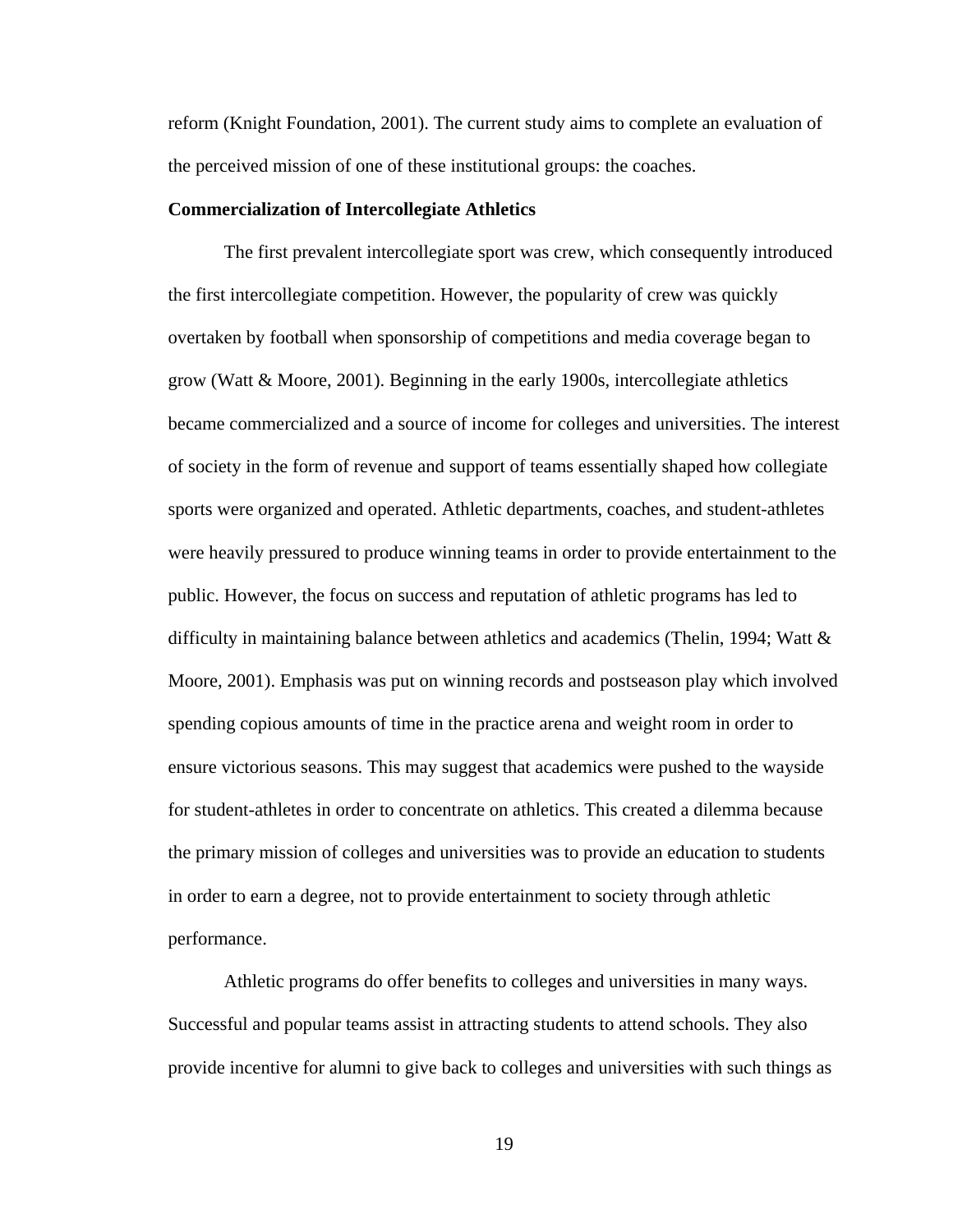reform (Knight Foundation, 2001). The current study aims to complete an evaluation of the perceived mission of one of these institutional groups: the coaches.

#### **Commercialization of Intercollegiate Athletics**

The first prevalent intercollegiate sport was crew, which consequently introduced the first intercollegiate competition. However, the popularity of crew was quickly overtaken by football when sponsorship of competitions and media coverage began to grow (Watt & Moore, 2001). Beginning in the early 1900s, intercollegiate athletics became commercialized and a source of income for colleges and universities. The interest of society in the form of revenue and support of teams essentially shaped how collegiate sports were organized and operated. Athletic departments, coaches, and student-athletes were heavily pressured to produce winning teams in order to provide entertainment to the public. However, the focus on success and reputation of athletic programs has led to difficulty in maintaining balance between athletics and academics (Thelin, 1994; Watt & Moore, 2001). Emphasis was put on winning records and postseason play which involved spending copious amounts of time in the practice arena and weight room in order to ensure victorious seasons. This may suggest that academics were pushed to the wayside for student-athletes in order to concentrate on athletics. This created a dilemma because the primary mission of colleges and universities was to provide an education to students in order to earn a degree, not to provide entertainment to society through athletic performance.

Athletic programs do offer benefits to colleges and universities in many ways. Successful and popular teams assist in attracting students to attend schools. They also provide incentive for alumni to give back to colleges and universities with such things as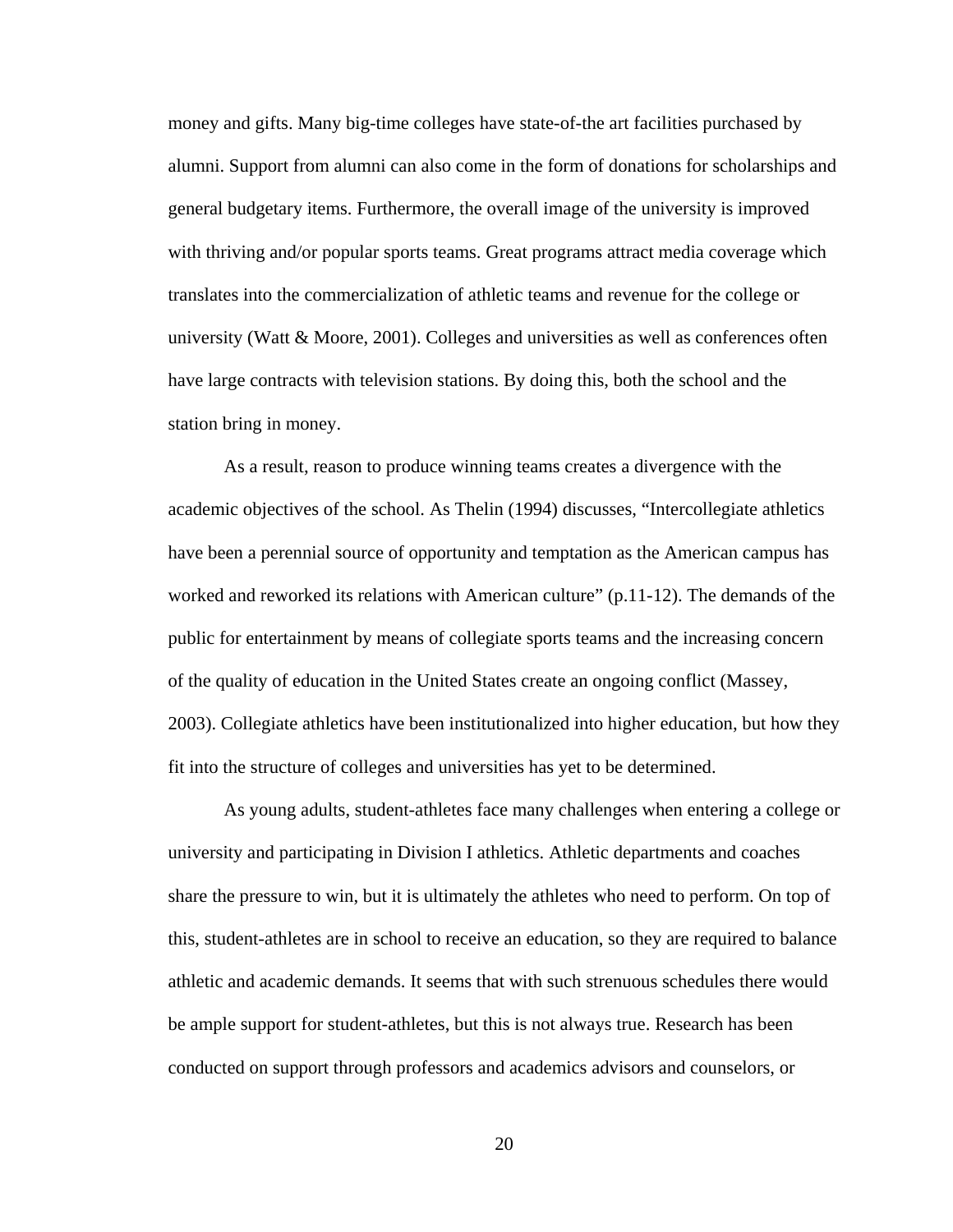money and gifts. Many big-time colleges have state-of-the art facilities purchased by alumni. Support from alumni can also come in the form of donations for scholarships and general budgetary items. Furthermore, the overall image of the university is improved with thriving and/or popular sports teams. Great programs attract media coverage which translates into the commercialization of athletic teams and revenue for the college or university (Watt & Moore, 2001). Colleges and universities as well as conferences often have large contracts with television stations. By doing this, both the school and the station bring in money.

As a result, reason to produce winning teams creates a divergence with the academic objectives of the school. As Thelin (1994) discusses, "Intercollegiate athletics have been a perennial source of opportunity and temptation as the American campus has worked and reworked its relations with American culture" (p.11-12). The demands of the public for entertainment by means of collegiate sports teams and the increasing concern of the quality of education in the United States create an ongoing conflict (Massey, 2003). Collegiate athletics have been institutionalized into higher education, but how they fit into the structure of colleges and universities has yet to be determined.

As young adults, student-athletes face many challenges when entering a college or university and participating in Division I athletics. Athletic departments and coaches share the pressure to win, but it is ultimately the athletes who need to perform. On top of this, student-athletes are in school to receive an education, so they are required to balance athletic and academic demands. It seems that with such strenuous schedules there would be ample support for student-athletes, but this is not always true. Research has been conducted on support through professors and academics advisors and counselors, or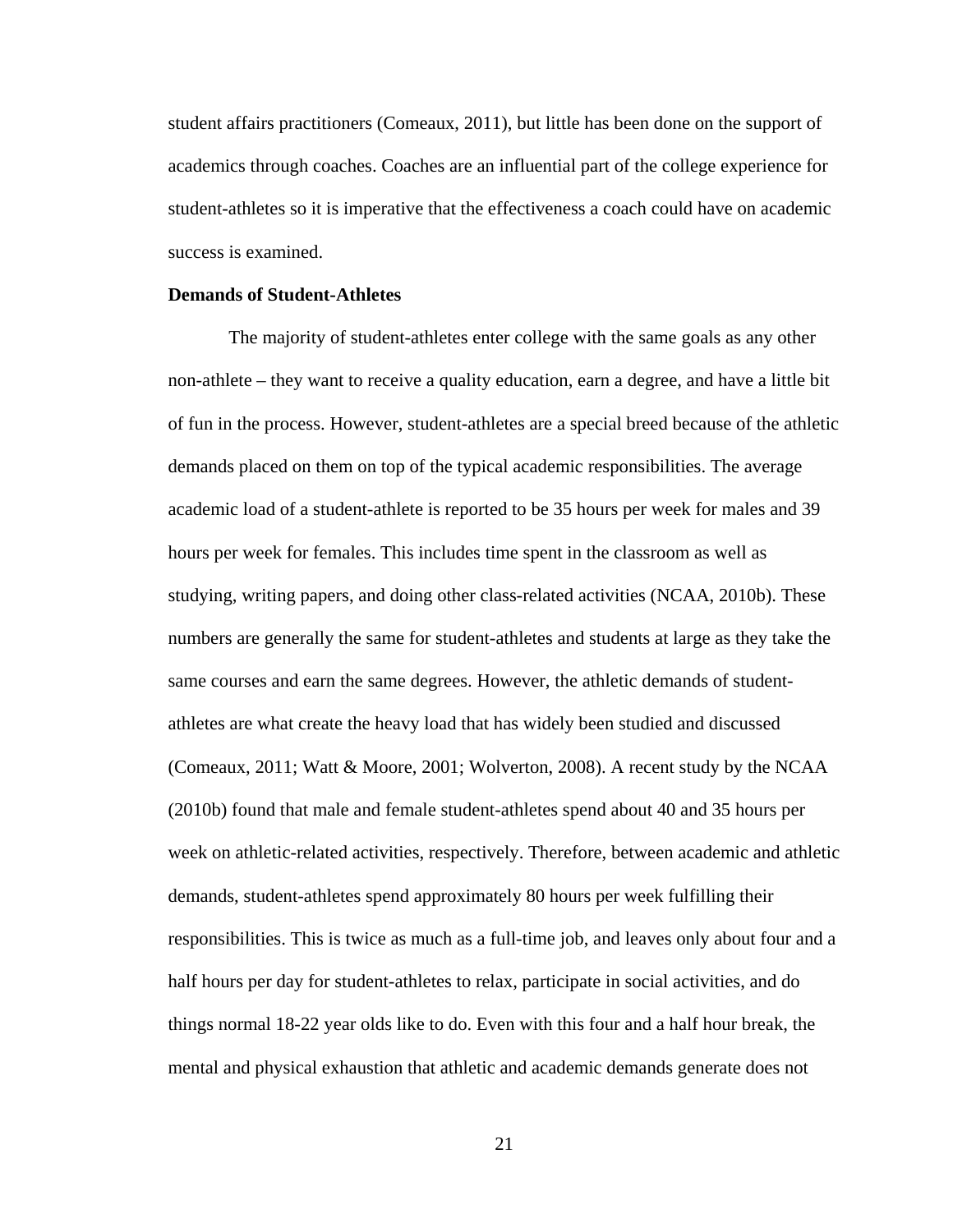student affairs practitioners (Comeaux, 2011), but little has been done on the support of academics through coaches. Coaches are an influential part of the college experience for student-athletes so it is imperative that the effectiveness a coach could have on academic success is examined.

#### **Demands of Student-Athletes**

 The majority of student-athletes enter college with the same goals as any other non-athlete – they want to receive a quality education, earn a degree, and have a little bit of fun in the process. However, student-athletes are a special breed because of the athletic demands placed on them on top of the typical academic responsibilities. The average academic load of a student-athlete is reported to be 35 hours per week for males and 39 hours per week for females. This includes time spent in the classroom as well as studying, writing papers, and doing other class-related activities (NCAA, 2010b). These numbers are generally the same for student-athletes and students at large as they take the same courses and earn the same degrees. However, the athletic demands of studentathletes are what create the heavy load that has widely been studied and discussed (Comeaux, 2011; Watt & Moore, 2001; Wolverton, 2008). A recent study by the NCAA (2010b) found that male and female student-athletes spend about 40 and 35 hours per week on athletic-related activities, respectively. Therefore, between academic and athletic demands, student-athletes spend approximately 80 hours per week fulfilling their responsibilities. This is twice as much as a full-time job, and leaves only about four and a half hours per day for student-athletes to relax, participate in social activities, and do things normal 18-22 year olds like to do. Even with this four and a half hour break, the mental and physical exhaustion that athletic and academic demands generate does not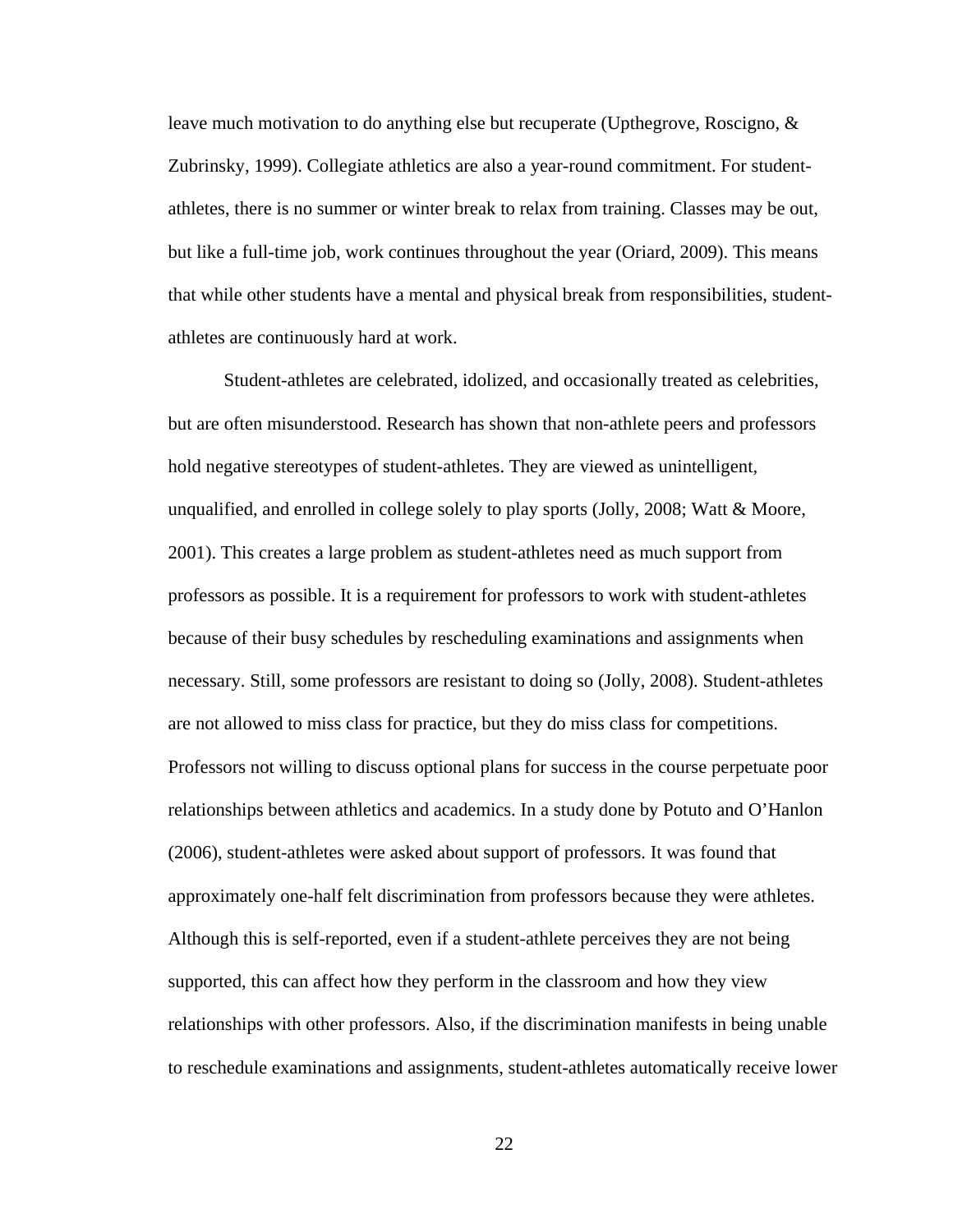leave much motivation to do anything else but recuperate (Upthegrove, Roscigno, & Zubrinsky, 1999). Collegiate athletics are also a year-round commitment. For studentathletes, there is no summer or winter break to relax from training. Classes may be out, but like a full-time job, work continues throughout the year (Oriard, 2009). This means that while other students have a mental and physical break from responsibilities, studentathletes are continuously hard at work.

Student-athletes are celebrated, idolized, and occasionally treated as celebrities, but are often misunderstood. Research has shown that non-athlete peers and professors hold negative stereotypes of student-athletes. They are viewed as unintelligent, unqualified, and enrolled in college solely to play sports (Jolly, 2008; Watt & Moore, 2001). This creates a large problem as student-athletes need as much support from professors as possible. It is a requirement for professors to work with student-athletes because of their busy schedules by rescheduling examinations and assignments when necessary. Still, some professors are resistant to doing so (Jolly, 2008). Student-athletes are not allowed to miss class for practice, but they do miss class for competitions. Professors not willing to discuss optional plans for success in the course perpetuate poor relationships between athletics and academics. In a study done by Potuto and O'Hanlon (2006), student-athletes were asked about support of professors. It was found that approximately one-half felt discrimination from professors because they were athletes. Although this is self-reported, even if a student-athlete perceives they are not being supported, this can affect how they perform in the classroom and how they view relationships with other professors. Also, if the discrimination manifests in being unable to reschedule examinations and assignments, student-athletes automatically receive lower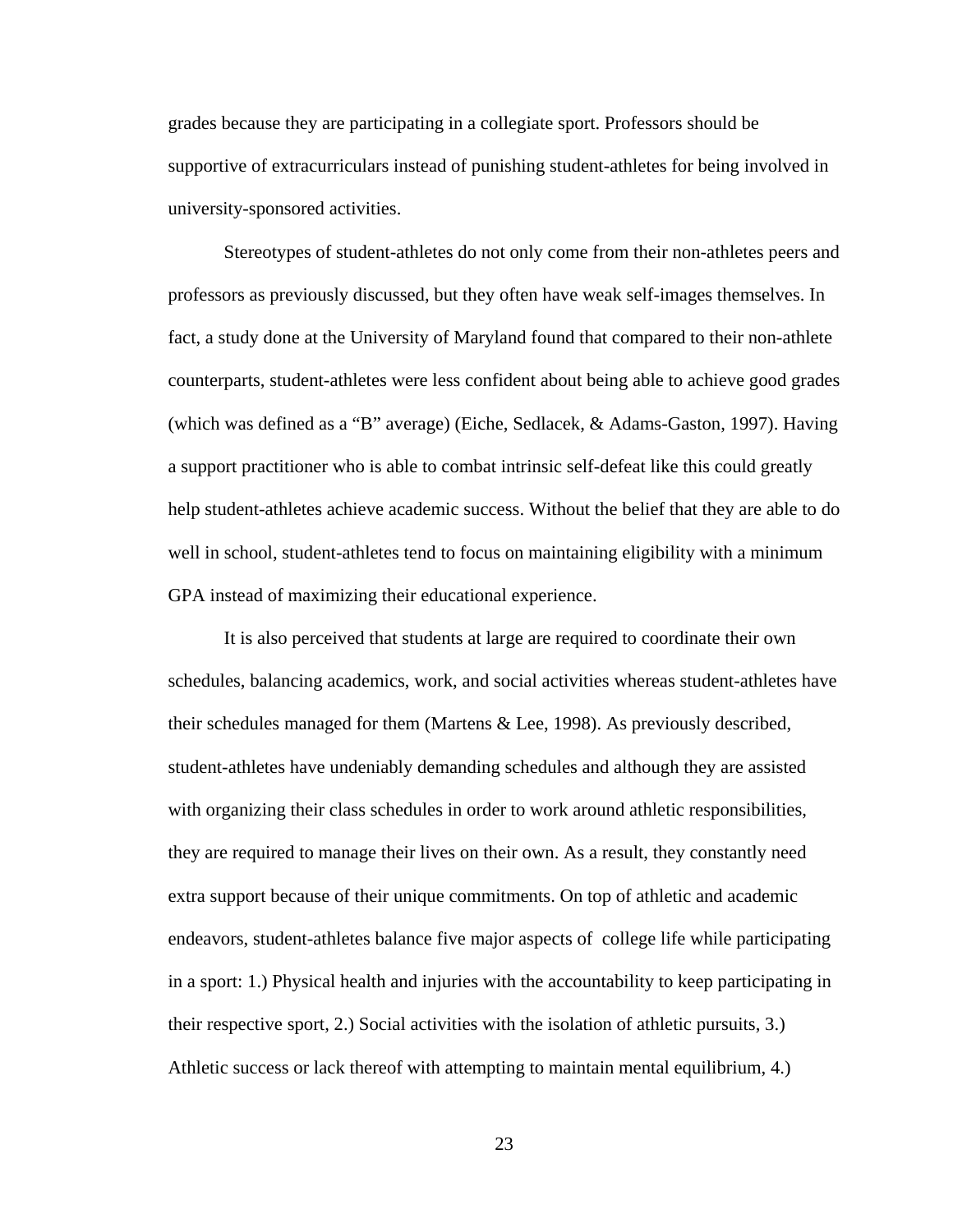grades because they are participating in a collegiate sport. Professors should be supportive of extracurriculars instead of punishing student-athletes for being involved in university-sponsored activities.

Stereotypes of student-athletes do not only come from their non-athletes peers and professors as previously discussed, but they often have weak self-images themselves. In fact, a study done at the University of Maryland found that compared to their non-athlete counterparts, student-athletes were less confident about being able to achieve good grades (which was defined as a "B" average) (Eiche, Sedlacek, & Adams-Gaston, 1997). Having a support practitioner who is able to combat intrinsic self-defeat like this could greatly help student-athletes achieve academic success. Without the belief that they are able to do well in school, student-athletes tend to focus on maintaining eligibility with a minimum GPA instead of maximizing their educational experience.

It is also perceived that students at large are required to coordinate their own schedules, balancing academics, work, and social activities whereas student-athletes have their schedules managed for them (Martens & Lee, 1998). As previously described, student-athletes have undeniably demanding schedules and although they are assisted with organizing their class schedules in order to work around athletic responsibilities, they are required to manage their lives on their own. As a result, they constantly need extra support because of their unique commitments. On top of athletic and academic endeavors, student-athletes balance five major aspects of college life while participating in a sport: 1.) Physical health and injuries with the accountability to keep participating in their respective sport, 2.) Social activities with the isolation of athletic pursuits, 3.) Athletic success or lack thereof with attempting to maintain mental equilibrium, 4.)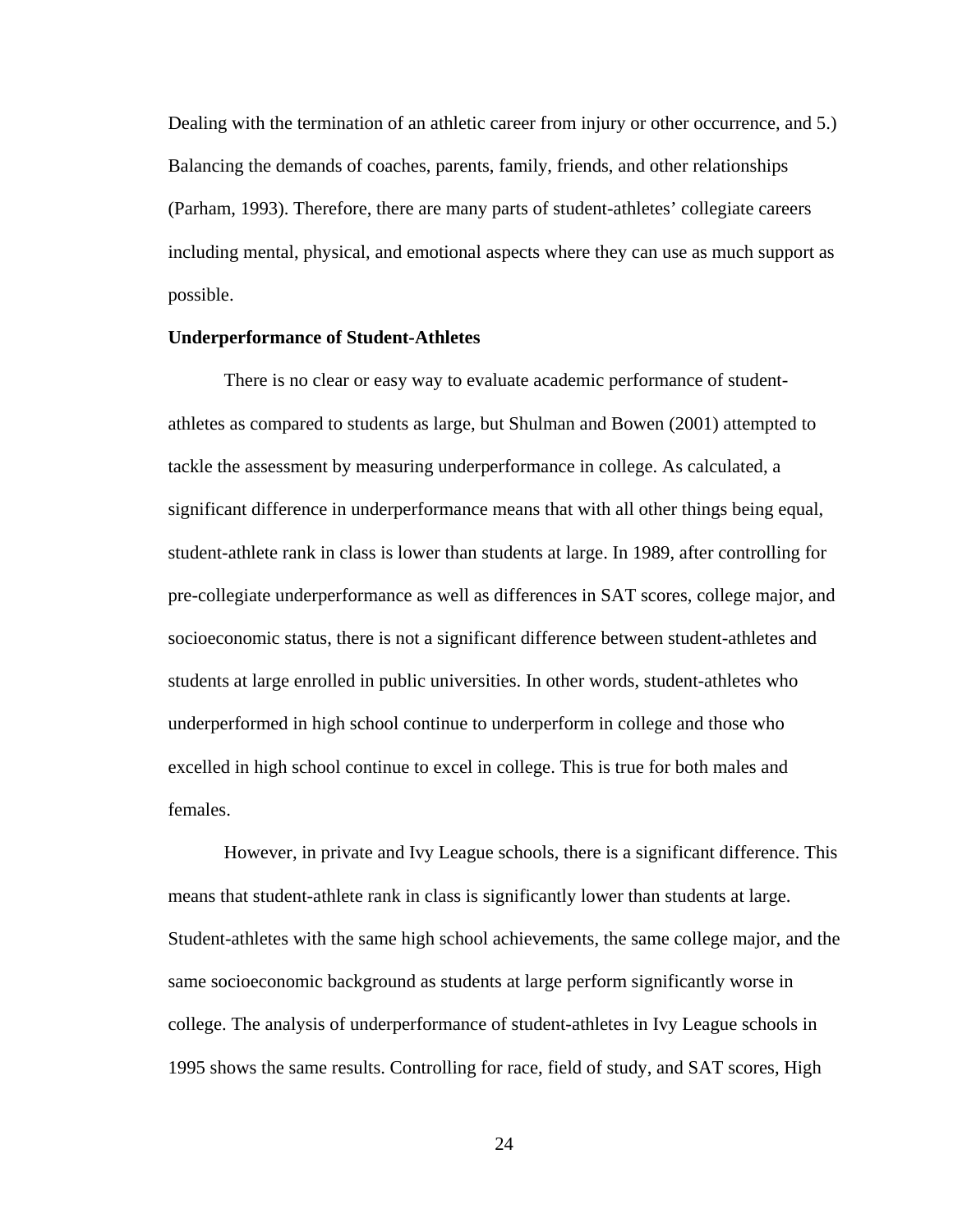Dealing with the termination of an athletic career from injury or other occurrence, and 5.) Balancing the demands of coaches, parents, family, friends, and other relationships (Parham, 1993). Therefore, there are many parts of student-athletes' collegiate careers including mental, physical, and emotional aspects where they can use as much support as possible.

## **Underperformance of Student-Athletes**

There is no clear or easy way to evaluate academic performance of studentathletes as compared to students as large, but Shulman and Bowen (2001) attempted to tackle the assessment by measuring underperformance in college. As calculated, a significant difference in underperformance means that with all other things being equal, student-athlete rank in class is lower than students at large. In 1989, after controlling for pre-collegiate underperformance as well as differences in SAT scores, college major, and socioeconomic status, there is not a significant difference between student-athletes and students at large enrolled in public universities. In other words, student-athletes who underperformed in high school continue to underperform in college and those who excelled in high school continue to excel in college. This is true for both males and females.

However, in private and Ivy League schools, there is a significant difference. This means that student-athlete rank in class is significantly lower than students at large. Student-athletes with the same high school achievements, the same college major, and the same socioeconomic background as students at large perform significantly worse in college. The analysis of underperformance of student-athletes in Ivy League schools in 1995 shows the same results. Controlling for race, field of study, and SAT scores, High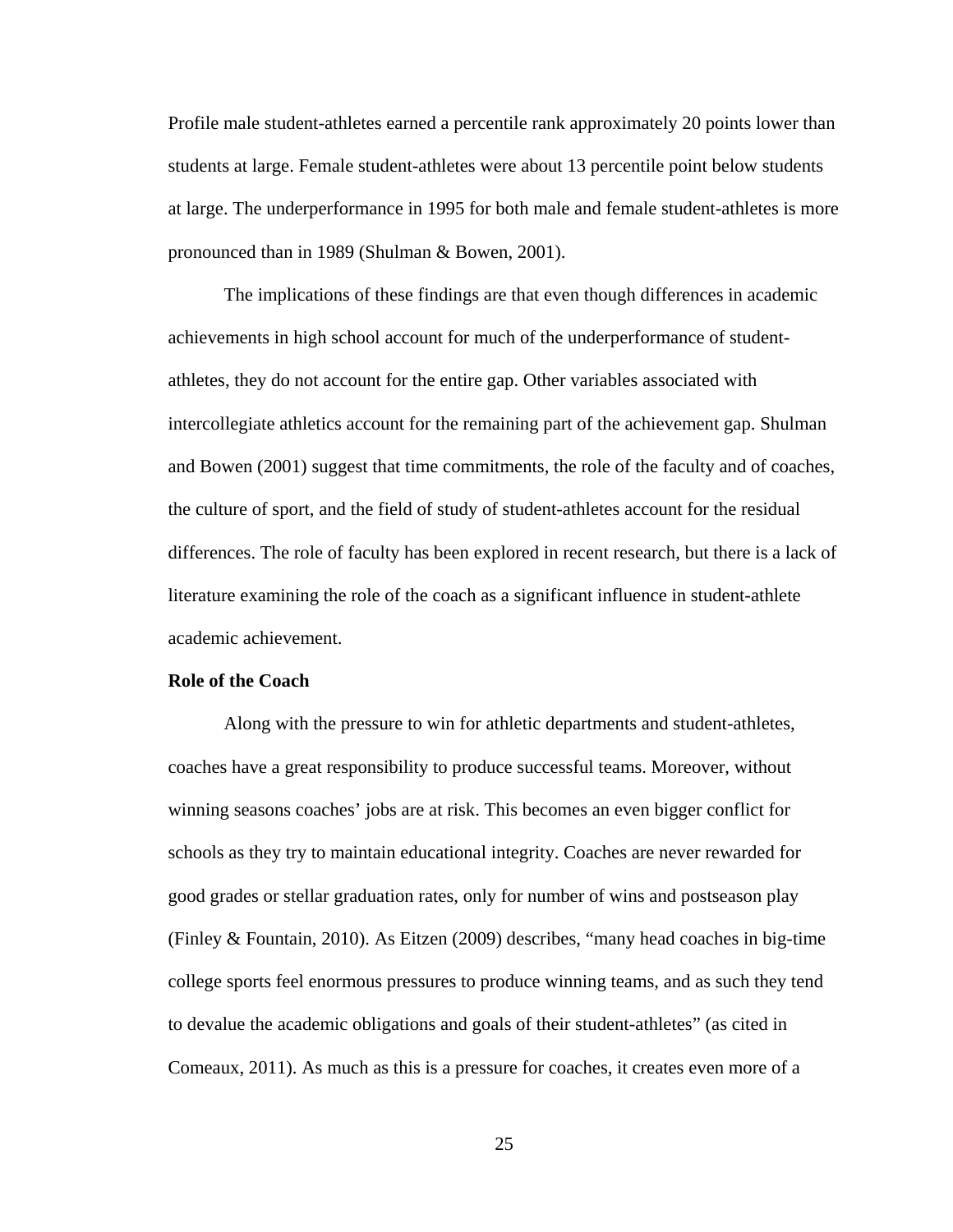Profile male student-athletes earned a percentile rank approximately 20 points lower than students at large. Female student-athletes were about 13 percentile point below students at large. The underperformance in 1995 for both male and female student-athletes is more pronounced than in 1989 (Shulman & Bowen, 2001).

The implications of these findings are that even though differences in academic achievements in high school account for much of the underperformance of studentathletes, they do not account for the entire gap. Other variables associated with intercollegiate athletics account for the remaining part of the achievement gap. Shulman and Bowen (2001) suggest that time commitments, the role of the faculty and of coaches, the culture of sport, and the field of study of student-athletes account for the residual differences. The role of faculty has been explored in recent research, but there is a lack of literature examining the role of the coach as a significant influence in student-athlete academic achievement.

## **Role of the Coach**

Along with the pressure to win for athletic departments and student-athletes, coaches have a great responsibility to produce successful teams. Moreover, without winning seasons coaches' jobs are at risk. This becomes an even bigger conflict for schools as they try to maintain educational integrity. Coaches are never rewarded for good grades or stellar graduation rates, only for number of wins and postseason play (Finley & Fountain, 2010). As Eitzen (2009) describes, "many head coaches in big-time college sports feel enormous pressures to produce winning teams, and as such they tend to devalue the academic obligations and goals of their student-athletes" (as cited in Comeaux, 2011). As much as this is a pressure for coaches, it creates even more of a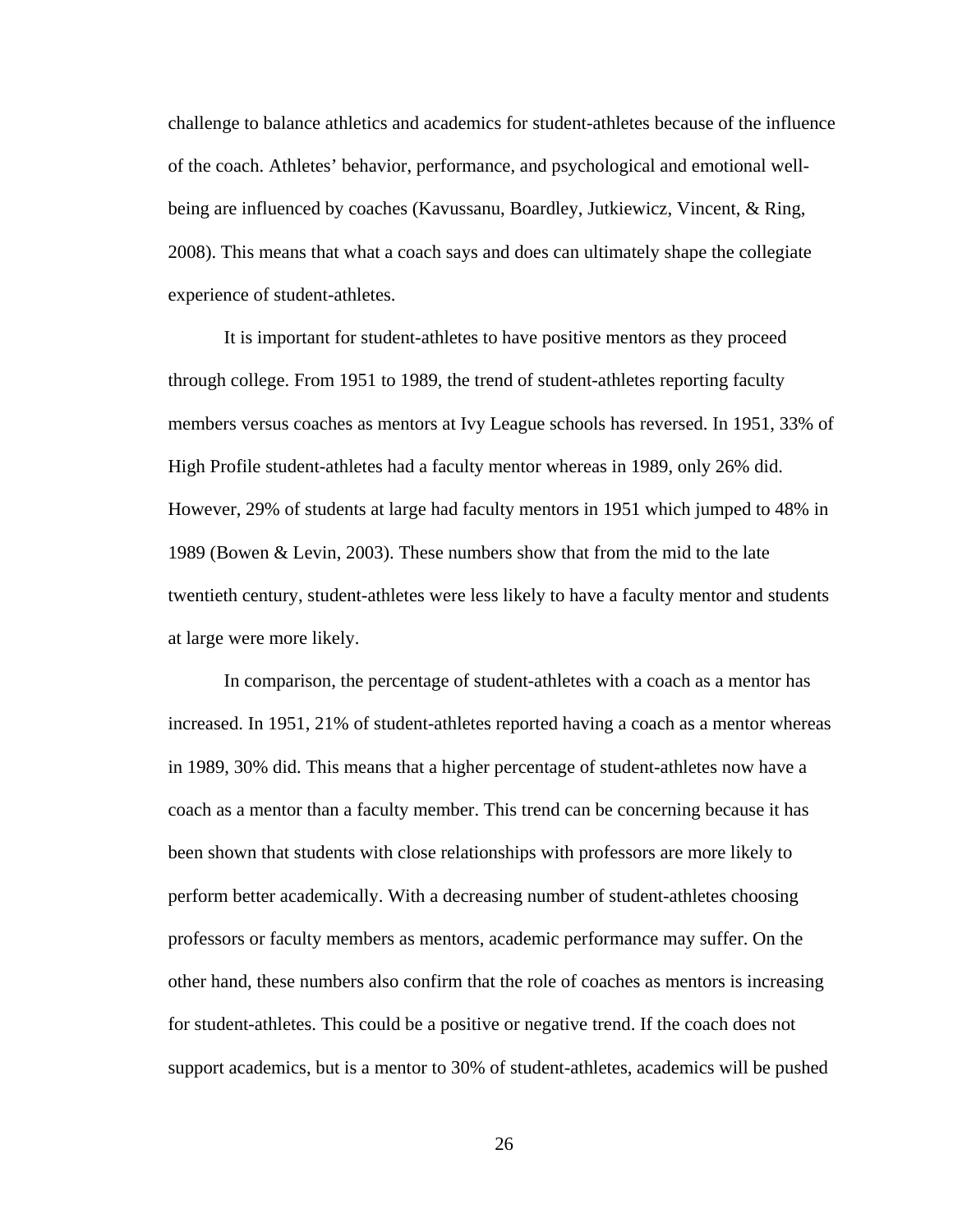challenge to balance athletics and academics for student-athletes because of the influence of the coach. Athletes' behavior, performance, and psychological and emotional wellbeing are influenced by coaches (Kavussanu, Boardley, Jutkiewicz, Vincent, & Ring, 2008). This means that what a coach says and does can ultimately shape the collegiate experience of student-athletes.

It is important for student-athletes to have positive mentors as they proceed through college. From 1951 to 1989, the trend of student-athletes reporting faculty members versus coaches as mentors at Ivy League schools has reversed. In 1951, 33% of High Profile student-athletes had a faculty mentor whereas in 1989, only 26% did. However, 29% of students at large had faculty mentors in 1951 which jumped to 48% in 1989 (Bowen & Levin, 2003). These numbers show that from the mid to the late twentieth century, student-athletes were less likely to have a faculty mentor and students at large were more likely.

In comparison, the percentage of student-athletes with a coach as a mentor has increased. In 1951, 21% of student-athletes reported having a coach as a mentor whereas in 1989, 30% did. This means that a higher percentage of student-athletes now have a coach as a mentor than a faculty member. This trend can be concerning because it has been shown that students with close relationships with professors are more likely to perform better academically. With a decreasing number of student-athletes choosing professors or faculty members as mentors, academic performance may suffer. On the other hand, these numbers also confirm that the role of coaches as mentors is increasing for student-athletes. This could be a positive or negative trend. If the coach does not support academics, but is a mentor to 30% of student-athletes, academics will be pushed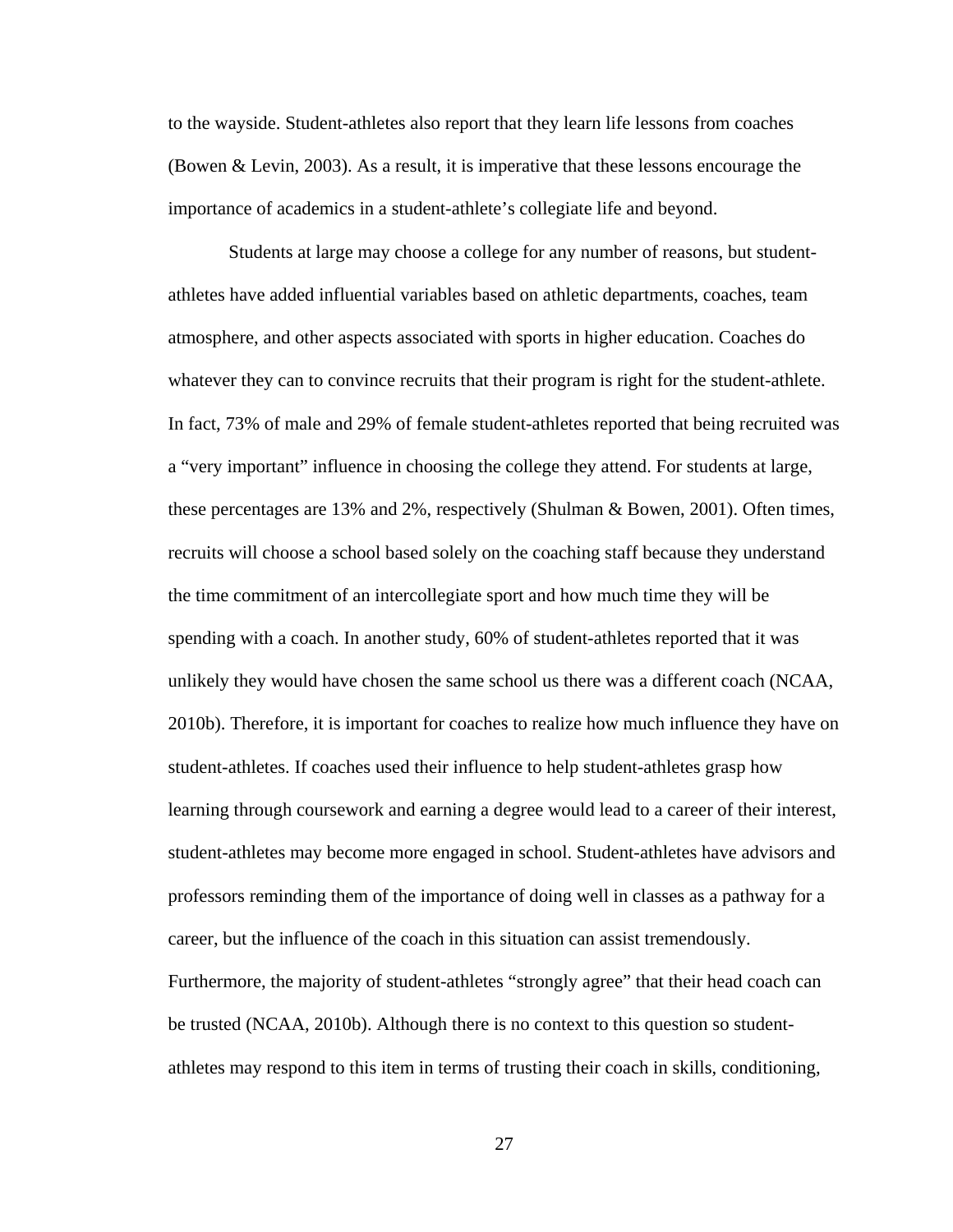to the wayside. Student-athletes also report that they learn life lessons from coaches (Bowen & Levin, 2003). As a result, it is imperative that these lessons encourage the importance of academics in a student-athlete's collegiate life and beyond.

 Students at large may choose a college for any number of reasons, but studentathletes have added influential variables based on athletic departments, coaches, team atmosphere, and other aspects associated with sports in higher education. Coaches do whatever they can to convince recruits that their program is right for the student-athlete. In fact, 73% of male and 29% of female student-athletes reported that being recruited was a "very important" influence in choosing the college they attend. For students at large, these percentages are 13% and 2%, respectively (Shulman & Bowen, 2001). Often times, recruits will choose a school based solely on the coaching staff because they understand the time commitment of an intercollegiate sport and how much time they will be spending with a coach. In another study, 60% of student-athletes reported that it was unlikely they would have chosen the same school us there was a different coach (NCAA, 2010b). Therefore, it is important for coaches to realize how much influence they have on student-athletes. If coaches used their influence to help student-athletes grasp how learning through coursework and earning a degree would lead to a career of their interest, student-athletes may become more engaged in school. Student-athletes have advisors and professors reminding them of the importance of doing well in classes as a pathway for a career, but the influence of the coach in this situation can assist tremendously. Furthermore, the majority of student-athletes "strongly agree" that their head coach can be trusted (NCAA, 2010b). Although there is no context to this question so student-

27

athletes may respond to this item in terms of trusting their coach in skills, conditioning,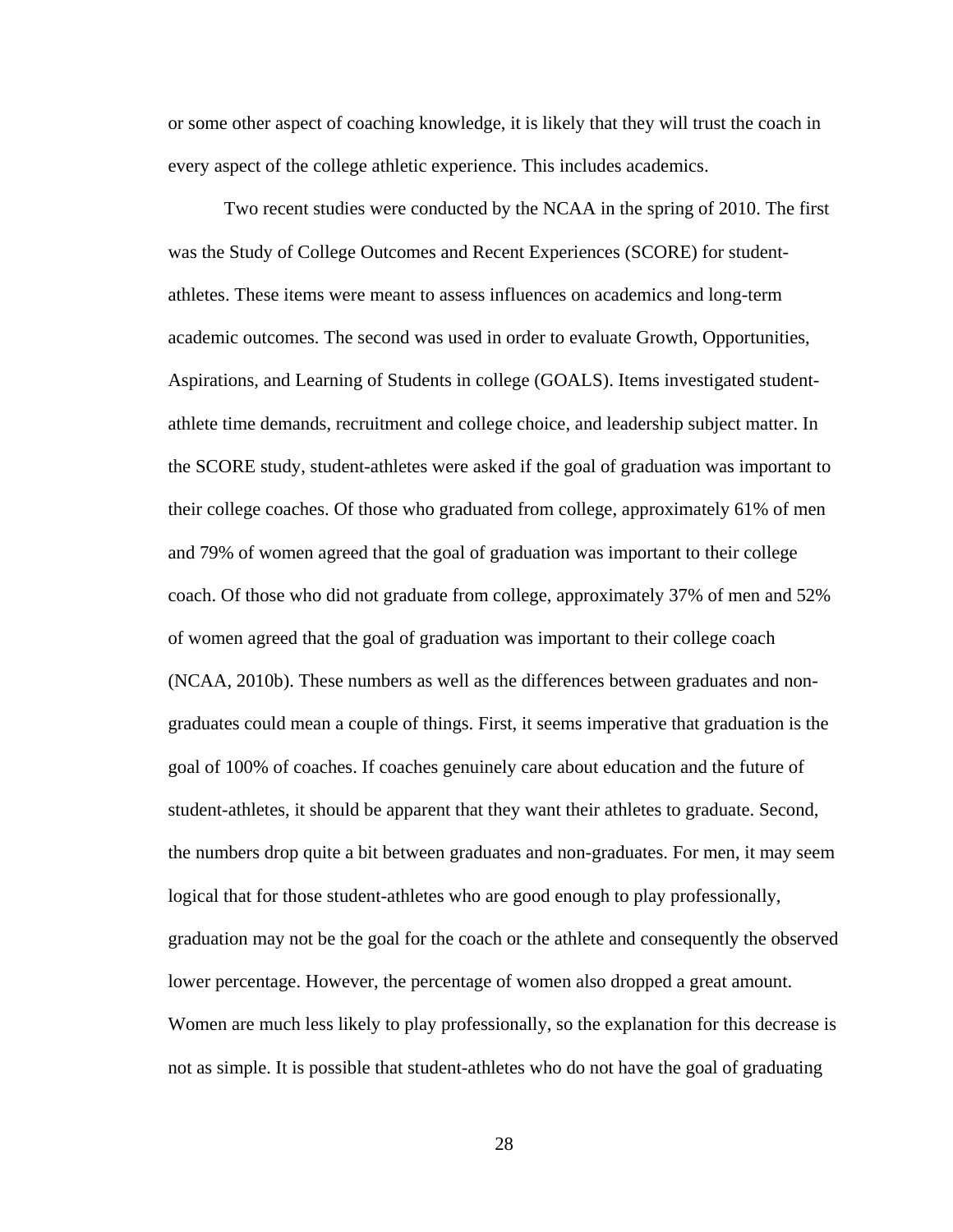or some other aspect of coaching knowledge, it is likely that they will trust the coach in every aspect of the college athletic experience. This includes academics.

Two recent studies were conducted by the NCAA in the spring of 2010. The first was the Study of College Outcomes and Recent Experiences (SCORE) for studentathletes. These items were meant to assess influences on academics and long-term academic outcomes. The second was used in order to evaluate Growth, Opportunities, Aspirations, and Learning of Students in college (GOALS). Items investigated studentathlete time demands, recruitment and college choice, and leadership subject matter. In the SCORE study, student-athletes were asked if the goal of graduation was important to their college coaches. Of those who graduated from college, approximately 61% of men and 79% of women agreed that the goal of graduation was important to their college coach. Of those who did not graduate from college, approximately 37% of men and 52% of women agreed that the goal of graduation was important to their college coach (NCAA, 2010b). These numbers as well as the differences between graduates and nongraduates could mean a couple of things. First, it seems imperative that graduation is the goal of 100% of coaches. If coaches genuinely care about education and the future of student-athletes, it should be apparent that they want their athletes to graduate. Second, the numbers drop quite a bit between graduates and non-graduates. For men, it may seem logical that for those student-athletes who are good enough to play professionally, graduation may not be the goal for the coach or the athlete and consequently the observed lower percentage. However, the percentage of women also dropped a great amount. Women are much less likely to play professionally, so the explanation for this decrease is not as simple. It is possible that student-athletes who do not have the goal of graduating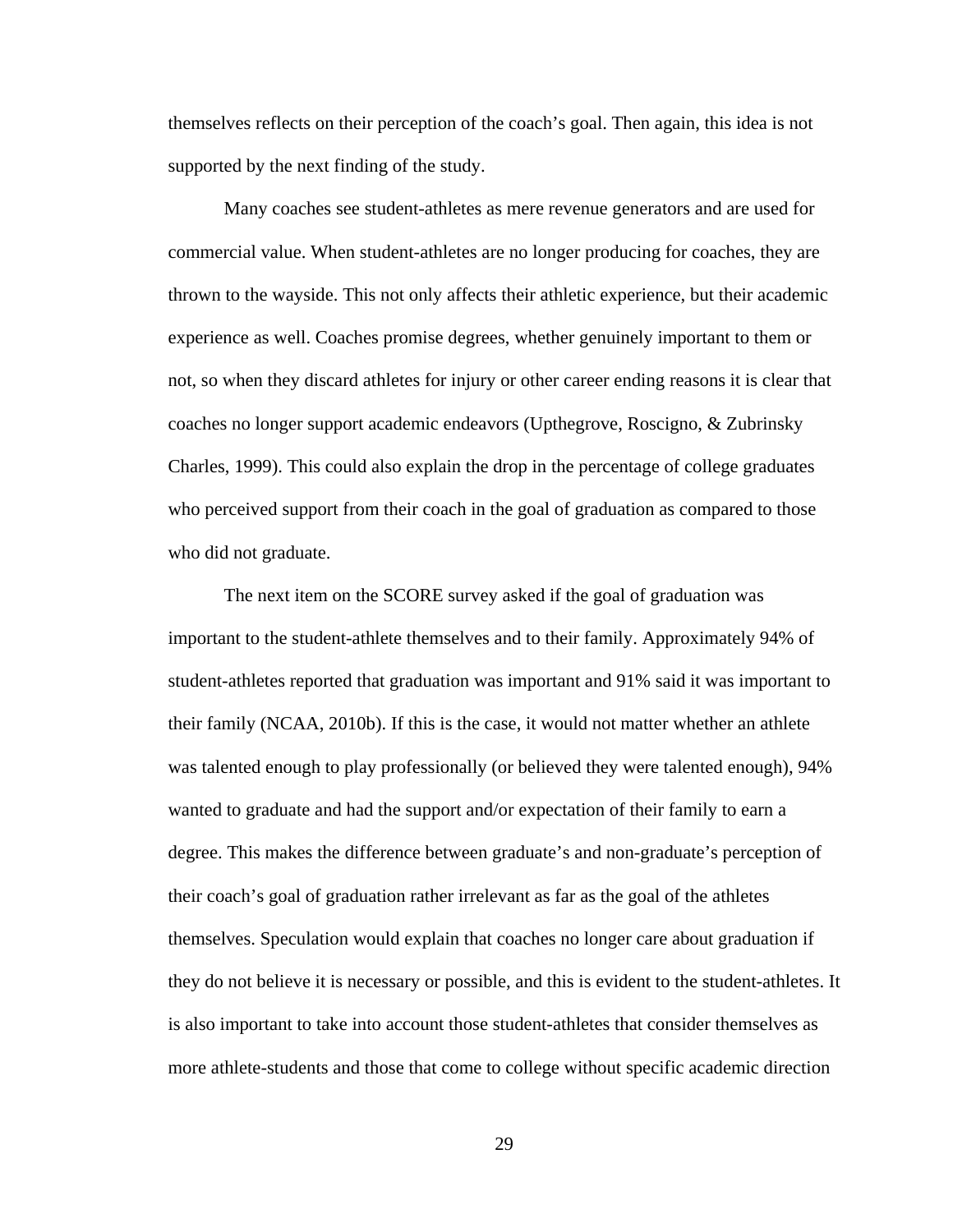themselves reflects on their perception of the coach's goal. Then again, this idea is not supported by the next finding of the study.

Many coaches see student-athletes as mere revenue generators and are used for commercial value. When student-athletes are no longer producing for coaches, they are thrown to the wayside. This not only affects their athletic experience, but their academic experience as well. Coaches promise degrees, whether genuinely important to them or not, so when they discard athletes for injury or other career ending reasons it is clear that coaches no longer support academic endeavors (Upthegrove, Roscigno, & Zubrinsky Charles, 1999). This could also explain the drop in the percentage of college graduates who perceived support from their coach in the goal of graduation as compared to those who did not graduate.

The next item on the SCORE survey asked if the goal of graduation was important to the student-athlete themselves and to their family. Approximately 94% of student-athletes reported that graduation was important and 91% said it was important to their family (NCAA, 2010b). If this is the case, it would not matter whether an athlete was talented enough to play professionally (or believed they were talented enough), 94% wanted to graduate and had the support and/or expectation of their family to earn a degree. This makes the difference between graduate's and non-graduate's perception of their coach's goal of graduation rather irrelevant as far as the goal of the athletes themselves. Speculation would explain that coaches no longer care about graduation if they do not believe it is necessary or possible, and this is evident to the student-athletes. It is also important to take into account those student-athletes that consider themselves as more athlete-students and those that come to college without specific academic direction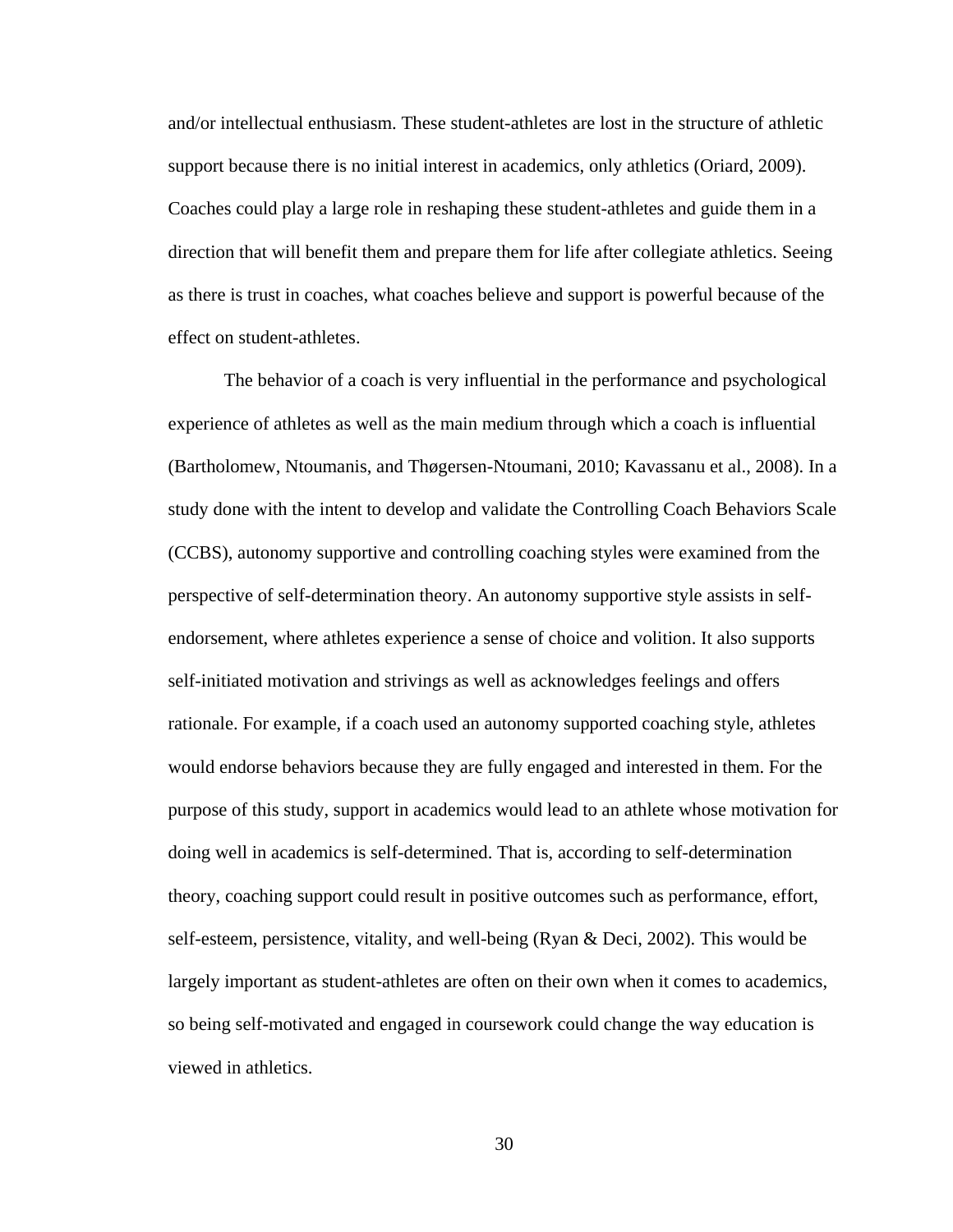and/or intellectual enthusiasm. These student-athletes are lost in the structure of athletic support because there is no initial interest in academics, only athletics (Oriard, 2009). Coaches could play a large role in reshaping these student-athletes and guide them in a direction that will benefit them and prepare them for life after collegiate athletics. Seeing as there is trust in coaches, what coaches believe and support is powerful because of the effect on student-athletes.

The behavior of a coach is very influential in the performance and psychological experience of athletes as well as the main medium through which a coach is influential (Bartholomew, Ntoumanis, and Thøgersen-Ntoumani, 2010; Kavassanu et al., 2008). In a study done with the intent to develop and validate the Controlling Coach Behaviors Scale (CCBS), autonomy supportive and controlling coaching styles were examined from the perspective of self-determination theory. An autonomy supportive style assists in selfendorsement, where athletes experience a sense of choice and volition. It also supports self-initiated motivation and strivings as well as acknowledges feelings and offers rationale. For example, if a coach used an autonomy supported coaching style, athletes would endorse behaviors because they are fully engaged and interested in them. For the purpose of this study, support in academics would lead to an athlete whose motivation for doing well in academics is self-determined. That is, according to self-determination theory, coaching support could result in positive outcomes such as performance, effort, self-esteem, persistence, vitality, and well-being (Ryan & Deci, 2002). This would be largely important as student-athletes are often on their own when it comes to academics, so being self-motivated and engaged in coursework could change the way education is viewed in athletics.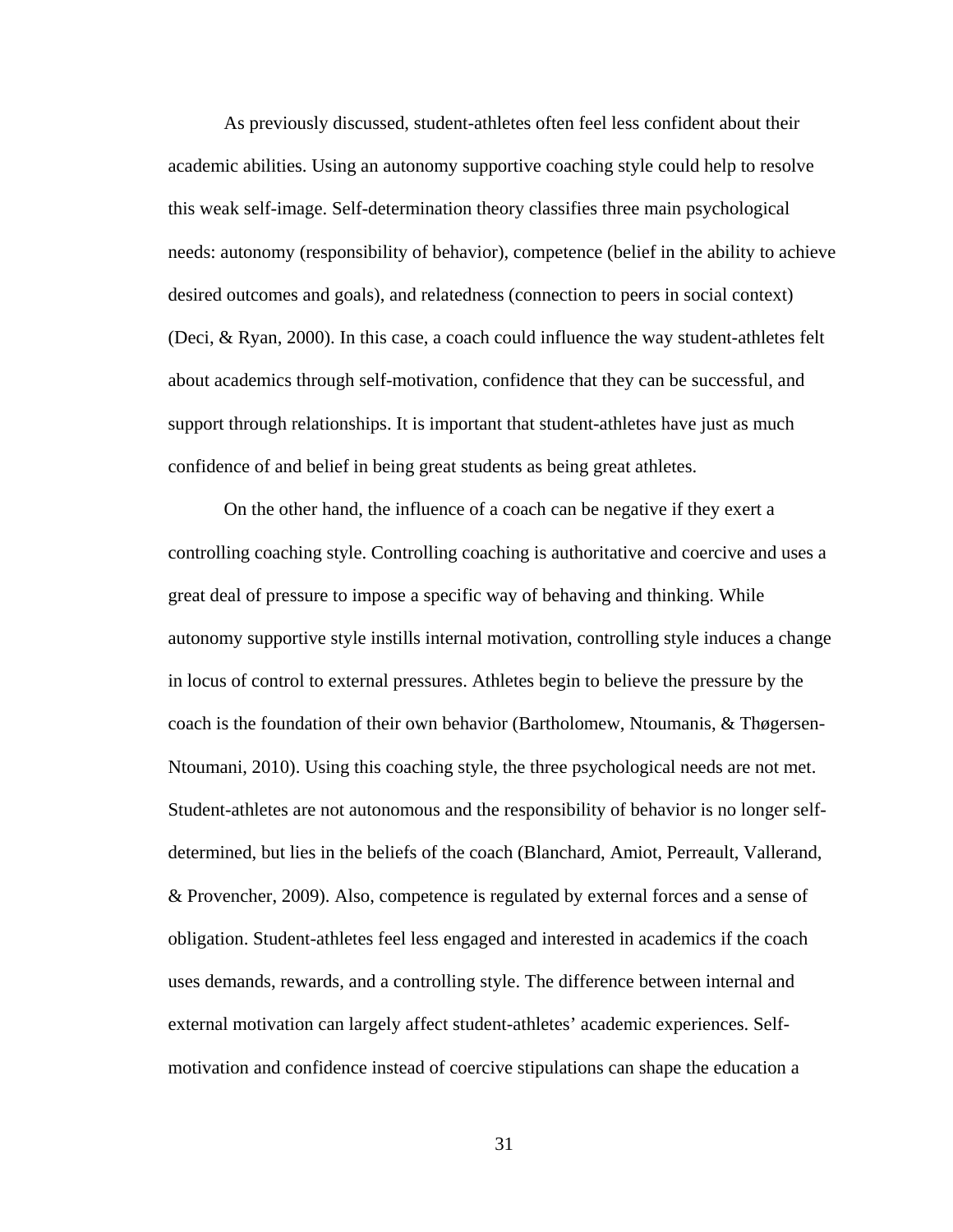As previously discussed, student-athletes often feel less confident about their academic abilities. Using an autonomy supportive coaching style could help to resolve this weak self-image. Self-determination theory classifies three main psychological needs: autonomy (responsibility of behavior), competence (belief in the ability to achieve desired outcomes and goals), and relatedness (connection to peers in social context) (Deci, & Ryan, 2000). In this case, a coach could influence the way student-athletes felt about academics through self-motivation, confidence that they can be successful, and support through relationships. It is important that student-athletes have just as much confidence of and belief in being great students as being great athletes.

On the other hand, the influence of a coach can be negative if they exert a controlling coaching style. Controlling coaching is authoritative and coercive and uses a great deal of pressure to impose a specific way of behaving and thinking. While autonomy supportive style instills internal motivation, controlling style induces a change in locus of control to external pressures. Athletes begin to believe the pressure by the coach is the foundation of their own behavior (Bartholomew, Ntoumanis, & Thøgersen-Ntoumani, 2010). Using this coaching style, the three psychological needs are not met. Student-athletes are not autonomous and the responsibility of behavior is no longer selfdetermined, but lies in the beliefs of the coach (Blanchard, Amiot, Perreault, Vallerand, & Provencher, 2009). Also, competence is regulated by external forces and a sense of obligation. Student-athletes feel less engaged and interested in academics if the coach uses demands, rewards, and a controlling style. The difference between internal and external motivation can largely affect student-athletes' academic experiences. Selfmotivation and confidence instead of coercive stipulations can shape the education a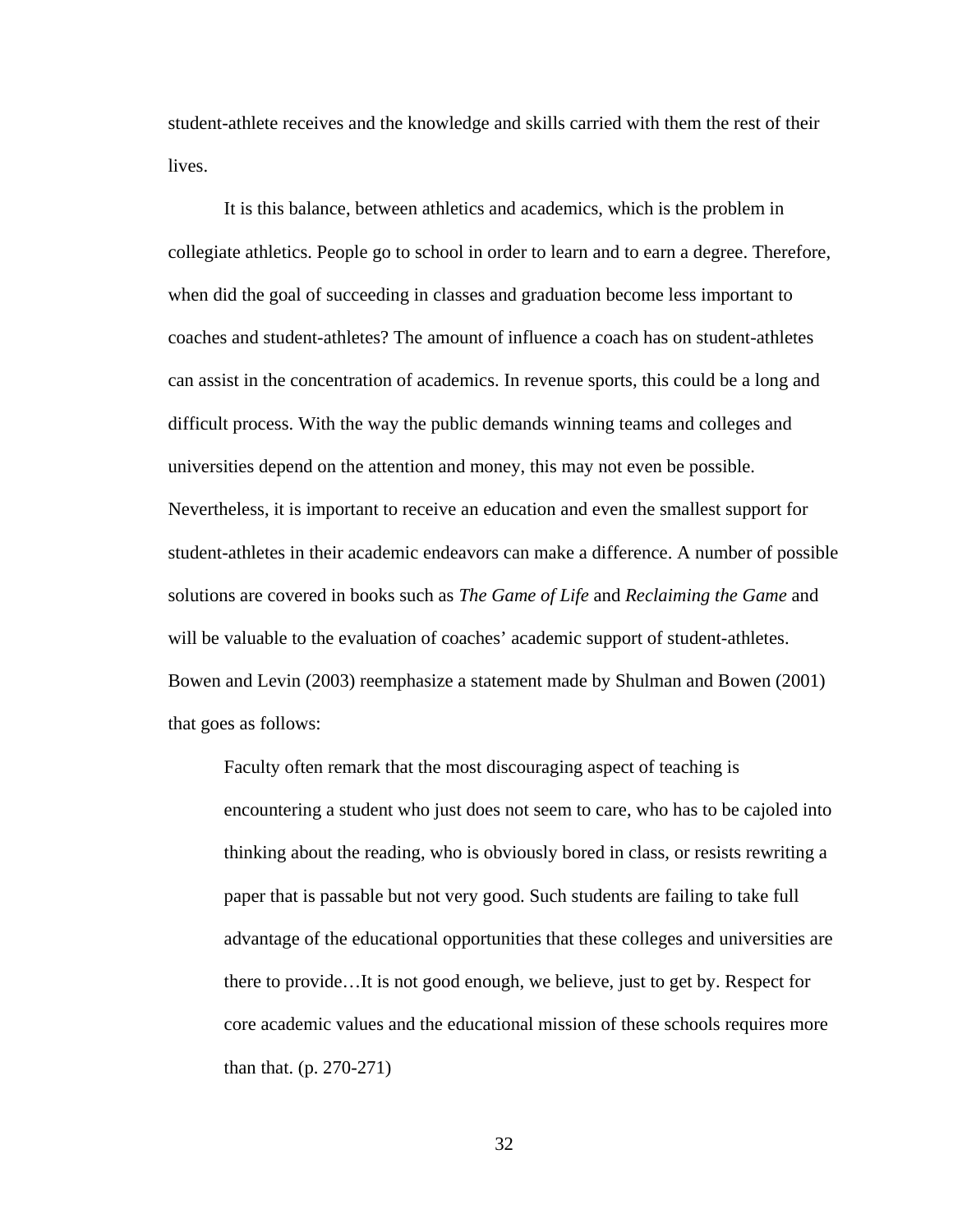student-athlete receives and the knowledge and skills carried with them the rest of their lives.

It is this balance, between athletics and academics, which is the problem in collegiate athletics. People go to school in order to learn and to earn a degree. Therefore, when did the goal of succeeding in classes and graduation become less important to coaches and student-athletes? The amount of influence a coach has on student-athletes can assist in the concentration of academics. In revenue sports, this could be a long and difficult process. With the way the public demands winning teams and colleges and universities depend on the attention and money, this may not even be possible. Nevertheless, it is important to receive an education and even the smallest support for student-athletes in their academic endeavors can make a difference. A number of possible solutions are covered in books such as *The Game of Life* and *Reclaiming the Game* and will be valuable to the evaluation of coaches' academic support of student-athletes. Bowen and Levin (2003) reemphasize a statement made by Shulman and Bowen (2001) that goes as follows:

Faculty often remark that the most discouraging aspect of teaching is encountering a student who just does not seem to care, who has to be cajoled into thinking about the reading, who is obviously bored in class, or resists rewriting a paper that is passable but not very good. Such students are failing to take full advantage of the educational opportunities that these colleges and universities are there to provide…It is not good enough, we believe, just to get by. Respect for core academic values and the educational mission of these schools requires more than that. (p. 270-271)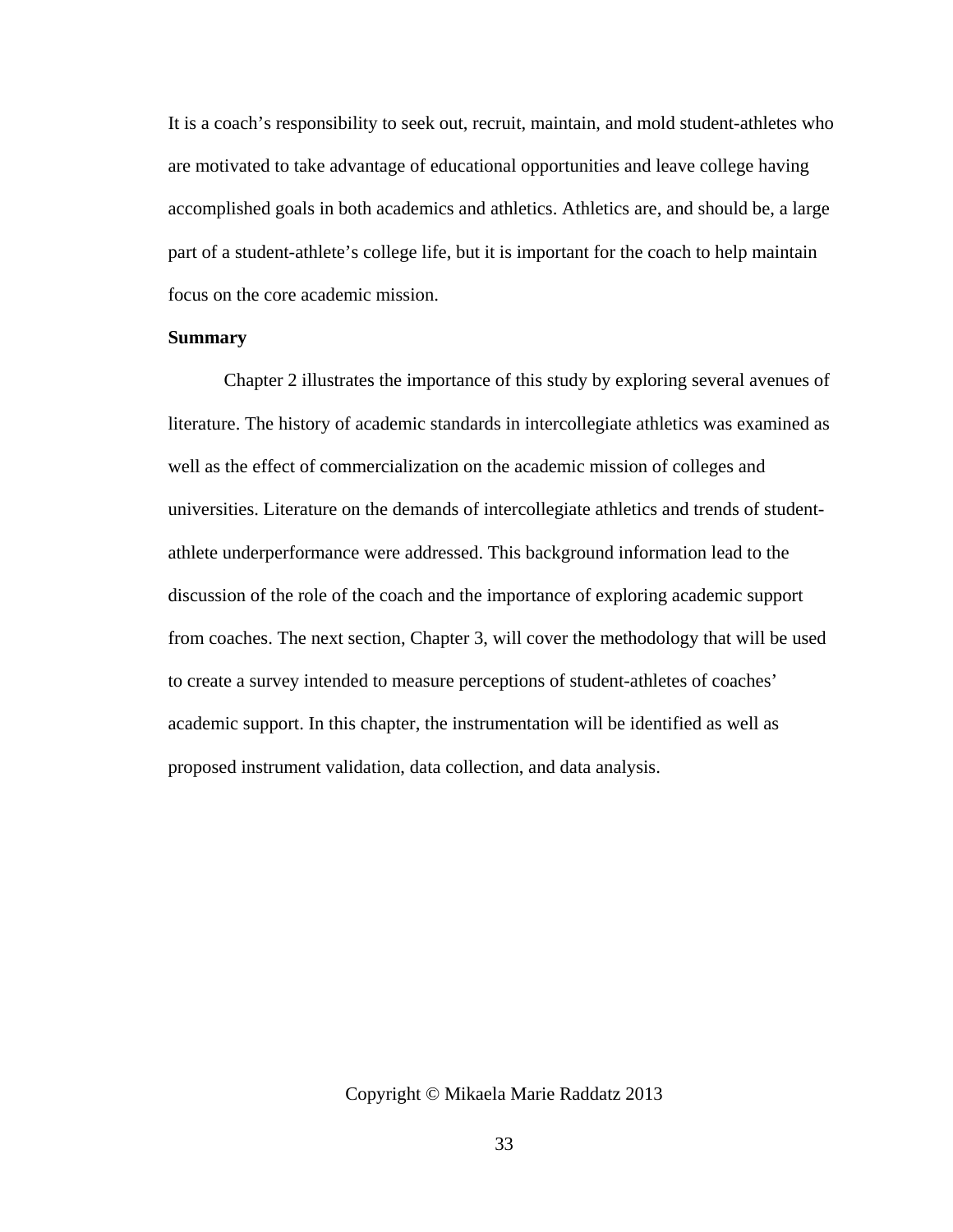It is a coach's responsibility to seek out, recruit, maintain, and mold student-athletes who are motivated to take advantage of educational opportunities and leave college having accomplished goals in both academics and athletics. Athletics are, and should be, a large part of a student-athlete's college life, but it is important for the coach to help maintain focus on the core academic mission.

### **Summary**

Chapter 2 illustrates the importance of this study by exploring several avenues of literature. The history of academic standards in intercollegiate athletics was examined as well as the effect of commercialization on the academic mission of colleges and universities. Literature on the demands of intercollegiate athletics and trends of studentathlete underperformance were addressed. This background information lead to the discussion of the role of the coach and the importance of exploring academic support from coaches. The next section, Chapter 3, will cover the methodology that will be used to create a survey intended to measure perceptions of student-athletes of coaches' academic support. In this chapter, the instrumentation will be identified as well as proposed instrument validation, data collection, and data analysis.

Copyright © Mikaela Marie Raddatz 2013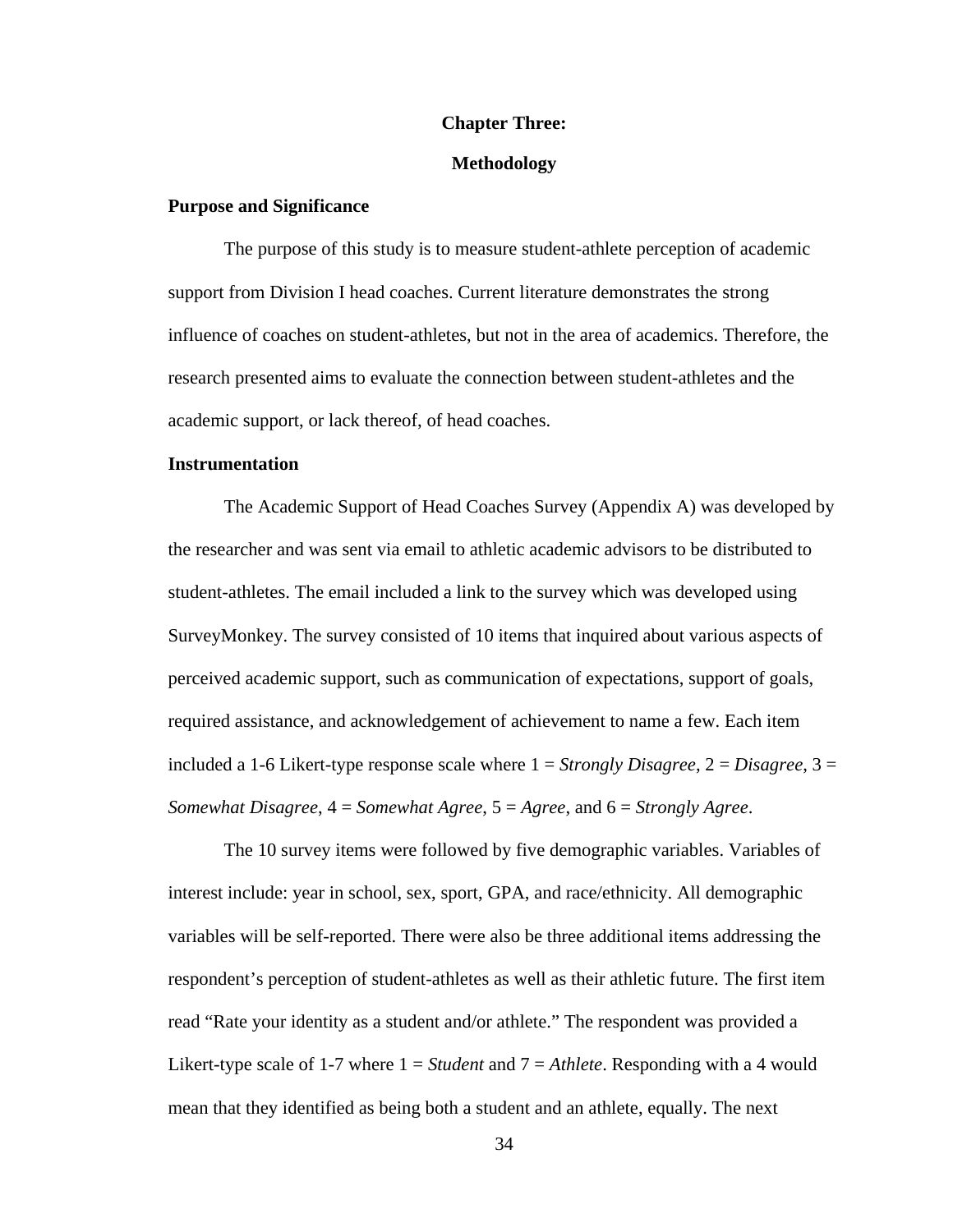### **Chapter Three:**

### **Methodology**

### **Purpose and Significance**

The purpose of this study is to measure student-athlete perception of academic support from Division I head coaches. Current literature demonstrates the strong influence of coaches on student-athletes, but not in the area of academics. Therefore, the research presented aims to evaluate the connection between student-athletes and the academic support, or lack thereof, of head coaches.

### **Instrumentation**

The Academic Support of Head Coaches Survey (Appendix A) was developed by the researcher and was sent via email to athletic academic advisors to be distributed to student-athletes. The email included a link to the survey which was developed using SurveyMonkey. The survey consisted of 10 items that inquired about various aspects of perceived academic support, such as communication of expectations, support of goals, required assistance, and acknowledgement of achievement to name a few. Each item included a 1-6 Likert-type response scale where 1 = *Strongly Disagree*, 2 = *Disagree*, 3 = *Somewhat Disagree*, 4 = *Somewhat Agree*, 5 = *Agree*, and 6 = *Strongly Agree*.

The 10 survey items were followed by five demographic variables. Variables of interest include: year in school, sex, sport, GPA, and race/ethnicity. All demographic variables will be self-reported. There were also be three additional items addressing the respondent's perception of student-athletes as well as their athletic future. The first item read "Rate your identity as a student and/or athlete." The respondent was provided a Likert-type scale of 1-7 where 1 = *Student* and 7 = *Athlete*. Responding with a 4 would mean that they identified as being both a student and an athlete, equally. The next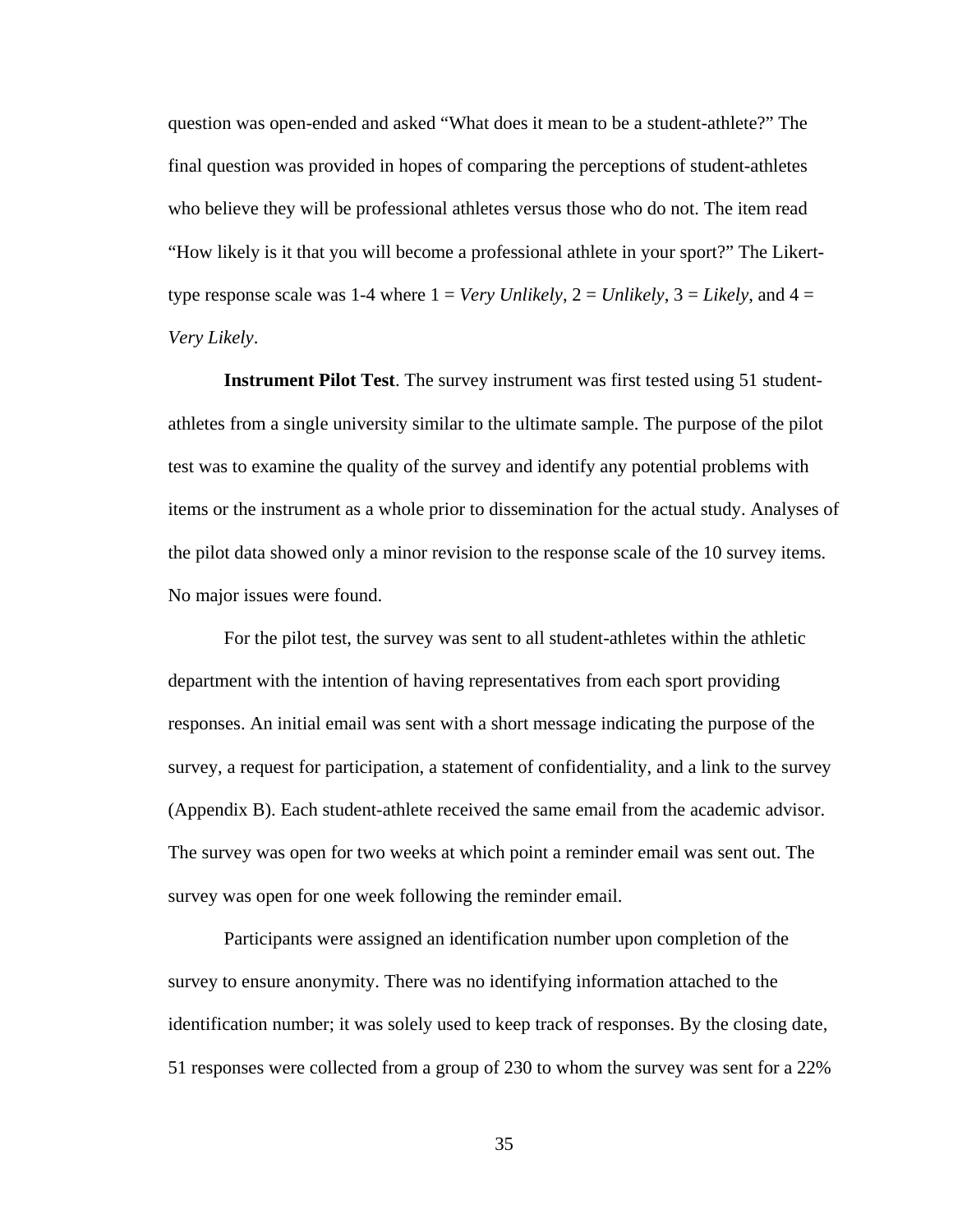question was open-ended and asked "What does it mean to be a student-athlete?" The final question was provided in hopes of comparing the perceptions of student-athletes who believe they will be professional athletes versus those who do not. The item read "How likely is it that you will become a professional athlete in your sport?" The Likerttype response scale was 1-4 where  $1 = Very$  *Unlikely*,  $2 = Unlikely$ ,  $3 = Likely$ , and  $4 =$ *Very Likely*.

**Instrument Pilot Test**. The survey instrument was first tested using 51 studentathletes from a single university similar to the ultimate sample. The purpose of the pilot test was to examine the quality of the survey and identify any potential problems with items or the instrument as a whole prior to dissemination for the actual study. Analyses of the pilot data showed only a minor revision to the response scale of the 10 survey items. No major issues were found.

For the pilot test, the survey was sent to all student-athletes within the athletic department with the intention of having representatives from each sport providing responses. An initial email was sent with a short message indicating the purpose of the survey, a request for participation, a statement of confidentiality, and a link to the survey (Appendix B). Each student-athlete received the same email from the academic advisor. The survey was open for two weeks at which point a reminder email was sent out. The survey was open for one week following the reminder email.

Participants were assigned an identification number upon completion of the survey to ensure anonymity. There was no identifying information attached to the identification number; it was solely used to keep track of responses. By the closing date, 51 responses were collected from a group of 230 to whom the survey was sent for a 22%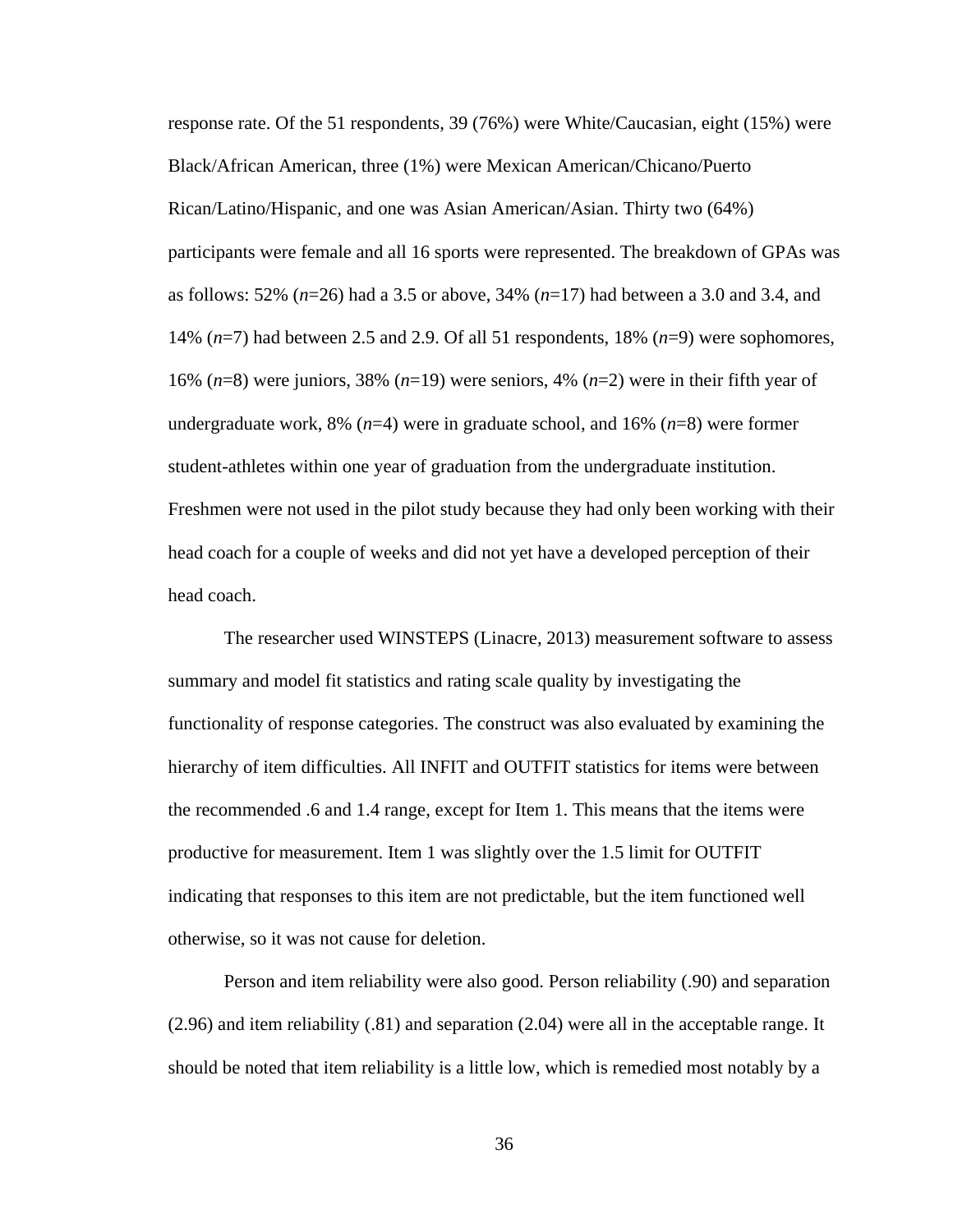response rate. Of the 51 respondents, 39 (76%) were White/Caucasian, eight (15%) were Black/African American, three (1%) were Mexican American/Chicano/Puerto Rican/Latino/Hispanic, and one was Asian American/Asian. Thirty two (64%) participants were female and all 16 sports were represented. The breakdown of GPAs was as follows: 52% (*n*=26) had a 3.5 or above, 34% (*n*=17) had between a 3.0 and 3.4, and 14% (*n*=7) had between 2.5 and 2.9. Of all 51 respondents, 18% (*n*=9) were sophomores, 16% (*n*=8) were juniors, 38% (*n*=19) were seniors, 4% (*n*=2) were in their fifth year of undergraduate work, 8% (*n*=4) were in graduate school, and 16% (*n*=8) were former student-athletes within one year of graduation from the undergraduate institution. Freshmen were not used in the pilot study because they had only been working with their head coach for a couple of weeks and did not yet have a developed perception of their head coach.

The researcher used WINSTEPS (Linacre, 2013) measurement software to assess summary and model fit statistics and rating scale quality by investigating the functionality of response categories. The construct was also evaluated by examining the hierarchy of item difficulties. All INFIT and OUTFIT statistics for items were between the recommended .6 and 1.4 range, except for Item 1. This means that the items were productive for measurement. Item 1 was slightly over the 1.5 limit for OUTFIT indicating that responses to this item are not predictable, but the item functioned well otherwise, so it was not cause for deletion.

Person and item reliability were also good. Person reliability (.90) and separation (2.96) and item reliability (.81) and separation (2.04) were all in the acceptable range. It should be noted that item reliability is a little low, which is remedied most notably by a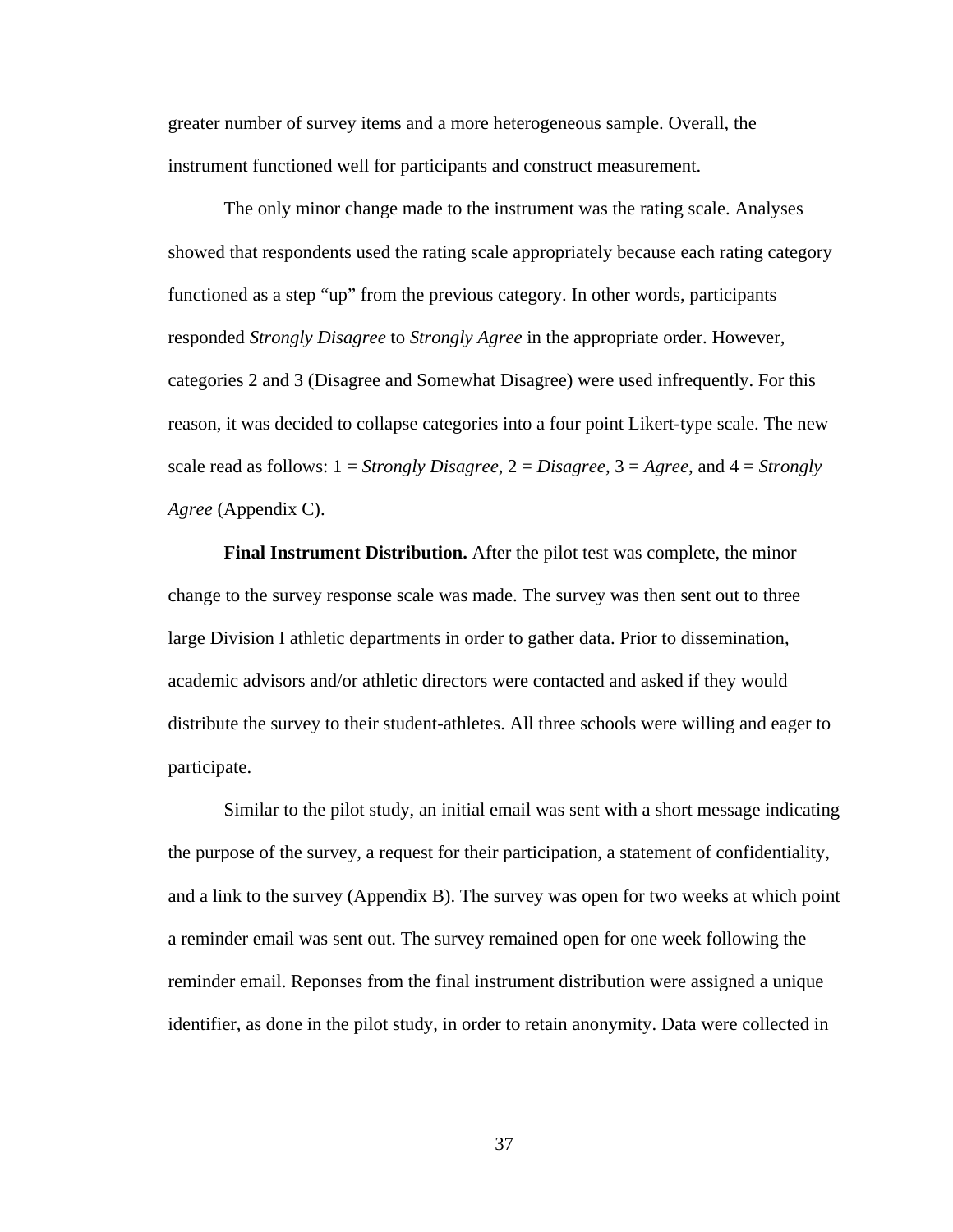greater number of survey items and a more heterogeneous sample. Overall, the instrument functioned well for participants and construct measurement.

The only minor change made to the instrument was the rating scale. Analyses showed that respondents used the rating scale appropriately because each rating category functioned as a step "up" from the previous category. In other words, participants responded *Strongly Disagree* to *Strongly Agree* in the appropriate order. However, categories 2 and 3 (Disagree and Somewhat Disagree) were used infrequently. For this reason, it was decided to collapse categories into a four point Likert-type scale. The new scale read as follows: 1 = *Strongly Disagree*, 2 = *Disagree*, 3 = *Agree*, and 4 = *Strongly Agree* (Appendix C).

**Final Instrument Distribution.** After the pilot test was complete, the minor change to the survey response scale was made. The survey was then sent out to three large Division I athletic departments in order to gather data. Prior to dissemination, academic advisors and/or athletic directors were contacted and asked if they would distribute the survey to their student-athletes. All three schools were willing and eager to participate.

Similar to the pilot study, an initial email was sent with a short message indicating the purpose of the survey, a request for their participation, a statement of confidentiality, and a link to the survey (Appendix B). The survey was open for two weeks at which point a reminder email was sent out. The survey remained open for one week following the reminder email. Reponses from the final instrument distribution were assigned a unique identifier, as done in the pilot study, in order to retain anonymity. Data were collected in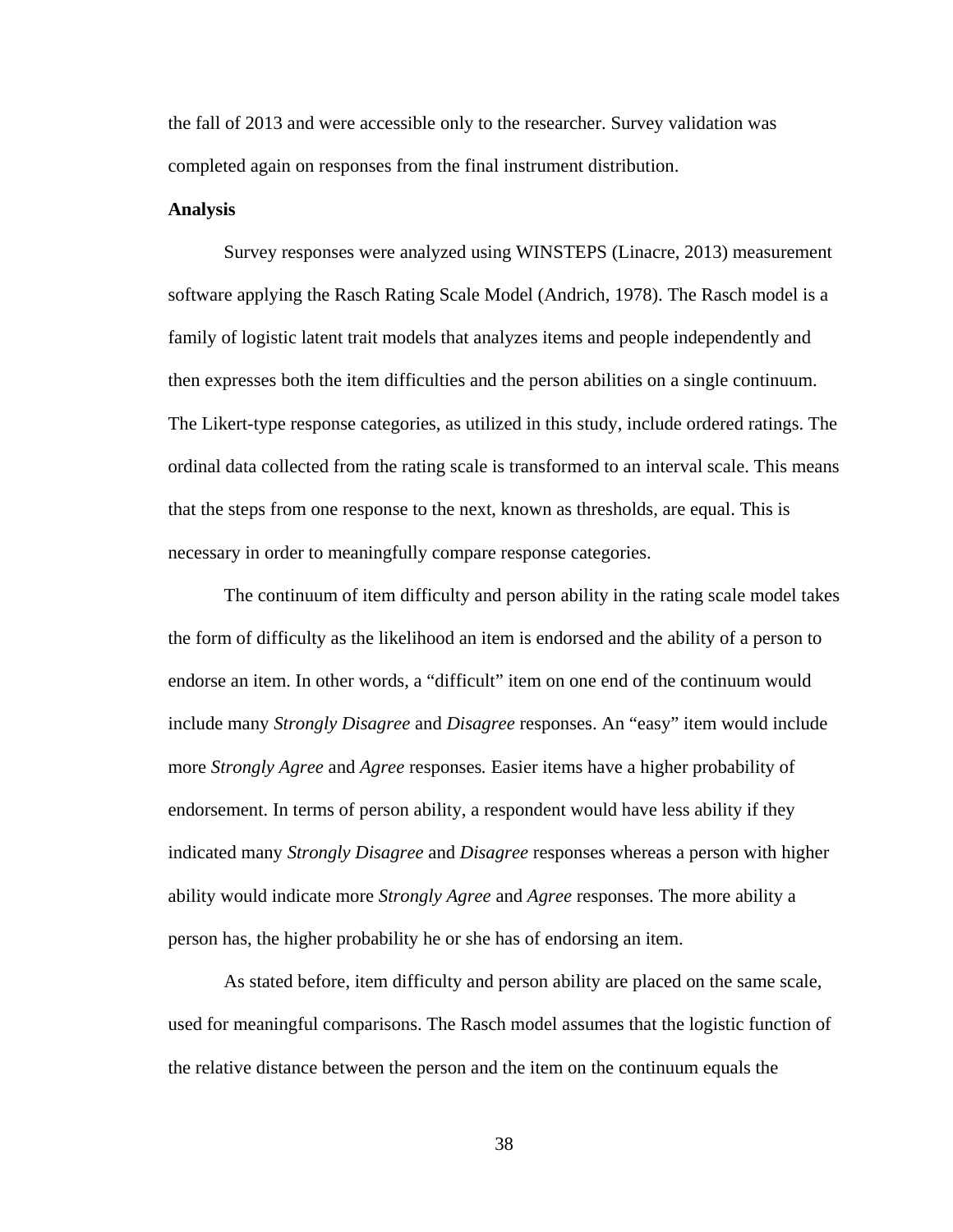the fall of 2013 and were accessible only to the researcher. Survey validation was completed again on responses from the final instrument distribution.

### **Analysis**

Survey responses were analyzed using WINSTEPS (Linacre, 2013) measurement software applying the Rasch Rating Scale Model (Andrich, 1978). The Rasch model is a family of logistic latent trait models that analyzes items and people independently and then expresses both the item difficulties and the person abilities on a single continuum. The Likert-type response categories, as utilized in this study, include ordered ratings. The ordinal data collected from the rating scale is transformed to an interval scale. This means that the steps from one response to the next, known as thresholds, are equal. This is necessary in order to meaningfully compare response categories.

The continuum of item difficulty and person ability in the rating scale model takes the form of difficulty as the likelihood an item is endorsed and the ability of a person to endorse an item. In other words, a "difficult" item on one end of the continuum would include many *Strongly Disagree* and *Disagree* responses. An "easy" item would include more *Strongly Agree* and *Agree* responses*.* Easier items have a higher probability of endorsement. In terms of person ability, a respondent would have less ability if they indicated many *Strongly Disagree* and *Disagree* responses whereas a person with higher ability would indicate more *Strongly Agree* and *Agree* responses. The more ability a person has, the higher probability he or she has of endorsing an item.

As stated before, item difficulty and person ability are placed on the same scale, used for meaningful comparisons. The Rasch model assumes that the logistic function of the relative distance between the person and the item on the continuum equals the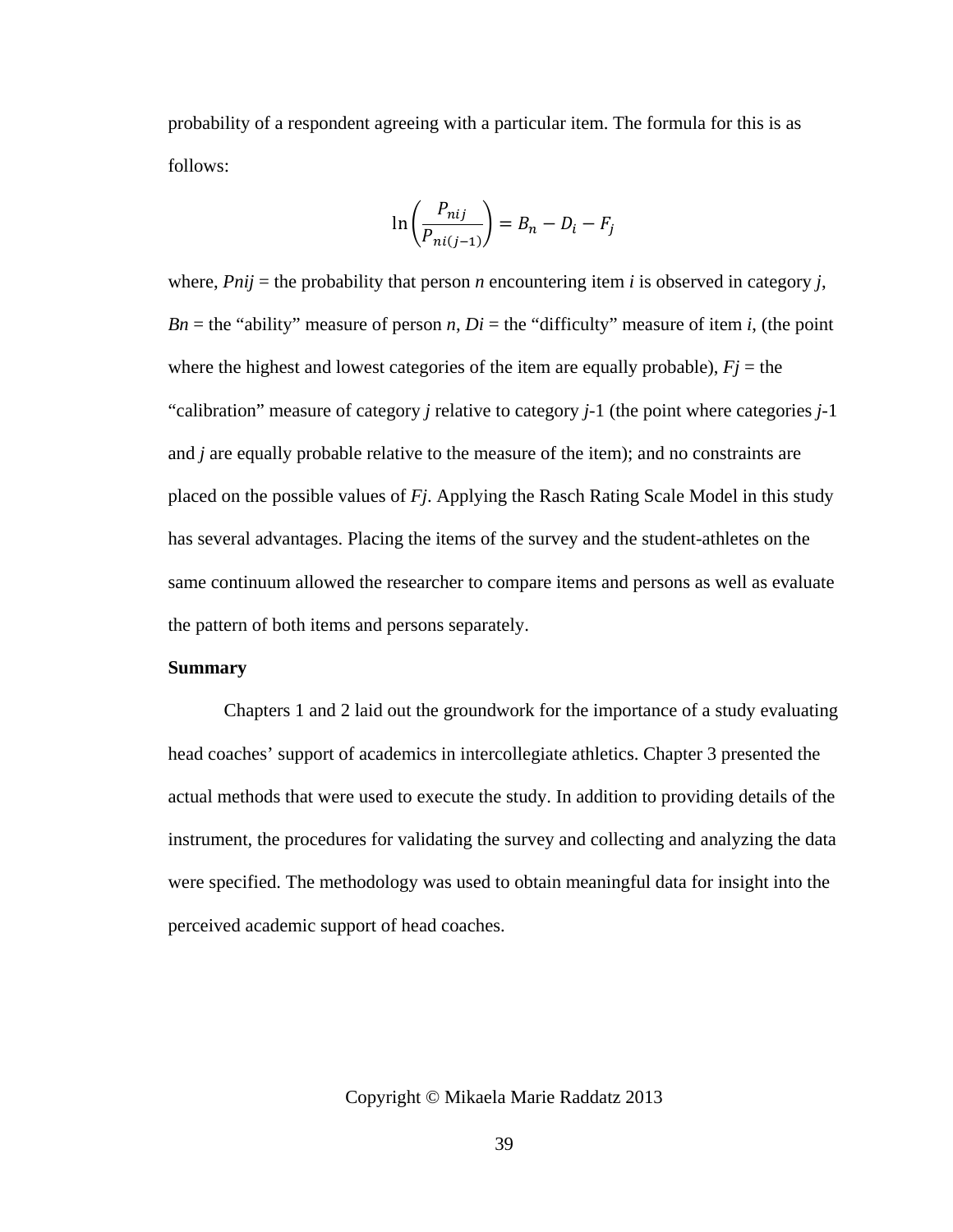probability of a respondent agreeing with a particular item. The formula for this is as follows:

$$
\ln\left(\frac{P_{nij}}{P_{ni(j-1)}}\right) = B_n - D_i - F_j
$$

where,  $Pnij$  = the probability that person *n* encountering item *i* is observed in category *j*,  $Bn =$  the "ability" measure of person *n*,  $Di =$  the "difficulty" measure of item *i*, (the point where the highest and lowest categories of the item are equally probable),  $Fj$  = the "calibration" measure of category *j* relative to category *j*-1 (the point where categories *j*-1 and *j* are equally probable relative to the measure of the item); and no constraints are placed on the possible values of *Fj*. Applying the Rasch Rating Scale Model in this study has several advantages. Placing the items of the survey and the student-athletes on the same continuum allowed the researcher to compare items and persons as well as evaluate the pattern of both items and persons separately.

### **Summary**

Chapters 1 and 2 laid out the groundwork for the importance of a study evaluating head coaches' support of academics in intercollegiate athletics. Chapter 3 presented the actual methods that were used to execute the study. In addition to providing details of the instrument, the procedures for validating the survey and collecting and analyzing the data were specified. The methodology was used to obtain meaningful data for insight into the perceived academic support of head coaches.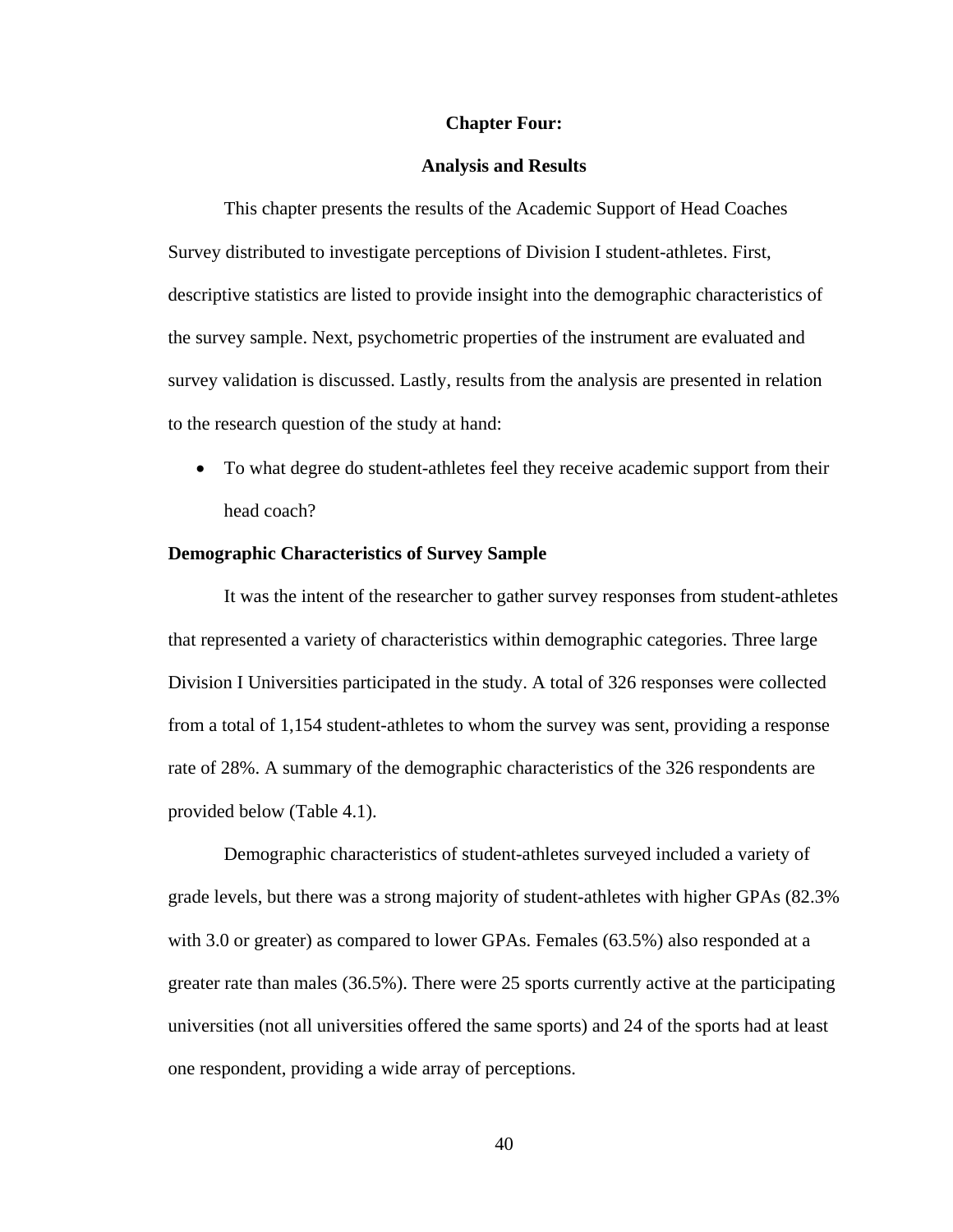#### **Chapter Four:**

### **Analysis and Results**

This chapter presents the results of the Academic Support of Head Coaches Survey distributed to investigate perceptions of Division I student-athletes. First, descriptive statistics are listed to provide insight into the demographic characteristics of the survey sample. Next, psychometric properties of the instrument are evaluated and survey validation is discussed. Lastly, results from the analysis are presented in relation to the research question of the study at hand:

 To what degree do student-athletes feel they receive academic support from their head coach?

### **Demographic Characteristics of Survey Sample**

It was the intent of the researcher to gather survey responses from student-athletes that represented a variety of characteristics within demographic categories. Three large Division I Universities participated in the study. A total of 326 responses were collected from a total of 1,154 student-athletes to whom the survey was sent, providing a response rate of 28%. A summary of the demographic characteristics of the 326 respondents are provided below (Table 4.1).

Demographic characteristics of student-athletes surveyed included a variety of grade levels, but there was a strong majority of student-athletes with higher GPAs (82.3% with 3.0 or greater) as compared to lower GPAs. Females (63.5%) also responded at a greater rate than males (36.5%). There were 25 sports currently active at the participating universities (not all universities offered the same sports) and 24 of the sports had at least one respondent, providing a wide array of perceptions.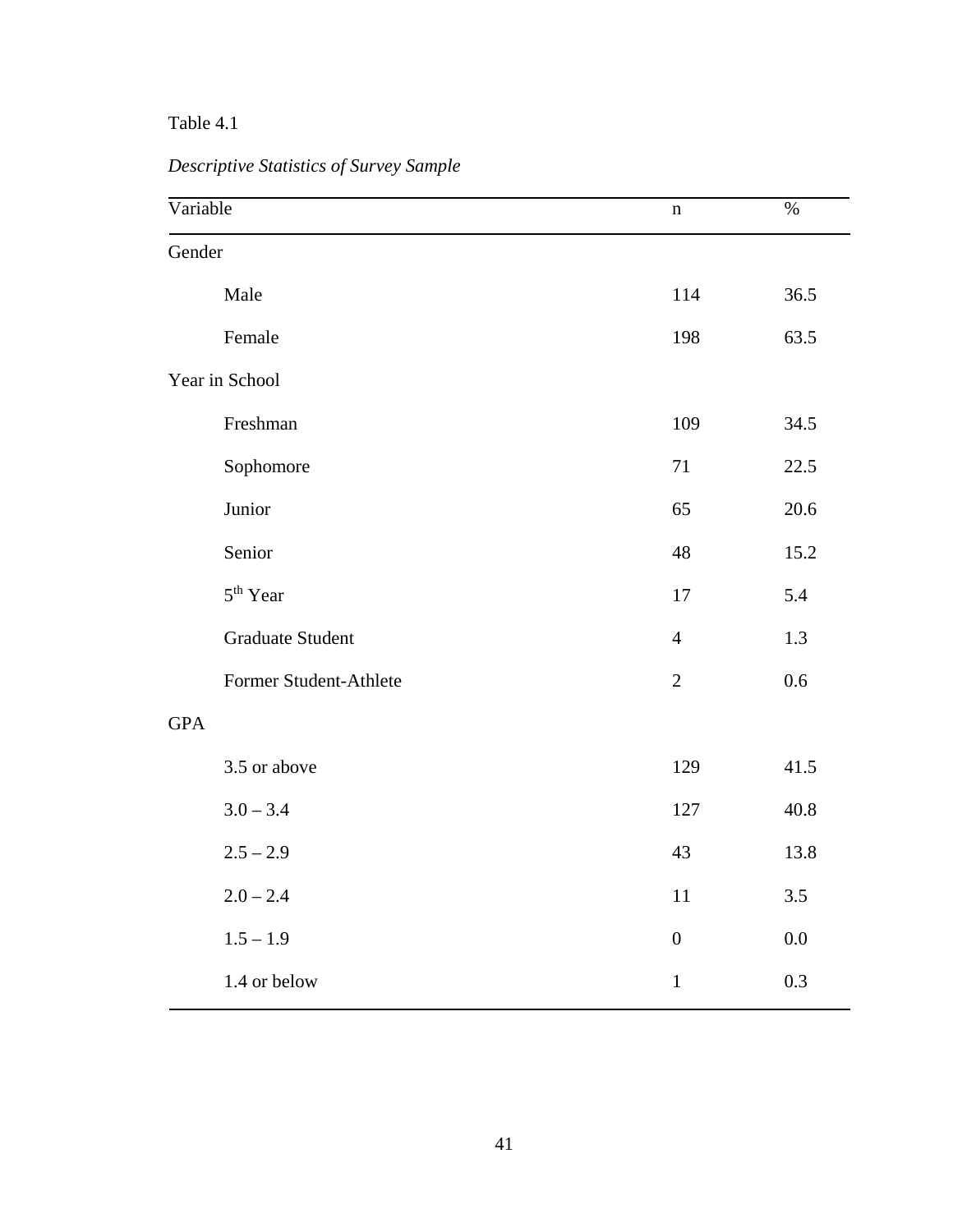## Table 4.1

*Descriptive Statistics of Survey Sample* 

| Variable   |                         | $\mathbf n$    | $\%$    |
|------------|-------------------------|----------------|---------|
| Gender     |                         |                |         |
|            | Male                    | 114            | 36.5    |
|            | Female                  | 198            | 63.5    |
|            | Year in School          |                |         |
|            | Freshman                | 109            | 34.5    |
|            | Sophomore               | 71             | 22.5    |
|            | Junior                  | 65             | 20.6    |
|            | Senior                  | 48             | 15.2    |
|            | 5 <sup>th</sup> Year    | 17             | 5.4     |
|            | <b>Graduate Student</b> | $\overline{4}$ | 1.3     |
|            | Former Student-Athlete  | $\mathbf{2}$   | 0.6     |
| <b>GPA</b> |                         |                |         |
|            | 3.5 or above            | 129            | 41.5    |
|            | $3.0 - 3.4$             | 127            | 40.8    |
|            | $2.5 - 2.9$             | 43             | 13.8    |
|            | $2.0 - 2.4$             | 11             | 3.5     |
|            | $1.5 - 1.9$             | $\overline{0}$ | $0.0\,$ |
|            | 1.4 or below            | $\,1\,$        | 0.3     |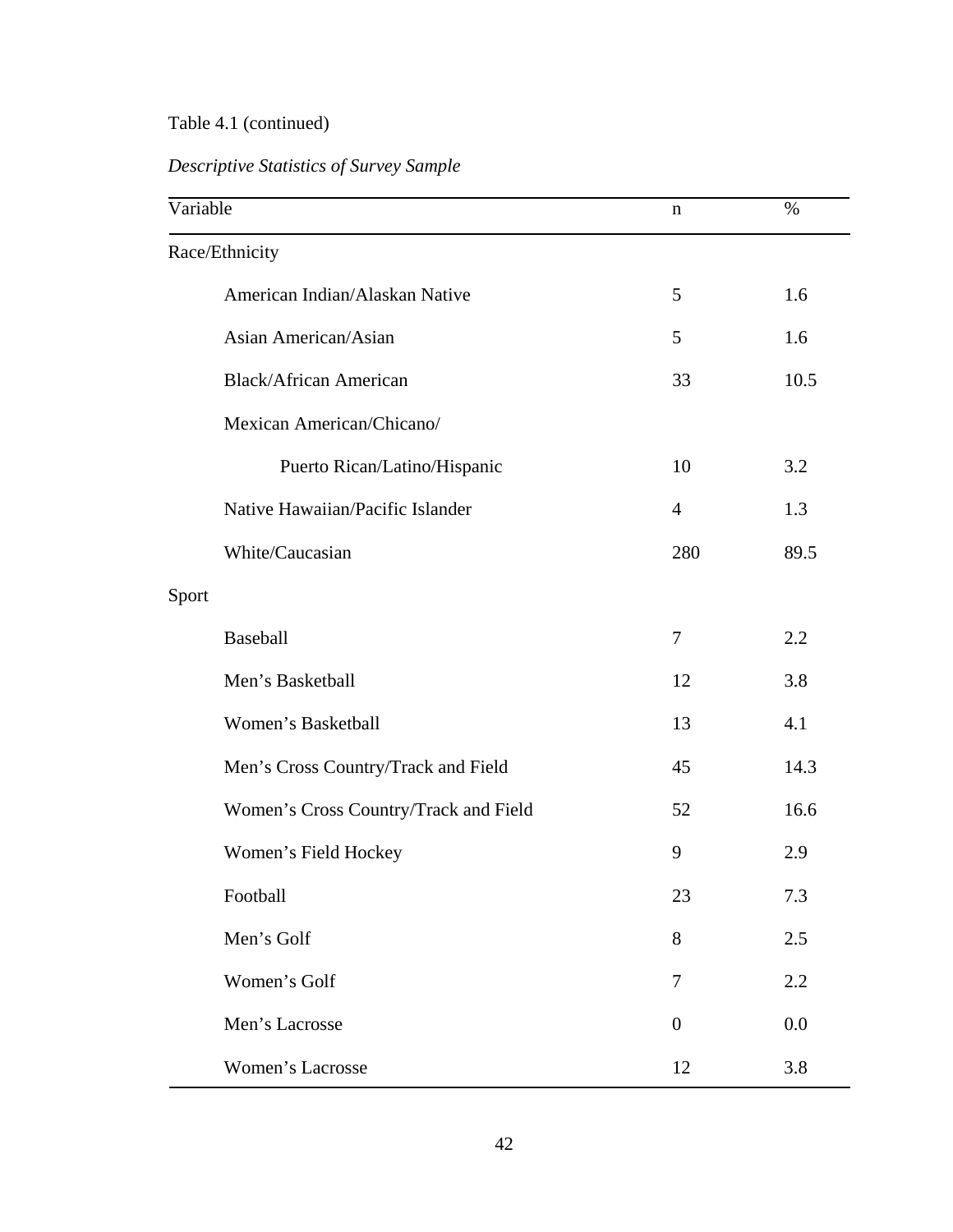# Table 4.1 (continued)

*Descriptive Statistics of Survey Sample* 

| Variable |                                       | n              | $\%$ |  |
|----------|---------------------------------------|----------------|------|--|
|          | Race/Ethnicity                        |                |      |  |
|          | American Indian/Alaskan Native        | 5              | 1.6  |  |
|          | Asian American/Asian                  | 5              | 1.6  |  |
|          | <b>Black/African American</b>         | 33             | 10.5 |  |
|          | Mexican American/Chicano/             |                |      |  |
|          | Puerto Rican/Latino/Hispanic          | 10             | 3.2  |  |
|          | Native Hawaiian/Pacific Islander      | $\overline{4}$ | 1.3  |  |
|          | White/Caucasian                       | 280            | 89.5 |  |
| Sport    |                                       |                |      |  |
|          | Baseball                              | $\overline{7}$ | 2.2  |  |
|          | Men's Basketball                      | 12             | 3.8  |  |
|          | Women's Basketball                    | 13             | 4.1  |  |
|          | Men's Cross Country/Track and Field   | 45             | 14.3 |  |
|          | Women's Cross Country/Track and Field | 52             | 16.6 |  |
|          | Women's Field Hockey                  | 9              | 2.9  |  |
|          | Football                              | 23             | 7.3  |  |
|          | Men's Golf                            | 8              | 2.5  |  |
|          | Women's Golf                          | 7              | 2.2  |  |
|          | Men's Lacrosse                        | $\overline{0}$ | 0.0  |  |
|          | Women's Lacrosse                      | 12             | 3.8  |  |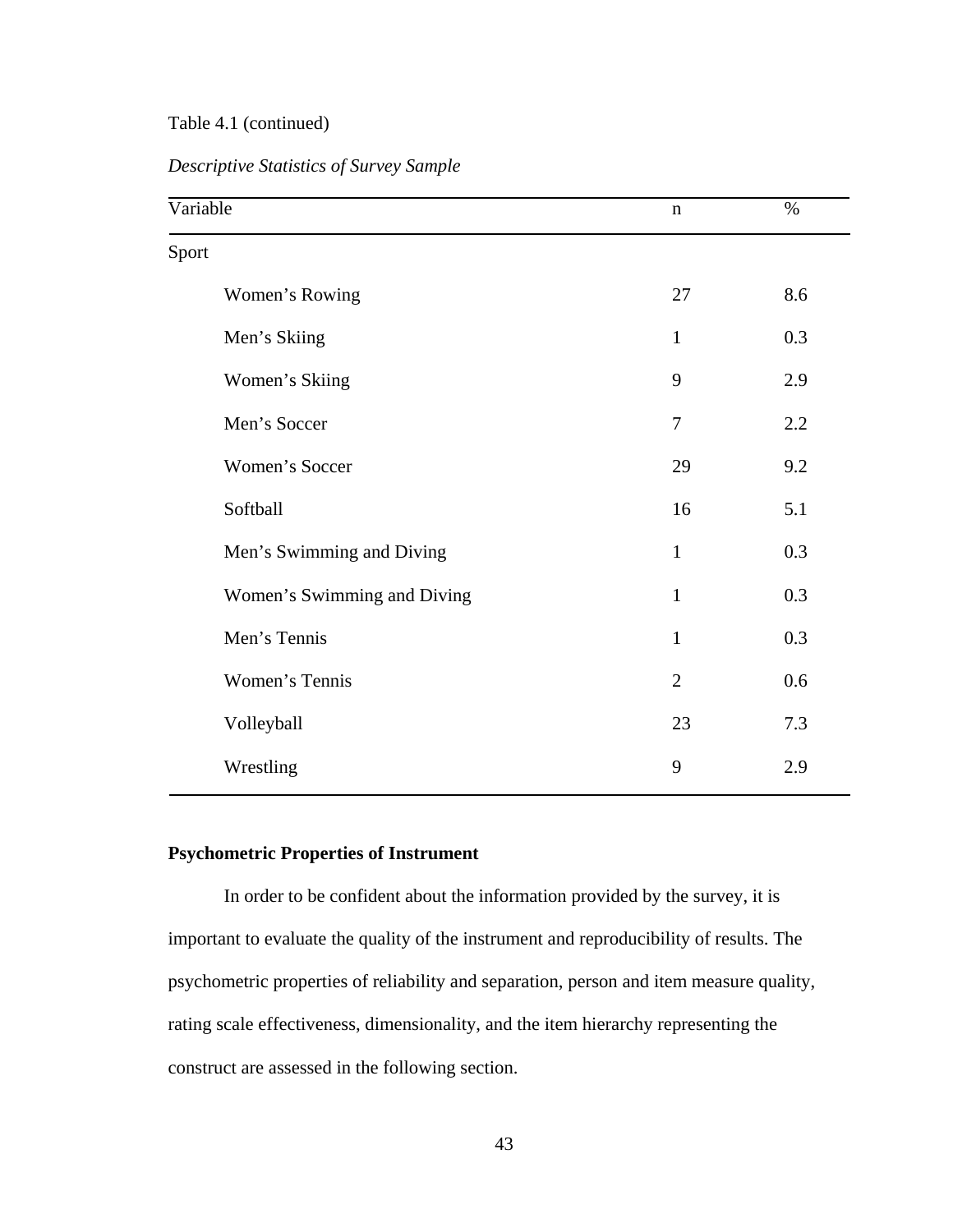### Table 4.1 (continued)

*Descriptive Statistics of Survey Sample* 

| Variable |                             | $\mathbf n$    | $\%$ |
|----------|-----------------------------|----------------|------|
| Sport    |                             |                |      |
|          | Women's Rowing              | 27             | 8.6  |
|          | Men's Skiing                | $\mathbf{1}$   | 0.3  |
|          | Women's Skiing              | 9              | 2.9  |
|          | Men's Soccer                | 7              | 2.2  |
|          | Women's Soccer              | 29             | 9.2  |
|          | Softball                    | 16             | 5.1  |
|          | Men's Swimming and Diving   | $\mathbf{1}$   | 0.3  |
|          | Women's Swimming and Diving | $\mathbf{1}$   | 0.3  |
|          | Men's Tennis                | $\mathbf{1}$   | 0.3  |
|          | Women's Tennis              | $\overline{2}$ | 0.6  |
|          | Volleyball                  | 23             | 7.3  |
|          | Wrestling                   | 9              | 2.9  |
|          |                             |                |      |

### **Psychometric Properties of Instrument**

In order to be confident about the information provided by the survey, it is important to evaluate the quality of the instrument and reproducibility of results. The psychometric properties of reliability and separation, person and item measure quality, rating scale effectiveness, dimensionality, and the item hierarchy representing the construct are assessed in the following section.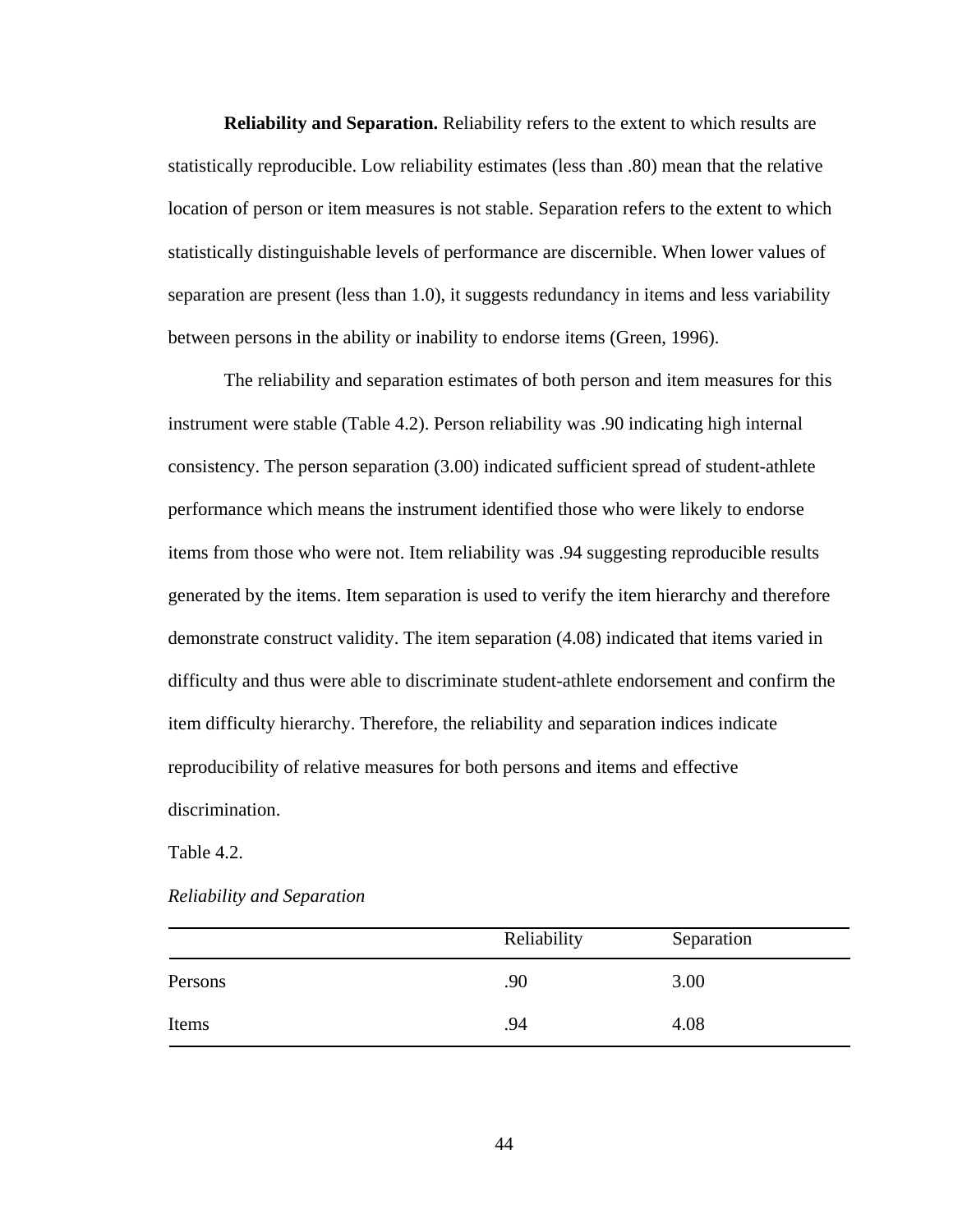**Reliability and Separation.** Reliability refers to the extent to which results are statistically reproducible. Low reliability estimates (less than .80) mean that the relative location of person or item measures is not stable. Separation refers to the extent to which statistically distinguishable levels of performance are discernible. When lower values of separation are present (less than 1.0), it suggests redundancy in items and less variability between persons in the ability or inability to endorse items (Green, 1996).

The reliability and separation estimates of both person and item measures for this instrument were stable (Table 4.2). Person reliability was .90 indicating high internal consistency. The person separation (3.00) indicated sufficient spread of student-athlete performance which means the instrument identified those who were likely to endorse items from those who were not. Item reliability was .94 suggesting reproducible results generated by the items. Item separation is used to verify the item hierarchy and therefore demonstrate construct validity. The item separation (4.08) indicated that items varied in difficulty and thus were able to discriminate student-athlete endorsement and confirm the item difficulty hierarchy. Therefore, the reliability and separation indices indicate reproducibility of relative measures for both persons and items and effective discrimination.

Table 4.2.

#### *Reliability and Separation*

|         | Reliability | Separation |
|---------|-------------|------------|
| Persons | .90         | 3.00       |
| Items   | .94         | 4.08       |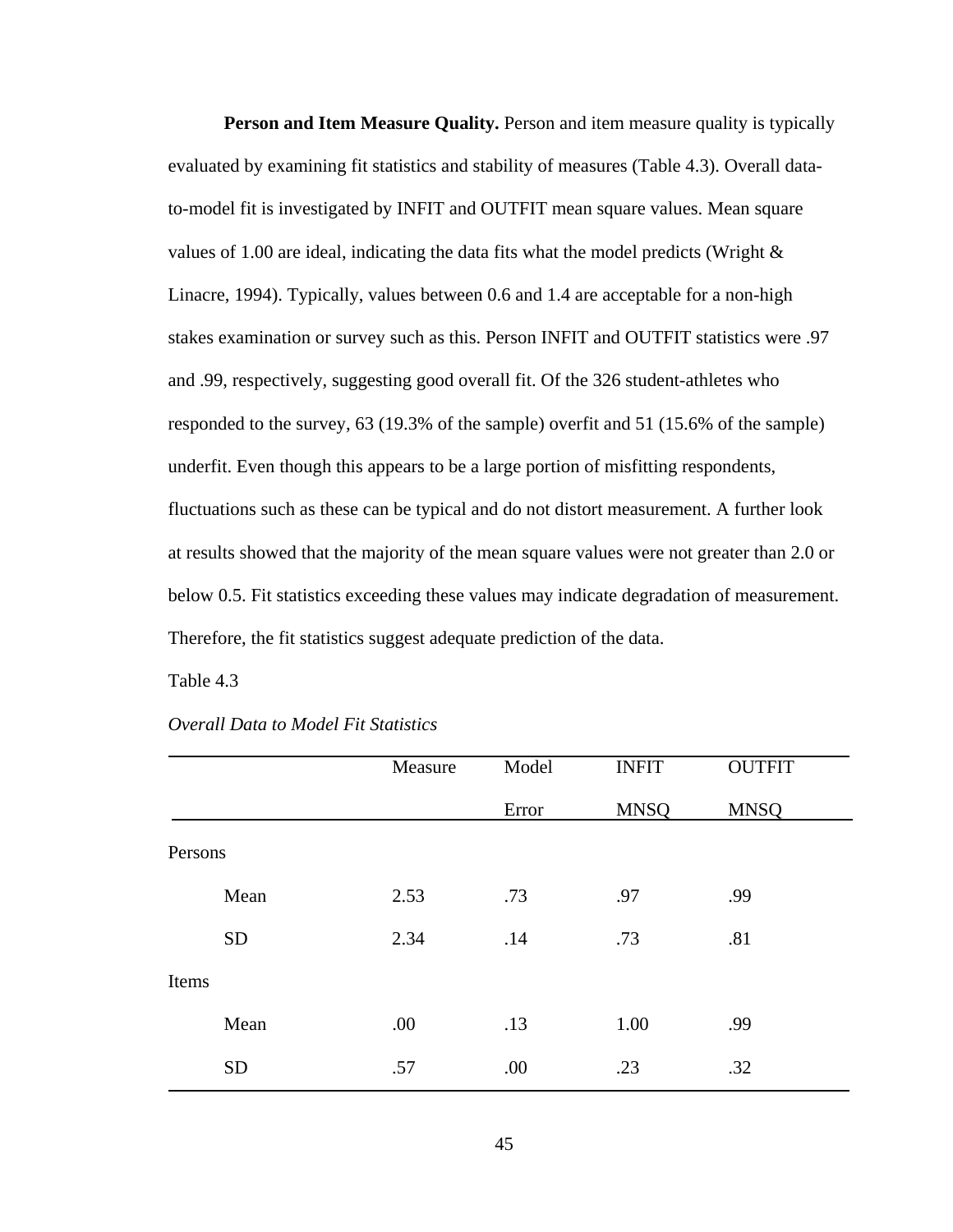**Person and Item Measure Quality.** Person and item measure quality is typically evaluated by examining fit statistics and stability of measures (Table 4.3). Overall datato-model fit is investigated by INFIT and OUTFIT mean square values. Mean square values of 1.00 are ideal, indicating the data fits what the model predicts (Wright & Linacre, 1994). Typically, values between 0.6 and 1.4 are acceptable for a non-high stakes examination or survey such as this. Person INFIT and OUTFIT statistics were .97 and .99, respectively, suggesting good overall fit. Of the 326 student-athletes who responded to the survey, 63 (19.3% of the sample) overfit and 51 (15.6% of the sample) underfit. Even though this appears to be a large portion of misfitting respondents, fluctuations such as these can be typical and do not distort measurement. A further look at results showed that the majority of the mean square values were not greater than 2.0 or below 0.5. Fit statistics exceeding these values may indicate degradation of measurement. Therefore, the fit statistics suggest adequate prediction of the data.

Table 4.3

|         |           | Measure | Model | <b>INFIT</b> | <b>OUTFIT</b> |
|---------|-----------|---------|-------|--------------|---------------|
|         |           |         | Error | <b>MNSQ</b>  | <b>MNSQ</b>   |
| Persons |           |         |       |              |               |
|         | Mean      | 2.53    | .73   | .97          | .99           |
|         | <b>SD</b> | 2.34    | .14   | .73          | .81           |
| Items   |           |         |       |              |               |
|         | Mean      | .00.    | .13   | 1.00         | .99           |
|         | <b>SD</b> | .57     | .00   | .23          | .32           |

*Overall Data to Model Fit Statistics*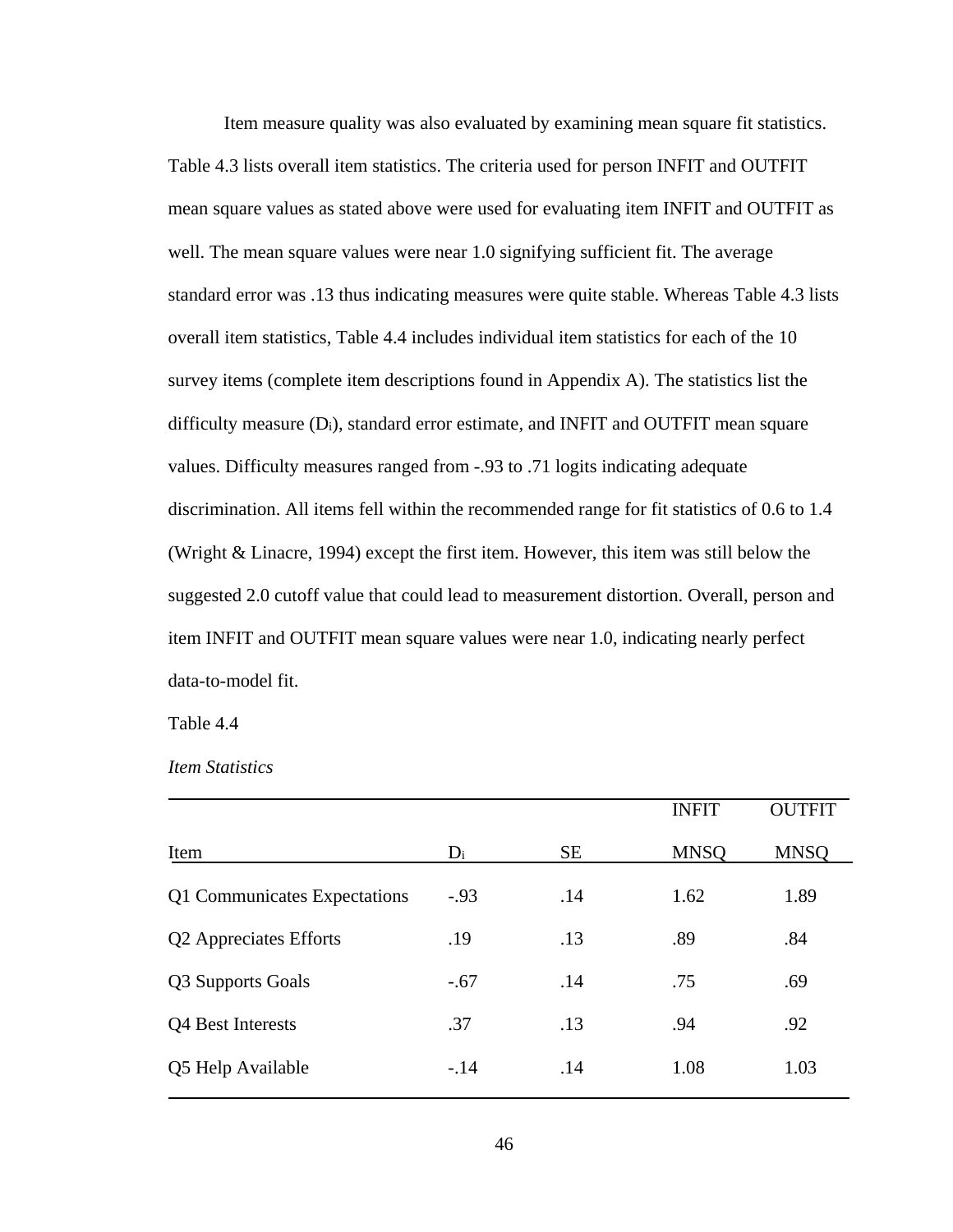Item measure quality was also evaluated by examining mean square fit statistics. Table 4.3 lists overall item statistics. The criteria used for person INFIT and OUTFIT mean square values as stated above were used for evaluating item INFIT and OUTFIT as well. The mean square values were near 1.0 signifying sufficient fit. The average standard error was .13 thus indicating measures were quite stable. Whereas Table 4.3 lists overall item statistics, Table 4.4 includes individual item statistics for each of the 10 survey items (complete item descriptions found in Appendix A). The statistics list the difficulty measure (Di), standard error estimate, and INFIT and OUTFIT mean square values. Difficulty measures ranged from -.93 to .71 logits indicating adequate discrimination. All items fell within the recommended range for fit statistics of 0.6 to 1.4 (Wright & Linacre, 1994) except the first item. However, this item was still below the suggested 2.0 cutoff value that could lead to measurement distortion. Overall, person and item INFIT and OUTFIT mean square values were near 1.0, indicating nearly perfect data-to-model fit.

Table 4.4

*Item Statistics* 

|                              |        |           | <b>INFIT</b> | <b>OUTFIT</b> |
|------------------------------|--------|-----------|--------------|---------------|
| Item                         | $D_i$  | <b>SE</b> | <b>MNSQ</b>  | <b>MNSQ</b>   |
| Q1 Communicates Expectations | $-.93$ | .14       | 1.62         | 1.89          |
| Q2 Appreciates Efforts       | .19    | .13       | .89          | .84           |
| Q3 Supports Goals            | $-.67$ | .14       | .75          | .69           |
| Q4 Best Interests            | .37    | .13       | .94          | .92           |
| Q5 Help Available            | $-.14$ | .14       | 1.08         | 1.03          |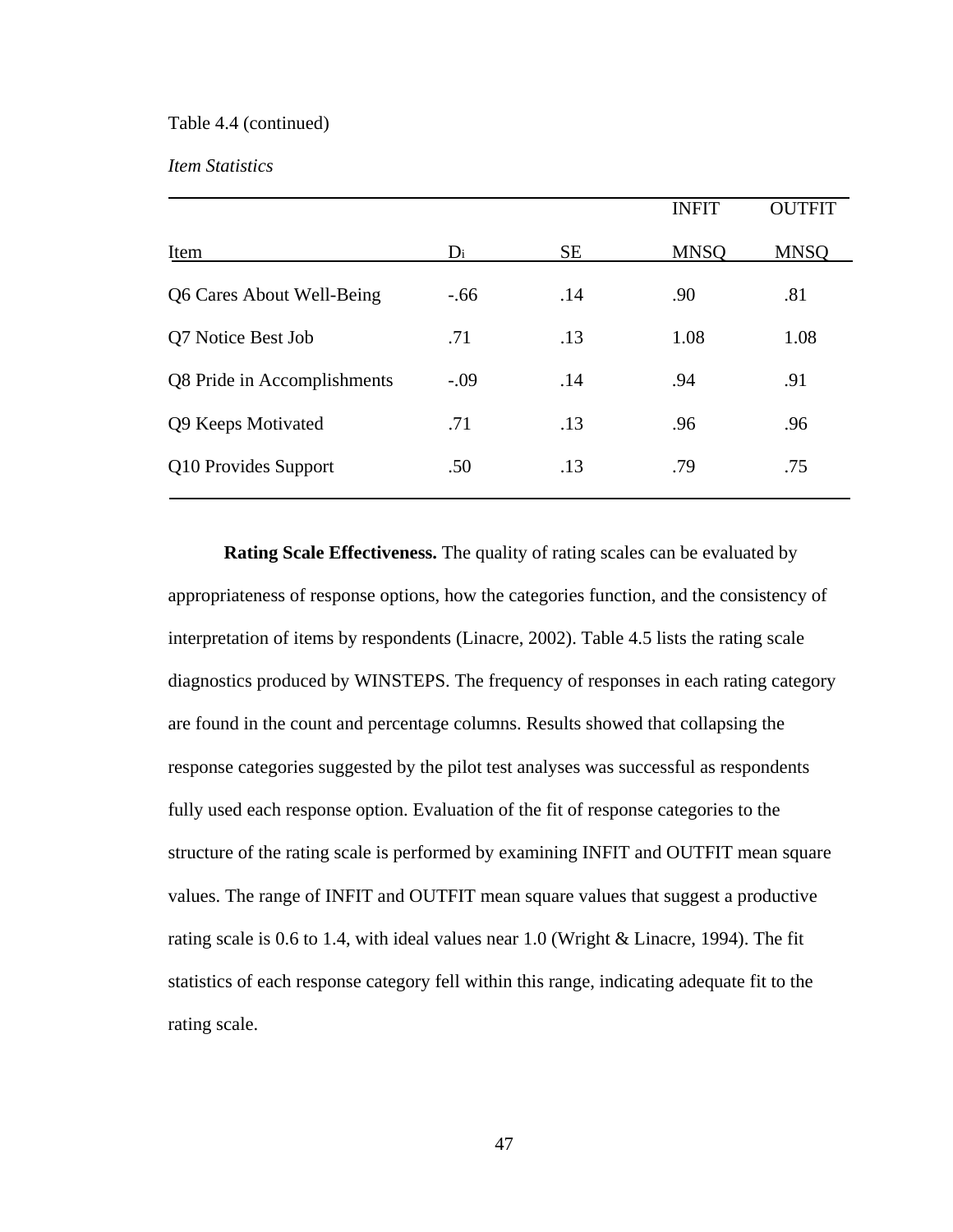### Table 4.4 (continued)

### *Item Statistics*

|                             |        |           | <b>INFIT</b> | OUTFIT      |
|-----------------------------|--------|-----------|--------------|-------------|
| Item                        | $D_i$  | <b>SE</b> | <b>MNSQ</b>  | <b>MNSQ</b> |
| Q6 Cares About Well-Being   | $-.66$ | .14       | .90          | .81         |
| Q7 Notice Best Job          | .71    | .13       | 1.08         | 1.08        |
| Q8 Pride in Accomplishments | $-.09$ | .14       | .94          | .91         |
| Q9 Keeps Motivated          | .71    | .13       | .96          | .96         |
| Q10 Provides Support        | .50    | .13       | .79          | .75         |
|                             |        |           |              |             |

**Rating Scale Effectiveness.** The quality of rating scales can be evaluated by appropriateness of response options, how the categories function, and the consistency of interpretation of items by respondents (Linacre, 2002). Table 4.5 lists the rating scale diagnostics produced by WINSTEPS. The frequency of responses in each rating category are found in the count and percentage columns. Results showed that collapsing the response categories suggested by the pilot test analyses was successful as respondents fully used each response option. Evaluation of the fit of response categories to the structure of the rating scale is performed by examining INFIT and OUTFIT mean square values. The range of INFIT and OUTFIT mean square values that suggest a productive rating scale is 0.6 to 1.4, with ideal values near 1.0 (Wright & Linacre, 1994). The fit statistics of each response category fell within this range, indicating adequate fit to the rating scale.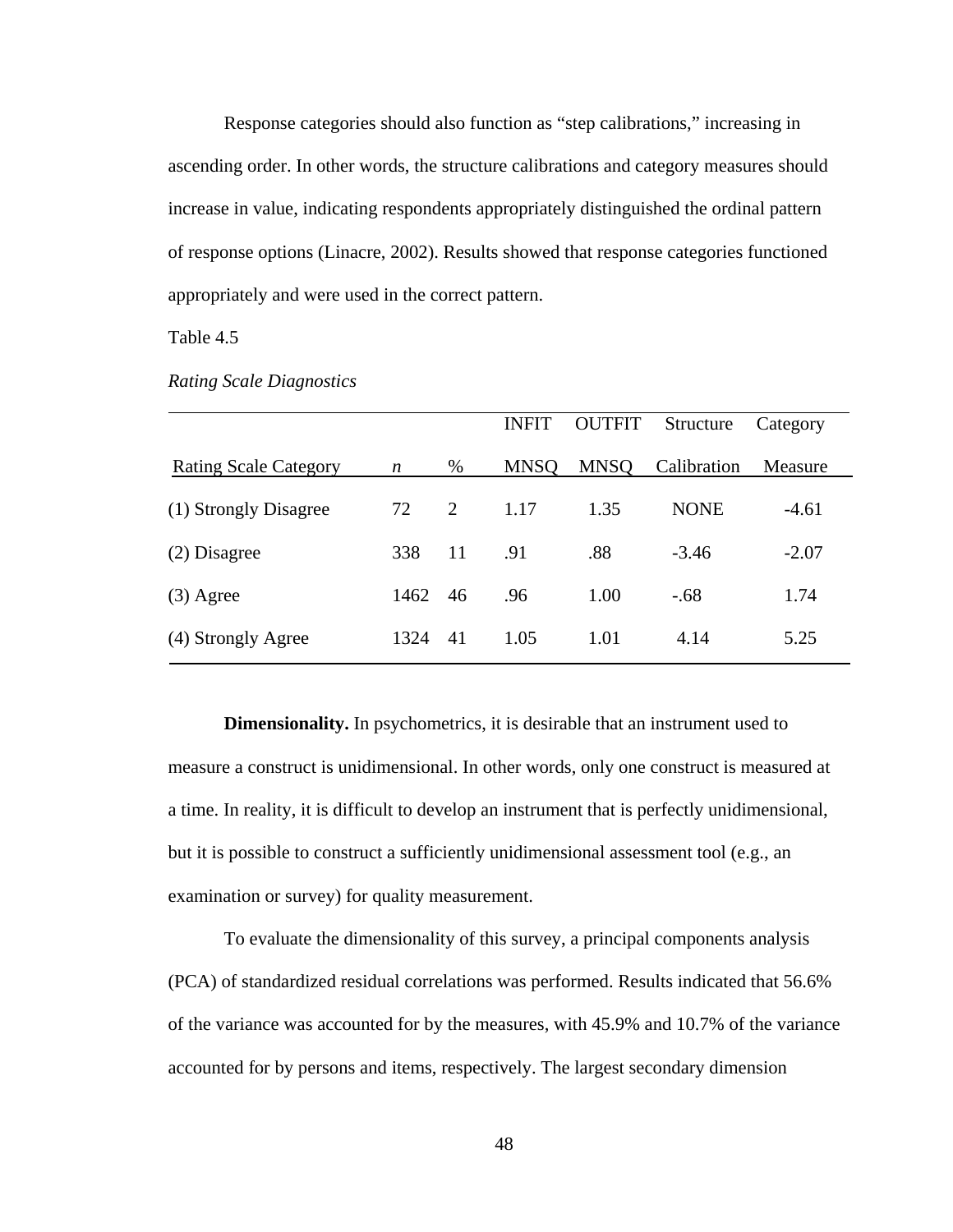Response categories should also function as "step calibrations," increasing in ascending order. In other words, the structure calibrations and category measures should increase in value, indicating respondents appropriately distinguished the ordinal pattern of response options (Linacre, 2002). Results showed that response categories functioned appropriately and were used in the correct pattern.

Table 4.5

|                              |                  |    | <b>INFIT</b> | <b>OUTFIT</b> | Structure   | Category |
|------------------------------|------------------|----|--------------|---------------|-------------|----------|
|                              |                  |    |              |               |             |          |
| <b>Rating Scale Category</b> | $\boldsymbol{n}$ | %  | <b>MNSO</b>  | <b>MNSQ</b>   | Calibration | Measure  |
|                              |                  |    |              |               |             |          |
| (1) Strongly Disagree        | 72               | 2  | 1.17         | 1.35          | <b>NONE</b> | $-4.61$  |
|                              |                  |    |              |               |             |          |
| $(2)$ Disagree               | 338              | 11 | .91          | .88           | $-3.46$     | $-2.07$  |
|                              |                  |    |              |               |             |          |
| $(3)$ Agree                  | 1462             | 46 | .96          | 1.00          | $-.68$      | 1.74     |
|                              |                  |    |              |               |             |          |
| (4) Strongly Agree           | 1324             | 41 | 1.05         | 1.01          | 4.14        | 5.25     |
|                              |                  |    |              |               |             |          |

*Rating Scale Diagnostics* 

**Dimensionality.** In psychometrics, it is desirable that an instrument used to measure a construct is unidimensional. In other words, only one construct is measured at a time. In reality, it is difficult to develop an instrument that is perfectly unidimensional, but it is possible to construct a sufficiently unidimensional assessment tool (e.g., an examination or survey) for quality measurement.

To evaluate the dimensionality of this survey, a principal components analysis (PCA) of standardized residual correlations was performed. Results indicated that 56.6% of the variance was accounted for by the measures, with 45.9% and 10.7% of the variance accounted for by persons and items, respectively. The largest secondary dimension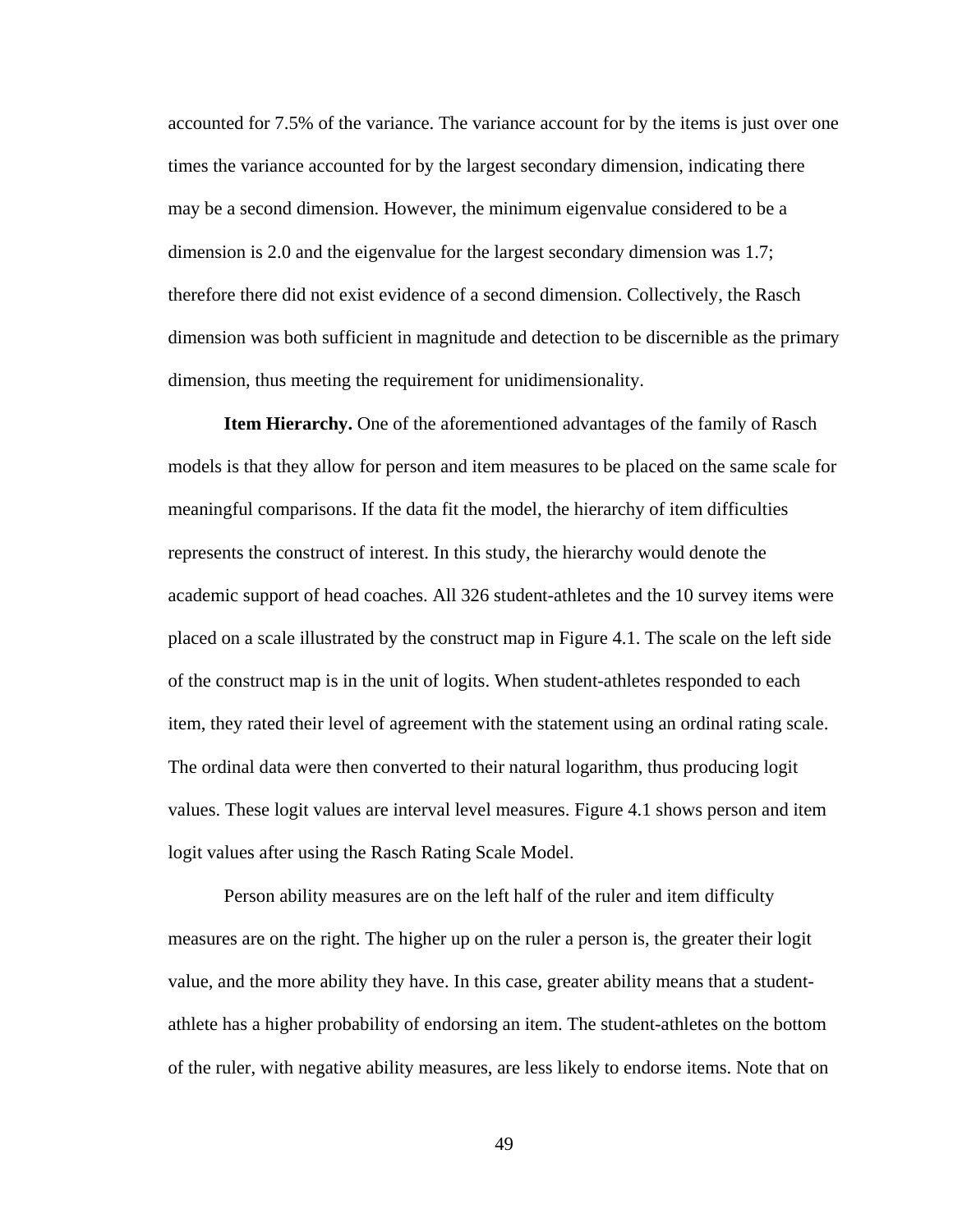accounted for 7.5% of the variance. The variance account for by the items is just over one times the variance accounted for by the largest secondary dimension, indicating there may be a second dimension. However, the minimum eigenvalue considered to be a dimension is 2.0 and the eigenvalue for the largest secondary dimension was 1.7; therefore there did not exist evidence of a second dimension. Collectively, the Rasch dimension was both sufficient in magnitude and detection to be discernible as the primary dimension, thus meeting the requirement for unidimensionality.

**Item Hierarchy.** One of the aforementioned advantages of the family of Rasch models is that they allow for person and item measures to be placed on the same scale for meaningful comparisons. If the data fit the model, the hierarchy of item difficulties represents the construct of interest. In this study, the hierarchy would denote the academic support of head coaches. All 326 student-athletes and the 10 survey items were placed on a scale illustrated by the construct map in Figure 4.1. The scale on the left side of the construct map is in the unit of logits. When student-athletes responded to each item, they rated their level of agreement with the statement using an ordinal rating scale. The ordinal data were then converted to their natural logarithm, thus producing logit values. These logit values are interval level measures. Figure 4.1 shows person and item logit values after using the Rasch Rating Scale Model.

Person ability measures are on the left half of the ruler and item difficulty measures are on the right. The higher up on the ruler a person is, the greater their logit value, and the more ability they have. In this case, greater ability means that a studentathlete has a higher probability of endorsing an item. The student-athletes on the bottom of the ruler, with negative ability measures, are less likely to endorse items. Note that on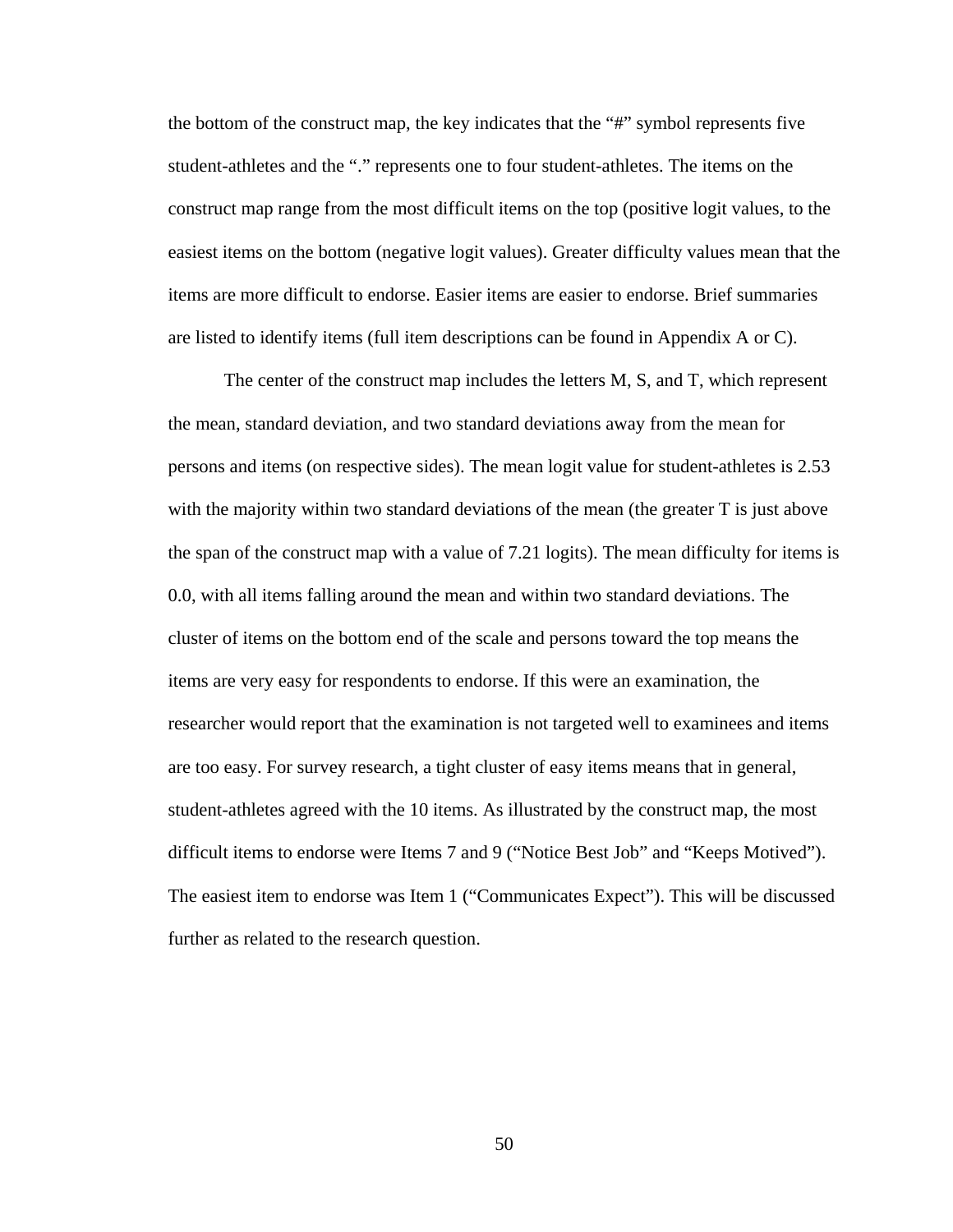the bottom of the construct map, the key indicates that the "#" symbol represents five student-athletes and the "." represents one to four student-athletes. The items on the construct map range from the most difficult items on the top (positive logit values, to the easiest items on the bottom (negative logit values). Greater difficulty values mean that the items are more difficult to endorse. Easier items are easier to endorse. Brief summaries are listed to identify items (full item descriptions can be found in Appendix A or C).

The center of the construct map includes the letters M, S, and T, which represent the mean, standard deviation, and two standard deviations away from the mean for persons and items (on respective sides). The mean logit value for student-athletes is 2.53 with the majority within two standard deviations of the mean (the greater T is just above the span of the construct map with a value of 7.21 logits). The mean difficulty for items is 0.0, with all items falling around the mean and within two standard deviations. The cluster of items on the bottom end of the scale and persons toward the top means the items are very easy for respondents to endorse. If this were an examination, the researcher would report that the examination is not targeted well to examinees and items are too easy. For survey research, a tight cluster of easy items means that in general, student-athletes agreed with the 10 items. As illustrated by the construct map, the most difficult items to endorse were Items 7 and 9 ("Notice Best Job" and "Keeps Motived"). The easiest item to endorse was Item 1 ("Communicates Expect"). This will be discussed further as related to the research question.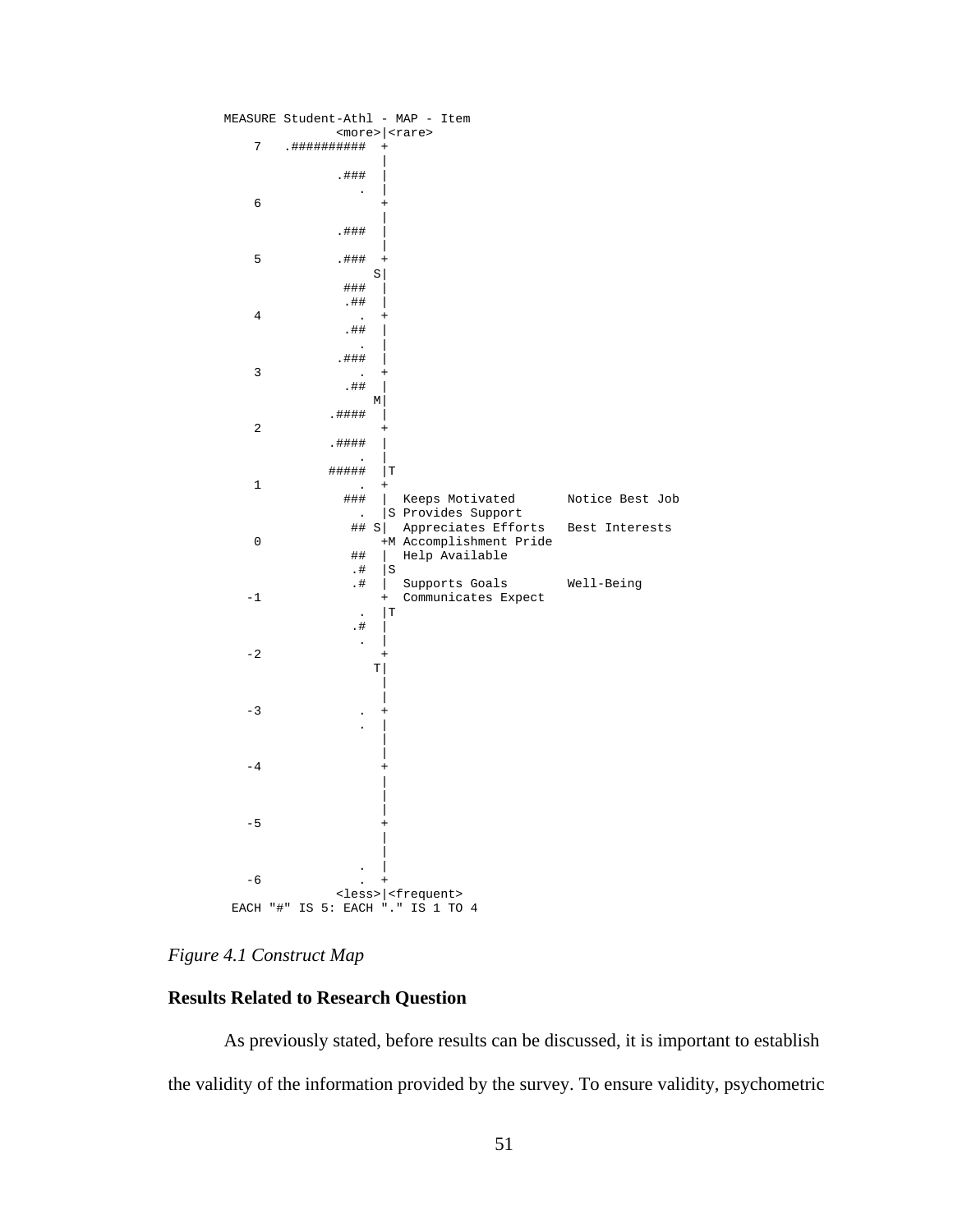```
MEASURE Student-Athl - MAP - Item 
             <more>|<rare> 
    7 .########## + 
                  \|.### | 
                \cdot | |
6 +| 
             .###
                  \| 5 .### + 
                 S| 
              ### | 
              .## | 
 4 . + 
              .## | 
                \cdot | |
             . \#\#3 \qquad \qquad . \qquad +. \#M| 
            .#### | 
2 +.#### | 
                \cdot | |
            ##### |T 
1 \quad 1 \quad . \quad .### | Keeps Motivated Notice Best Job 
                . |S Provides Support 
               ## S| Appreciates Efforts Best Interests 
   0 +M Accomplishment Pride<br>
## | Help Available
                  | Help Available
               .# |S 
                  | Supports Goals Well-Being
  -1 + Communicates Expect
                . |T 
               . \#\cdot | |
-2 +
                 T| 
                  \|\|-3 . +\cdot | |
                  \|\|-4 +
                  \|\|\|-5 +\|\|\cdot | |
-6 . +<less>|<frequent> 
  EACH "#" IS 5: EACH "." IS 1 TO 4
```
*Figure 4.1 Construct Map* 

### **Results Related to Research Question**

As previously stated, before results can be discussed, it is important to establish the validity of the information provided by the survey. To ensure validity, psychometric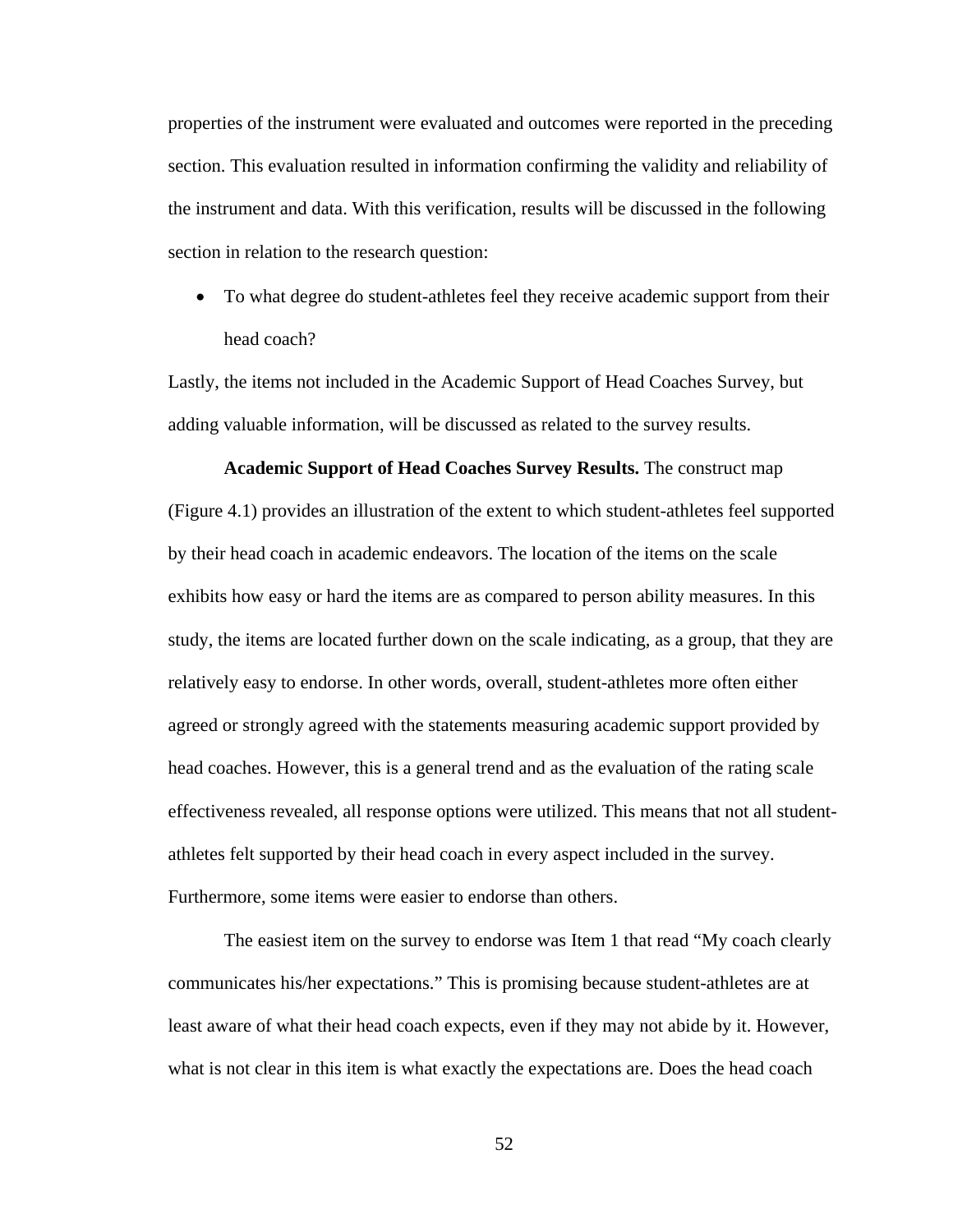properties of the instrument were evaluated and outcomes were reported in the preceding section. This evaluation resulted in information confirming the validity and reliability of the instrument and data. With this verification, results will be discussed in the following section in relation to the research question:

 To what degree do student-athletes feel they receive academic support from their head coach?

Lastly, the items not included in the Academic Support of Head Coaches Survey, but adding valuable information, will be discussed as related to the survey results.

**Academic Support of Head Coaches Survey Results.** The construct map (Figure 4.1) provides an illustration of the extent to which student-athletes feel supported by their head coach in academic endeavors. The location of the items on the scale exhibits how easy or hard the items are as compared to person ability measures. In this study, the items are located further down on the scale indicating, as a group, that they are relatively easy to endorse. In other words, overall, student-athletes more often either agreed or strongly agreed with the statements measuring academic support provided by head coaches. However, this is a general trend and as the evaluation of the rating scale effectiveness revealed, all response options were utilized. This means that not all studentathletes felt supported by their head coach in every aspect included in the survey. Furthermore, some items were easier to endorse than others.

The easiest item on the survey to endorse was Item 1 that read "My coach clearly communicates his/her expectations." This is promising because student-athletes are at least aware of what their head coach expects, even if they may not abide by it. However, what is not clear in this item is what exactly the expectations are. Does the head coach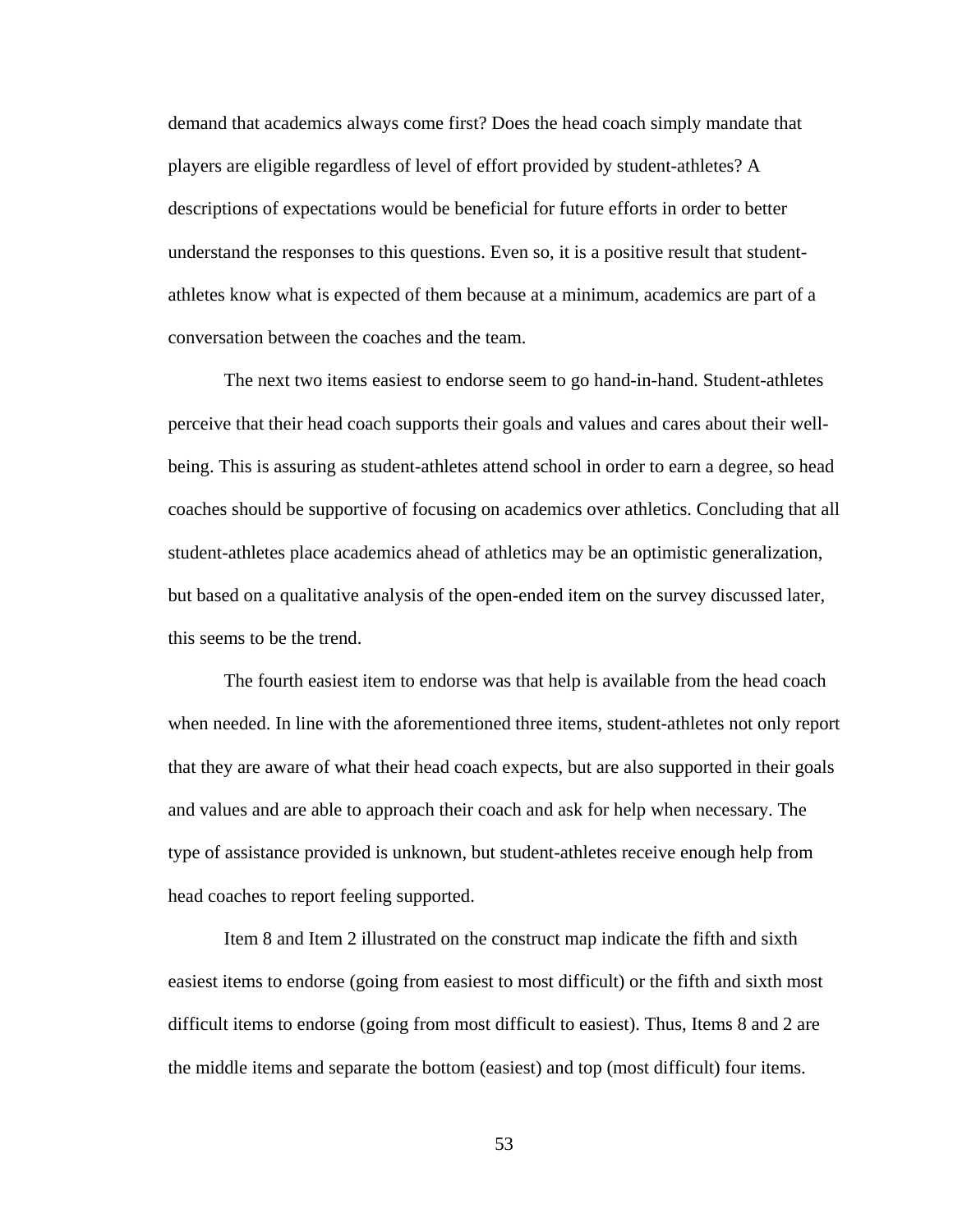demand that academics always come first? Does the head coach simply mandate that players are eligible regardless of level of effort provided by student-athletes? A descriptions of expectations would be beneficial for future efforts in order to better understand the responses to this questions. Even so, it is a positive result that studentathletes know what is expected of them because at a minimum, academics are part of a conversation between the coaches and the team.

The next two items easiest to endorse seem to go hand-in-hand. Student-athletes perceive that their head coach supports their goals and values and cares about their wellbeing. This is assuring as student-athletes attend school in order to earn a degree, so head coaches should be supportive of focusing on academics over athletics. Concluding that all student-athletes place academics ahead of athletics may be an optimistic generalization, but based on a qualitative analysis of the open-ended item on the survey discussed later, this seems to be the trend.

The fourth easiest item to endorse was that help is available from the head coach when needed. In line with the aforementioned three items, student-athletes not only report that they are aware of what their head coach expects, but are also supported in their goals and values and are able to approach their coach and ask for help when necessary. The type of assistance provided is unknown, but student-athletes receive enough help from head coaches to report feeling supported.

Item 8 and Item 2 illustrated on the construct map indicate the fifth and sixth easiest items to endorse (going from easiest to most difficult) or the fifth and sixth most difficult items to endorse (going from most difficult to easiest). Thus, Items 8 and 2 are the middle items and separate the bottom (easiest) and top (most difficult) four items.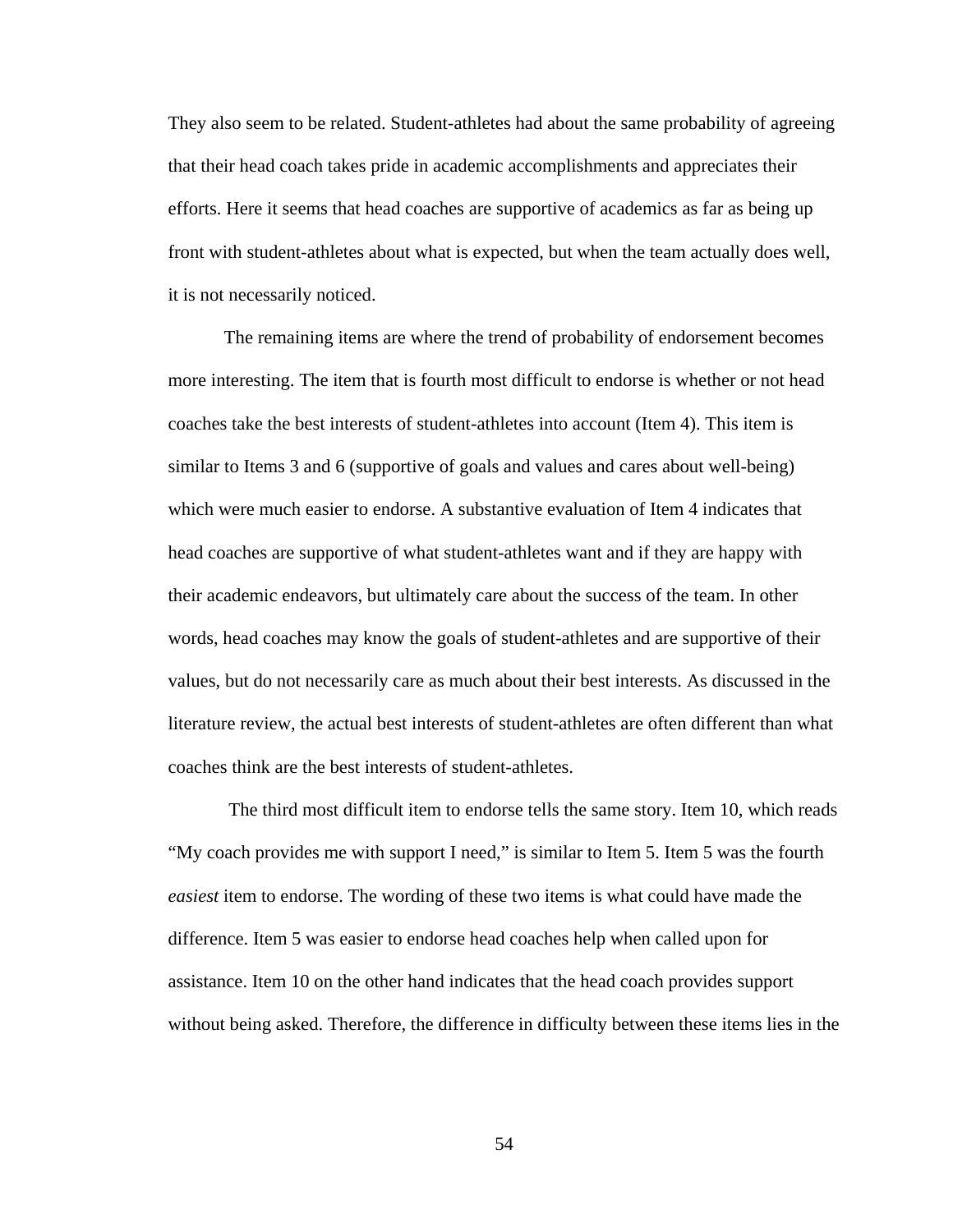They also seem to be related. Student-athletes had about the same probability of agreeing that their head coach takes pride in academic accomplishments and appreciates their efforts. Here it seems that head coaches are supportive of academics as far as being up front with student-athletes about what is expected, but when the team actually does well, it is not necessarily noticed.

The remaining items are where the trend of probability of endorsement becomes more interesting. The item that is fourth most difficult to endorse is whether or not head coaches take the best interests of student-athletes into account (Item 4). This item is similar to Items 3 and 6 (supportive of goals and values and cares about well-being) which were much easier to endorse. A substantive evaluation of Item 4 indicates that head coaches are supportive of what student-athletes want and if they are happy with their academic endeavors, but ultimately care about the success of the team. In other words, head coaches may know the goals of student-athletes and are supportive of their values, but do not necessarily care as much about their best interests. As discussed in the literature review, the actual best interests of student-athletes are often different than what coaches think are the best interests of student-athletes.

 The third most difficult item to endorse tells the same story. Item 10, which reads "My coach provides me with support I need," is similar to Item 5. Item 5 was the fourth *easiest* item to endorse. The wording of these two items is what could have made the difference. Item 5 was easier to endorse head coaches help when called upon for assistance. Item 10 on the other hand indicates that the head coach provides support without being asked. Therefore, the difference in difficulty between these items lies in the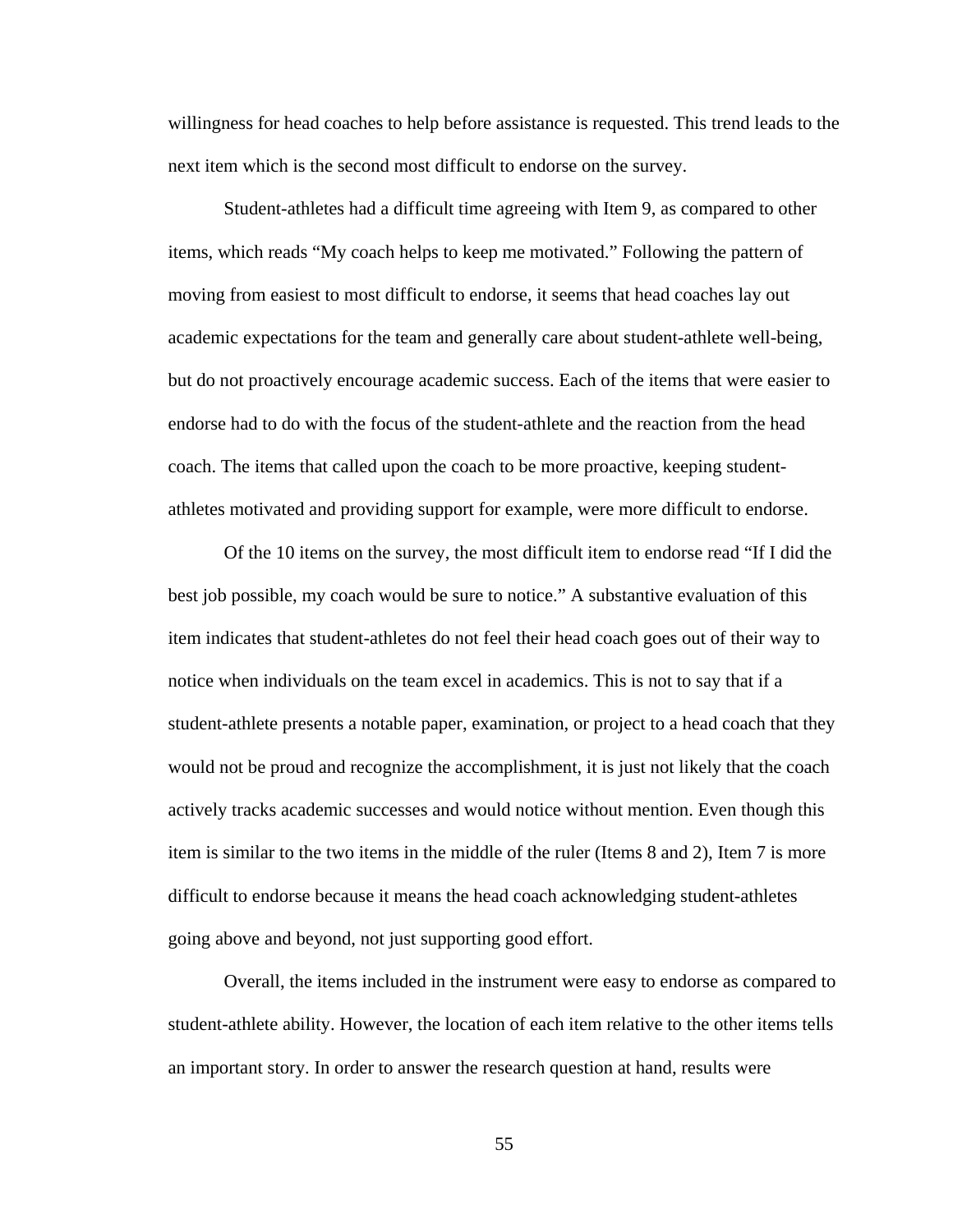willingness for head coaches to help before assistance is requested. This trend leads to the next item which is the second most difficult to endorse on the survey.

Student-athletes had a difficult time agreeing with Item 9, as compared to other items, which reads "My coach helps to keep me motivated." Following the pattern of moving from easiest to most difficult to endorse, it seems that head coaches lay out academic expectations for the team and generally care about student-athlete well-being, but do not proactively encourage academic success. Each of the items that were easier to endorse had to do with the focus of the student-athlete and the reaction from the head coach. The items that called upon the coach to be more proactive, keeping studentathletes motivated and providing support for example, were more difficult to endorse.

Of the 10 items on the survey, the most difficult item to endorse read "If I did the best job possible, my coach would be sure to notice." A substantive evaluation of this item indicates that student-athletes do not feel their head coach goes out of their way to notice when individuals on the team excel in academics. This is not to say that if a student-athlete presents a notable paper, examination, or project to a head coach that they would not be proud and recognize the accomplishment, it is just not likely that the coach actively tracks academic successes and would notice without mention. Even though this item is similar to the two items in the middle of the ruler (Items 8 and 2), Item 7 is more difficult to endorse because it means the head coach acknowledging student-athletes going above and beyond, not just supporting good effort.

Overall, the items included in the instrument were easy to endorse as compared to student-athlete ability. However, the location of each item relative to the other items tells an important story. In order to answer the research question at hand, results were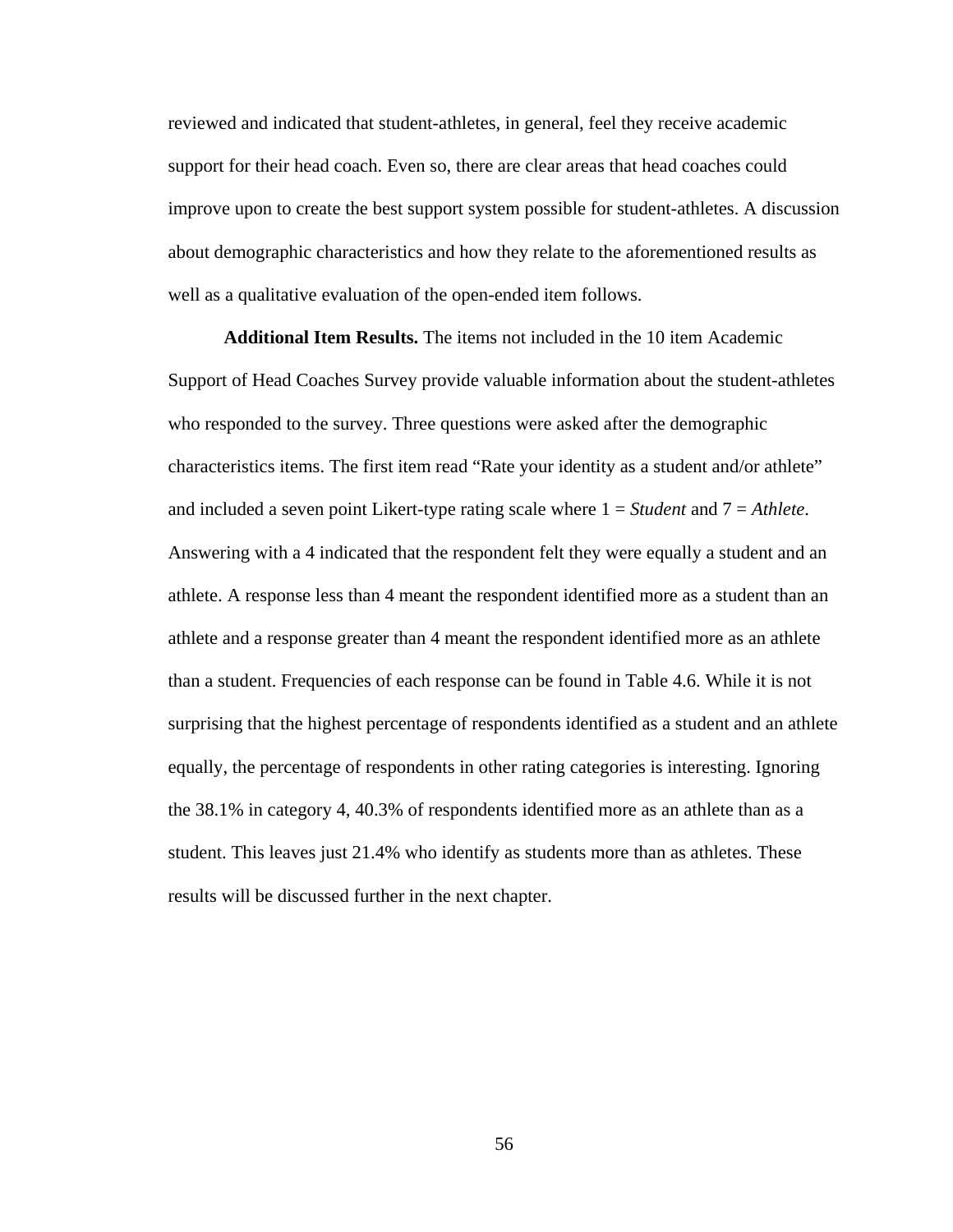reviewed and indicated that student-athletes, in general, feel they receive academic support for their head coach. Even so, there are clear areas that head coaches could improve upon to create the best support system possible for student-athletes. A discussion about demographic characteristics and how they relate to the aforementioned results as well as a qualitative evaluation of the open-ended item follows.

**Additional Item Results.** The items not included in the 10 item Academic Support of Head Coaches Survey provide valuable information about the student-athletes who responded to the survey. Three questions were asked after the demographic characteristics items. The first item read "Rate your identity as a student and/or athlete" and included a seven point Likert-type rating scale where 1 = *Student* and 7 = *Athlete*. Answering with a 4 indicated that the respondent felt they were equally a student and an athlete. A response less than 4 meant the respondent identified more as a student than an athlete and a response greater than 4 meant the respondent identified more as an athlete than a student. Frequencies of each response can be found in Table 4.6. While it is not surprising that the highest percentage of respondents identified as a student and an athlete equally, the percentage of respondents in other rating categories is interesting. Ignoring the 38.1% in category 4, 40.3% of respondents identified more as an athlete than as a student. This leaves just 21.4% who identify as students more than as athletes. These results will be discussed further in the next chapter.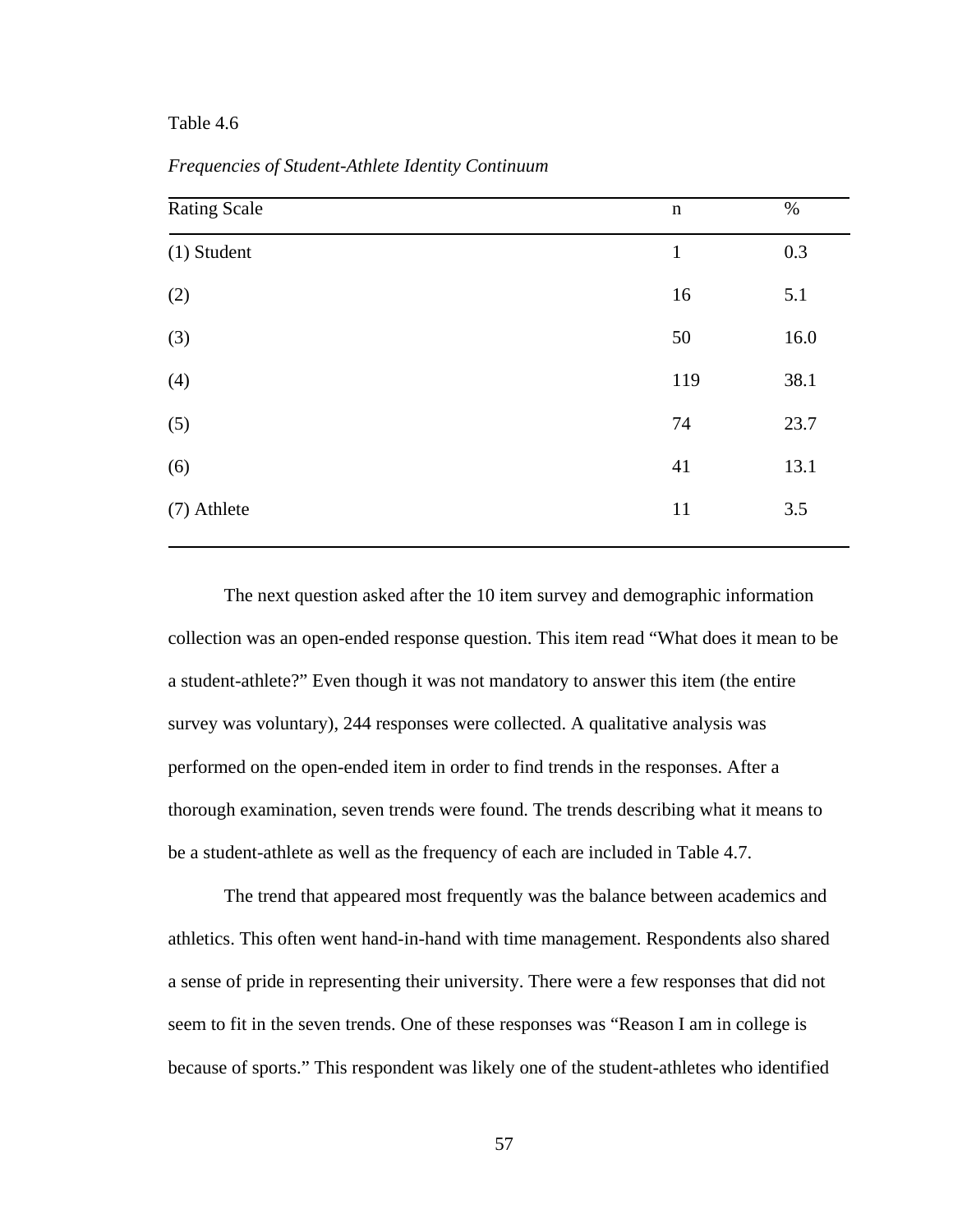### Table 4.6

| <b>Rating Scale</b> | $\mathbf n$  | $\%$ |
|---------------------|--------------|------|
| (1) Student         | $\mathbf{1}$ | 0.3  |
| (2)                 | 16           | 5.1  |
| (3)                 | $50\,$       | 16.0 |
| (4)                 | 119          | 38.1 |
| (5)                 | 74           | 23.7 |
| (6)                 | 41           | 13.1 |
| (7) Athlete         | 11           | 3.5  |
|                     |              |      |

*Frequencies of Student-Athlete Identity Continuum* 

The next question asked after the 10 item survey and demographic information collection was an open-ended response question. This item read "What does it mean to be a student-athlete?" Even though it was not mandatory to answer this item (the entire survey was voluntary), 244 responses were collected. A qualitative analysis was performed on the open-ended item in order to find trends in the responses. After a thorough examination, seven trends were found. The trends describing what it means to be a student-athlete as well as the frequency of each are included in Table 4.7.

 The trend that appeared most frequently was the balance between academics and athletics. This often went hand-in-hand with time management. Respondents also shared a sense of pride in representing their university. There were a few responses that did not seem to fit in the seven trends. One of these responses was "Reason I am in college is because of sports." This respondent was likely one of the student-athletes who identified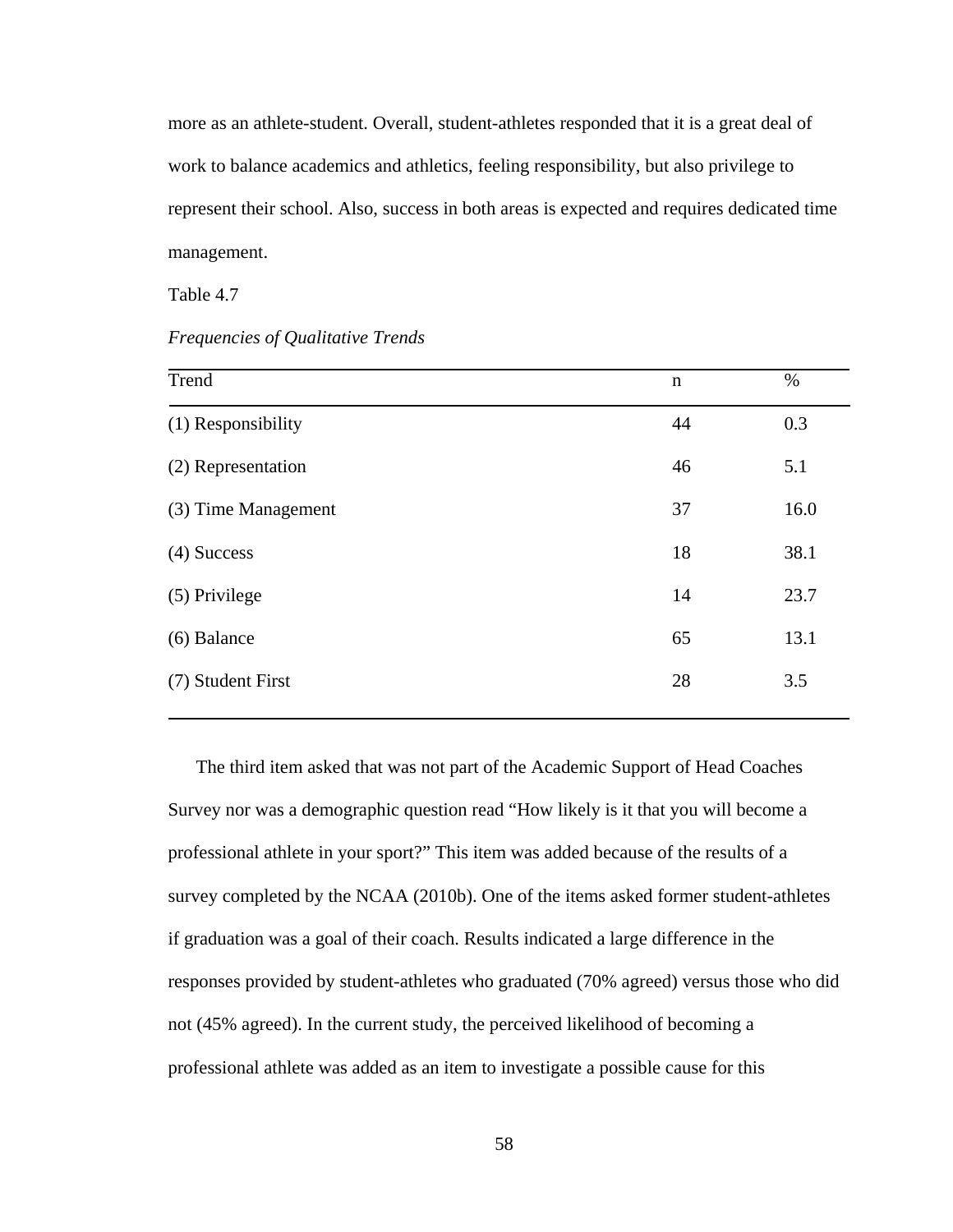more as an athlete-student. Overall, student-athletes responded that it is a great deal of work to balance academics and athletics, feeling responsibility, but also privilege to represent their school. Also, success in both areas is expected and requires dedicated time management.

Table 4.7

*Frequencies of Qualitative Trends* 

| Trend               | $\mathbf n$ | $\%$ |
|---------------------|-------------|------|
| (1) Responsibility  | 44          | 0.3  |
| (2) Representation  | 46          | 5.1  |
| (3) Time Management | 37          | 16.0 |
| $(4)$ Success       | 18          | 38.1 |
| (5) Privilege       | 14          | 23.7 |
| $(6)$ Balance       | 65          | 13.1 |
| (7) Student First   | 28          | 3.5  |
|                     |             |      |

The third item asked that was not part of the Academic Support of Head Coaches Survey nor was a demographic question read "How likely is it that you will become a professional athlete in your sport?" This item was added because of the results of a survey completed by the NCAA (2010b). One of the items asked former student-athletes if graduation was a goal of their coach. Results indicated a large difference in the responses provided by student-athletes who graduated (70% agreed) versus those who did not (45% agreed). In the current study, the perceived likelihood of becoming a professional athlete was added as an item to investigate a possible cause for this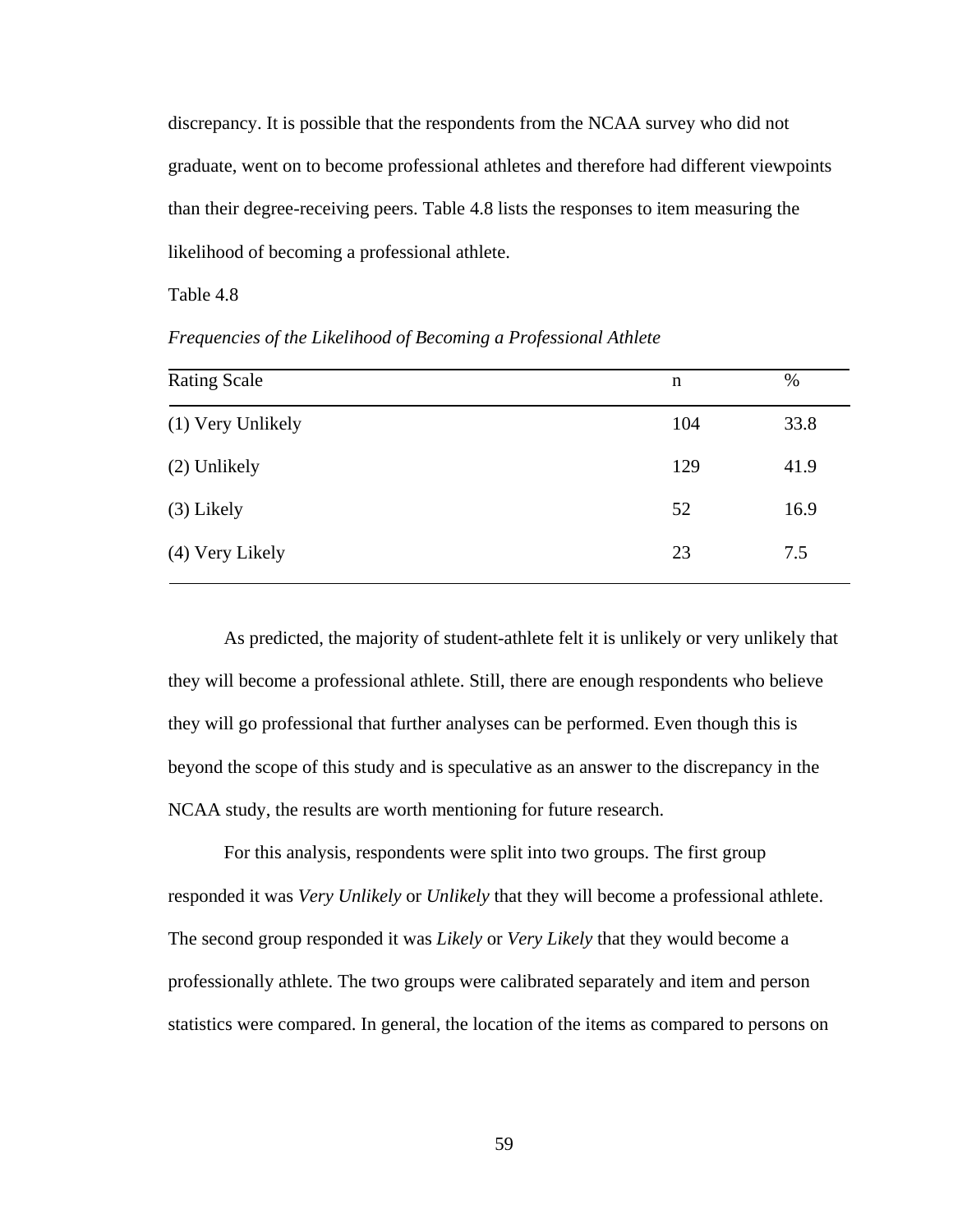discrepancy. It is possible that the respondents from the NCAA survey who did not graduate, went on to become professional athletes and therefore had different viewpoints than their degree-receiving peers. Table 4.8 lists the responses to item measuring the likelihood of becoming a professional athlete.

Table 4.8

*Frequencies of the Likelihood of Becoming a Professional Athlete* 

| <b>Rating Scale</b> | n   | $\%$ |
|---------------------|-----|------|
| (1) Very Unlikely   | 104 | 33.8 |
| (2) Unlikely        | 129 | 41.9 |
| $(3)$ Likely        | 52  | 16.9 |
| (4) Very Likely     | 23  | 7.5  |

As predicted, the majority of student-athlete felt it is unlikely or very unlikely that they will become a professional athlete. Still, there are enough respondents who believe they will go professional that further analyses can be performed. Even though this is beyond the scope of this study and is speculative as an answer to the discrepancy in the NCAA study, the results are worth mentioning for future research.

For this analysis, respondents were split into two groups. The first group responded it was *Very Unlikely* or *Unlikely* that they will become a professional athlete. The second group responded it was *Likely* or *Very Likely* that they would become a professionally athlete. The two groups were calibrated separately and item and person statistics were compared. In general, the location of the items as compared to persons on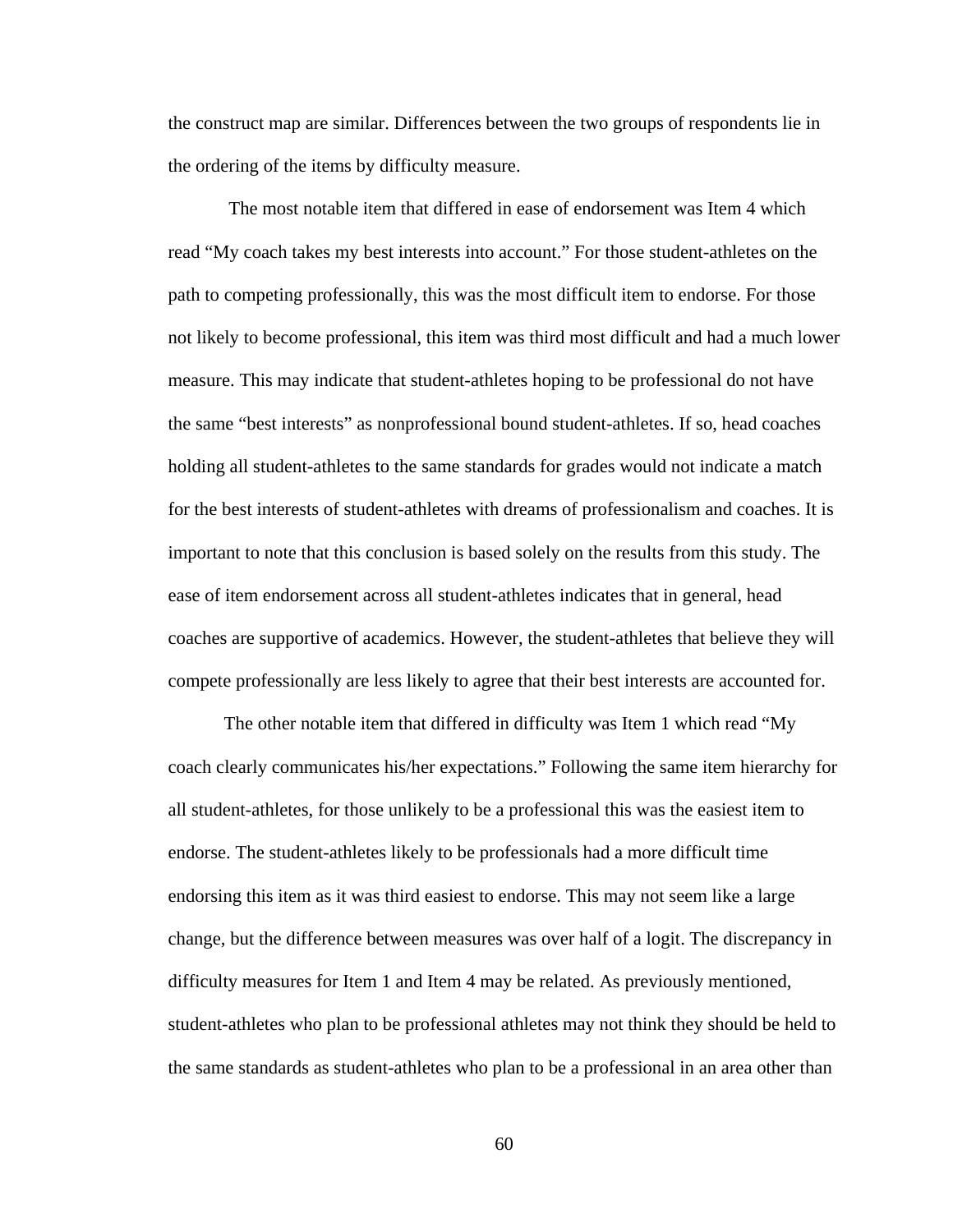the construct map are similar. Differences between the two groups of respondents lie in the ordering of the items by difficulty measure.

 The most notable item that differed in ease of endorsement was Item 4 which read "My coach takes my best interests into account." For those student-athletes on the path to competing professionally, this was the most difficult item to endorse. For those not likely to become professional, this item was third most difficult and had a much lower measure. This may indicate that student-athletes hoping to be professional do not have the same "best interests" as nonprofessional bound student-athletes. If so, head coaches holding all student-athletes to the same standards for grades would not indicate a match for the best interests of student-athletes with dreams of professionalism and coaches. It is important to note that this conclusion is based solely on the results from this study. The ease of item endorsement across all student-athletes indicates that in general, head coaches are supportive of academics. However, the student-athletes that believe they will compete professionally are less likely to agree that their best interests are accounted for.

The other notable item that differed in difficulty was Item 1 which read "My coach clearly communicates his/her expectations." Following the same item hierarchy for all student-athletes, for those unlikely to be a professional this was the easiest item to endorse. The student-athletes likely to be professionals had a more difficult time endorsing this item as it was third easiest to endorse. This may not seem like a large change, but the difference between measures was over half of a logit. The discrepancy in difficulty measures for Item 1 and Item 4 may be related. As previously mentioned, student-athletes who plan to be professional athletes may not think they should be held to the same standards as student-athletes who plan to be a professional in an area other than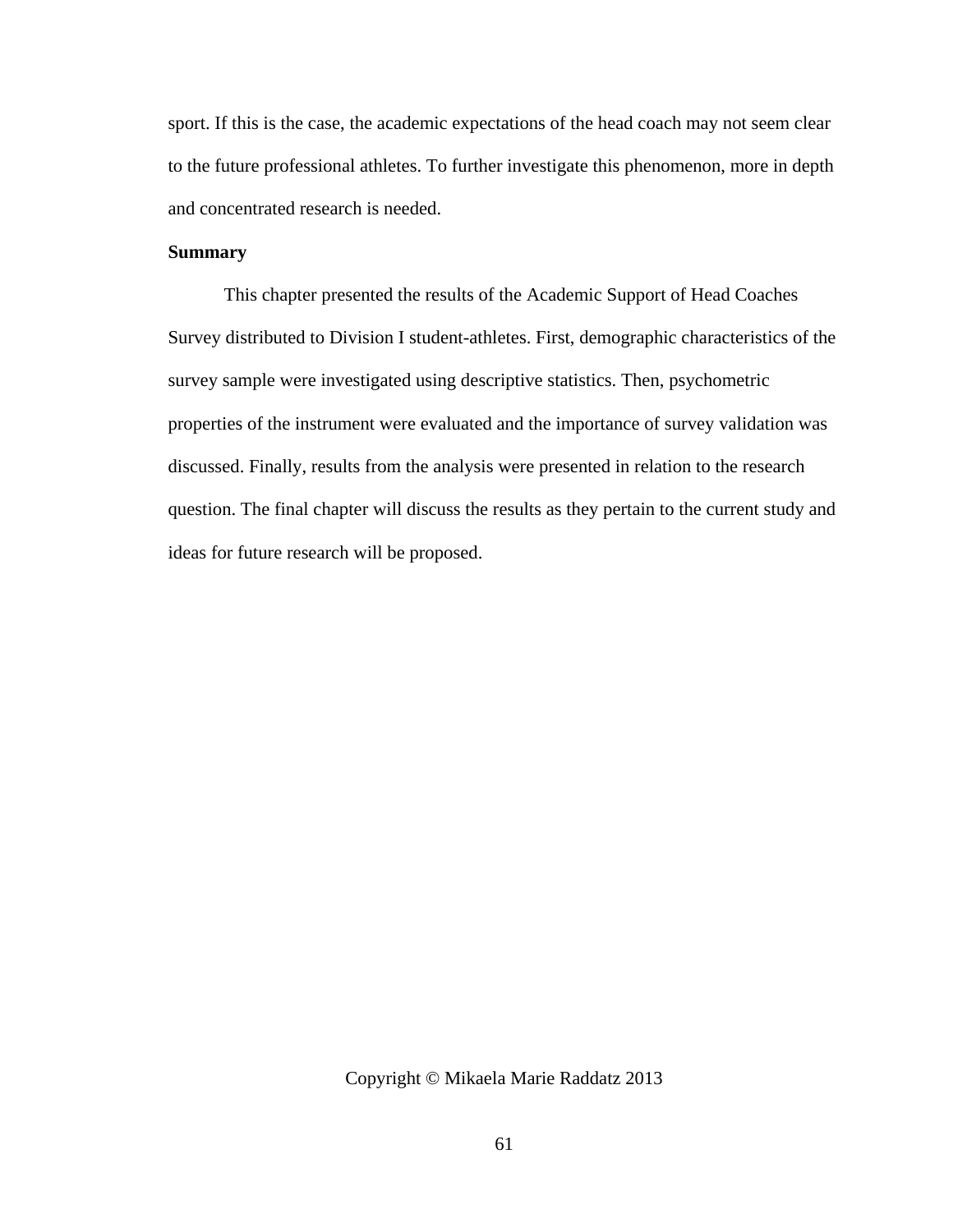sport. If this is the case, the academic expectations of the head coach may not seem clear to the future professional athletes. To further investigate this phenomenon, more in depth and concentrated research is needed.

### **Summary**

This chapter presented the results of the Academic Support of Head Coaches Survey distributed to Division I student-athletes. First, demographic characteristics of the survey sample were investigated using descriptive statistics. Then, psychometric properties of the instrument were evaluated and the importance of survey validation was discussed. Finally, results from the analysis were presented in relation to the research question. The final chapter will discuss the results as they pertain to the current study and ideas for future research will be proposed.

### Copyright © Mikaela Marie Raddatz 2013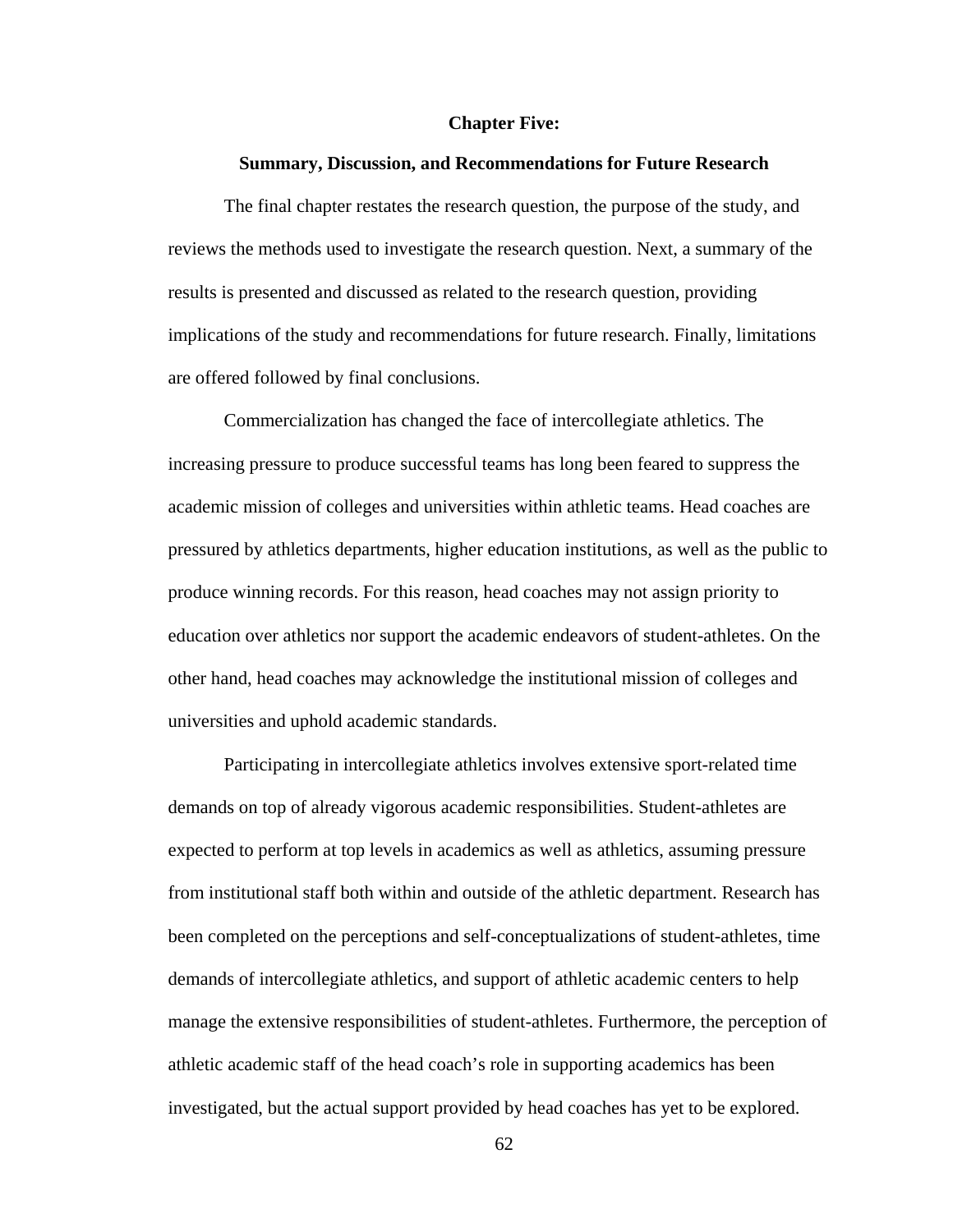### **Chapter Five:**

#### **Summary, Discussion, and Recommendations for Future Research**

The final chapter restates the research question, the purpose of the study, and reviews the methods used to investigate the research question. Next, a summary of the results is presented and discussed as related to the research question, providing implications of the study and recommendations for future research. Finally, limitations are offered followed by final conclusions.

Commercialization has changed the face of intercollegiate athletics. The increasing pressure to produce successful teams has long been feared to suppress the academic mission of colleges and universities within athletic teams. Head coaches are pressured by athletics departments, higher education institutions, as well as the public to produce winning records. For this reason, head coaches may not assign priority to education over athletics nor support the academic endeavors of student-athletes. On the other hand, head coaches may acknowledge the institutional mission of colleges and universities and uphold academic standards.

Participating in intercollegiate athletics involves extensive sport-related time demands on top of already vigorous academic responsibilities. Student-athletes are expected to perform at top levels in academics as well as athletics, assuming pressure from institutional staff both within and outside of the athletic department. Research has been completed on the perceptions and self-conceptualizations of student-athletes, time demands of intercollegiate athletics, and support of athletic academic centers to help manage the extensive responsibilities of student-athletes. Furthermore, the perception of athletic academic staff of the head coach's role in supporting academics has been investigated, but the actual support provided by head coaches has yet to be explored.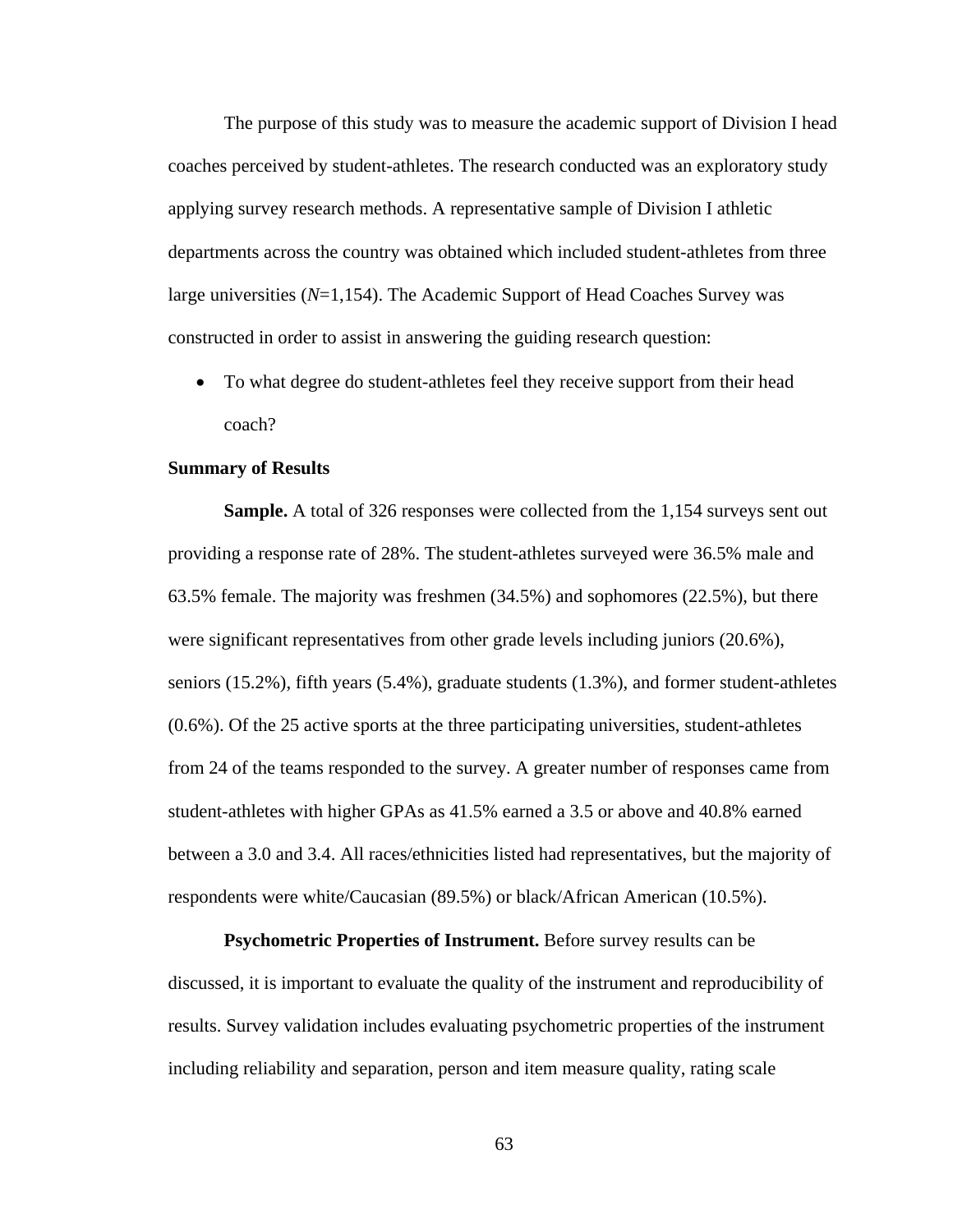The purpose of this study was to measure the academic support of Division I head coaches perceived by student-athletes. The research conducted was an exploratory study applying survey research methods. A representative sample of Division I athletic departments across the country was obtained which included student-athletes from three large universities (*N*=1,154). The Academic Support of Head Coaches Survey was constructed in order to assist in answering the guiding research question:

• To what degree do student-athletes feel they receive support from their head coach?

#### **Summary of Results**

**Sample.** A total of 326 responses were collected from the 1,154 surveys sent out providing a response rate of 28%. The student-athletes surveyed were 36.5% male and 63.5% female. The majority was freshmen (34.5%) and sophomores (22.5%), but there were significant representatives from other grade levels including juniors (20.6%), seniors (15.2%), fifth years (5.4%), graduate students (1.3%), and former student-athletes (0.6%). Of the 25 active sports at the three participating universities, student-athletes from 24 of the teams responded to the survey. A greater number of responses came from student-athletes with higher GPAs as 41.5% earned a 3.5 or above and 40.8% earned between a 3.0 and 3.4. All races/ethnicities listed had representatives, but the majority of respondents were white/Caucasian (89.5%) or black/African American (10.5%).

**Psychometric Properties of Instrument.** Before survey results can be discussed, it is important to evaluate the quality of the instrument and reproducibility of results. Survey validation includes evaluating psychometric properties of the instrument including reliability and separation, person and item measure quality, rating scale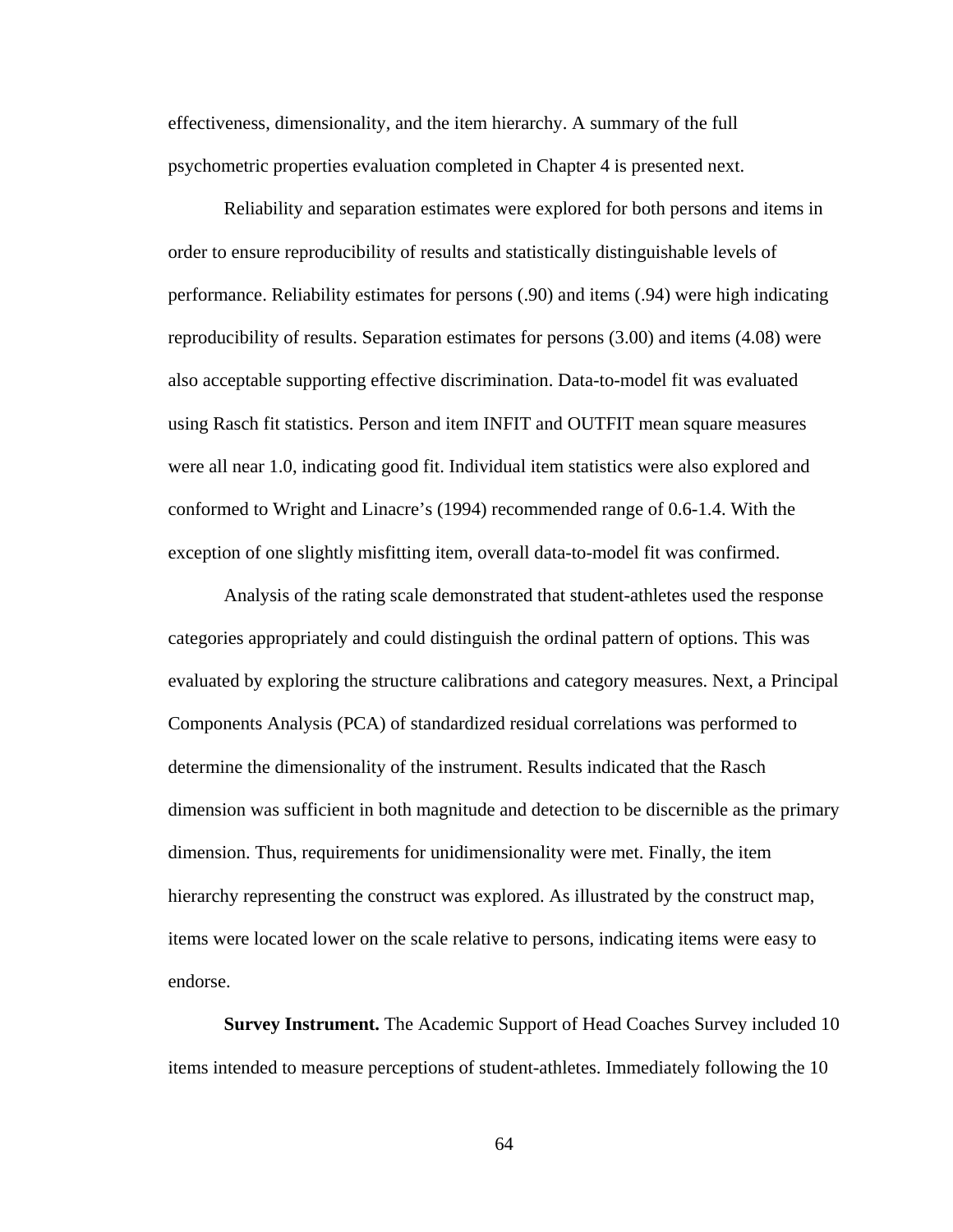effectiveness, dimensionality, and the item hierarchy. A summary of the full psychometric properties evaluation completed in Chapter 4 is presented next.

Reliability and separation estimates were explored for both persons and items in order to ensure reproducibility of results and statistically distinguishable levels of performance. Reliability estimates for persons (.90) and items (.94) were high indicating reproducibility of results. Separation estimates for persons (3.00) and items (4.08) were also acceptable supporting effective discrimination. Data-to-model fit was evaluated using Rasch fit statistics. Person and item INFIT and OUTFIT mean square measures were all near 1.0, indicating good fit. Individual item statistics were also explored and conformed to Wright and Linacre's (1994) recommended range of 0.6-1.4. With the exception of one slightly misfitting item, overall data-to-model fit was confirmed.

Analysis of the rating scale demonstrated that student-athletes used the response categories appropriately and could distinguish the ordinal pattern of options. This was evaluated by exploring the structure calibrations and category measures. Next, a Principal Components Analysis (PCA) of standardized residual correlations was performed to determine the dimensionality of the instrument. Results indicated that the Rasch dimension was sufficient in both magnitude and detection to be discernible as the primary dimension. Thus, requirements for unidimensionality were met. Finally, the item hierarchy representing the construct was explored. As illustrated by the construct map, items were located lower on the scale relative to persons, indicating items were easy to endorse.

**Survey Instrument.** The Academic Support of Head Coaches Survey included 10 items intended to measure perceptions of student-athletes. Immediately following the 10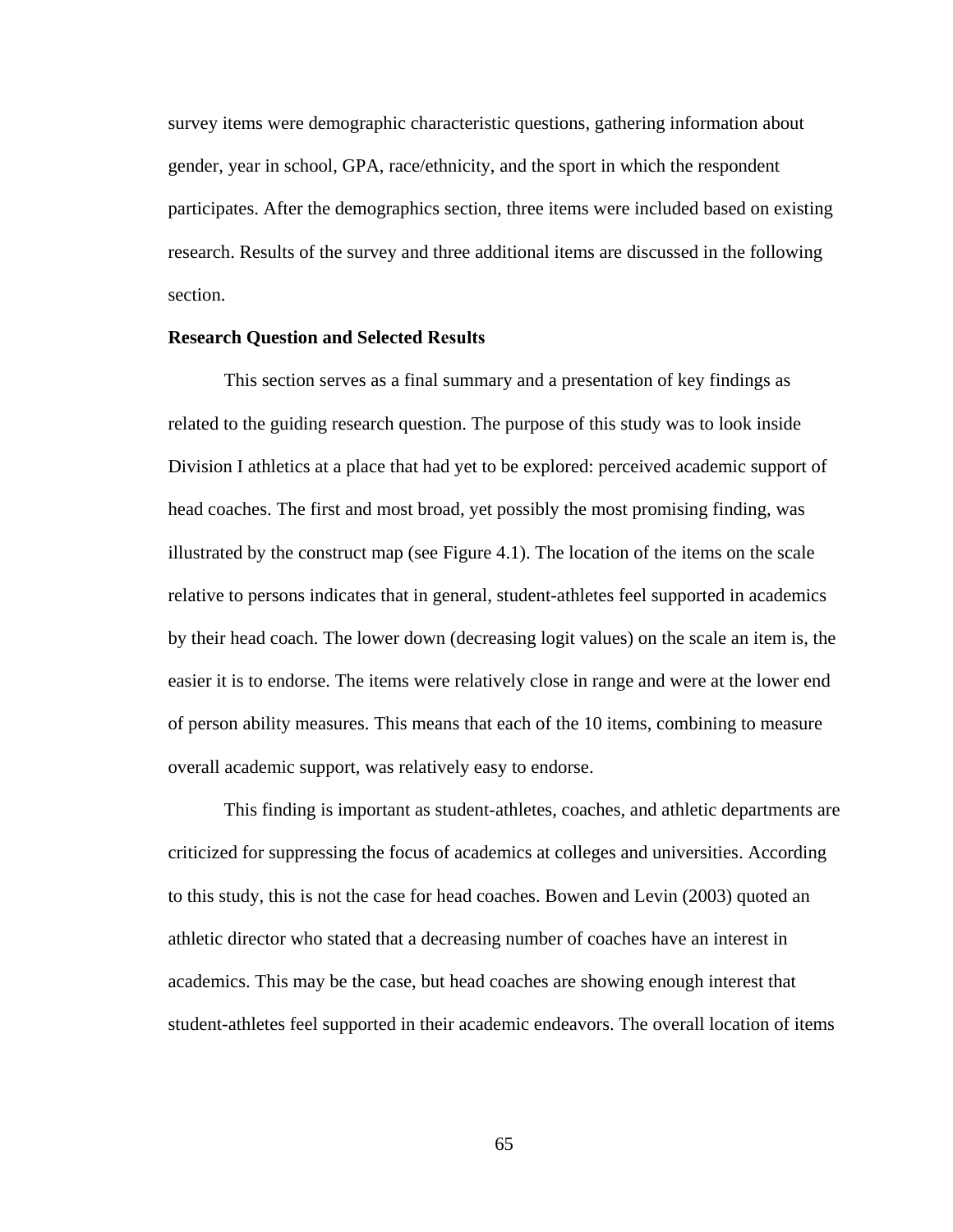survey items were demographic characteristic questions, gathering information about gender, year in school, GPA, race/ethnicity, and the sport in which the respondent participates. After the demographics section, three items were included based on existing research. Results of the survey and three additional items are discussed in the following section.

### **Research Question and Selected Results**

This section serves as a final summary and a presentation of key findings as related to the guiding research question. The purpose of this study was to look inside Division I athletics at a place that had yet to be explored: perceived academic support of head coaches. The first and most broad, yet possibly the most promising finding, was illustrated by the construct map (see Figure 4.1). The location of the items on the scale relative to persons indicates that in general, student-athletes feel supported in academics by their head coach. The lower down (decreasing logit values) on the scale an item is, the easier it is to endorse. The items were relatively close in range and were at the lower end of person ability measures. This means that each of the 10 items, combining to measure overall academic support, was relatively easy to endorse.

This finding is important as student-athletes, coaches, and athletic departments are criticized for suppressing the focus of academics at colleges and universities. According to this study, this is not the case for head coaches. Bowen and Levin (2003) quoted an athletic director who stated that a decreasing number of coaches have an interest in academics. This may be the case, but head coaches are showing enough interest that student-athletes feel supported in their academic endeavors. The overall location of items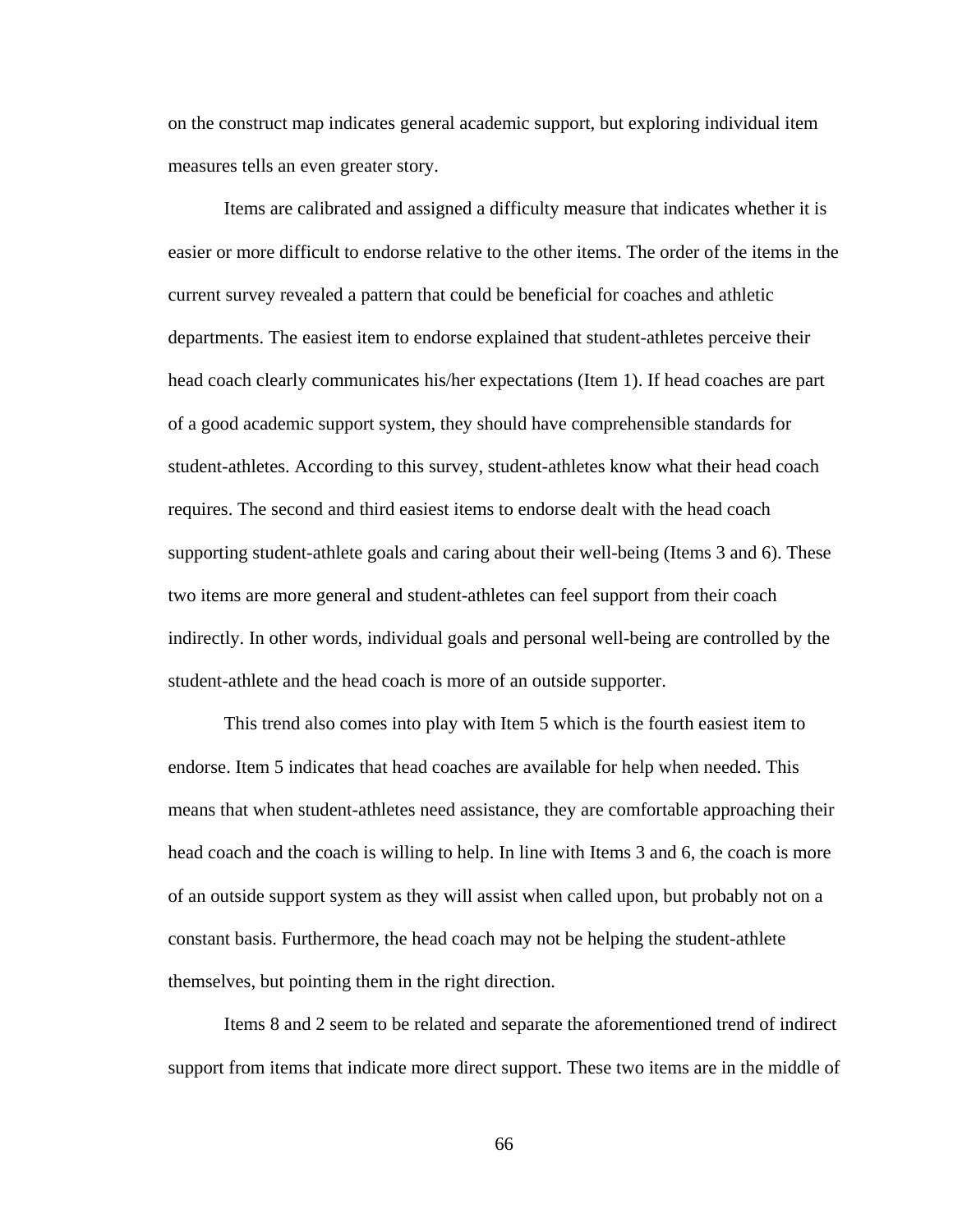on the construct map indicates general academic support, but exploring individual item measures tells an even greater story.

Items are calibrated and assigned a difficulty measure that indicates whether it is easier or more difficult to endorse relative to the other items. The order of the items in the current survey revealed a pattern that could be beneficial for coaches and athletic departments. The easiest item to endorse explained that student-athletes perceive their head coach clearly communicates his/her expectations (Item 1). If head coaches are part of a good academic support system, they should have comprehensible standards for student-athletes. According to this survey, student-athletes know what their head coach requires. The second and third easiest items to endorse dealt with the head coach supporting student-athlete goals and caring about their well-being (Items 3 and 6). These two items are more general and student-athletes can feel support from their coach indirectly. In other words, individual goals and personal well-being are controlled by the student-athlete and the head coach is more of an outside supporter.

This trend also comes into play with Item 5 which is the fourth easiest item to endorse. Item 5 indicates that head coaches are available for help when needed. This means that when student-athletes need assistance, they are comfortable approaching their head coach and the coach is willing to help. In line with Items 3 and 6, the coach is more of an outside support system as they will assist when called upon, but probably not on a constant basis. Furthermore, the head coach may not be helping the student-athlete themselves, but pointing them in the right direction.

Items 8 and 2 seem to be related and separate the aforementioned trend of indirect support from items that indicate more direct support. These two items are in the middle of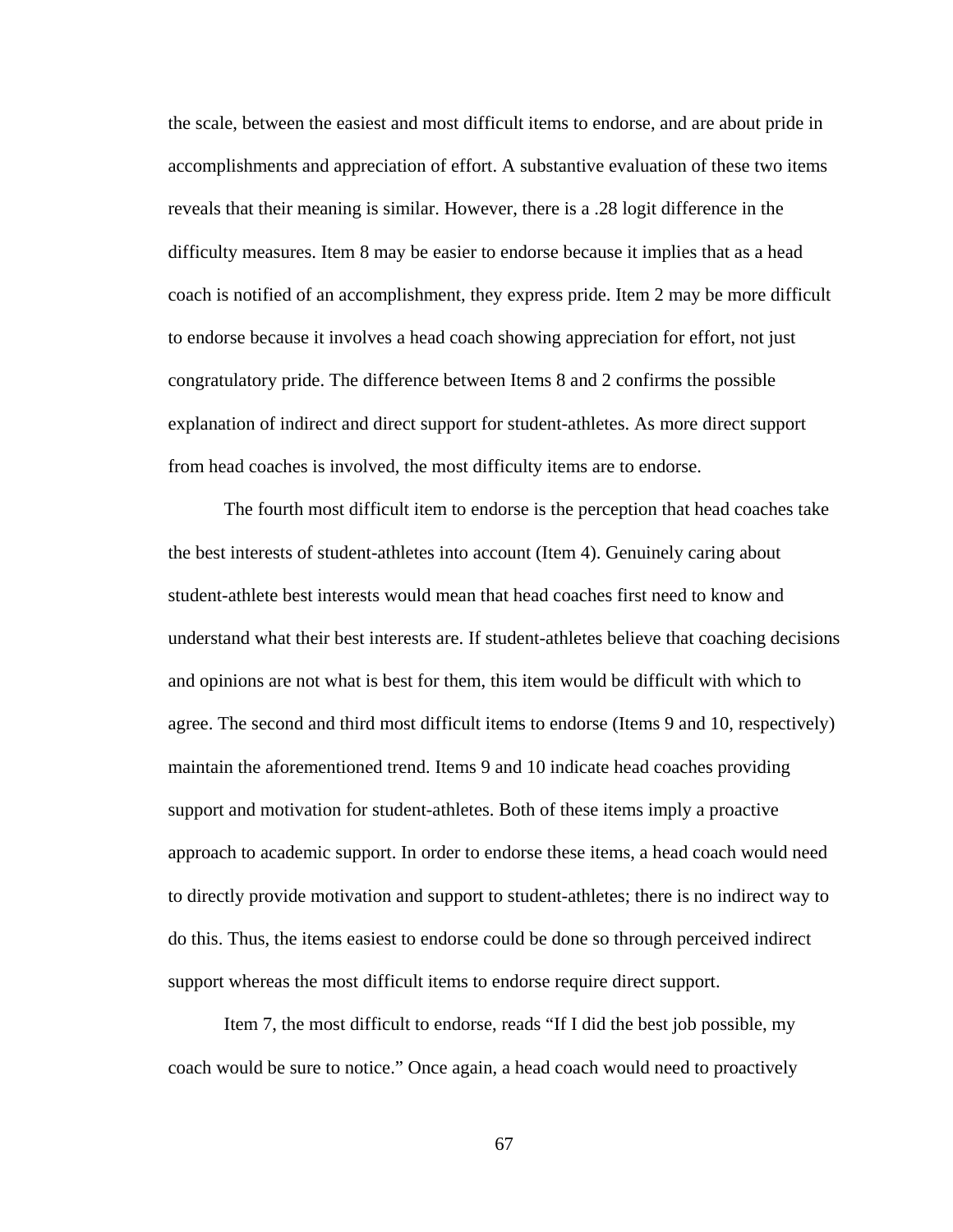the scale, between the easiest and most difficult items to endorse, and are about pride in accomplishments and appreciation of effort. A substantive evaluation of these two items reveals that their meaning is similar. However, there is a .28 logit difference in the difficulty measures. Item 8 may be easier to endorse because it implies that as a head coach is notified of an accomplishment, they express pride. Item 2 may be more difficult to endorse because it involves a head coach showing appreciation for effort, not just congratulatory pride. The difference between Items 8 and 2 confirms the possible explanation of indirect and direct support for student-athletes. As more direct support from head coaches is involved, the most difficulty items are to endorse.

The fourth most difficult item to endorse is the perception that head coaches take the best interests of student-athletes into account (Item 4). Genuinely caring about student-athlete best interests would mean that head coaches first need to know and understand what their best interests are. If student-athletes believe that coaching decisions and opinions are not what is best for them, this item would be difficult with which to agree. The second and third most difficult items to endorse (Items 9 and 10, respectively) maintain the aforementioned trend. Items 9 and 10 indicate head coaches providing support and motivation for student-athletes. Both of these items imply a proactive approach to academic support. In order to endorse these items, a head coach would need to directly provide motivation and support to student-athletes; there is no indirect way to do this. Thus, the items easiest to endorse could be done so through perceived indirect support whereas the most difficult items to endorse require direct support.

Item 7, the most difficult to endorse, reads "If I did the best job possible, my coach would be sure to notice." Once again, a head coach would need to proactively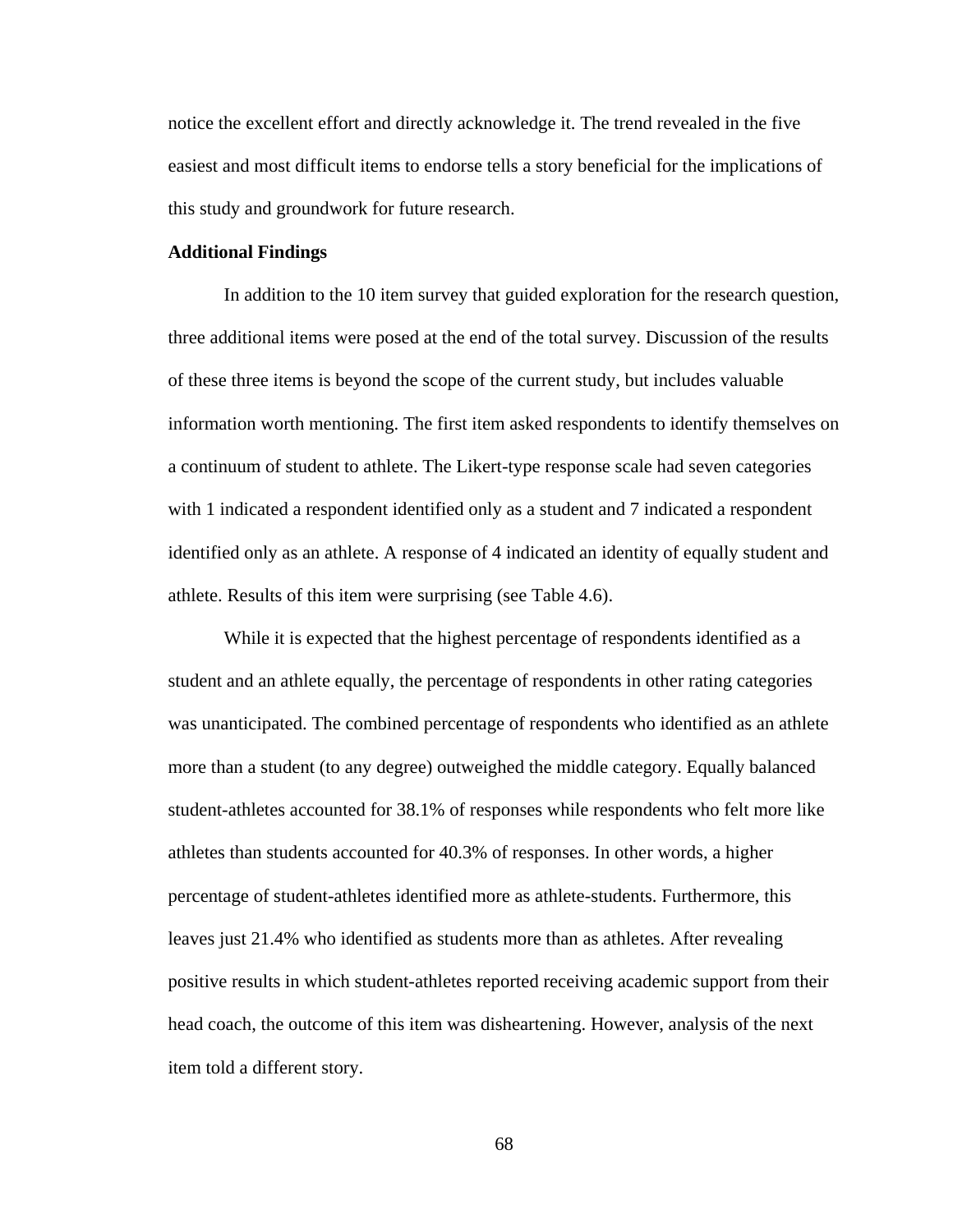notice the excellent effort and directly acknowledge it. The trend revealed in the five easiest and most difficult items to endorse tells a story beneficial for the implications of this study and groundwork for future research.

## **Additional Findings**

In addition to the 10 item survey that guided exploration for the research question, three additional items were posed at the end of the total survey. Discussion of the results of these three items is beyond the scope of the current study, but includes valuable information worth mentioning. The first item asked respondents to identify themselves on a continuum of student to athlete. The Likert-type response scale had seven categories with 1 indicated a respondent identified only as a student and 7 indicated a respondent identified only as an athlete. A response of 4 indicated an identity of equally student and athlete. Results of this item were surprising (see Table 4.6).

While it is expected that the highest percentage of respondents identified as a student and an athlete equally, the percentage of respondents in other rating categories was unanticipated. The combined percentage of respondents who identified as an athlete more than a student (to any degree) outweighed the middle category. Equally balanced student-athletes accounted for 38.1% of responses while respondents who felt more like athletes than students accounted for 40.3% of responses. In other words, a higher percentage of student-athletes identified more as athlete-students. Furthermore, this leaves just 21.4% who identified as students more than as athletes. After revealing positive results in which student-athletes reported receiving academic support from their head coach, the outcome of this item was disheartening. However, analysis of the next item told a different story.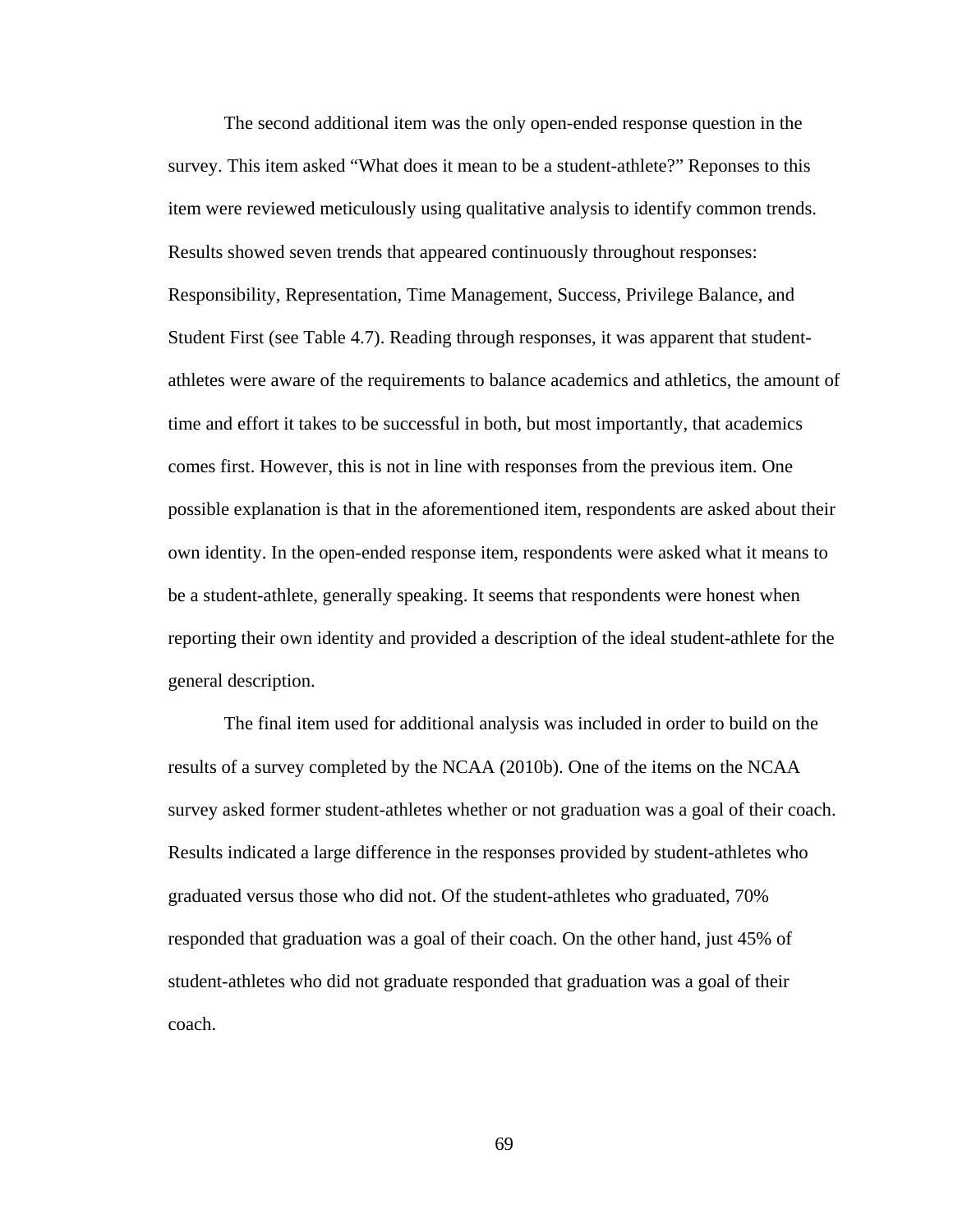The second additional item was the only open-ended response question in the survey. This item asked "What does it mean to be a student-athlete?" Reponses to this item were reviewed meticulously using qualitative analysis to identify common trends. Results showed seven trends that appeared continuously throughout responses: Responsibility, Representation, Time Management, Success, Privilege Balance, and Student First (see Table 4.7). Reading through responses, it was apparent that studentathletes were aware of the requirements to balance academics and athletics, the amount of time and effort it takes to be successful in both, but most importantly, that academics comes first. However, this is not in line with responses from the previous item. One possible explanation is that in the aforementioned item, respondents are asked about their own identity. In the open-ended response item, respondents were asked what it means to be a student-athlete, generally speaking. It seems that respondents were honest when reporting their own identity and provided a description of the ideal student-athlete for the general description.

The final item used for additional analysis was included in order to build on the results of a survey completed by the NCAA (2010b). One of the items on the NCAA survey asked former student-athletes whether or not graduation was a goal of their coach. Results indicated a large difference in the responses provided by student-athletes who graduated versus those who did not. Of the student-athletes who graduated, 70% responded that graduation was a goal of their coach. On the other hand, just 45% of student-athletes who did not graduate responded that graduation was a goal of their coach.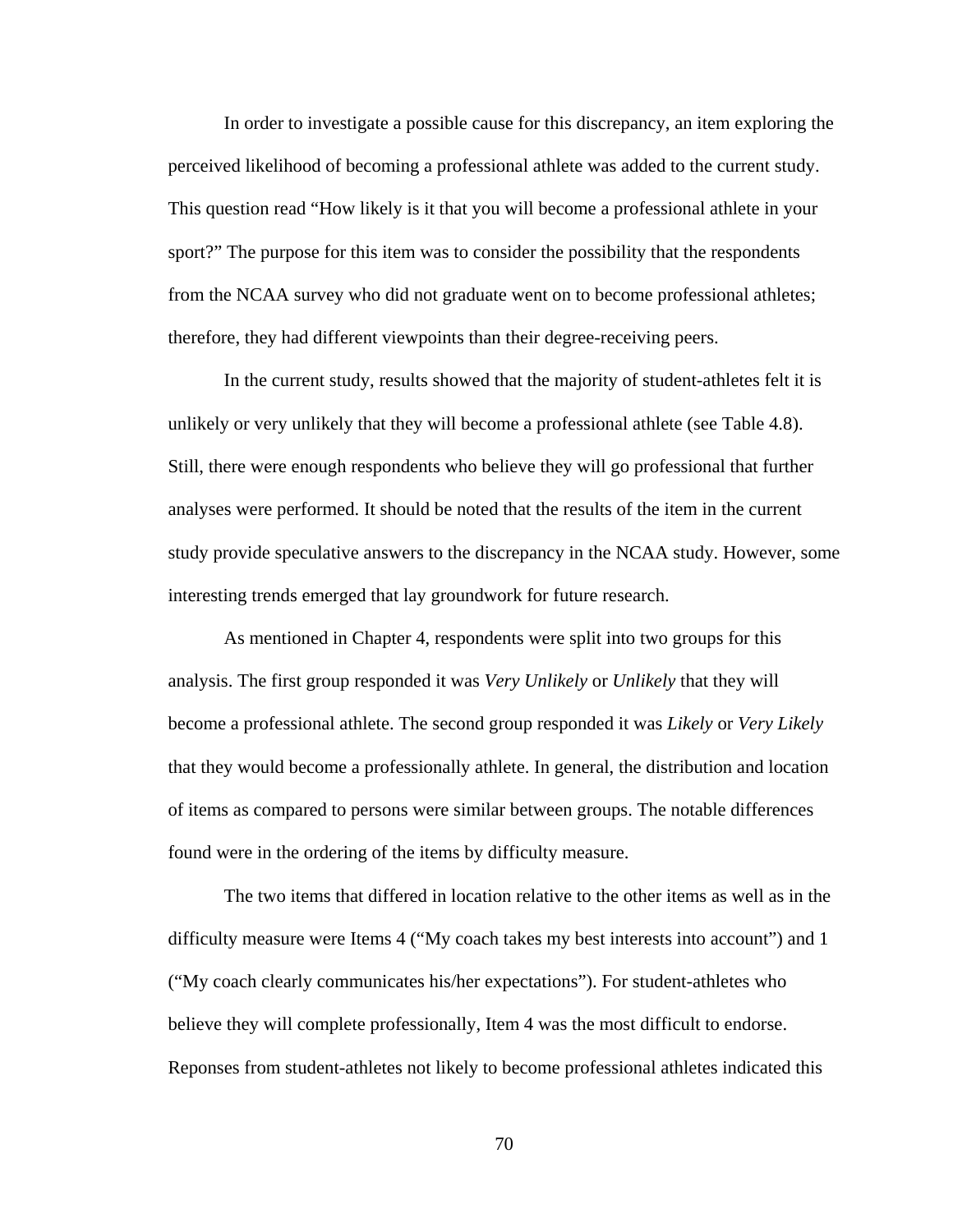In order to investigate a possible cause for this discrepancy, an item exploring the perceived likelihood of becoming a professional athlete was added to the current study. This question read "How likely is it that you will become a professional athlete in your sport?" The purpose for this item was to consider the possibility that the respondents from the NCAA survey who did not graduate went on to become professional athletes; therefore, they had different viewpoints than their degree-receiving peers.

In the current study, results showed that the majority of student-athletes felt it is unlikely or very unlikely that they will become a professional athlete (see Table 4.8). Still, there were enough respondents who believe they will go professional that further analyses were performed. It should be noted that the results of the item in the current study provide speculative answers to the discrepancy in the NCAA study. However, some interesting trends emerged that lay groundwork for future research.

As mentioned in Chapter 4, respondents were split into two groups for this analysis. The first group responded it was *Very Unlikely* or *Unlikely* that they will become a professional athlete. The second group responded it was *Likely* or *Very Likely* that they would become a professionally athlete. In general, the distribution and location of items as compared to persons were similar between groups. The notable differences found were in the ordering of the items by difficulty measure.

The two items that differed in location relative to the other items as well as in the difficulty measure were Items 4 ("My coach takes my best interests into account") and 1 ("My coach clearly communicates his/her expectations"). For student-athletes who believe they will complete professionally, Item 4 was the most difficult to endorse. Reponses from student-athletes not likely to become professional athletes indicated this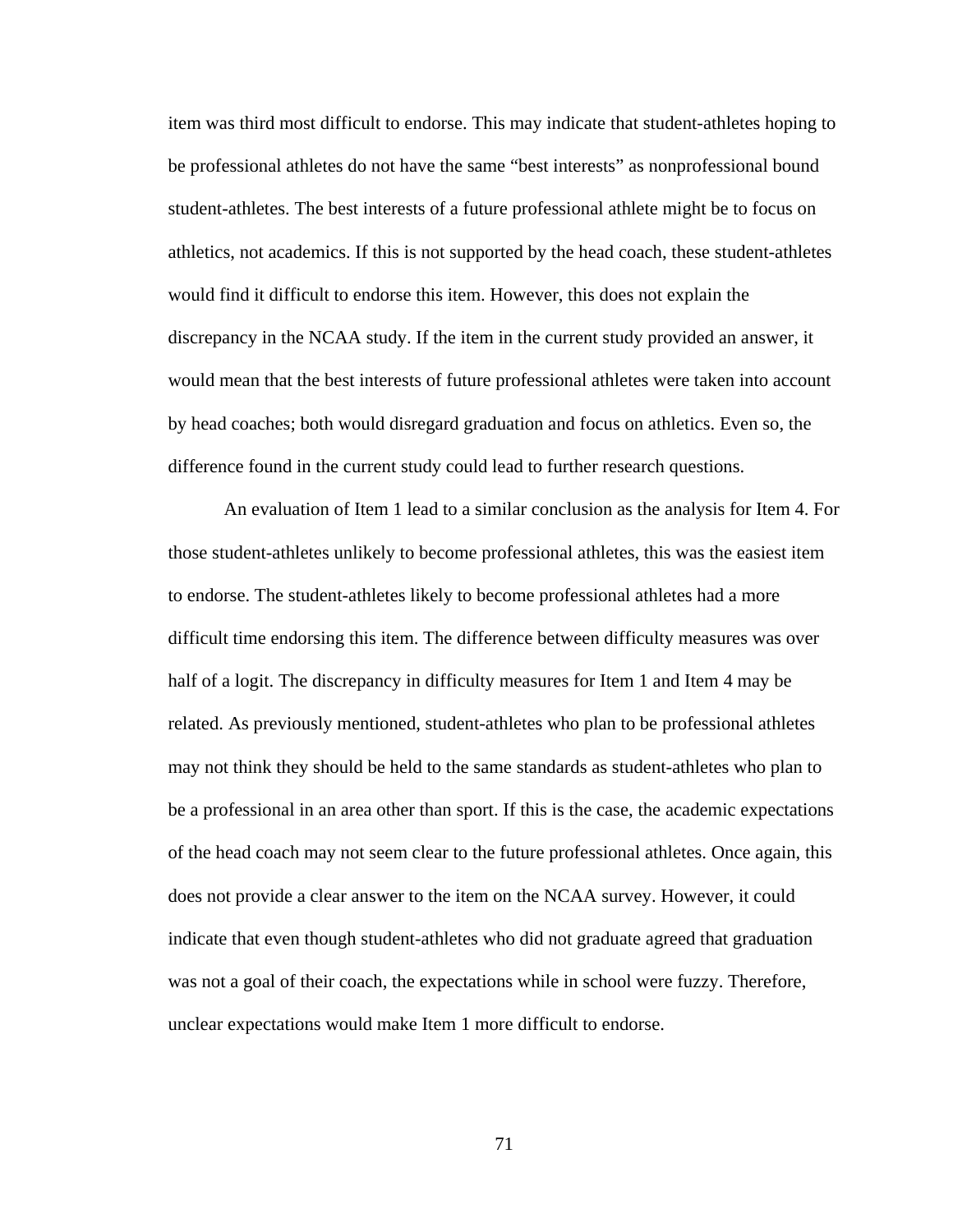item was third most difficult to endorse. This may indicate that student-athletes hoping to be professional athletes do not have the same "best interests" as nonprofessional bound student-athletes. The best interests of a future professional athlete might be to focus on athletics, not academics. If this is not supported by the head coach, these student-athletes would find it difficult to endorse this item. However, this does not explain the discrepancy in the NCAA study. If the item in the current study provided an answer, it would mean that the best interests of future professional athletes were taken into account by head coaches; both would disregard graduation and focus on athletics. Even so, the difference found in the current study could lead to further research questions.

An evaluation of Item 1 lead to a similar conclusion as the analysis for Item 4. For those student-athletes unlikely to become professional athletes, this was the easiest item to endorse. The student-athletes likely to become professional athletes had a more difficult time endorsing this item. The difference between difficulty measures was over half of a logit. The discrepancy in difficulty measures for Item 1 and Item 4 may be related. As previously mentioned, student-athletes who plan to be professional athletes may not think they should be held to the same standards as student-athletes who plan to be a professional in an area other than sport. If this is the case, the academic expectations of the head coach may not seem clear to the future professional athletes. Once again, this does not provide a clear answer to the item on the NCAA survey. However, it could indicate that even though student-athletes who did not graduate agreed that graduation was not a goal of their coach, the expectations while in school were fuzzy. Therefore, unclear expectations would make Item 1 more difficult to endorse.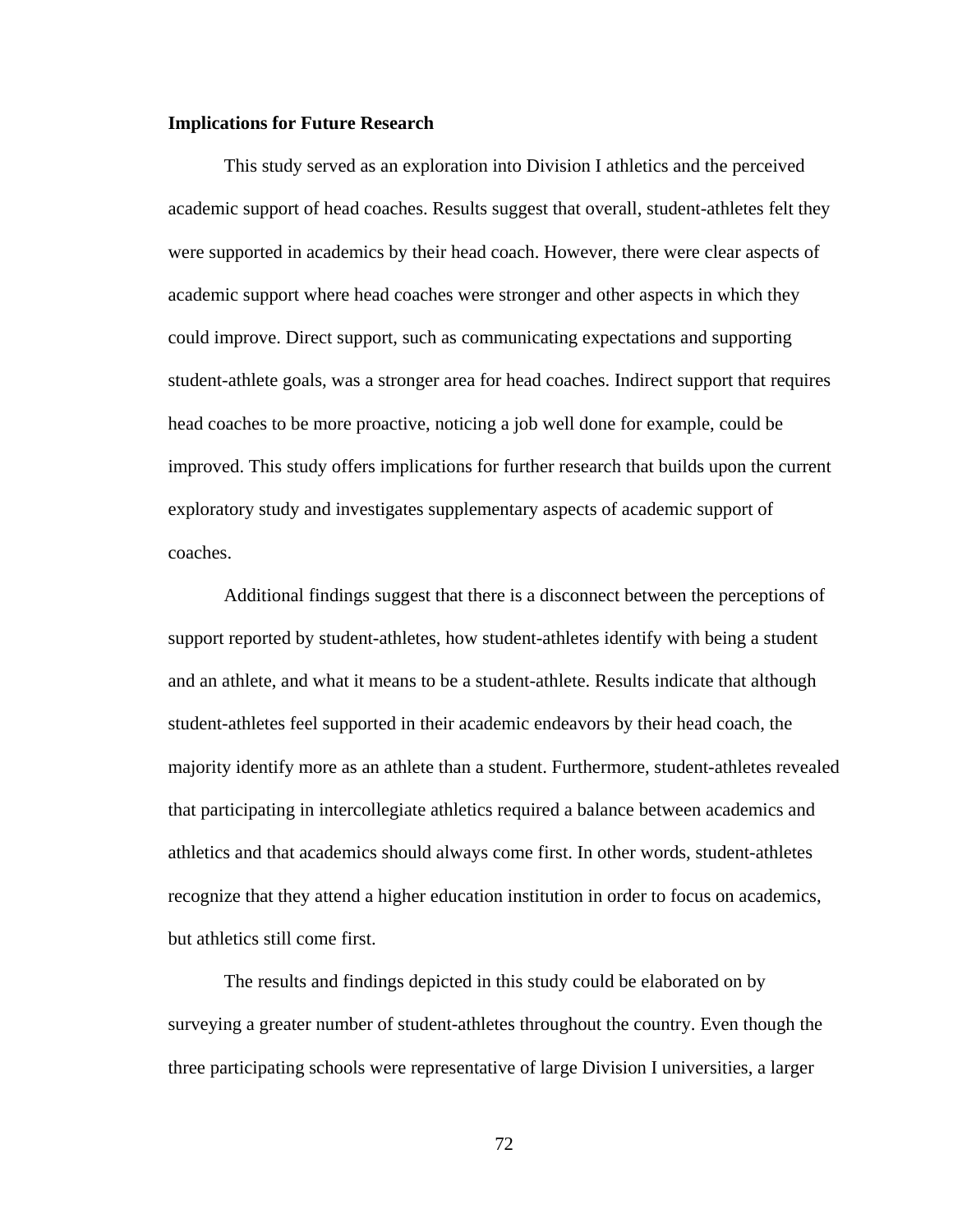#### **Implications for Future Research**

This study served as an exploration into Division I athletics and the perceived academic support of head coaches. Results suggest that overall, student-athletes felt they were supported in academics by their head coach. However, there were clear aspects of academic support where head coaches were stronger and other aspects in which they could improve. Direct support, such as communicating expectations and supporting student-athlete goals, was a stronger area for head coaches. Indirect support that requires head coaches to be more proactive, noticing a job well done for example, could be improved. This study offers implications for further research that builds upon the current exploratory study and investigates supplementary aspects of academic support of coaches.

Additional findings suggest that there is a disconnect between the perceptions of support reported by student-athletes, how student-athletes identify with being a student and an athlete, and what it means to be a student-athlete. Results indicate that although student-athletes feel supported in their academic endeavors by their head coach, the majority identify more as an athlete than a student. Furthermore, student-athletes revealed that participating in intercollegiate athletics required a balance between academics and athletics and that academics should always come first. In other words, student-athletes recognize that they attend a higher education institution in order to focus on academics, but athletics still come first.

The results and findings depicted in this study could be elaborated on by surveying a greater number of student-athletes throughout the country. Even though the three participating schools were representative of large Division I universities, a larger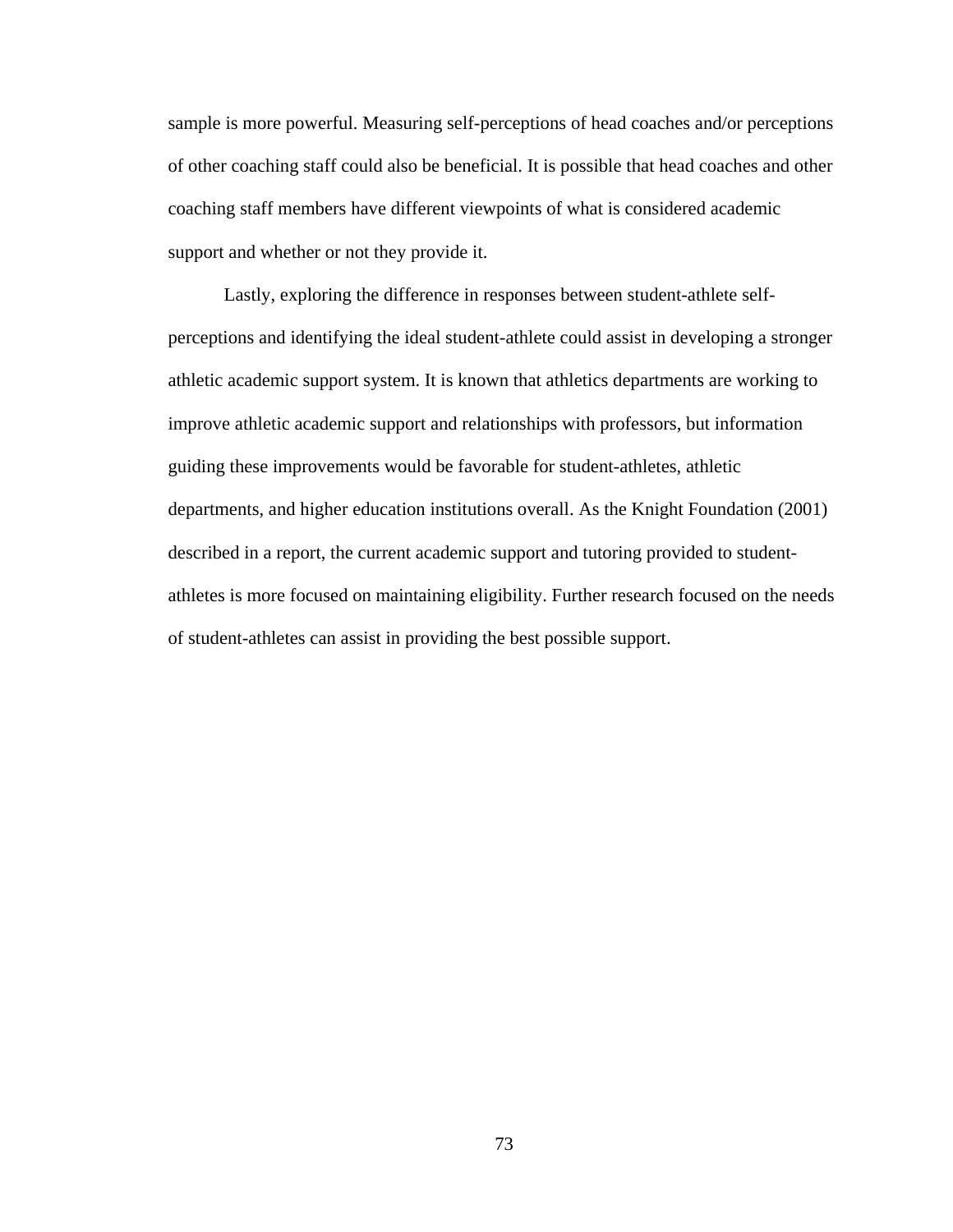sample is more powerful. Measuring self-perceptions of head coaches and/or perceptions of other coaching staff could also be beneficial. It is possible that head coaches and other coaching staff members have different viewpoints of what is considered academic support and whether or not they provide it.

Lastly, exploring the difference in responses between student-athlete selfperceptions and identifying the ideal student-athlete could assist in developing a stronger athletic academic support system. It is known that athletics departments are working to improve athletic academic support and relationships with professors, but information guiding these improvements would be favorable for student-athletes, athletic departments, and higher education institutions overall. As the Knight Foundation (2001) described in a report, the current academic support and tutoring provided to studentathletes is more focused on maintaining eligibility. Further research focused on the needs of student-athletes can assist in providing the best possible support.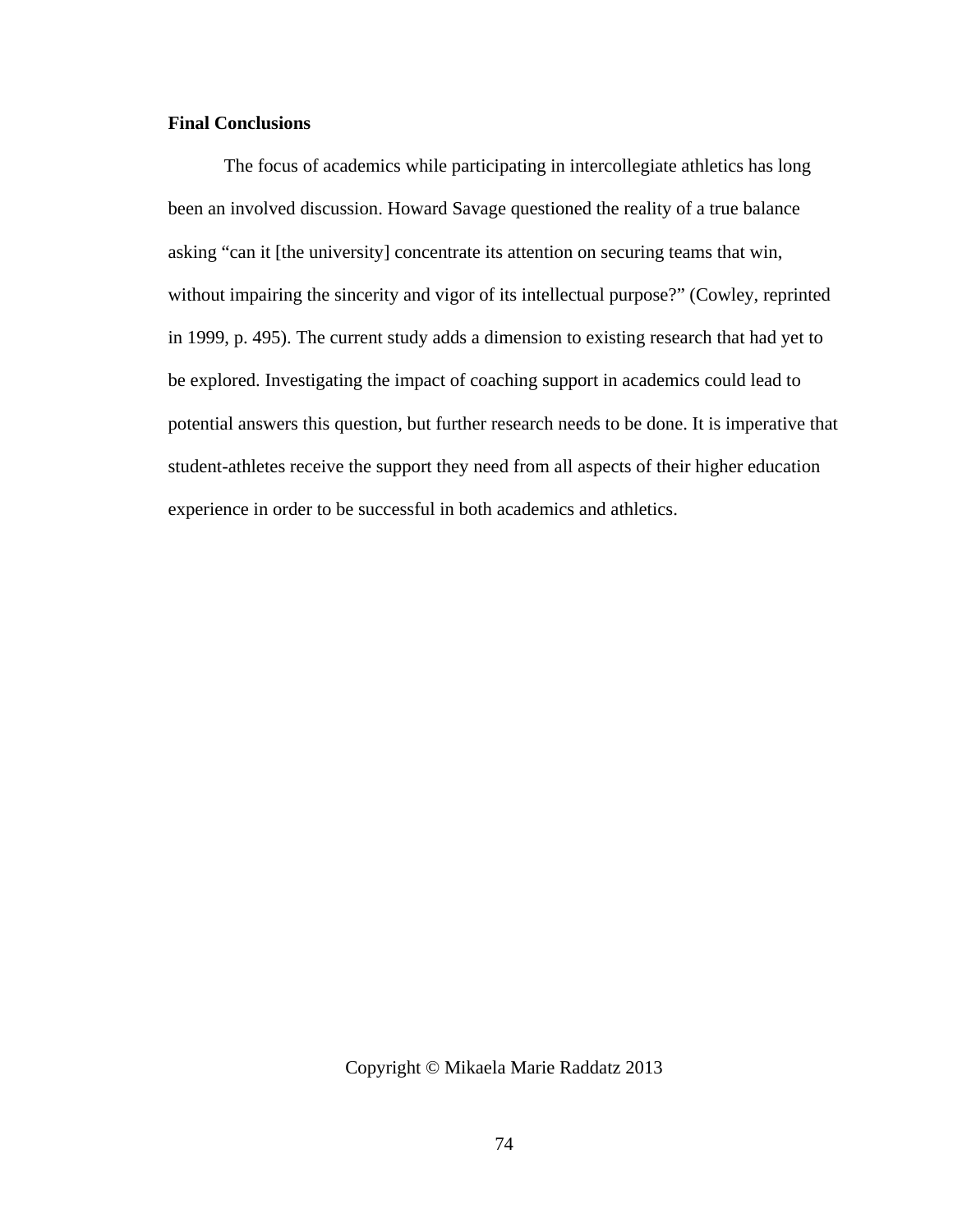## **Final Conclusions**

The focus of academics while participating in intercollegiate athletics has long been an involved discussion. Howard Savage questioned the reality of a true balance asking "can it [the university] concentrate its attention on securing teams that win, without impairing the sincerity and vigor of its intellectual purpose?" (Cowley, reprinted in 1999, p. 495). The current study adds a dimension to existing research that had yet to be explored. Investigating the impact of coaching support in academics could lead to potential answers this question, but further research needs to be done. It is imperative that student-athletes receive the support they need from all aspects of their higher education experience in order to be successful in both academics and athletics.

## Copyright © Mikaela Marie Raddatz 2013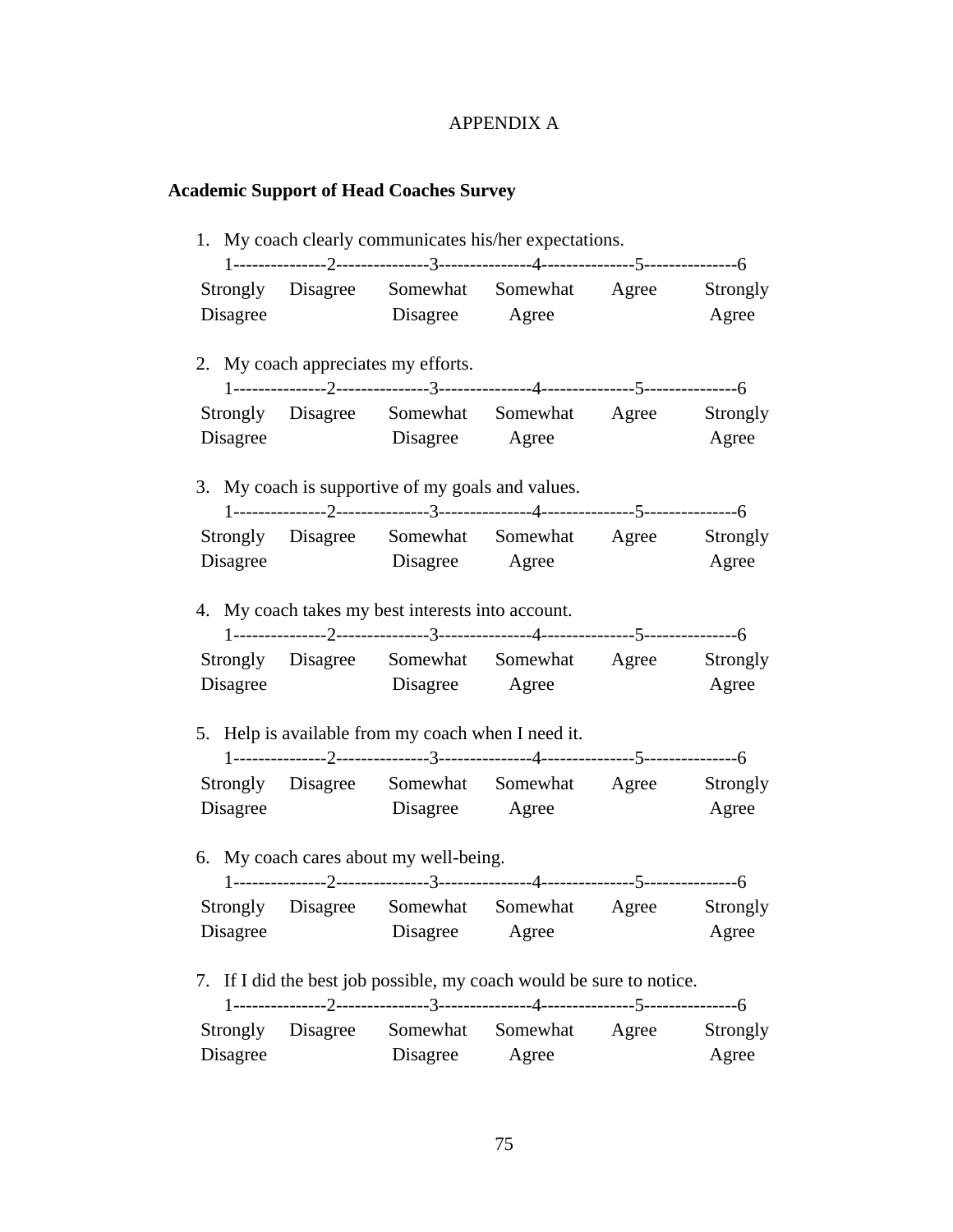## APPENDIX A

# **Academic Support of Head Coaches Survey**

|                   |                                                    | Strongly Disagree Somewhat Somewhat Agree Strongly                            |                        |          |
|-------------------|----------------------------------------------------|-------------------------------------------------------------------------------|------------------------|----------|
|                   | Disagree Disagree Agree                            |                                                                               | <b>Example 2</b> Agree |          |
|                   | 2. My coach appreciates my efforts.                |                                                                               |                        |          |
|                   |                                                    |                                                                               |                        |          |
|                   |                                                    | Strongly Disagree Somewhat Somewhat Agree Strongly                            |                        |          |
|                   |                                                    | Disagree Disagree Agree Agree Agree                                           |                        |          |
|                   | 3. My coach is supportive of my goals and values.  |                                                                               |                        |          |
|                   |                                                    |                                                                               |                        |          |
|                   |                                                    | Strongly Disagree Somewhat Somewhat Agree Strongly                            |                        |          |
|                   | Disagree Disagree Agree                            |                                                                               |                        | Agree    |
|                   |                                                    | Strongly Disagree Somewhat Somewhat Agree Strongly<br>Disagree Disagree Agree |                        | Agree    |
|                   | 5. Help is available from my coach when I need it. |                                                                               |                        |          |
|                   |                                                    |                                                                               |                        |          |
|                   |                                                    | Strongly Disagree Somewhat Somewhat Agree Strongly                            |                        |          |
|                   |                                                    |                                                                               |                        |          |
|                   |                                                    | Disagree Disagree Agree Agree Agree                                           |                        |          |
|                   | 6. My coach cares about my well-being.             |                                                                               |                        |          |
|                   |                                                    |                                                                               |                        |          |
|                   |                                                    | Strongly Disagree Somewhat Somewhat Agree Strongly                            |                        |          |
|                   | Disagree Disagree Agree                            |                                                                               | Agree                  |          |
|                   |                                                    | 7. If I did the best job possible, my coach would be sure to notice.          |                        |          |
| Strongly Disagree |                                                    | Somewhat Somewhat                                                             | Agree                  | Strongly |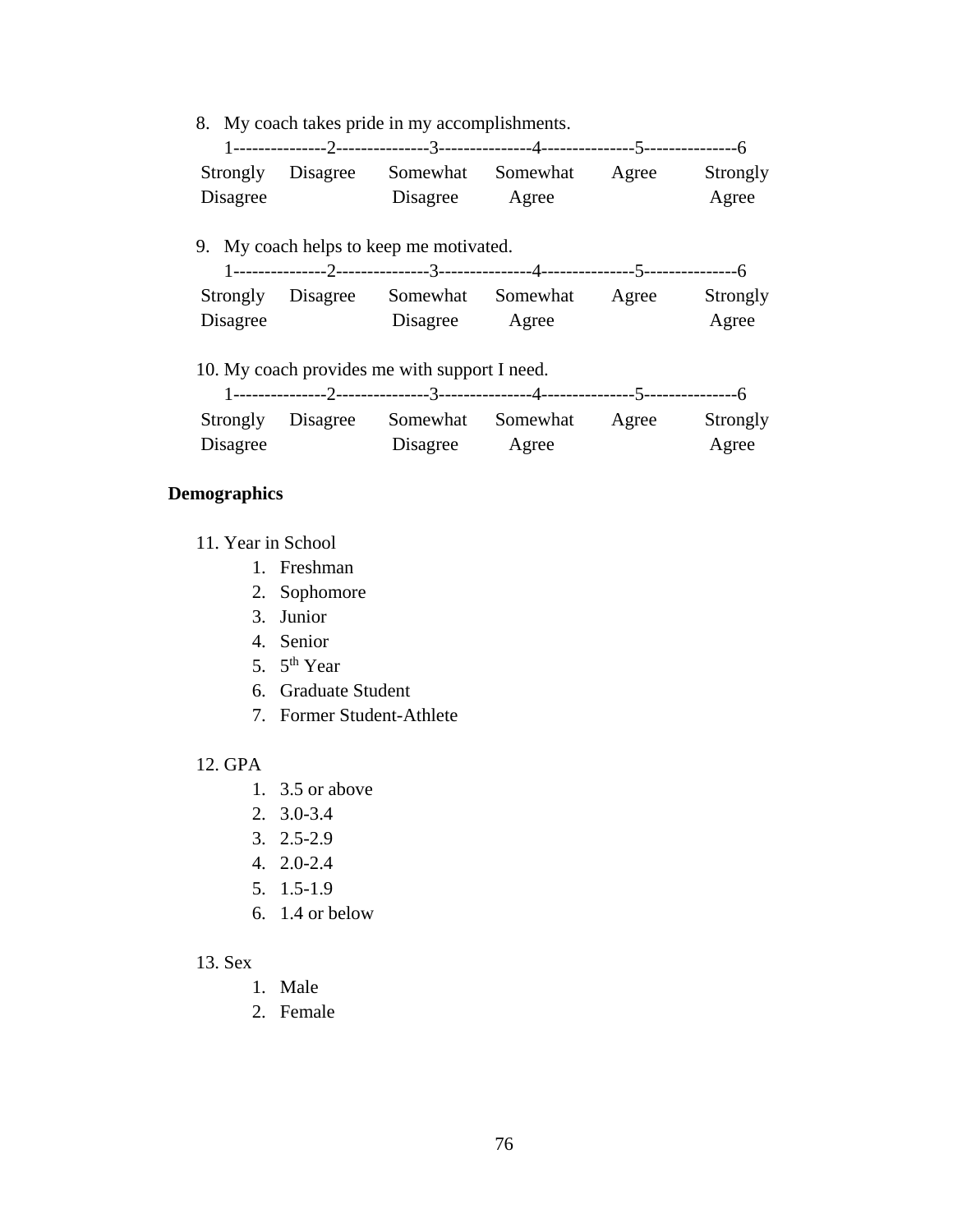8. My coach takes pride in my accomplishments.

|          |          | Strongly Disagree Somewhat Somewhat Agree | Strongly |
|----------|----------|-------------------------------------------|----------|
| Disagree | Disagree | Agree                                     | Agree    |

## 9. My coach helps to keep me motivated. 1---------------2---------------3---------------4---------------5---------------6 Strongly Disagree Somewhat Somewhat Agree Strongly Disagree Disagree Agree Agree Agree

|          |                   | 10. My coach provides me with support I need. |                   |       |          |
|----------|-------------------|-----------------------------------------------|-------------------|-------|----------|
|          |                   |                                               |                   |       |          |
|          | Strongly Disagree |                                               | Somewhat Somewhat | Agree | Strongly |
| Disagree |                   | Disagree                                      | Agree             |       | Agree    |

## **Demographics**

- 11. Year in School
	- 1. Freshman
	- 2. Sophomore
	- 3. Junior
	- 4. Senior
	- 5.  $5<sup>th</sup> Year$
	- 6. Graduate Student
	- 7. Former Student-Athlete

## 12. GPA

- 1. 3.5 or above
- 2. 3.0-3.4
- 3. 2.5-2.9
- 4. 2.0-2.4
- 5. 1.5-1.9
- 6. 1.4 or below

## 13. Sex

- 1. Male
- 2. Female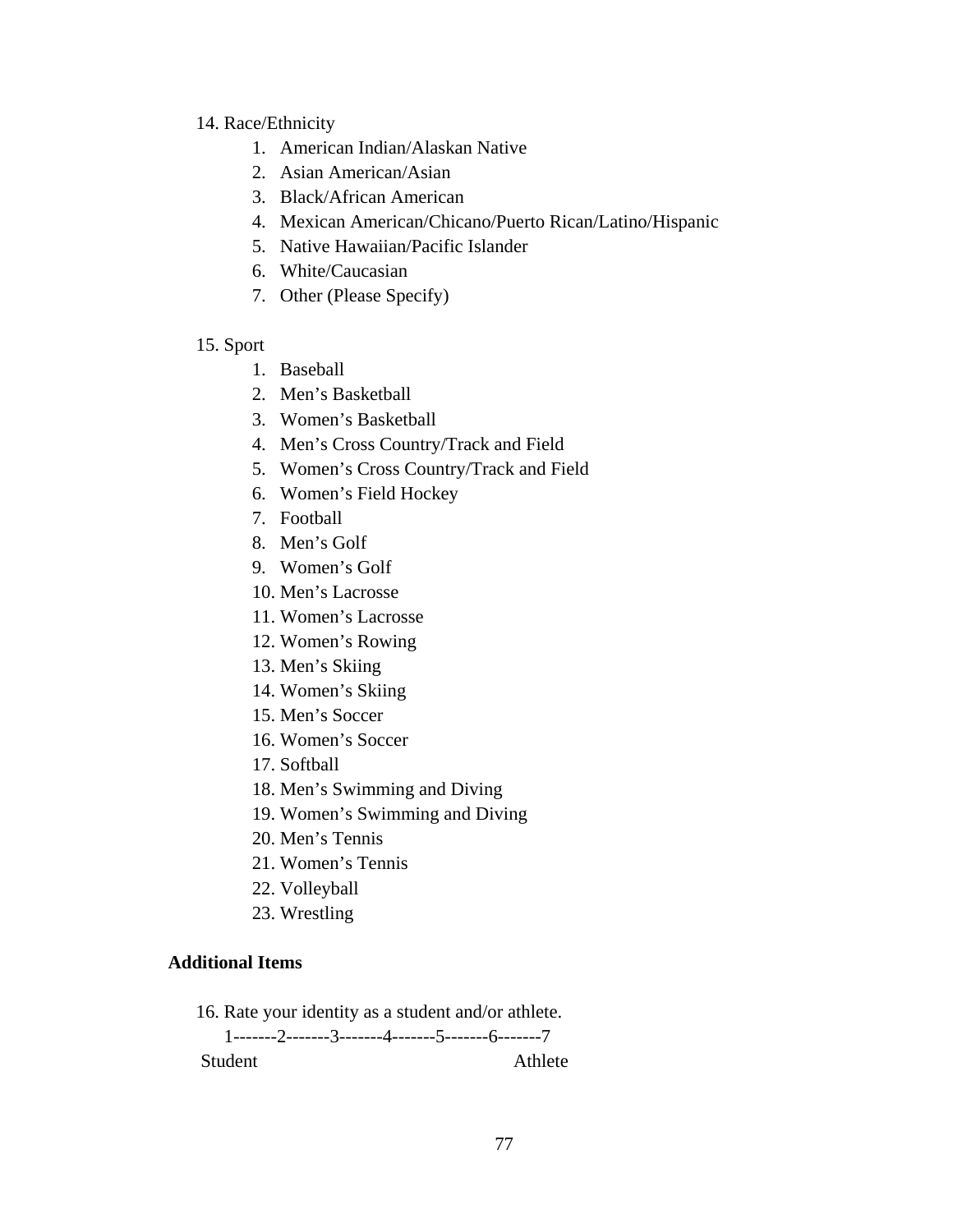## 14. Race/Ethnicity

- 1. American Indian/Alaskan Native
- 2. Asian American/Asian
- 3. Black/African American
- 4. Mexican American/Chicano/Puerto Rican/Latino/Hispanic
- 5. Native Hawaiian/Pacific Islander
- 6. White/Caucasian
- 7. Other (Please Specify)

## 15. Sport

- 1. Baseball
- 2. Men's Basketball
- 3. Women's Basketball
- 4. Men's Cross Country/Track and Field
- 5. Women's Cross Country/Track and Field
- 6. Women's Field Hockey
- 7. Football
- 8. Men's Golf
- 9. Women's Golf
- 10. Men's Lacrosse
- 11. Women's Lacrosse
- 12. Women's Rowing
- 13. Men's Skiing
- 14. Women's Skiing
- 15. Men's Soccer
- 16. Women's Soccer
- 17. Softball
- 18. Men's Swimming and Diving
- 19. Women's Swimming and Diving
- 20. Men's Tennis
- 21. Women's Tennis
- 22. Volleyball
- 23. Wrestling

## **Additional Items**

16. Rate your identity as a student and/or athlete.

1-------2-------3-------4-------5-------6-------7 Student Athlete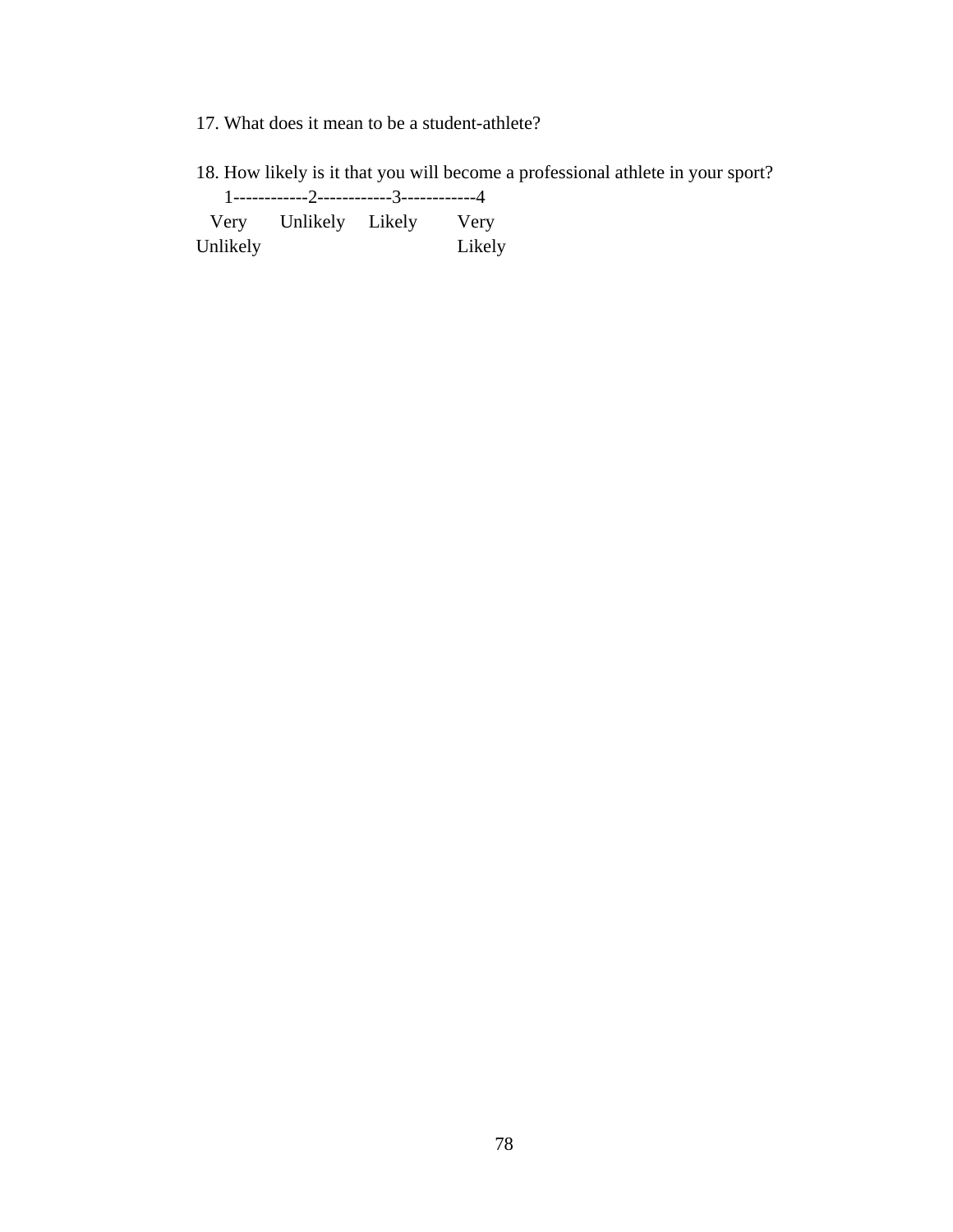17. What does it mean to be a student-athlete?

18. How likely is it that you will become a professional athlete in your sport? 1------------2------------3------------4

 Very Unlikely Likely Very Unlikely Likely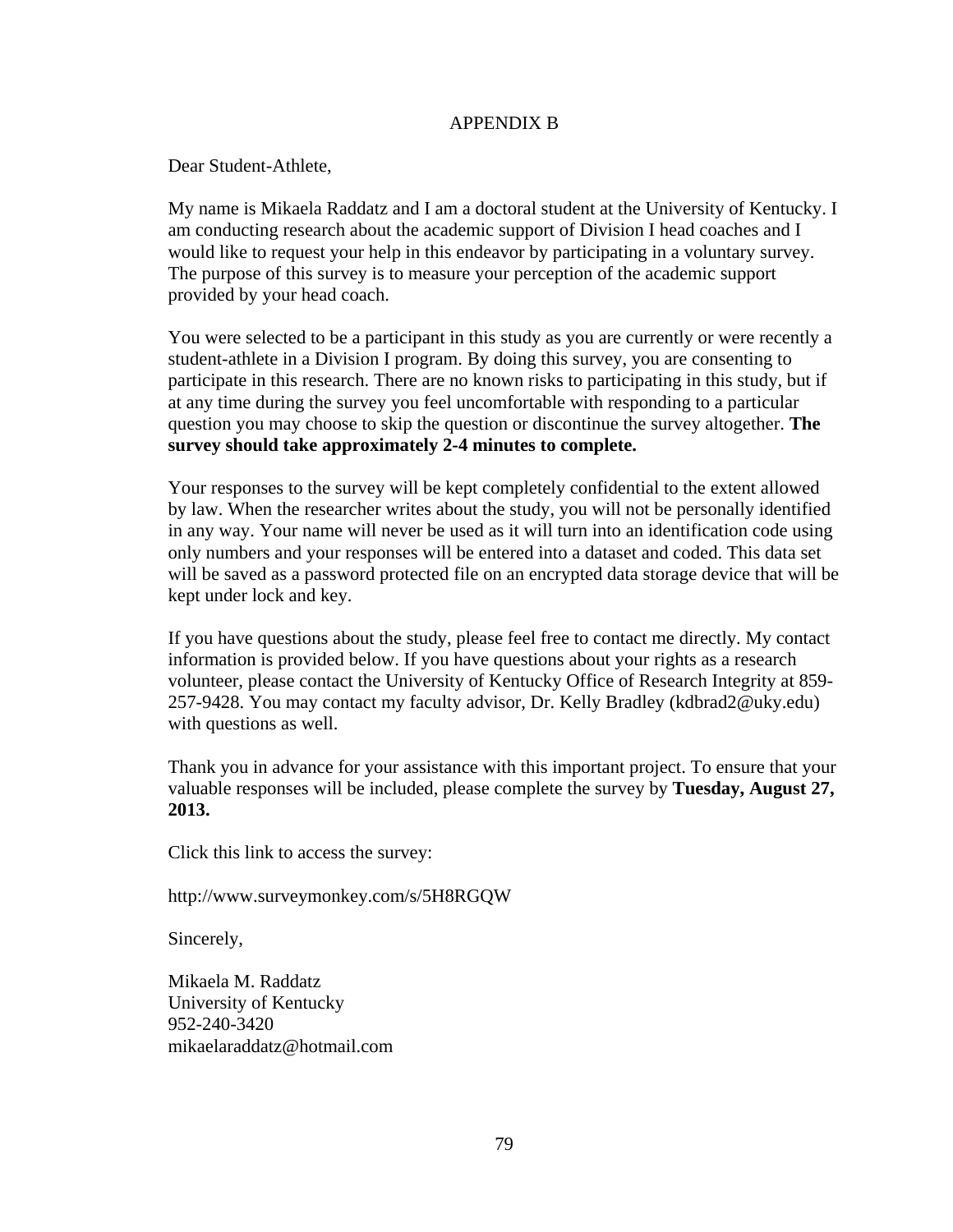## APPENDIX B

Dear Student-Athlete,

My name is Mikaela Raddatz and I am a doctoral student at the University of Kentucky. I am conducting research about the academic support of Division I head coaches and I would like to request your help in this endeavor by participating in a voluntary survey. The purpose of this survey is to measure your perception of the academic support provided by your head coach.

You were selected to be a participant in this study as you are currently or were recently a student-athlete in a Division I program. By doing this survey, you are consenting to participate in this research. There are no known risks to participating in this study, but if at any time during the survey you feel uncomfortable with responding to a particular question you may choose to skip the question or discontinue the survey altogether. **The survey should take approximately 2-4 minutes to complete.**

Your responses to the survey will be kept completely confidential to the extent allowed by law. When the researcher writes about the study, you will not be personally identified in any way. Your name will never be used as it will turn into an identification code using only numbers and your responses will be entered into a dataset and coded. This data set will be saved as a password protected file on an encrypted data storage device that will be kept under lock and key.

If you have questions about the study, please feel free to contact me directly. My contact information is provided below. If you have questions about your rights as a research volunteer, please contact the University of Kentucky Office of Research Integrity at 859- 257-9428. You may contact my faculty advisor, Dr. Kelly Bradley (kdbrad2@uky.edu) with questions as well.

Thank you in advance for your assistance with this important project. To ensure that your valuable responses will be included, please complete the survey by **Tuesday, August 27, 2013.**

Click this link to access the survey:

http://www.surveymonkey.com/s/5H8RGQW

Sincerely,

Mikaela M. Raddatz University of Kentucky 952-240-3420 mikaelaraddatz@hotmail.com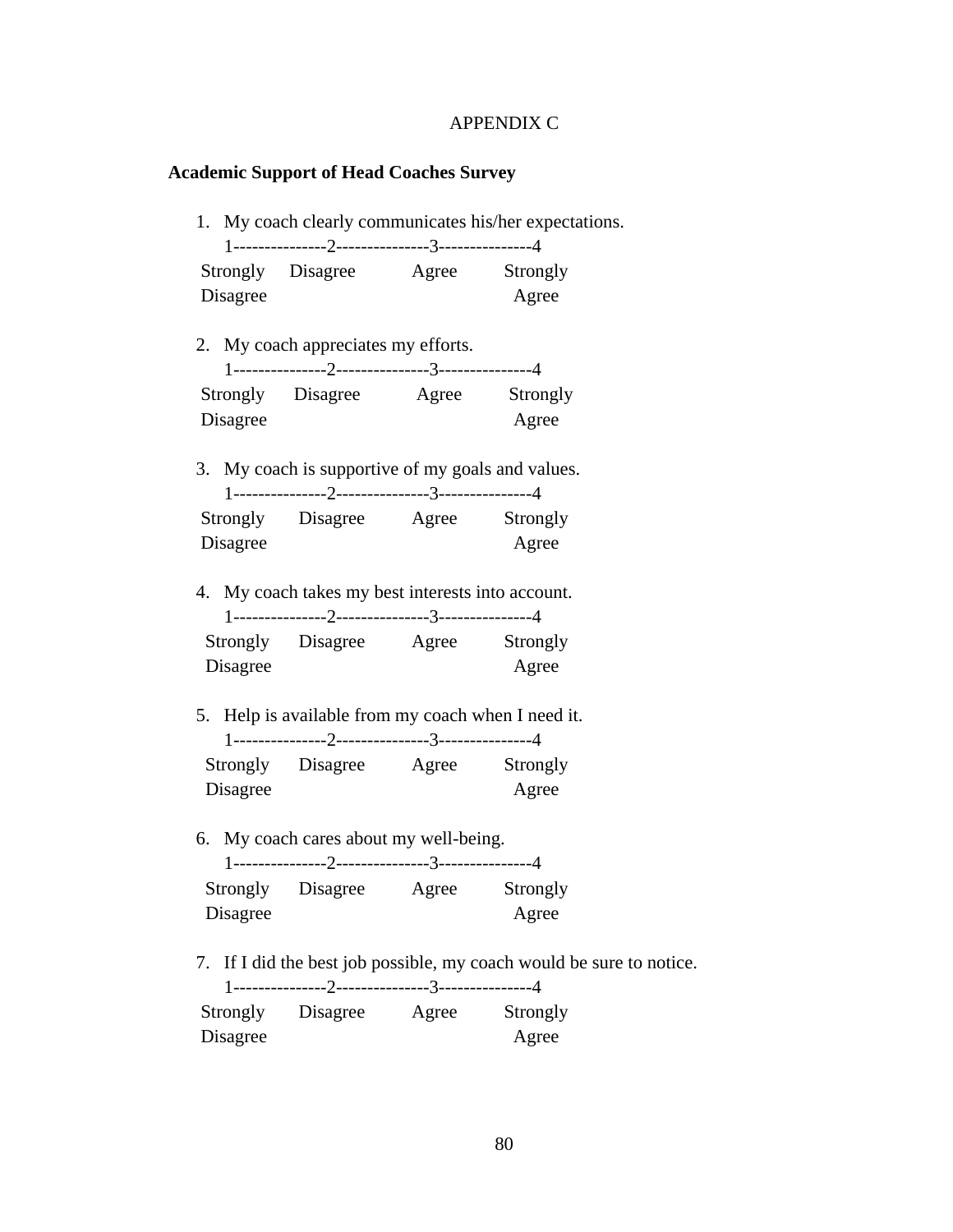## APPENDIX C

## **Academic Support of Head Coaches Survey**

| Disagree | Strongly Disagree Agree Strongly                   | Agree |
|----------|----------------------------------------------------|-------|
|          | 2. My coach appreciates my efforts.                |       |
|          | Strongly Disagree Agree Strongly                   |       |
| Disagree |                                                    | Agree |
|          | 3. My coach is supportive of my goals and values.  |       |
|          | Strongly Disagree Agree Strongly                   |       |
| Disagree |                                                    | Agree |
|          | 4. My coach takes my best interests into account.  |       |
| Disagree | Strongly Disagree Agree Strongly                   | Agree |
|          | 5. Help is available from my coach when I need it. |       |
|          |                                                    |       |
| Disagree | Strongly Disagree Agree Strongly                   | Agree |
|          | 6. My coach cares about my well-being.             |       |
|          |                                                    |       |
| Disagree | Strongly Disagree Agree Strongly                   | Agree |

| Strongly | Disagree | Agree | Strongly |
|----------|----------|-------|----------|
| Disagree |          |       | Agree    |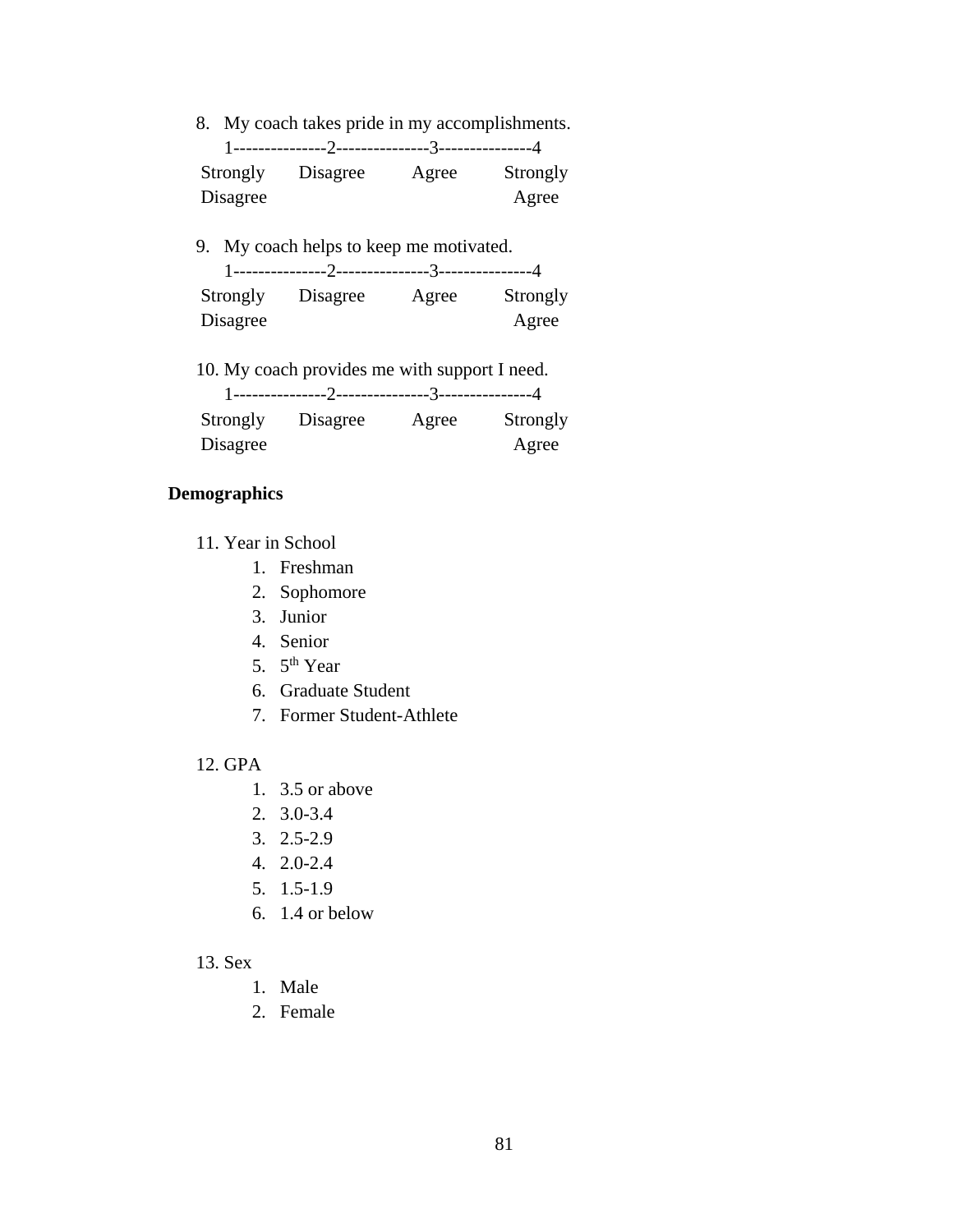- 8. My coach takes pride in my accomplishments. 1---------------2---------------3---------------4 Strongly Disagree Agree Strongly Disagree Agree
- 9. My coach helps to keep me motivated. 1---------------2---------------3---------------4 Strongly Disagree Agree Strongly Disagree Agree
- 10. My coach provides me with support I need. 1---------------2---------------3---------------4 Strongly Disagree Agree Strongly Disagree Agree

### **Demographics**

- 11. Year in School
	- 1. Freshman
	- 2. Sophomore
	- 3. Junior
	- 4. Senior
	- 5.  $5<sup>th</sup> Year$
	- 6. Graduate Student
	- 7. Former Student-Athlete

## 12. GPA

- 1. 3.5 or above
- 2. 3.0-3.4
- 3. 2.5-2.9
- 4. 2.0-2.4
- 5. 1.5-1.9
- 6. 1.4 or below

## 13. Sex

- 1. Male
- 2. Female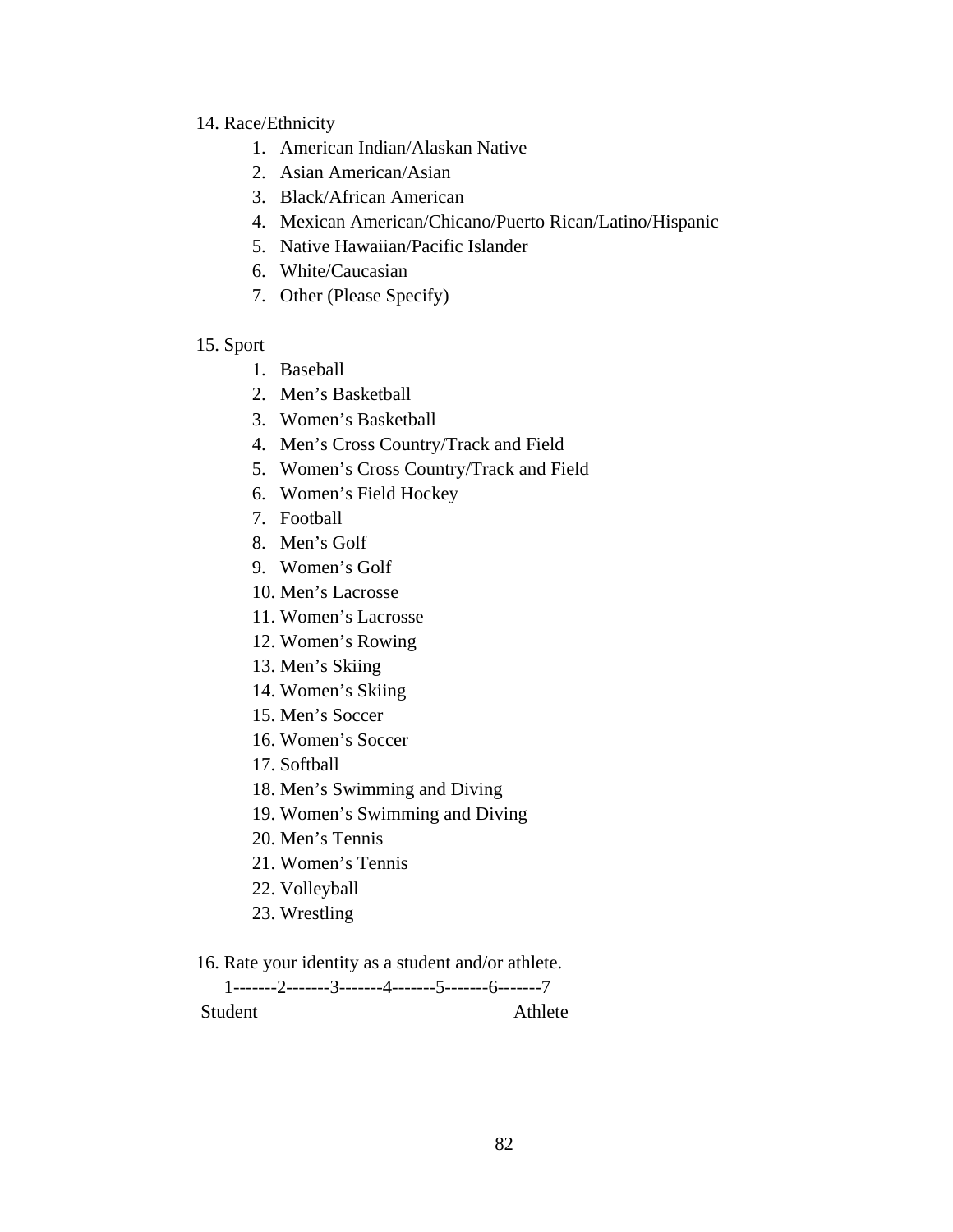## 14. Race/Ethnicity

- 1. American Indian/Alaskan Native
- 2. Asian American/Asian
- 3. Black/African American
- 4. Mexican American/Chicano/Puerto Rican/Latino/Hispanic
- 5. Native Hawaiian/Pacific Islander
- 6. White/Caucasian
- 7. Other (Please Specify)

## 15. Sport

- 1. Baseball
- 2. Men's Basketball
- 3. Women's Basketball
- 4. Men's Cross Country/Track and Field
- 5. Women's Cross Country/Track and Field
- 6. Women's Field Hockey
- 7. Football
- 8. Men's Golf
- 9. Women's Golf
- 10. Men's Lacrosse
- 11. Women's Lacrosse
- 12. Women's Rowing
- 13. Men's Skiing
- 14. Women's Skiing
- 15. Men's Soccer
- 16. Women's Soccer
- 17. Softball
- 18. Men's Swimming and Diving
- 19. Women's Swimming and Diving
- 20. Men's Tennis
- 21. Women's Tennis
- 22. Volleyball
- 23. Wrestling
- 16. Rate your identity as a student and/or athlete.

1-------2-------3-------4-------5-------6-------7 Student Athlete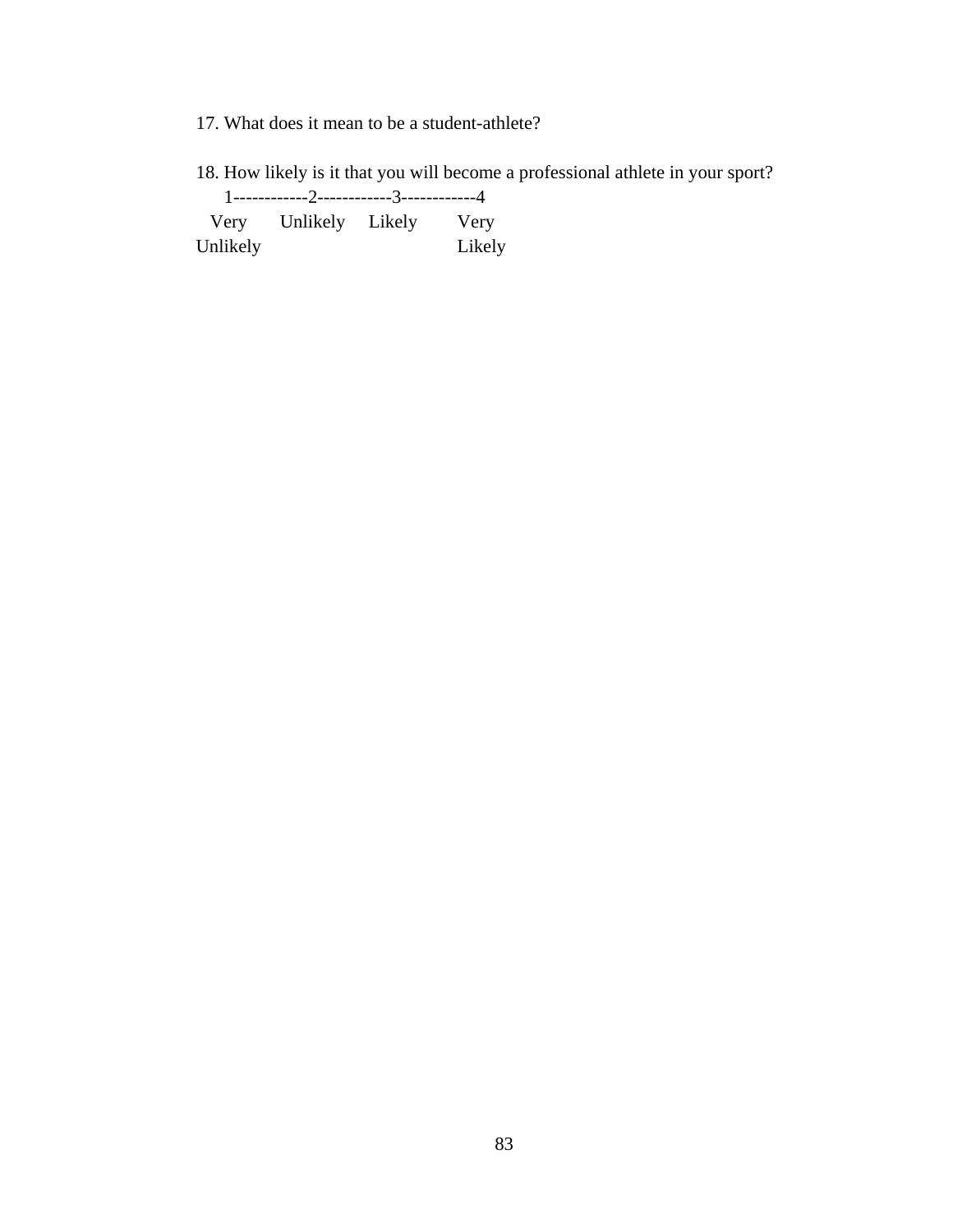17. What does it mean to be a student-athlete?

18. How likely is it that you will become a professional athlete in your sport? 1------------2------------3------------4

 Very Unlikely Likely Very Unlikely Likely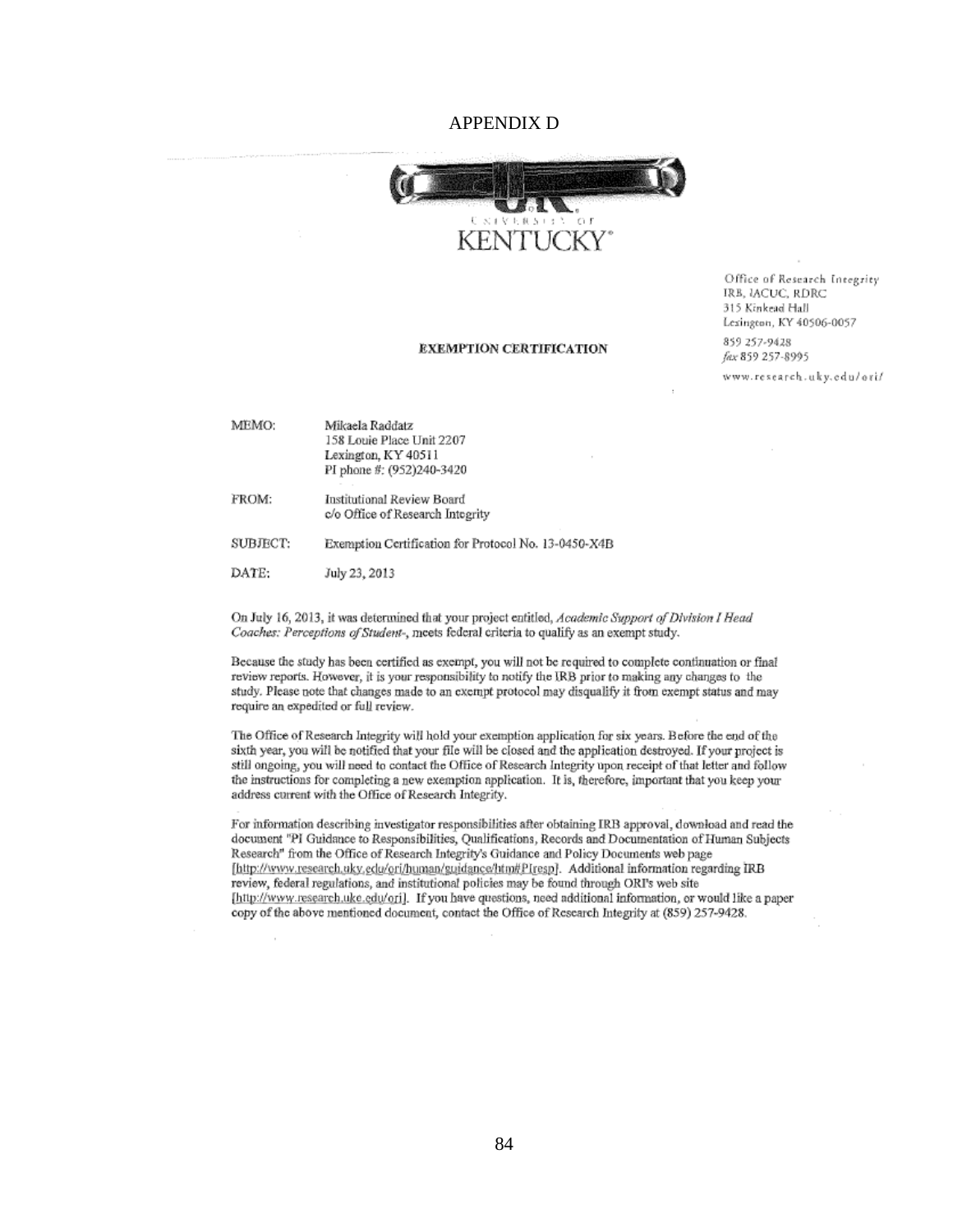#### APPENDIX D



Office of Research Integrity IRB, IACUC, RDRC 315 Kinkead Hall Lexington, KY 40506-0057 859 257-9428 fax 859 257-8995 www.research.uky.edu/ori/

#### **EXEMPTION CERTIFICATION**

MEMO: Mikaela Raddatz 158 Louie Place Unit 2207 Lexington, KY 40511 PI phone #: (952)240-3420 FROM: **Institutional Review Board** c/o Office of Research Integrity **SUBJECT:** Exemption Certification for Protocol No. 13-0450-X4B

DATE: July 23, 2013

On July 16, 2013, it was determined that your project entitled, Academic Support of Division I Head Coaches: Perceptions of Student-, meets federal criteria to qualify as an exempt study.

Because the study has been certified as exempt, you will not be required to complete continuation or final review reports. However, it is your responsibility to notify the IRB prior to making any changes to the study. Please note that changes made to an exempt protocol may disqualify it from exempt status and may require an expedited or full review.

The Office of Research Integrity will hold your exemption application for six years. Before the end of the sixth year, you will be notified that your file will be closed and the application destroyed. If your project is still ongoing, you will need to contact the Office of Research Integrity upon receipt of that letter and follow the instructions for completing a new exemption application. It is, therefore, important that you keep your address current with the Office of Research Integrity.

For information describing investigator responsibilities after obtaining IRB approval, download and read the document "PI Guidance to Responsibilities, Qualifications, Records and Documentation of Human Subjects Research" from the Office of Research Integrity's Guidance and Policy Documents web page [http://www.research.uky.edu/ori/human/guidance/htm#PIresp]. Additional information regarding IRB review, federal regulations, and institutional policies may be found through ORI's web site [http://www.research.uke.edu/ori]. If you have questions, need additional information, or would like a paper copy of the above mentioned document, contact the Office of Research Integrity at (859) 257-9428.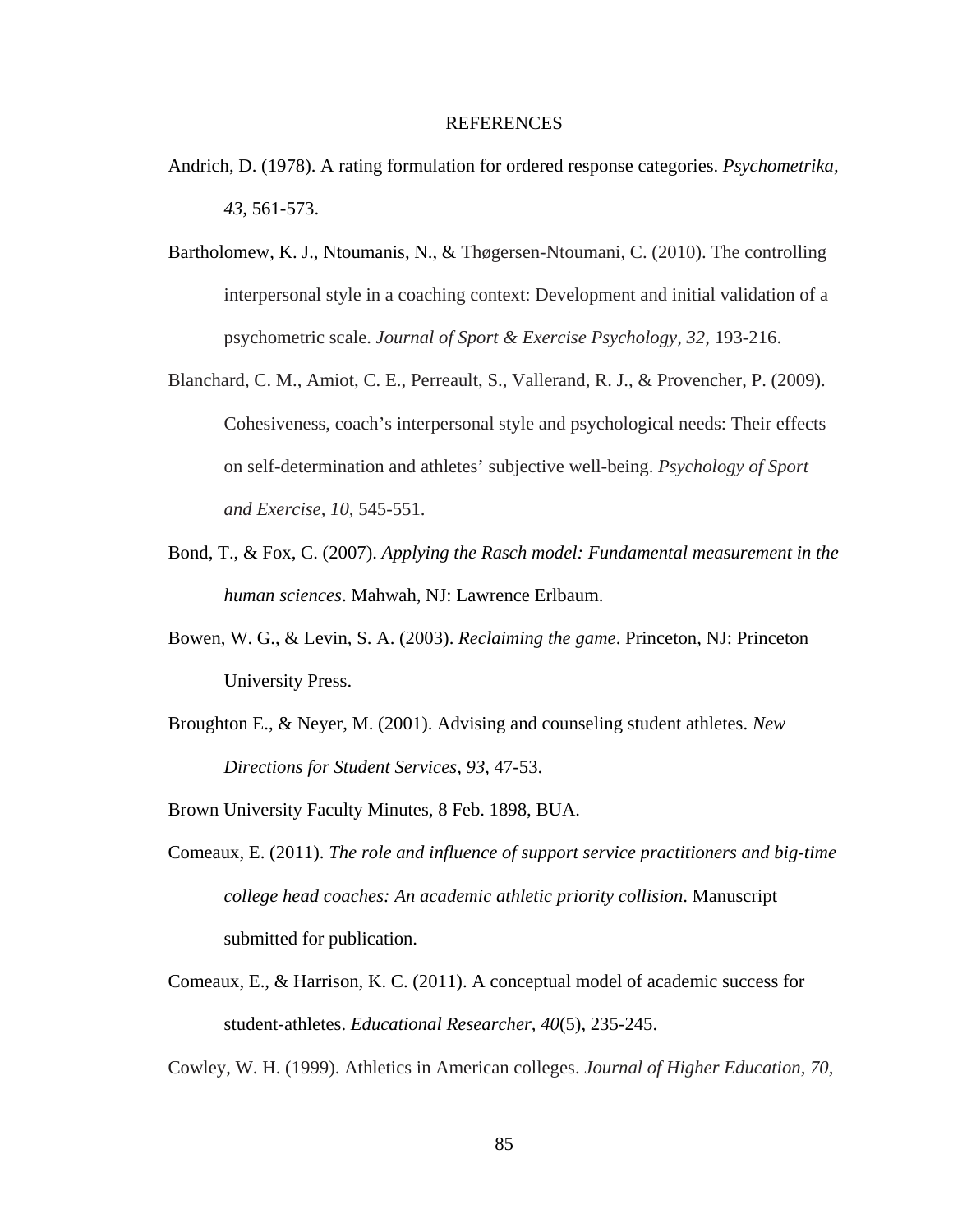#### REFERENCES

- Andrich, D. (1978). A rating formulation for ordered response categories. *Psychometrika, 43,* 561-573.
- Bartholomew, K. J., Ntoumanis, N., & Thøgersen-Ntoumani, C. (2010). The controlling interpersonal style in a coaching context: Development and initial validation of a psychometric scale. *Journal of Sport & Exercise Psychology, 32*, 193-216.
- Blanchard, C. M., Amiot, C. E., Perreault, S., Vallerand, R. J., & Provencher, P. (2009). Cohesiveness, coach's interpersonal style and psychological needs: Their effects on self-determination and athletes' subjective well-being. *Psychology of Sport and Exercise, 10,* 545-551.
- Bond, T., & Fox, C. (2007). *Applying the Rasch model: Fundamental measurement in the human sciences*. Mahwah, NJ: Lawrence Erlbaum.
- Bowen, W. G., & Levin, S. A. (2003). *Reclaiming the game*. Princeton, NJ: Princeton University Press.
- Broughton E., & Neyer, M. (2001). Advising and counseling student athletes. *New Directions for Student Services, 93*, 47-53.
- Brown University Faculty Minutes, 8 Feb. 1898, BUA.
- Comeaux, E. (2011). *The role and influence of support service practitioners and big-time college head coaches: An academic athletic priority collision*. Manuscript submitted for publication.
- Comeaux, E., & Harrison, K. C. (2011). A conceptual model of academic success for student-athletes. *Educational Researcher, 40*(5), 235-245.

Cowley, W. H. (1999). Athletics in American colleges. *Journal of Higher Education, 70,*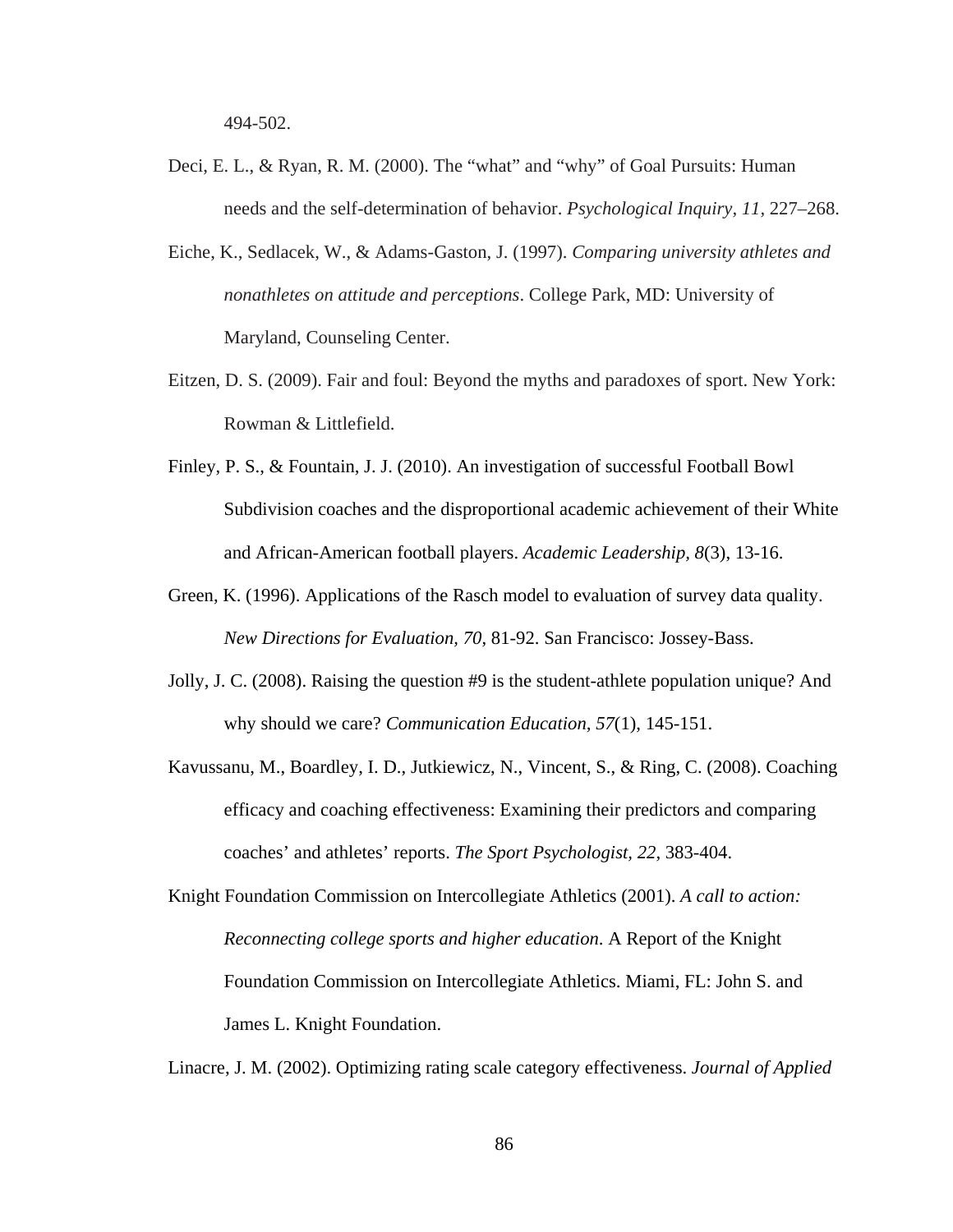494-502.

- Deci, E. L., & Ryan, R. M. (2000). The "what" and "why" of Goal Pursuits: Human needs and the self-determination of behavior. *Psychological Inquiry, 11,* 227–268.
- Eiche, K., Sedlacek, W., & Adams-Gaston, J. (1997). *Comparing university athletes and nonathletes on attitude and perceptions*. College Park, MD: University of Maryland, Counseling Center.
- Eitzen, D. S. (2009). Fair and foul: Beyond the myths and paradoxes of sport. New York: Rowman & Littlefield.
- Finley, P. S., & Fountain, J. J. (2010). An investigation of successful Football Bowl Subdivision coaches and the disproportional academic achievement of their White and African-American football players. *Academic Leadership, 8*(3), 13-16.
- Green, K. (1996). Applications of the Rasch model to evaluation of survey data quality. *New Directions for Evaluation, 70*, 81-92. San Francisco: Jossey-Bass.
- Jolly, J. C. (2008). Raising the question #9 is the student-athlete population unique? And why should we care? *Communication Education, 57*(1), 145-151.
- Kavussanu, M., Boardley, I. D., Jutkiewicz, N., Vincent, S., & Ring, C. (2008). Coaching efficacy and coaching effectiveness: Examining their predictors and comparing coaches' and athletes' reports. *The Sport Psychologist, 22*, 383-404.
- Knight Foundation Commission on Intercollegiate Athletics (2001). *A call to action: Reconnecting college sports and higher education*. A Report of the Knight Foundation Commission on Intercollegiate Athletics. Miami, FL: John S. and James L. Knight Foundation.

Linacre, J. M. (2002). Optimizing rating scale category effectiveness. *Journal of Applied*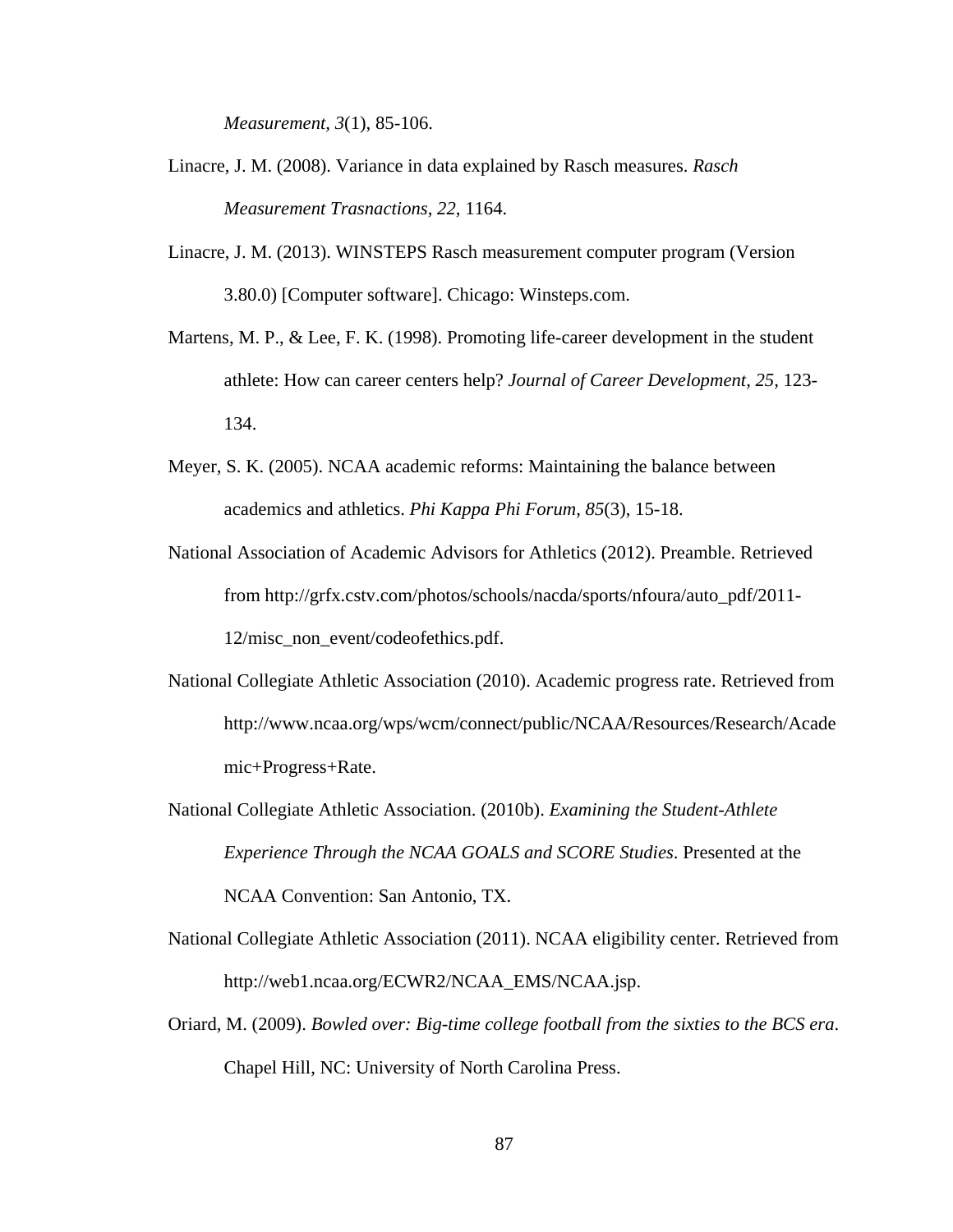*Measurement, 3*(1), 85-106.

- Linacre, J. M. (2008). Variance in data explained by Rasch measures. *Rasch Measurement Trasnactions*, *22*, 1164.
- Linacre, J. M. (2013). WINSTEPS Rasch measurement computer program (Version 3.80.0) [Computer software]. Chicago: Winsteps.com.
- Martens, M. P., & Lee, F. K. (1998). Promoting life-career development in the student athlete: How can career centers help? *Journal of Career Development, 25,* 123- 134.
- Meyer, S. K. (2005). NCAA academic reforms: Maintaining the balance between academics and athletics. *Phi Kappa Phi Forum, 85*(3), 15-18.
- National Association of Academic Advisors for Athletics (2012). Preamble. Retrieved from http://grfx.cstv.com/photos/schools/nacda/sports/nfoura/auto\_pdf/2011- 12/misc\_non\_event/codeofethics.pdf.
- National Collegiate Athletic Association (2010). Academic progress rate. Retrieved from http://www.ncaa.org/wps/wcm/connect/public/NCAA/Resources/Research/Acade mic+Progress+Rate.
- National Collegiate Athletic Association. (2010b). *Examining the Student-Athlete Experience Through the NCAA GOALS and SCORE Studies*. Presented at the NCAA Convention: San Antonio, TX.
- National Collegiate Athletic Association (2011). NCAA eligibility center. Retrieved from http://web1.ncaa.org/ECWR2/NCAA\_EMS/NCAA.jsp.
- Oriard, M. (2009). *Bowled over: Big-time college football from the sixties to the BCS era*. Chapel Hill, NC: University of North Carolina Press.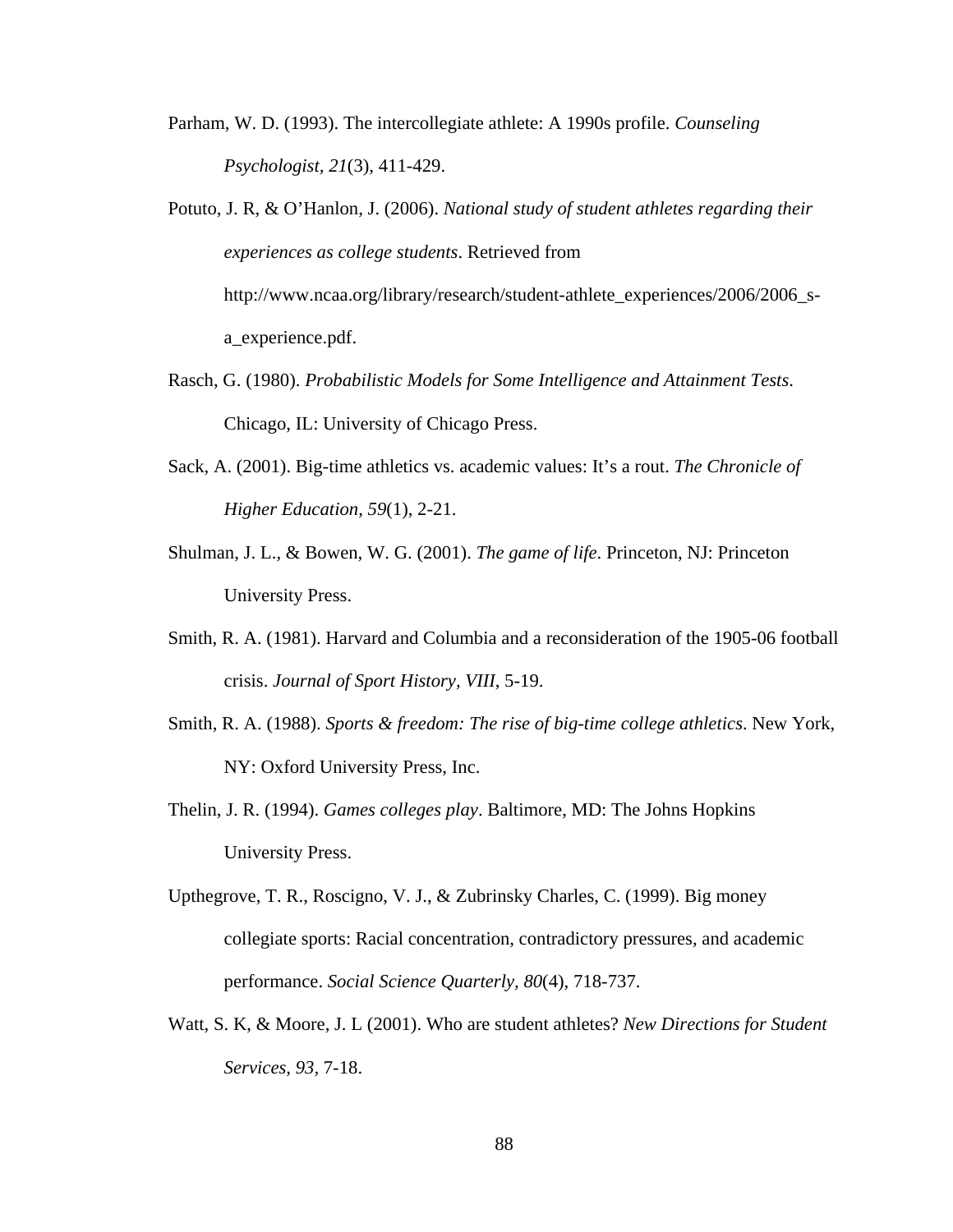- Parham, W. D. (1993). The intercollegiate athlete: A 1990s profile. *Counseling Psychologist, 21*(3), 411-429.
- Potuto, J. R, & O'Hanlon, J. (2006). *National study of student athletes regarding their experiences as college students*. Retrieved from http://www.ncaa.org/library/research/student-athlete\_experiences/2006/2006\_sa\_experience.pdf.
- Rasch, G. (1980). *Probabilistic Models for Some Intelligence and Attainment Tests*. Chicago, IL: University of Chicago Press.
- Sack, A. (2001). Big-time athletics vs. academic values: It's a rout. *The Chronicle of Higher Education, 59*(1), 2-21.
- Shulman, J. L., & Bowen, W. G. (2001). *The game of life*. Princeton, NJ: Princeton University Press.
- Smith, R. A. (1981). Harvard and Columbia and a reconsideration of the 1905-06 football crisis. *Journal of Sport History, VIII*, 5-19.
- Smith, R. A. (1988). *Sports & freedom: The rise of big-time college athletics*. New York, NY: Oxford University Press, Inc.
- Thelin, J. R. (1994). *Games colleges play*. Baltimore, MD: The Johns Hopkins University Press.
- Upthegrove, T. R., Roscigno, V. J., & Zubrinsky Charles, C. (1999). Big money collegiate sports: Racial concentration, contradictory pressures, and academic performance. *Social Science Quarterly, 80*(4), 718-737.
- Watt, S. K, & Moore, J. L (2001). Who are student athletes? *New Directions for Student Services, 93,* 7-18.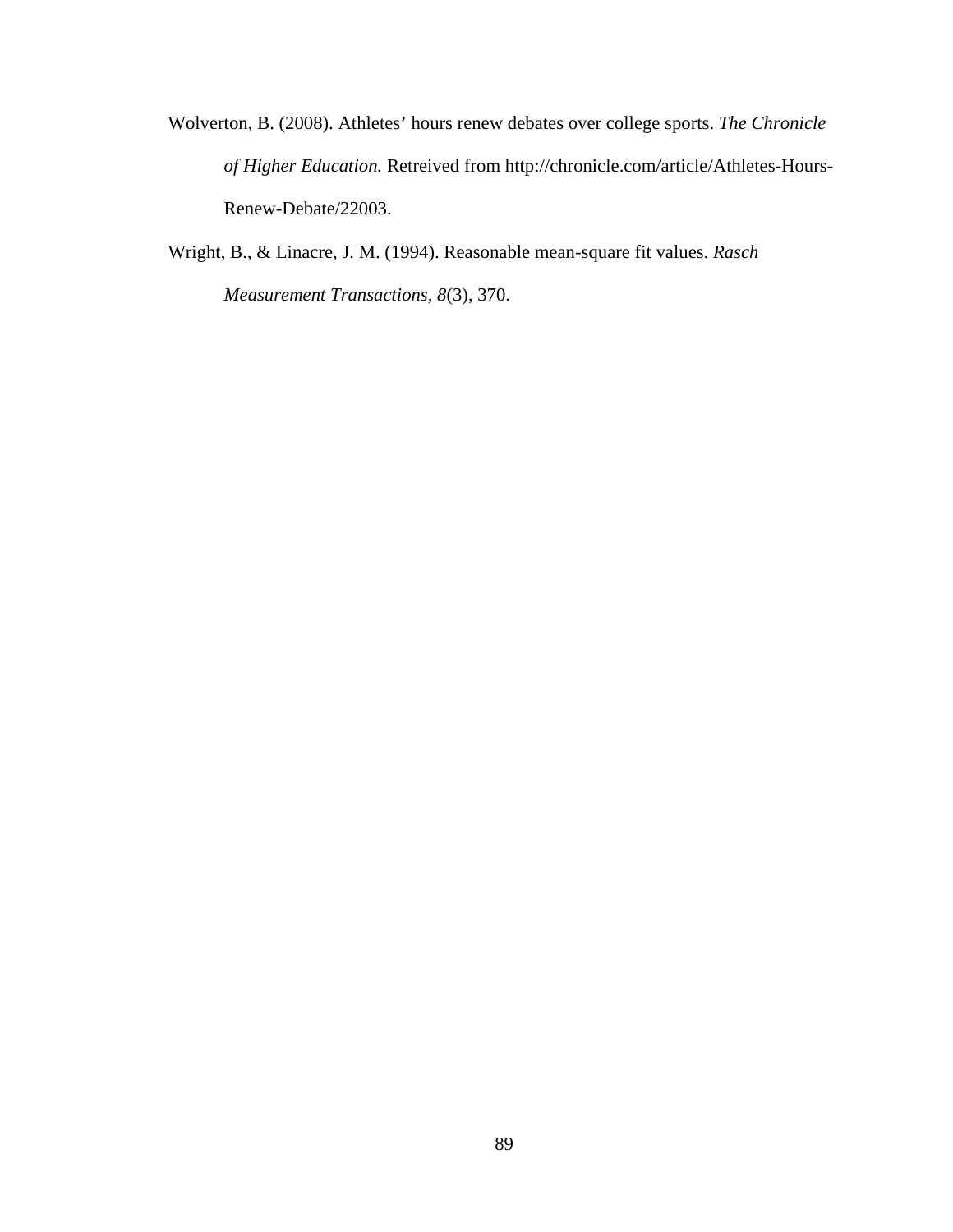- Wolverton, B. (2008). Athletes' hours renew debates over college sports. *The Chronicle of Higher Education.* Retreived from http://chronicle.com/article/Athletes-Hours-Renew-Debate/22003.
- Wright, B., & Linacre, J. M. (1994). Reasonable mean-square fit values. *Rasch Measurement Transactions, 8*(3), 370.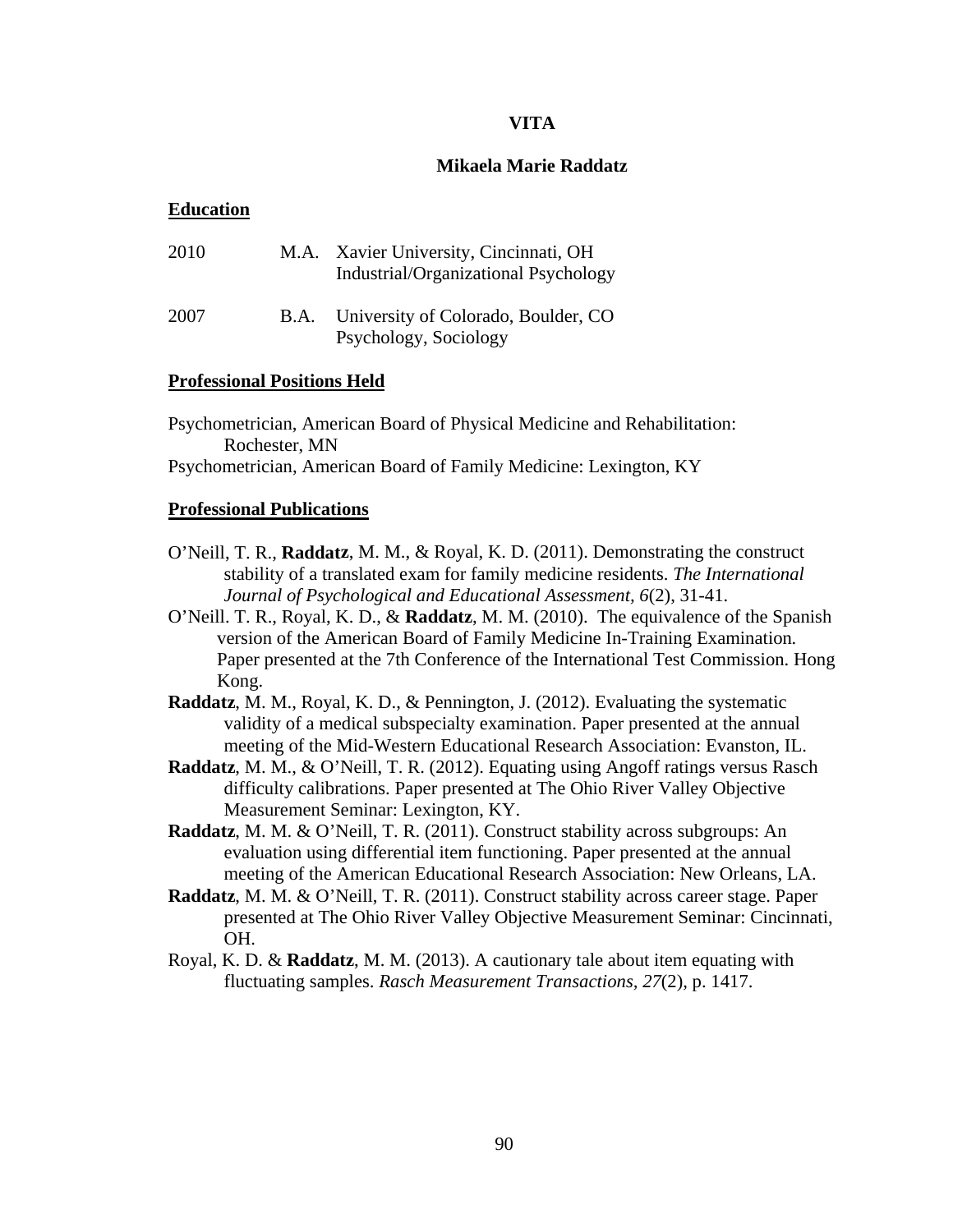## **VITA**

## **Mikaela Marie Raddatz**

## **Education**

| 2010 |      | M.A. Xavier University, Cincinnati, OH<br>Industrial/Organizational Psychology |
|------|------|--------------------------------------------------------------------------------|
| 2007 | B.A. | University of Colorado, Boulder, CO<br>Psychology, Sociology                   |

## **Professional Positions Held**

Psychometrician, American Board of Physical Medicine and Rehabilitation: Rochester, MN Psychometrician, American Board of Family Medicine: Lexington, KY

## **Professional Publications**

- O'Neill, T. R., **Raddatz**, M. M., & Royal, K. D. (2011). Demonstrating the construct stability of a translated exam for family medicine residents. *The International Journal of Psychological and Educational Assessment, 6*(2), 31-41.
- O'Neill. T. R., Royal, K. D., & **Raddatz**, M. M. (2010). The equivalence of the Spanish version of the American Board of Family Medicine In-Training Examination*.* Paper presented at the 7th Conference of the International Test Commission. Hong Kong.
- **Raddatz**, M. M., Royal, K. D., & Pennington, J. (2012). Evaluating the systematic validity of a medical subspecialty examination. Paper presented at the annual meeting of the Mid-Western Educational Research Association: Evanston, IL.
- **Raddatz**, M. M., & O'Neill, T. R. (2012). Equating using Angoff ratings versus Rasch difficulty calibrations. Paper presented at The Ohio River Valley Objective Measurement Seminar: Lexington, KY.
- **Raddatz**, M. M. & O'Neill, T. R. (2011). Construct stability across subgroups: An evaluation using differential item functioning. Paper presented at the annual meeting of the American Educational Research Association: New Orleans, LA.
- **Raddatz**, M. M. & O'Neill, T. R. (2011). Construct stability across career stage. Paper presented at The Ohio River Valley Objective Measurement Seminar: Cincinnati, OH.
- Royal, K. D. & **Raddatz**, M. M. (2013). A cautionary tale about item equating with fluctuating samples. *Rasch Measurement Transactions, 27*(2), p. 1417.